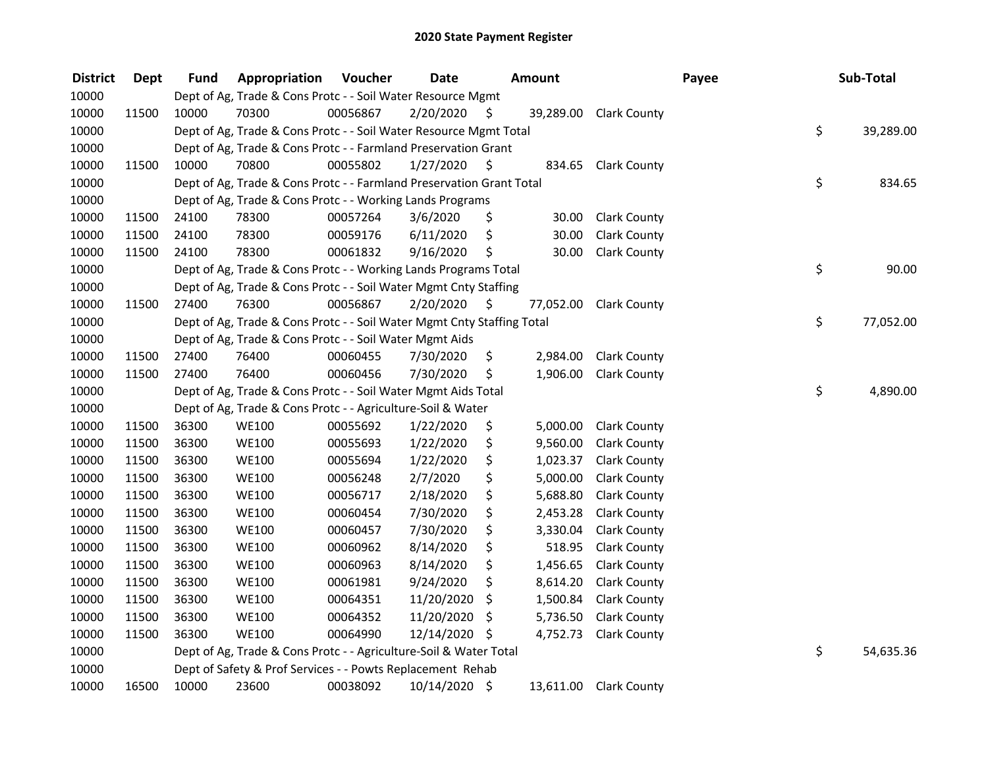| <b>District</b> | Dept  | <b>Fund</b> | Appropriation                                                          | Voucher  | <b>Date</b>   |     | <b>Amount</b> |                        | Payee | Sub-Total       |
|-----------------|-------|-------------|------------------------------------------------------------------------|----------|---------------|-----|---------------|------------------------|-------|-----------------|
| 10000           |       |             | Dept of Ag, Trade & Cons Protc - - Soil Water Resource Mgmt            |          |               |     |               |                        |       |                 |
| 10000           | 11500 | 10000       | 70300                                                                  | 00056867 | 2/20/2020     | \$. |               | 39,289.00 Clark County |       |                 |
| 10000           |       |             | Dept of Ag, Trade & Cons Protc - - Soil Water Resource Mgmt Total      |          |               |     |               |                        |       | \$<br>39,289.00 |
| 10000           |       |             | Dept of Ag, Trade & Cons Protc - - Farmland Preservation Grant         |          |               |     |               |                        |       |                 |
| 10000           | 11500 | 10000       | 70800                                                                  | 00055802 | 1/27/2020     | \$  | 834.65        | <b>Clark County</b>    |       |                 |
| 10000           |       |             | Dept of Ag, Trade & Cons Protc - - Farmland Preservation Grant Total   |          |               |     |               |                        |       | \$<br>834.65    |
| 10000           |       |             | Dept of Ag, Trade & Cons Protc - - Working Lands Programs              |          |               |     |               |                        |       |                 |
| 10000           | 11500 | 24100       | 78300                                                                  | 00057264 | 3/6/2020      | \$  | 30.00         | <b>Clark County</b>    |       |                 |
| 10000           | 11500 | 24100       | 78300                                                                  | 00059176 | 6/11/2020     | \$  | 30.00         | <b>Clark County</b>    |       |                 |
| 10000           | 11500 | 24100       | 78300                                                                  | 00061832 | 9/16/2020     | \$  | 30.00         | <b>Clark County</b>    |       |                 |
| 10000           |       |             | Dept of Ag, Trade & Cons Protc - - Working Lands Programs Total        |          |               |     |               |                        |       | \$<br>90.00     |
| 10000           |       |             | Dept of Ag, Trade & Cons Protc - - Soil Water Mgmt Cnty Staffing       |          |               |     |               |                        |       |                 |
| 10000           | 11500 | 27400       | 76300                                                                  | 00056867 | 2/20/2020     | -\$ | 77,052.00     | <b>Clark County</b>    |       |                 |
| 10000           |       |             | Dept of Ag, Trade & Cons Protc - - Soil Water Mgmt Cnty Staffing Total |          |               |     |               |                        |       | \$<br>77,052.00 |
| 10000           |       |             | Dept of Ag, Trade & Cons Protc - - Soil Water Mgmt Aids                |          |               |     |               |                        |       |                 |
| 10000           | 11500 | 27400       | 76400                                                                  | 00060455 | 7/30/2020     | \$. | 2,984.00      | <b>Clark County</b>    |       |                 |
| 10000           | 11500 | 27400       | 76400                                                                  | 00060456 | 7/30/2020     | \$  | 1,906.00      | <b>Clark County</b>    |       |                 |
| 10000           |       |             | Dept of Ag, Trade & Cons Protc - - Soil Water Mgmt Aids Total          |          |               |     |               |                        |       | \$<br>4,890.00  |
| 10000           |       |             | Dept of Ag, Trade & Cons Protc - - Agriculture-Soil & Water            |          |               |     |               |                        |       |                 |
| 10000           | 11500 | 36300       | <b>WE100</b>                                                           | 00055692 | 1/22/2020     | \$  | 5,000.00      | <b>Clark County</b>    |       |                 |
| 10000           | 11500 | 36300       | <b>WE100</b>                                                           | 00055693 | 1/22/2020     | \$  | 9,560.00      | <b>Clark County</b>    |       |                 |
| 10000           | 11500 | 36300       | <b>WE100</b>                                                           | 00055694 | 1/22/2020     | \$  | 1,023.37      | <b>Clark County</b>    |       |                 |
| 10000           | 11500 | 36300       | <b>WE100</b>                                                           | 00056248 | 2/7/2020      | \$  | 5,000.00      | <b>Clark County</b>    |       |                 |
| 10000           | 11500 | 36300       | <b>WE100</b>                                                           | 00056717 | 2/18/2020     | \$  | 5,688.80      | <b>Clark County</b>    |       |                 |
| 10000           | 11500 | 36300       | <b>WE100</b>                                                           | 00060454 | 7/30/2020     | \$  | 2,453.28      | <b>Clark County</b>    |       |                 |
| 10000           | 11500 | 36300       | <b>WE100</b>                                                           | 00060457 | 7/30/2020     | \$  | 3,330.04      | <b>Clark County</b>    |       |                 |
| 10000           | 11500 | 36300       | <b>WE100</b>                                                           | 00060962 | 8/14/2020     | \$  | 518.95        | <b>Clark County</b>    |       |                 |
| 10000           | 11500 | 36300       | <b>WE100</b>                                                           | 00060963 | 8/14/2020     | \$  | 1,456.65      | <b>Clark County</b>    |       |                 |
| 10000           | 11500 | 36300       | <b>WE100</b>                                                           | 00061981 | 9/24/2020     | \$  | 8,614.20      | <b>Clark County</b>    |       |                 |
| 10000           | 11500 | 36300       | <b>WE100</b>                                                           | 00064351 | 11/20/2020    | \$  | 1,500.84      | <b>Clark County</b>    |       |                 |
| 10000           | 11500 | 36300       | <b>WE100</b>                                                           | 00064352 | 11/20/2020    | \$  | 5,736.50      | <b>Clark County</b>    |       |                 |
| 10000           | 11500 | 36300       | <b>WE100</b>                                                           | 00064990 | 12/14/2020    | -\$ | 4,752.73      | <b>Clark County</b>    |       |                 |
| 10000           |       |             | Dept of Ag, Trade & Cons Protc - - Agriculture-Soil & Water Total      |          |               |     |               |                        |       | \$<br>54,635.36 |
| 10000           |       |             | Dept of Safety & Prof Services - - Powts Replacement Rehab             |          |               |     |               |                        |       |                 |
| 10000           | 16500 | 10000       | 23600                                                                  | 00038092 | 10/14/2020 \$ |     |               | 13,611.00 Clark County |       |                 |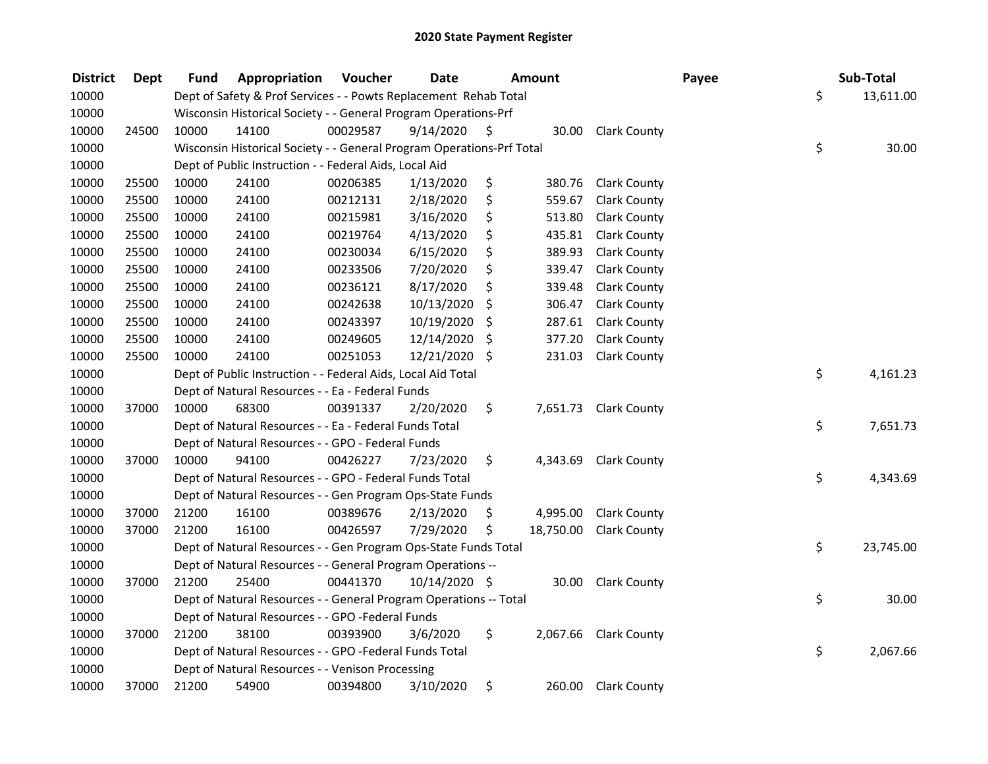| <b>District</b> | <b>Dept</b> | Fund  | Appropriation                                                         | Voucher  | <b>Date</b>   |     | Amount    |                       | Payee |    | Sub-Total |  |
|-----------------|-------------|-------|-----------------------------------------------------------------------|----------|---------------|-----|-----------|-----------------------|-------|----|-----------|--|
| 10000           |             |       | Dept of Safety & Prof Services - - Powts Replacement Rehab Total      |          |               |     |           |                       |       | \$ | 13,611.00 |  |
| 10000           |             |       | Wisconsin Historical Society - - General Program Operations-Prf       |          |               |     |           |                       |       |    |           |  |
| 10000           | 24500       | 10000 | 14100                                                                 | 00029587 | 9/14/2020     | \$  |           | 30.00 Clark County    |       |    |           |  |
| 10000           |             |       | Wisconsin Historical Society - - General Program Operations-Prf Total |          |               |     |           |                       |       | \$ | 30.00     |  |
| 10000           |             |       | Dept of Public Instruction - - Federal Aids, Local Aid                |          |               |     |           |                       |       |    |           |  |
| 10000           | 25500       | 10000 | 24100                                                                 | 00206385 | 1/13/2020     | \$  | 380.76    | <b>Clark County</b>   |       |    |           |  |
| 10000           | 25500       | 10000 | 24100                                                                 | 00212131 | 2/18/2020     | \$  | 559.67    | <b>Clark County</b>   |       |    |           |  |
| 10000           | 25500       | 10000 | 24100                                                                 | 00215981 | 3/16/2020     | \$  | 513.80    | <b>Clark County</b>   |       |    |           |  |
| 10000           | 25500       | 10000 | 24100                                                                 | 00219764 | 4/13/2020     | \$  | 435.81    | <b>Clark County</b>   |       |    |           |  |
| 10000           | 25500       | 10000 | 24100                                                                 | 00230034 | 6/15/2020     | \$  | 389.93    | <b>Clark County</b>   |       |    |           |  |
| 10000           | 25500       | 10000 | 24100                                                                 | 00233506 | 7/20/2020     | \$  | 339.47    | <b>Clark County</b>   |       |    |           |  |
| 10000           | 25500       | 10000 | 24100                                                                 | 00236121 | 8/17/2020     | \$  | 339.48    | <b>Clark County</b>   |       |    |           |  |
| 10000           | 25500       | 10000 | 24100                                                                 | 00242638 | 10/13/2020    | \$  | 306.47    | <b>Clark County</b>   |       |    |           |  |
| 10000           | 25500       | 10000 | 24100                                                                 | 00243397 | 10/19/2020    | \$  | 287.61    | <b>Clark County</b>   |       |    |           |  |
| 10000           | 25500       | 10000 | 24100                                                                 | 00249605 | 12/14/2020    | \$  | 377.20    | <b>Clark County</b>   |       |    |           |  |
| 10000           | 25500       | 10000 | 24100                                                                 | 00251053 | 12/21/2020    | \$. | 231.03    | <b>Clark County</b>   |       |    |           |  |
| 10000           |             |       | Dept of Public Instruction - - Federal Aids, Local Aid Total          |          |               |     |           |                       |       | \$ | 4,161.23  |  |
| 10000           |             |       | Dept of Natural Resources - - Ea - Federal Funds                      |          |               |     |           |                       |       |    |           |  |
| 10000           | 37000       | 10000 | 68300                                                                 | 00391337 | 2/20/2020     | \$  | 7,651.73  | <b>Clark County</b>   |       |    |           |  |
| 10000           |             |       | Dept of Natural Resources - - Ea - Federal Funds Total                |          |               |     |           |                       |       | \$ | 7,651.73  |  |
| 10000           |             |       | Dept of Natural Resources - - GPO - Federal Funds                     |          |               |     |           |                       |       |    |           |  |
| 10000           | 37000       | 10000 | 94100                                                                 | 00426227 | 7/23/2020     | \$  | 4,343.69  | <b>Clark County</b>   |       |    |           |  |
| 10000           |             |       | Dept of Natural Resources - - GPO - Federal Funds Total               |          |               |     |           |                       |       | \$ | 4,343.69  |  |
| 10000           |             |       | Dept of Natural Resources - - Gen Program Ops-State Funds             |          |               |     |           |                       |       |    |           |  |
| 10000           | 37000       | 21200 | 16100                                                                 | 00389676 | 2/13/2020     | \$  | 4,995.00  | <b>Clark County</b>   |       |    |           |  |
| 10000           | 37000       | 21200 | 16100                                                                 | 00426597 | 7/29/2020     | \$  | 18,750.00 | <b>Clark County</b>   |       |    |           |  |
| 10000           |             |       | Dept of Natural Resources - - Gen Program Ops-State Funds Total       |          |               |     |           |                       |       | \$ | 23,745.00 |  |
| 10000           |             |       | Dept of Natural Resources - - General Program Operations --           |          |               |     |           |                       |       |    |           |  |
| 10000           | 37000       | 21200 | 25400                                                                 | 00441370 | 10/14/2020 \$ |     | 30.00     | <b>Clark County</b>   |       |    |           |  |
| 10000           |             |       | Dept of Natural Resources - - General Program Operations -- Total     |          |               |     |           |                       |       | \$ | 30.00     |  |
| 10000           |             |       | Dept of Natural Resources - - GPO -Federal Funds                      |          |               |     |           |                       |       |    |           |  |
| 10000           | 37000       | 21200 | 38100                                                                 | 00393900 | 3/6/2020      | \$  |           | 2,067.66 Clark County |       |    |           |  |
| 10000           |             |       | Dept of Natural Resources - - GPO -Federal Funds Total                |          |               |     |           |                       |       | \$ | 2,067.66  |  |
| 10000           |             |       | Dept of Natural Resources - - Venison Processing                      |          |               |     |           |                       |       |    |           |  |
| 10000           | 37000       | 21200 | 54900                                                                 | 00394800 | 3/10/2020     | \$  |           | 260.00 Clark County   |       |    |           |  |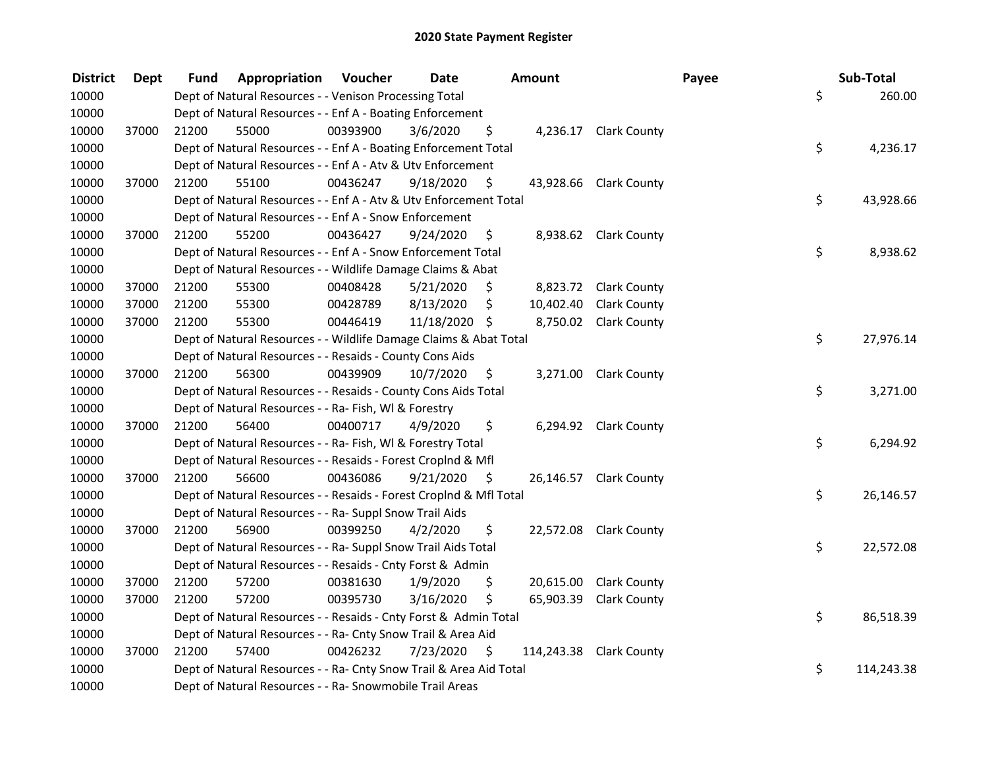| <b>District</b> | <b>Dept</b> | Fund  | Appropriation                                                      | Voucher  | <b>Date</b>   |     | <b>Amount</b> |                         | Payee | Sub-Total  |        |
|-----------------|-------------|-------|--------------------------------------------------------------------|----------|---------------|-----|---------------|-------------------------|-------|------------|--------|
| 10000           |             |       | Dept of Natural Resources - - Venison Processing Total             |          |               |     |               |                         | \$    |            | 260.00 |
| 10000           |             |       | Dept of Natural Resources - - Enf A - Boating Enforcement          |          |               |     |               |                         |       |            |        |
| 10000           | 37000       | 21200 | 55000                                                              | 00393900 | 3/6/2020      | \$  |               | 4,236.17 Clark County   |       |            |        |
| 10000           |             |       | Dept of Natural Resources - - Enf A - Boating Enforcement Total    |          |               |     |               |                         | \$    | 4,236.17   |        |
| 10000           |             |       | Dept of Natural Resources - - Enf A - Atv & Utv Enforcement        |          |               |     |               |                         |       |            |        |
| 10000           | 37000       | 21200 | 55100                                                              | 00436247 | 9/18/2020     | \$  |               | 43,928.66 Clark County  |       |            |        |
| 10000           |             |       | Dept of Natural Resources - - Enf A - Atv & Utv Enforcement Total  |          |               |     |               |                         | \$    | 43,928.66  |        |
| 10000           |             |       | Dept of Natural Resources - - Enf A - Snow Enforcement             |          |               |     |               |                         |       |            |        |
| 10000           | 37000       | 21200 | 55200                                                              | 00436427 | 9/24/2020     | \$  |               | 8,938.62 Clark County   |       |            |        |
| 10000           |             |       | Dept of Natural Resources - - Enf A - Snow Enforcement Total       |          |               |     |               |                         | \$    | 8,938.62   |        |
| 10000           |             |       | Dept of Natural Resources - - Wildlife Damage Claims & Abat        |          |               |     |               |                         |       |            |        |
| 10000           | 37000       | 21200 | 55300                                                              | 00408428 | 5/21/2020     | \$  |               | 8,823.72 Clark County   |       |            |        |
| 10000           | 37000       | 21200 | 55300                                                              | 00428789 | 8/13/2020     | \$  | 10,402.40     | <b>Clark County</b>     |       |            |        |
| 10000           | 37000       | 21200 | 55300                                                              | 00446419 | 11/18/2020 \$ |     |               | 8,750.02 Clark County   |       |            |        |
| 10000           |             |       | Dept of Natural Resources - - Wildlife Damage Claims & Abat Total  |          |               |     |               |                         | \$    | 27,976.14  |        |
| 10000           |             |       | Dept of Natural Resources - - Resaids - County Cons Aids           |          |               |     |               |                         |       |            |        |
| 10000           | 37000       | 21200 | 56300                                                              | 00439909 | 10/7/2020     | \$  | 3,271.00      | <b>Clark County</b>     |       |            |        |
| 10000           |             |       | Dept of Natural Resources - - Resaids - County Cons Aids Total     |          |               |     |               |                         | \$    | 3,271.00   |        |
| 10000           |             |       | Dept of Natural Resources - - Ra- Fish, WI & Forestry              |          |               |     |               |                         |       |            |        |
| 10000           | 37000       | 21200 | 56400                                                              | 00400717 | 4/9/2020      | \$  |               | 6,294.92 Clark County   |       |            |        |
| 10000           |             |       | Dept of Natural Resources - - Ra- Fish, WI & Forestry Total        |          |               |     |               |                         | \$    | 6,294.92   |        |
| 10000           |             |       | Dept of Natural Resources - - Resaids - Forest Croplnd & Mfl       |          |               |     |               |                         |       |            |        |
| 10000           | 37000       | 21200 | 56600                                                              | 00436086 | 9/21/2020     | - S |               | 26,146.57 Clark County  |       |            |        |
| 10000           |             |       | Dept of Natural Resources - - Resaids - Forest Croplnd & Mfl Total |          |               |     |               |                         | \$    | 26,146.57  |        |
| 10000           |             |       | Dept of Natural Resources - - Ra- Suppl Snow Trail Aids            |          |               |     |               |                         |       |            |        |
| 10000           | 37000       | 21200 | 56900                                                              | 00399250 | 4/2/2020      | \$  |               | 22,572.08 Clark County  |       |            |        |
| 10000           |             |       | Dept of Natural Resources - - Ra- Suppl Snow Trail Aids Total      |          |               |     |               |                         | \$    | 22,572.08  |        |
| 10000           |             |       | Dept of Natural Resources - - Resaids - Cnty Forst & Admin         |          |               |     |               |                         |       |            |        |
| 10000           | 37000       | 21200 | 57200                                                              | 00381630 | 1/9/2020      | \$  |               | 20,615.00 Clark County  |       |            |        |
| 10000           | 37000       | 21200 | 57200                                                              | 00395730 | 3/16/2020     | \$  | 65,903.39     | <b>Clark County</b>     |       |            |        |
| 10000           |             |       | Dept of Natural Resources - - Resaids - Cnty Forst & Admin Total   |          |               |     |               |                         | \$    | 86,518.39  |        |
| 10000           |             |       | Dept of Natural Resources - - Ra- Cnty Snow Trail & Area Aid       |          |               |     |               |                         |       |            |        |
| 10000           | 37000       | 21200 | 57400                                                              | 00426232 | 7/23/2020     | \$  |               | 114,243.38 Clark County |       |            |        |
| 10000           |             |       | Dept of Natural Resources - - Ra- Cnty Snow Trail & Area Aid Total |          |               |     |               |                         | \$    | 114,243.38 |        |
| 10000           |             |       | Dept of Natural Resources - - Ra- Snowmobile Trail Areas           |          |               |     |               |                         |       |            |        |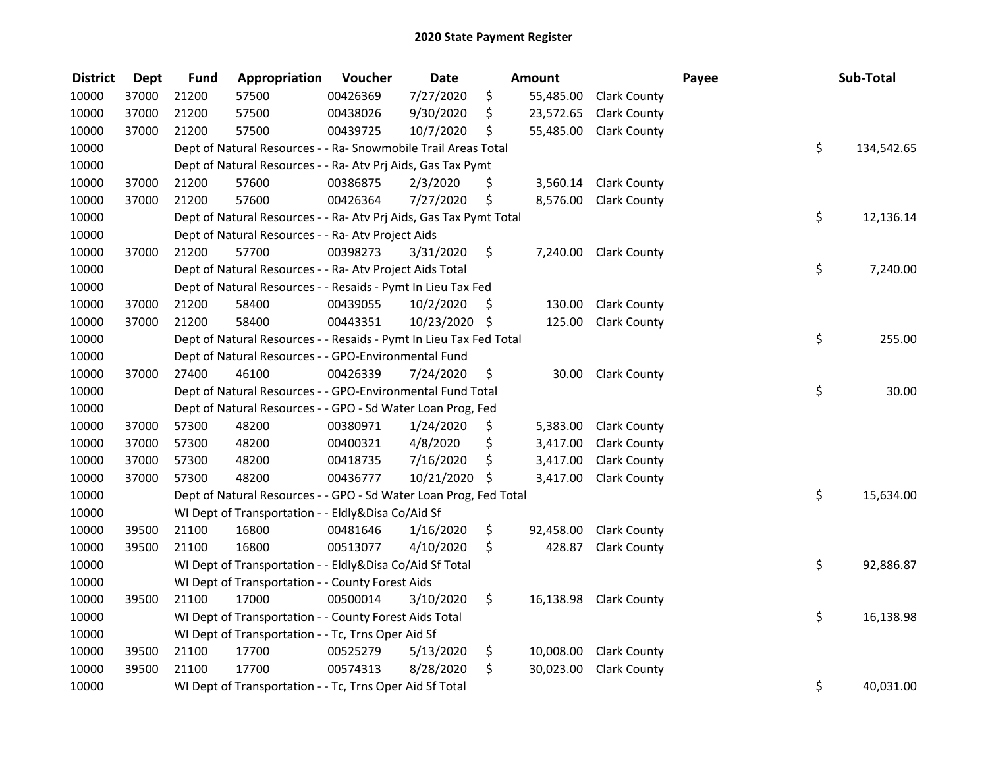| <b>District</b> | <b>Dept</b> | <b>Fund</b> | Appropriation                                                      | Voucher  | <b>Date</b>   |     | Amount    |                        | Payee | Sub-Total        |
|-----------------|-------------|-------------|--------------------------------------------------------------------|----------|---------------|-----|-----------|------------------------|-------|------------------|
| 10000           | 37000       | 21200       | 57500                                                              | 00426369 | 7/27/2020     | \$  | 55,485.00 | <b>Clark County</b>    |       |                  |
| 10000           | 37000       | 21200       | 57500                                                              | 00438026 | 9/30/2020     | \$  | 23,572.65 | <b>Clark County</b>    |       |                  |
| 10000           | 37000       | 21200       | 57500                                                              | 00439725 | 10/7/2020     | \$  | 55,485.00 | <b>Clark County</b>    |       |                  |
| 10000           |             |             | Dept of Natural Resources - - Ra- Snowmobile Trail Areas Total     |          |               |     |           |                        |       | \$<br>134,542.65 |
| 10000           |             |             | Dept of Natural Resources - - Ra- Atv Prj Aids, Gas Tax Pymt       |          |               |     |           |                        |       |                  |
| 10000           | 37000       | 21200       | 57600                                                              | 00386875 | 2/3/2020      | \$  | 3,560.14  | <b>Clark County</b>    |       |                  |
| 10000           | 37000       | 21200       | 57600                                                              | 00426364 | 7/27/2020     | \$  | 8,576.00  | <b>Clark County</b>    |       |                  |
| 10000           |             |             | Dept of Natural Resources - - Ra- Atv Prj Aids, Gas Tax Pymt Total |          |               |     |           |                        |       | \$<br>12,136.14  |
| 10000           |             |             | Dept of Natural Resources - - Ra- Atv Project Aids                 |          |               |     |           |                        |       |                  |
| 10000           | 37000       | 21200       | 57700                                                              | 00398273 | 3/31/2020     | \$  |           | 7,240.00 Clark County  |       |                  |
| 10000           |             |             | Dept of Natural Resources - - Ra- Atv Project Aids Total           |          |               |     |           |                        |       | \$<br>7,240.00   |
| 10000           |             |             | Dept of Natural Resources - - Resaids - Pymt In Lieu Tax Fed       |          |               |     |           |                        |       |                  |
| 10000           | 37000       | 21200       | 58400                                                              | 00439055 | 10/2/2020     | \$, | 130.00    | <b>Clark County</b>    |       |                  |
| 10000           | 37000       | 21200       | 58400                                                              | 00443351 | 10/23/2020 \$ |     | 125.00    | <b>Clark County</b>    |       |                  |
| 10000           |             |             | Dept of Natural Resources - - Resaids - Pymt In Lieu Tax Fed Total |          |               |     |           |                        |       | \$<br>255.00     |
| 10000           |             |             | Dept of Natural Resources - - GPO-Environmental Fund               |          |               |     |           |                        |       |                  |
| 10000           | 37000       | 27400       | 46100                                                              | 00426339 | 7/24/2020     | \$  | 30.00     | <b>Clark County</b>    |       |                  |
| 10000           |             |             | Dept of Natural Resources - - GPO-Environmental Fund Total         |          |               |     |           |                        |       | \$<br>30.00      |
| 10000           |             |             | Dept of Natural Resources - - GPO - Sd Water Loan Prog, Fed        |          |               |     |           |                        |       |                  |
| 10000           | 37000       | 57300       | 48200                                                              | 00380971 | 1/24/2020     | \$  | 5,383.00  | <b>Clark County</b>    |       |                  |
| 10000           | 37000       | 57300       | 48200                                                              | 00400321 | 4/8/2020      | \$  | 3,417.00  | <b>Clark County</b>    |       |                  |
| 10000           | 37000       | 57300       | 48200                                                              | 00418735 | 7/16/2020     | \$  | 3,417.00  | <b>Clark County</b>    |       |                  |
| 10000           | 37000       | 57300       | 48200                                                              | 00436777 | 10/21/2020 \$ |     | 3,417.00  | <b>Clark County</b>    |       |                  |
| 10000           |             |             | Dept of Natural Resources - - GPO - Sd Water Loan Prog, Fed Total  |          |               |     |           |                        |       | \$<br>15,634.00  |
| 10000           |             |             | WI Dept of Transportation - - Eldly&Disa Co/Aid Sf                 |          |               |     |           |                        |       |                  |
| 10000           | 39500       | 21100       | 16800                                                              | 00481646 | 1/16/2020     | \$  | 92,458.00 | <b>Clark County</b>    |       |                  |
| 10000           | 39500       | 21100       | 16800                                                              | 00513077 | 4/10/2020     | \$  | 428.87    | <b>Clark County</b>    |       |                  |
| 10000           |             |             | WI Dept of Transportation - - Eldly&Disa Co/Aid Sf Total           |          |               |     |           |                        |       | \$<br>92,886.87  |
| 10000           |             |             | WI Dept of Transportation - - County Forest Aids                   |          |               |     |           |                        |       |                  |
| 10000           | 39500       | 21100       | 17000                                                              | 00500014 | 3/10/2020     | \$  |           | 16,138.98 Clark County |       |                  |
| 10000           |             |             | WI Dept of Transportation - - County Forest Aids Total             |          |               |     |           |                        |       | \$<br>16,138.98  |
| 10000           |             |             | WI Dept of Transportation - - Tc, Trns Oper Aid Sf                 |          |               |     |           |                        |       |                  |
| 10000           | 39500       | 21100       | 17700                                                              | 00525279 | 5/13/2020     | \$  | 10,008.00 | <b>Clark County</b>    |       |                  |
| 10000           | 39500       | 21100       | 17700                                                              | 00574313 | 8/28/2020     | \$  | 30,023.00 | <b>Clark County</b>    |       |                  |
| 10000           |             |             | WI Dept of Transportation - - Tc, Trns Oper Aid Sf Total           |          |               |     |           |                        |       | \$<br>40,031.00  |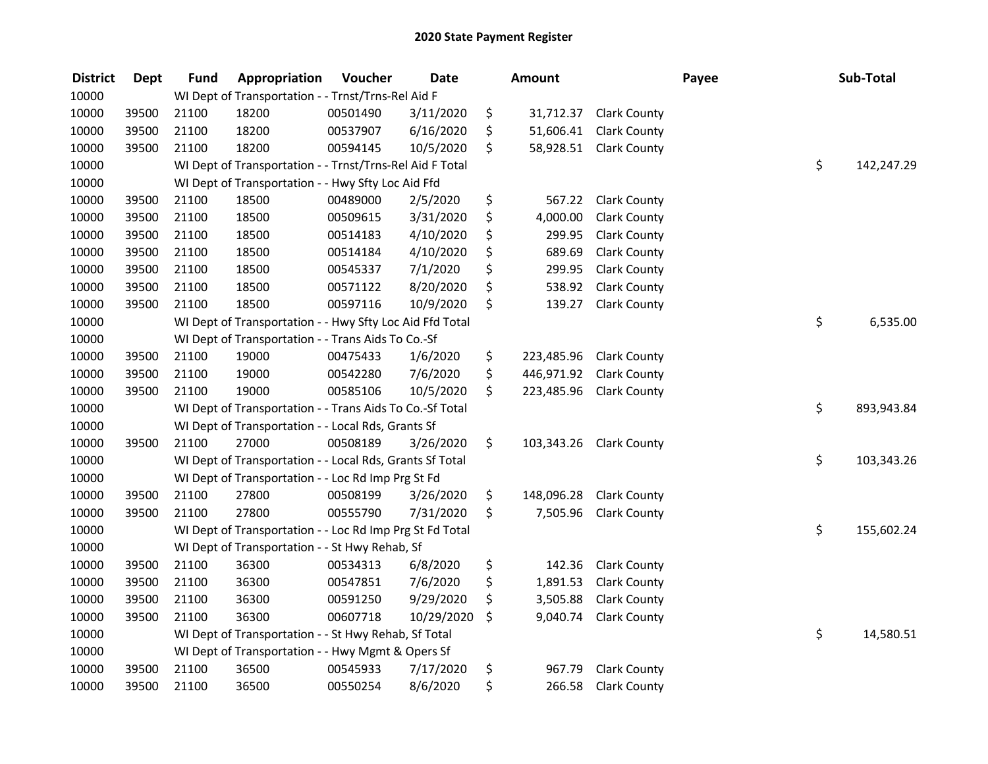| <b>District</b> | <b>Dept</b> | <b>Fund</b> | Appropriation                                            | Voucher  | <b>Date</b> | <b>Amount</b>    |                        | Payee | Sub-Total        |
|-----------------|-------------|-------------|----------------------------------------------------------|----------|-------------|------------------|------------------------|-------|------------------|
| 10000           |             |             | WI Dept of Transportation - - Trnst/Trns-Rel Aid F       |          |             |                  |                        |       |                  |
| 10000           | 39500       | 21100       | 18200                                                    | 00501490 | 3/11/2020   | \$<br>31,712.37  | <b>Clark County</b>    |       |                  |
| 10000           | 39500       | 21100       | 18200                                                    | 00537907 | 6/16/2020   | \$<br>51,606.41  | <b>Clark County</b>    |       |                  |
| 10000           | 39500       | 21100       | 18200                                                    | 00594145 | 10/5/2020   | \$               | 58,928.51 Clark County |       |                  |
| 10000           |             |             | WI Dept of Transportation - - Trnst/Trns-Rel Aid F Total |          |             |                  |                        |       | \$<br>142,247.29 |
| 10000           |             |             | WI Dept of Transportation - - Hwy Sfty Loc Aid Ffd       |          |             |                  |                        |       |                  |
| 10000           | 39500       | 21100       | 18500                                                    | 00489000 | 2/5/2020    | \$<br>567.22     | <b>Clark County</b>    |       |                  |
| 10000           | 39500       | 21100       | 18500                                                    | 00509615 | 3/31/2020   | \$<br>4,000.00   | <b>Clark County</b>    |       |                  |
| 10000           | 39500       | 21100       | 18500                                                    | 00514183 | 4/10/2020   | \$<br>299.95     | <b>Clark County</b>    |       |                  |
| 10000           | 39500       | 21100       | 18500                                                    | 00514184 | 4/10/2020   | \$<br>689.69     | Clark County           |       |                  |
| 10000           | 39500       | 21100       | 18500                                                    | 00545337 | 7/1/2020    | \$<br>299.95     | <b>Clark County</b>    |       |                  |
| 10000           | 39500       | 21100       | 18500                                                    | 00571122 | 8/20/2020   | \$<br>538.92     | <b>Clark County</b>    |       |                  |
| 10000           | 39500       | 21100       | 18500                                                    | 00597116 | 10/9/2020   | \$<br>139.27     | <b>Clark County</b>    |       |                  |
| 10000           |             |             | WI Dept of Transportation - - Hwy Sfty Loc Aid Ffd Total |          |             |                  |                        |       | \$<br>6,535.00   |
| 10000           |             |             | WI Dept of Transportation - - Trans Aids To Co.-Sf       |          |             |                  |                        |       |                  |
| 10000           | 39500       | 21100       | 19000                                                    | 00475433 | 1/6/2020    | \$<br>223,485.96 | <b>Clark County</b>    |       |                  |
| 10000           | 39500       | 21100       | 19000                                                    | 00542280 | 7/6/2020    | \$<br>446,971.92 | <b>Clark County</b>    |       |                  |
| 10000           | 39500       | 21100       | 19000                                                    | 00585106 | 10/5/2020   | \$<br>223,485.96 | <b>Clark County</b>    |       |                  |
| 10000           |             |             | WI Dept of Transportation - - Trans Aids To Co.-Sf Total |          |             |                  |                        |       | \$<br>893,943.84 |
| 10000           |             |             | WI Dept of Transportation - - Local Rds, Grants Sf       |          |             |                  |                        |       |                  |
| 10000           | 39500       | 21100       | 27000                                                    | 00508189 | 3/26/2020   | \$<br>103,343.26 | <b>Clark County</b>    |       |                  |
| 10000           |             |             | WI Dept of Transportation - - Local Rds, Grants Sf Total |          |             |                  |                        |       | \$<br>103,343.26 |
| 10000           |             |             | WI Dept of Transportation - - Loc Rd Imp Prg St Fd       |          |             |                  |                        |       |                  |
| 10000           | 39500       | 21100       | 27800                                                    | 00508199 | 3/26/2020   | \$<br>148,096.28 | <b>Clark County</b>    |       |                  |
| 10000           | 39500       | 21100       | 27800                                                    | 00555790 | 7/31/2020   | \$<br>7,505.96   | <b>Clark County</b>    |       |                  |
| 10000           |             |             | WI Dept of Transportation - - Loc Rd Imp Prg St Fd Total |          |             |                  |                        |       | \$<br>155,602.24 |
| 10000           |             |             | WI Dept of Transportation - - St Hwy Rehab, Sf           |          |             |                  |                        |       |                  |
| 10000           | 39500       | 21100       | 36300                                                    | 00534313 | 6/8/2020    | \$<br>142.36     | <b>Clark County</b>    |       |                  |
| 10000           | 39500       | 21100       | 36300                                                    | 00547851 | 7/6/2020    | \$<br>1,891.53   | <b>Clark County</b>    |       |                  |
| 10000           | 39500       | 21100       | 36300                                                    | 00591250 | 9/29/2020   | \$<br>3,505.88   | <b>Clark County</b>    |       |                  |
| 10000           | 39500       | 21100       | 36300                                                    | 00607718 | 10/29/2020  | \$<br>9,040.74   | <b>Clark County</b>    |       |                  |
| 10000           |             |             | WI Dept of Transportation - - St Hwy Rehab, Sf Total     |          |             |                  |                        |       | \$<br>14,580.51  |
| 10000           |             |             | WI Dept of Transportation - - Hwy Mgmt & Opers Sf        |          |             |                  |                        |       |                  |
| 10000           | 39500       | 21100       | 36500                                                    | 00545933 | 7/17/2020   | \$<br>967.79     | <b>Clark County</b>    |       |                  |
| 10000           | 39500       | 21100       | 36500                                                    | 00550254 | 8/6/2020    | \$<br>266.58     | <b>Clark County</b>    |       |                  |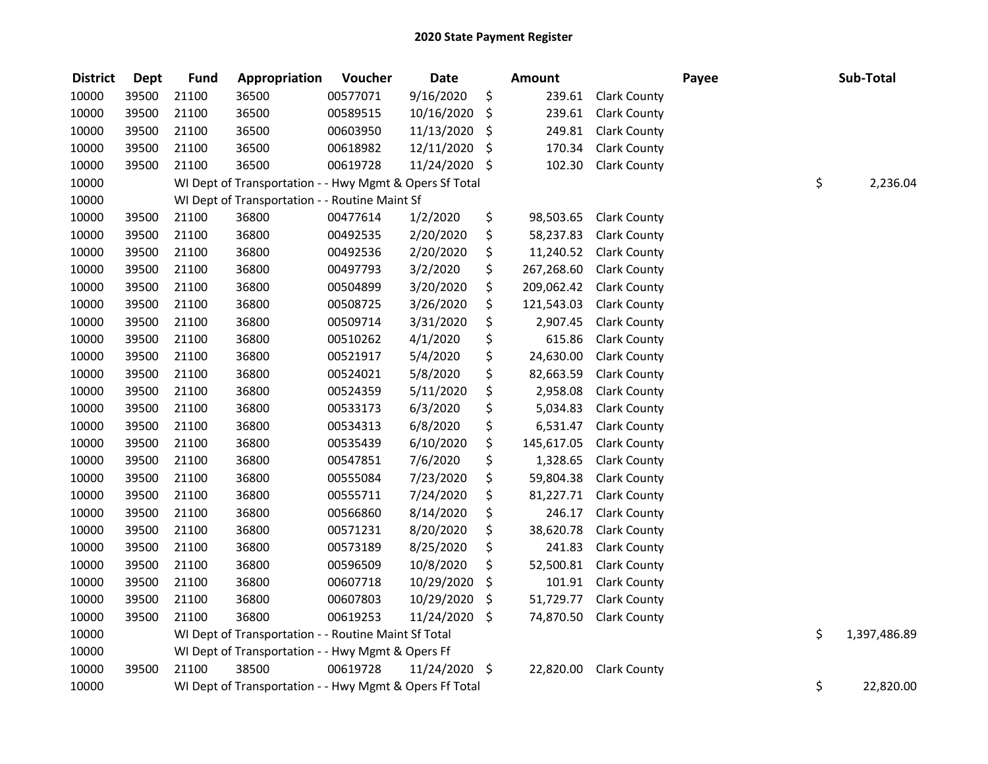| <b>District</b> | <b>Dept</b> | <b>Fund</b> | Appropriation                                           | Voucher  | <b>Date</b>   |     | Amount     |                     | Payee | Sub-Total          |
|-----------------|-------------|-------------|---------------------------------------------------------|----------|---------------|-----|------------|---------------------|-------|--------------------|
| 10000           | 39500       | 21100       | 36500                                                   | 00577071 | 9/16/2020     | \$  | 239.61     | <b>Clark County</b> |       |                    |
| 10000           | 39500       | 21100       | 36500                                                   | 00589515 | 10/16/2020    | \$  | 239.61     | <b>Clark County</b> |       |                    |
| 10000           | 39500       | 21100       | 36500                                                   | 00603950 | 11/13/2020    | -\$ | 249.81     | <b>Clark County</b> |       |                    |
| 10000           | 39500       | 21100       | 36500                                                   | 00618982 | 12/11/2020    | -\$ | 170.34     | <b>Clark County</b> |       |                    |
| 10000           | 39500       | 21100       | 36500                                                   | 00619728 | 11/24/2020 \$ |     | 102.30     | <b>Clark County</b> |       |                    |
| 10000           |             |             | WI Dept of Transportation - - Hwy Mgmt & Opers Sf Total |          |               |     |            |                     |       | \$<br>2,236.04     |
| 10000           |             |             | WI Dept of Transportation - - Routine Maint Sf          |          |               |     |            |                     |       |                    |
| 10000           | 39500       | 21100       | 36800                                                   | 00477614 | 1/2/2020      | \$  | 98,503.65  | <b>Clark County</b> |       |                    |
| 10000           | 39500       | 21100       | 36800                                                   | 00492535 | 2/20/2020     | \$  | 58,237.83  | <b>Clark County</b> |       |                    |
| 10000           | 39500       | 21100       | 36800                                                   | 00492536 | 2/20/2020     | \$  | 11,240.52  | <b>Clark County</b> |       |                    |
| 10000           | 39500       | 21100       | 36800                                                   | 00497793 | 3/2/2020      | \$  | 267,268.60 | <b>Clark County</b> |       |                    |
| 10000           | 39500       | 21100       | 36800                                                   | 00504899 | 3/20/2020     | \$  | 209,062.42 | <b>Clark County</b> |       |                    |
| 10000           | 39500       | 21100       | 36800                                                   | 00508725 | 3/26/2020     | \$  | 121,543.03 | <b>Clark County</b> |       |                    |
| 10000           | 39500       | 21100       | 36800                                                   | 00509714 | 3/31/2020     | \$  | 2,907.45   | <b>Clark County</b> |       |                    |
| 10000           | 39500       | 21100       | 36800                                                   | 00510262 | 4/1/2020      | \$  | 615.86     | <b>Clark County</b> |       |                    |
| 10000           | 39500       | 21100       | 36800                                                   | 00521917 | 5/4/2020      | \$  | 24,630.00  | Clark County        |       |                    |
| 10000           | 39500       | 21100       | 36800                                                   | 00524021 | 5/8/2020      | \$  | 82,663.59  | <b>Clark County</b> |       |                    |
| 10000           | 39500       | 21100       | 36800                                                   | 00524359 | 5/11/2020     | \$  | 2,958.08   | <b>Clark County</b> |       |                    |
| 10000           | 39500       | 21100       | 36800                                                   | 00533173 | 6/3/2020      | \$  | 5,034.83   | <b>Clark County</b> |       |                    |
| 10000           | 39500       | 21100       | 36800                                                   | 00534313 | 6/8/2020      | \$  | 6,531.47   | <b>Clark County</b> |       |                    |
| 10000           | 39500       | 21100       | 36800                                                   | 00535439 | 6/10/2020     | \$  | 145,617.05 | <b>Clark County</b> |       |                    |
| 10000           | 39500       | 21100       | 36800                                                   | 00547851 | 7/6/2020      | \$  | 1,328.65   | <b>Clark County</b> |       |                    |
| 10000           | 39500       | 21100       | 36800                                                   | 00555084 | 7/23/2020     | \$  | 59,804.38  | Clark County        |       |                    |
| 10000           | 39500       | 21100       | 36800                                                   | 00555711 | 7/24/2020     | \$  | 81,227.71  | <b>Clark County</b> |       |                    |
| 10000           | 39500       | 21100       | 36800                                                   | 00566860 | 8/14/2020     | \$  | 246.17     | <b>Clark County</b> |       |                    |
| 10000           | 39500       | 21100       | 36800                                                   | 00571231 | 8/20/2020     | \$  | 38,620.78  | <b>Clark County</b> |       |                    |
| 10000           | 39500       | 21100       | 36800                                                   | 00573189 | 8/25/2020     | \$  | 241.83     | <b>Clark County</b> |       |                    |
| 10000           | 39500       | 21100       | 36800                                                   | 00596509 | 10/8/2020     | \$  | 52,500.81  | <b>Clark County</b> |       |                    |
| 10000           | 39500       | 21100       | 36800                                                   | 00607718 | 10/29/2020    | \$  | 101.91     | <b>Clark County</b> |       |                    |
| 10000           | 39500       | 21100       | 36800                                                   | 00607803 | 10/29/2020    | \$  | 51,729.77  | <b>Clark County</b> |       |                    |
| 10000           | 39500       | 21100       | 36800                                                   | 00619253 | 11/24/2020    | \$  | 74,870.50  | <b>Clark County</b> |       |                    |
| 10000           |             |             | WI Dept of Transportation - - Routine Maint Sf Total    |          |               |     |            |                     |       | \$<br>1,397,486.89 |
| 10000           |             |             | WI Dept of Transportation - - Hwy Mgmt & Opers Ff       |          |               |     |            |                     |       |                    |
| 10000           | 39500       | 21100       | 38500                                                   | 00619728 | 11/24/2020 \$ |     | 22,820.00  | <b>Clark County</b> |       |                    |
| 10000           |             |             | WI Dept of Transportation - - Hwy Mgmt & Opers Ff Total |          |               |     |            |                     |       | \$<br>22,820.00    |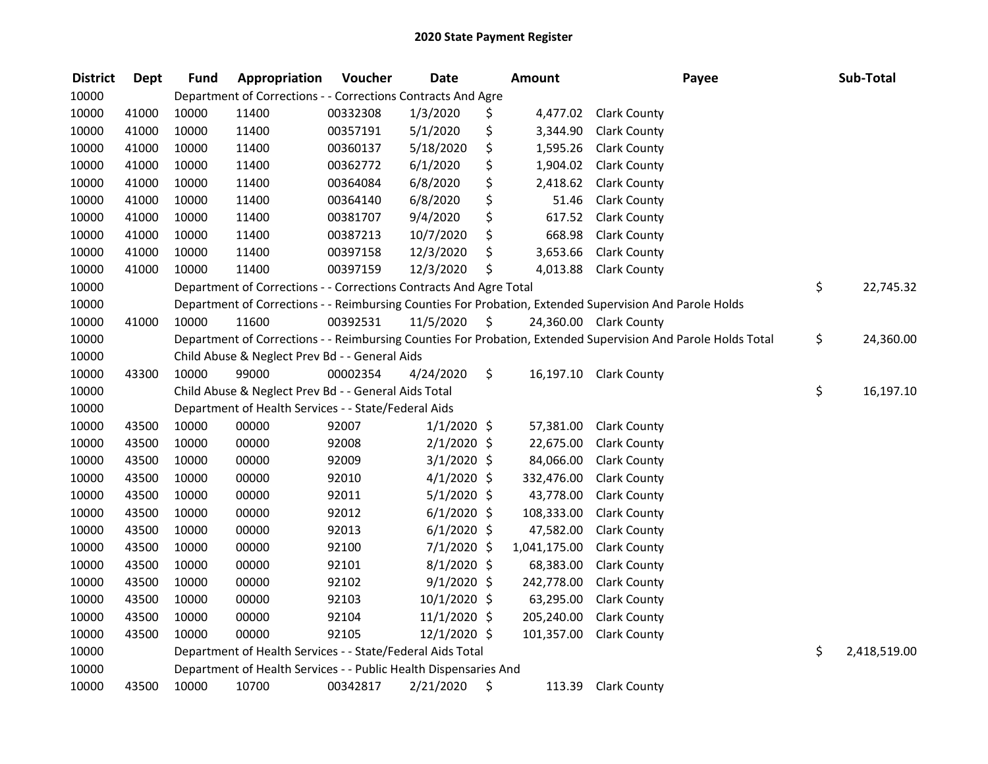| <b>District</b> | <b>Dept</b> | <b>Fund</b> | Appropriation                                                      | Voucher  | <b>Date</b>   | <b>Amount</b>  | Payee                                                                                                         | Sub-Total          |
|-----------------|-------------|-------------|--------------------------------------------------------------------|----------|---------------|----------------|---------------------------------------------------------------------------------------------------------------|--------------------|
| 10000           |             |             | Department of Corrections - - Corrections Contracts And Agre       |          |               |                |                                                                                                               |                    |
| 10000           | 41000       | 10000       | 11400                                                              | 00332308 | 1/3/2020      | \$<br>4,477.02 | <b>Clark County</b>                                                                                           |                    |
| 10000           | 41000       | 10000       | 11400                                                              | 00357191 | 5/1/2020      | \$<br>3,344.90 | <b>Clark County</b>                                                                                           |                    |
| 10000           | 41000       | 10000       | 11400                                                              | 00360137 | 5/18/2020     | \$<br>1,595.26 | <b>Clark County</b>                                                                                           |                    |
| 10000           | 41000       | 10000       | 11400                                                              | 00362772 | 6/1/2020      | \$<br>1,904.02 | <b>Clark County</b>                                                                                           |                    |
| 10000           | 41000       | 10000       | 11400                                                              | 00364084 | 6/8/2020      | \$<br>2,418.62 | <b>Clark County</b>                                                                                           |                    |
| 10000           | 41000       | 10000       | 11400                                                              | 00364140 | 6/8/2020      | \$<br>51.46    | <b>Clark County</b>                                                                                           |                    |
| 10000           | 41000       | 10000       | 11400                                                              | 00381707 | 9/4/2020      | \$<br>617.52   | <b>Clark County</b>                                                                                           |                    |
| 10000           | 41000       | 10000       | 11400                                                              | 00387213 | 10/7/2020     | \$<br>668.98   | <b>Clark County</b>                                                                                           |                    |
| 10000           | 41000       | 10000       | 11400                                                              | 00397158 | 12/3/2020     | \$<br>3,653.66 | <b>Clark County</b>                                                                                           |                    |
| 10000           | 41000       | 10000       | 11400                                                              | 00397159 | 12/3/2020     | \$<br>4,013.88 | <b>Clark County</b>                                                                                           |                    |
| 10000           |             |             | Department of Corrections - - Corrections Contracts And Agre Total |          |               |                |                                                                                                               | \$<br>22,745.32    |
| 10000           |             |             |                                                                    |          |               |                | Department of Corrections - - Reimbursing Counties For Probation, Extended Supervision And Parole Holds       |                    |
| 10000           | 41000       | 10000       | 11600                                                              | 00392531 | 11/5/2020     | \$             | 24,360.00 Clark County                                                                                        |                    |
| 10000           |             |             |                                                                    |          |               |                | Department of Corrections - - Reimbursing Counties For Probation, Extended Supervision And Parole Holds Total | \$<br>24,360.00    |
| 10000           |             |             | Child Abuse & Neglect Prev Bd - - General Aids                     |          |               |                |                                                                                                               |                    |
| 10000           | 43300       | 10000       | 99000                                                              | 00002354 | 4/24/2020     | \$             | 16,197.10 Clark County                                                                                        |                    |
| 10000           |             |             | Child Abuse & Neglect Prev Bd - - General Aids Total               |          |               |                |                                                                                                               | \$<br>16,197.10    |
| 10000           |             |             | Department of Health Services - - State/Federal Aids               |          |               |                |                                                                                                               |                    |
| 10000           | 43500       | 10000       | 00000                                                              | 92007    | $1/1/2020$ \$ | 57,381.00      | <b>Clark County</b>                                                                                           |                    |
| 10000           | 43500       | 10000       | 00000                                                              | 92008    | $2/1/2020$ \$ | 22,675.00      | <b>Clark County</b>                                                                                           |                    |
| 10000           | 43500       | 10000       | 00000                                                              | 92009    | 3/1/2020 \$   | 84,066.00      | <b>Clark County</b>                                                                                           |                    |
| 10000           | 43500       | 10000       | 00000                                                              | 92010    | $4/1/2020$ \$ | 332,476.00     | <b>Clark County</b>                                                                                           |                    |
| 10000           | 43500       | 10000       | 00000                                                              | 92011    | $5/1/2020$ \$ | 43,778.00      | <b>Clark County</b>                                                                                           |                    |
| 10000           | 43500       | 10000       | 00000                                                              | 92012    | $6/1/2020$ \$ | 108,333.00     | <b>Clark County</b>                                                                                           |                    |
| 10000           | 43500       | 10000       | 00000                                                              | 92013    | $6/1/2020$ \$ | 47,582.00      | Clark County                                                                                                  |                    |
| 10000           | 43500       | 10000       | 00000                                                              | 92100    | $7/1/2020$ \$ | 1,041,175.00   | <b>Clark County</b>                                                                                           |                    |
| 10000           | 43500       | 10000       | 00000                                                              | 92101    | $8/1/2020$ \$ | 68,383.00      | <b>Clark County</b>                                                                                           |                    |
| 10000           | 43500       | 10000       | 00000                                                              | 92102    | $9/1/2020$ \$ | 242,778.00     | <b>Clark County</b>                                                                                           |                    |
| 10000           | 43500       | 10000       | 00000                                                              | 92103    | 10/1/2020 \$  | 63,295.00      | <b>Clark County</b>                                                                                           |                    |
| 10000           | 43500       | 10000       | 00000                                                              | 92104    | 11/1/2020 \$  | 205,240.00     | <b>Clark County</b>                                                                                           |                    |
| 10000           | 43500       | 10000       | 00000                                                              | 92105    | 12/1/2020 \$  | 101,357.00     | <b>Clark County</b>                                                                                           |                    |
| 10000           |             |             | Department of Health Services - - State/Federal Aids Total         |          |               |                |                                                                                                               | \$<br>2,418,519.00 |
| 10000           |             |             | Department of Health Services - - Public Health Dispensaries And   |          |               |                |                                                                                                               |                    |
| 10000           | 43500       | 10000       | 10700                                                              | 00342817 | 2/21/2020     | \$<br>113.39   | <b>Clark County</b>                                                                                           |                    |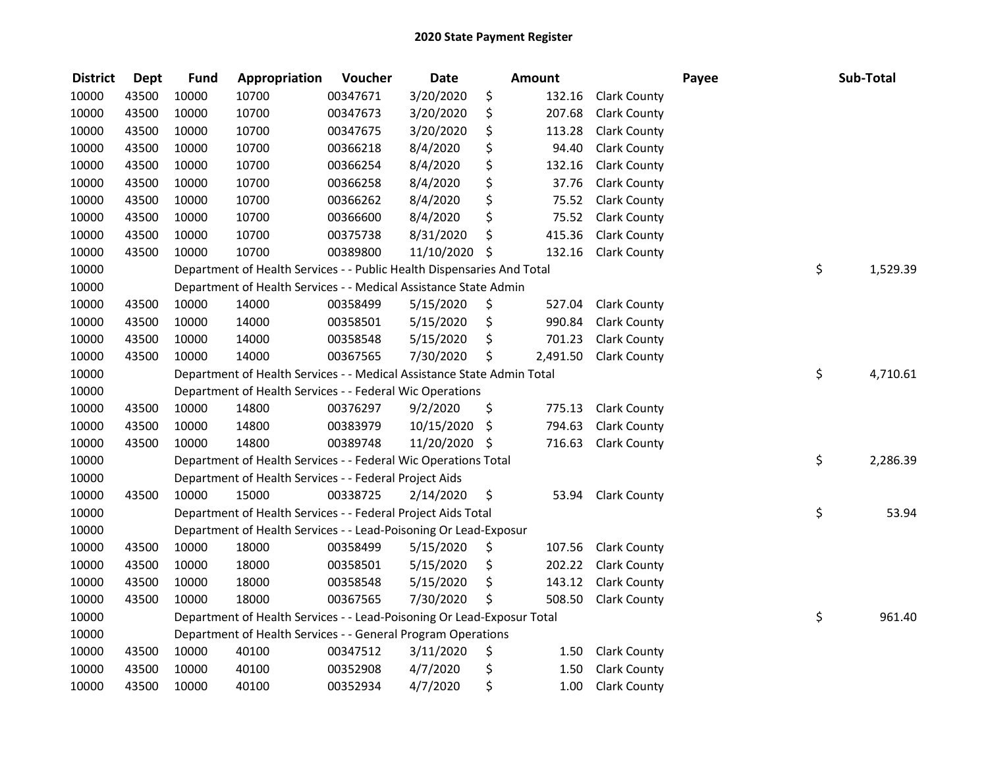| <b>District</b> | <b>Dept</b> | <b>Fund</b> | Appropriation                                                          | Voucher  | <b>Date</b>   | <b>Amount</b>  |                     | Payee | Sub-Total      |
|-----------------|-------------|-------------|------------------------------------------------------------------------|----------|---------------|----------------|---------------------|-------|----------------|
| 10000           | 43500       | 10000       | 10700                                                                  | 00347671 | 3/20/2020     | \$<br>132.16   | <b>Clark County</b> |       |                |
| 10000           | 43500       | 10000       | 10700                                                                  | 00347673 | 3/20/2020     | \$<br>207.68   | Clark County        |       |                |
| 10000           | 43500       | 10000       | 10700                                                                  | 00347675 | 3/20/2020     | \$<br>113.28   | <b>Clark County</b> |       |                |
| 10000           | 43500       | 10000       | 10700                                                                  | 00366218 | 8/4/2020      | \$<br>94.40    | <b>Clark County</b> |       |                |
| 10000           | 43500       | 10000       | 10700                                                                  | 00366254 | 8/4/2020      | \$<br>132.16   | <b>Clark County</b> |       |                |
| 10000           | 43500       | 10000       | 10700                                                                  | 00366258 | 8/4/2020      | \$<br>37.76    | <b>Clark County</b> |       |                |
| 10000           | 43500       | 10000       | 10700                                                                  | 00366262 | 8/4/2020      | \$<br>75.52    | <b>Clark County</b> |       |                |
| 10000           | 43500       | 10000       | 10700                                                                  | 00366600 | 8/4/2020      | \$<br>75.52    | <b>Clark County</b> |       |                |
| 10000           | 43500       | 10000       | 10700                                                                  | 00375738 | 8/31/2020     | \$<br>415.36   | <b>Clark County</b> |       |                |
| 10000           | 43500       | 10000       | 10700                                                                  | 00389800 | 11/10/2020 \$ | 132.16         | <b>Clark County</b> |       |                |
| 10000           |             |             | Department of Health Services - - Public Health Dispensaries And Total |          |               |                |                     |       | \$<br>1,529.39 |
| 10000           |             |             | Department of Health Services - - Medical Assistance State Admin       |          |               |                |                     |       |                |
| 10000           | 43500       | 10000       | 14000                                                                  | 00358499 | 5/15/2020     | \$<br>527.04   | <b>Clark County</b> |       |                |
| 10000           | 43500       | 10000       | 14000                                                                  | 00358501 | 5/15/2020     | \$<br>990.84   | Clark County        |       |                |
| 10000           | 43500       | 10000       | 14000                                                                  | 00358548 | 5/15/2020     | \$<br>701.23   | <b>Clark County</b> |       |                |
| 10000           | 43500       | 10000       | 14000                                                                  | 00367565 | 7/30/2020     | \$<br>2,491.50 | <b>Clark County</b> |       |                |
| 10000           |             |             | Department of Health Services - - Medical Assistance State Admin Total |          |               |                |                     |       | \$<br>4,710.61 |
| 10000           |             |             | Department of Health Services - - Federal Wic Operations               |          |               |                |                     |       |                |
| 10000           | 43500       | 10000       | 14800                                                                  | 00376297 | 9/2/2020      | \$<br>775.13   | <b>Clark County</b> |       |                |
| 10000           | 43500       | 10000       | 14800                                                                  | 00383979 | 10/15/2020    | \$<br>794.63   | <b>Clark County</b> |       |                |
| 10000           | 43500       | 10000       | 14800                                                                  | 00389748 | 11/20/2020 \$ | 716.63         | <b>Clark County</b> |       |                |
| 10000           |             |             | Department of Health Services - - Federal Wic Operations Total         |          |               |                |                     |       | \$<br>2,286.39 |
| 10000           |             |             | Department of Health Services - - Federal Project Aids                 |          |               |                |                     |       |                |
| 10000           | 43500       | 10000       | 15000                                                                  | 00338725 | 2/14/2020     | \$<br>53.94    | <b>Clark County</b> |       |                |
| 10000           |             |             | Department of Health Services - - Federal Project Aids Total           |          |               |                |                     |       | \$<br>53.94    |
| 10000           |             |             | Department of Health Services - - Lead-Poisoning Or Lead-Exposur       |          |               |                |                     |       |                |
| 10000           | 43500       | 10000       | 18000                                                                  | 00358499 | 5/15/2020     | \$<br>107.56   | <b>Clark County</b> |       |                |
| 10000           | 43500       | 10000       | 18000                                                                  | 00358501 | 5/15/2020     | \$<br>202.22   | <b>Clark County</b> |       |                |
| 10000           | 43500       | 10000       | 18000                                                                  | 00358548 | 5/15/2020     | \$<br>143.12   | <b>Clark County</b> |       |                |
| 10000           | 43500       | 10000       | 18000                                                                  | 00367565 | 7/30/2020     | \$<br>508.50   | <b>Clark County</b> |       |                |
| 10000           |             |             | Department of Health Services - - Lead-Poisoning Or Lead-Exposur Total |          |               |                |                     |       | \$<br>961.40   |
| 10000           |             |             | Department of Health Services - - General Program Operations           |          |               |                |                     |       |                |
| 10000           | 43500       | 10000       | 40100                                                                  | 00347512 | 3/11/2020     | \$<br>1.50     | <b>Clark County</b> |       |                |
| 10000           | 43500       | 10000       | 40100                                                                  | 00352908 | 4/7/2020      | \$<br>1.50     | <b>Clark County</b> |       |                |
| 10000           | 43500       | 10000       | 40100                                                                  | 00352934 | 4/7/2020      | \$<br>1.00     | <b>Clark County</b> |       |                |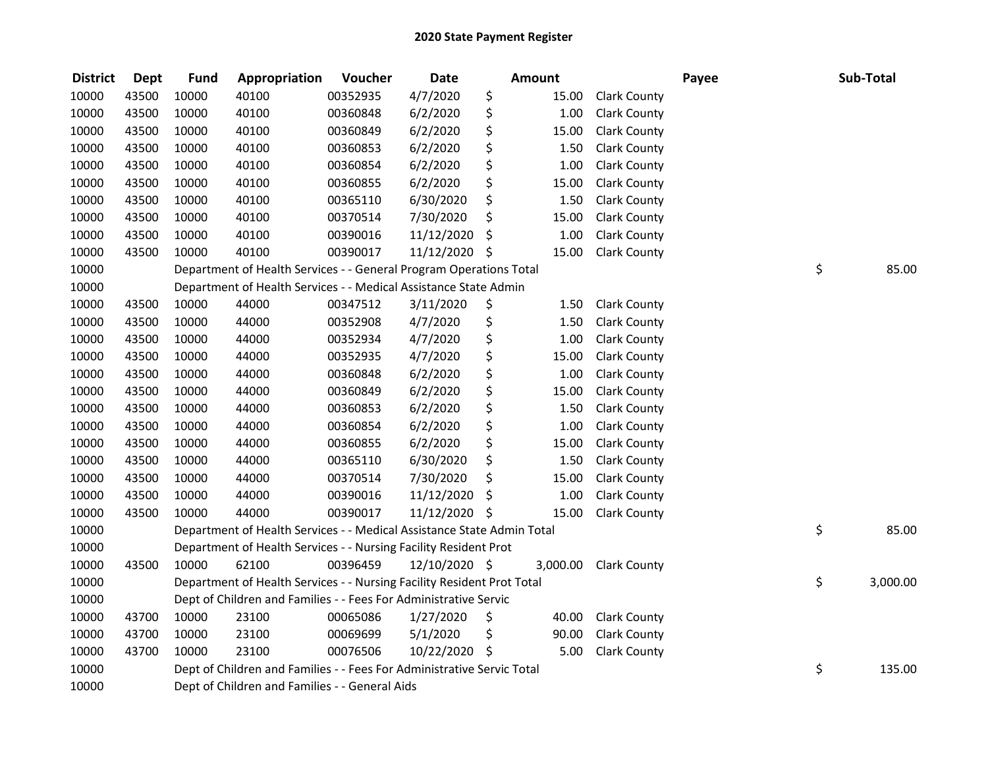| <b>District</b> | <b>Dept</b> | <b>Fund</b> | Appropriation                                                          | Voucher  | <b>Date</b>   | <b>Amount</b> |                     | Payee | Sub-Total      |
|-----------------|-------------|-------------|------------------------------------------------------------------------|----------|---------------|---------------|---------------------|-------|----------------|
| 10000           | 43500       | 10000       | 40100                                                                  | 00352935 | 4/7/2020      | \$<br>15.00   | <b>Clark County</b> |       |                |
| 10000           | 43500       | 10000       | 40100                                                                  | 00360848 | 6/2/2020      | \$<br>1.00    | <b>Clark County</b> |       |                |
| 10000           | 43500       | 10000       | 40100                                                                  | 00360849 | 6/2/2020      | \$<br>15.00   | Clark County        |       |                |
| 10000           | 43500       | 10000       | 40100                                                                  | 00360853 | 6/2/2020      | \$<br>1.50    | <b>Clark County</b> |       |                |
| 10000           | 43500       | 10000       | 40100                                                                  | 00360854 | 6/2/2020      | \$<br>1.00    | <b>Clark County</b> |       |                |
| 10000           | 43500       | 10000       | 40100                                                                  | 00360855 | 6/2/2020      | \$<br>15.00   | <b>Clark County</b> |       |                |
| 10000           | 43500       | 10000       | 40100                                                                  | 00365110 | 6/30/2020     | \$<br>1.50    | <b>Clark County</b> |       |                |
| 10000           | 43500       | 10000       | 40100                                                                  | 00370514 | 7/30/2020     | \$<br>15.00   | <b>Clark County</b> |       |                |
| 10000           | 43500       | 10000       | 40100                                                                  | 00390016 | 11/12/2020    | \$<br>1.00    | <b>Clark County</b> |       |                |
| 10000           | 43500       | 10000       | 40100                                                                  | 00390017 | 11/12/2020 \$ | 15.00         | <b>Clark County</b> |       |                |
| 10000           |             |             | Department of Health Services - - General Program Operations Total     |          |               |               |                     |       | \$<br>85.00    |
| 10000           |             |             | Department of Health Services - - Medical Assistance State Admin       |          |               |               |                     |       |                |
| 10000           | 43500       | 10000       | 44000                                                                  | 00347512 | 3/11/2020     | \$<br>1.50    | <b>Clark County</b> |       |                |
| 10000           | 43500       | 10000       | 44000                                                                  | 00352908 | 4/7/2020      | \$<br>1.50    | <b>Clark County</b> |       |                |
| 10000           | 43500       | 10000       | 44000                                                                  | 00352934 | 4/7/2020      | \$<br>1.00    | <b>Clark County</b> |       |                |
| 10000           | 43500       | 10000       | 44000                                                                  | 00352935 | 4/7/2020      | \$<br>15.00   | <b>Clark County</b> |       |                |
| 10000           | 43500       | 10000       | 44000                                                                  | 00360848 | 6/2/2020      | \$<br>1.00    | <b>Clark County</b> |       |                |
| 10000           | 43500       | 10000       | 44000                                                                  | 00360849 | 6/2/2020      | \$<br>15.00   | <b>Clark County</b> |       |                |
| 10000           | 43500       | 10000       | 44000                                                                  | 00360853 | 6/2/2020      | \$<br>1.50    | <b>Clark County</b> |       |                |
| 10000           | 43500       | 10000       | 44000                                                                  | 00360854 | 6/2/2020      | \$<br>1.00    | <b>Clark County</b> |       |                |
| 10000           | 43500       | 10000       | 44000                                                                  | 00360855 | 6/2/2020      | \$<br>15.00   | <b>Clark County</b> |       |                |
| 10000           | 43500       | 10000       | 44000                                                                  | 00365110 | 6/30/2020     | \$<br>1.50    | <b>Clark County</b> |       |                |
| 10000           | 43500       | 10000       | 44000                                                                  | 00370514 | 7/30/2020     | \$<br>15.00   | <b>Clark County</b> |       |                |
| 10000           | 43500       | 10000       | 44000                                                                  | 00390016 | 11/12/2020    | \$<br>1.00    | <b>Clark County</b> |       |                |
| 10000           | 43500       | 10000       | 44000                                                                  | 00390017 | 11/12/2020 \$ | 15.00         | <b>Clark County</b> |       |                |
| 10000           |             |             | Department of Health Services - - Medical Assistance State Admin Total |          |               |               |                     |       | \$<br>85.00    |
| 10000           |             |             | Department of Health Services - - Nursing Facility Resident Prot       |          |               |               |                     |       |                |
| 10000           | 43500       | 10000       | 62100                                                                  | 00396459 | 12/10/2020 \$ | 3,000.00      | <b>Clark County</b> |       |                |
| 10000           |             |             | Department of Health Services - - Nursing Facility Resident Prot Total |          |               |               |                     |       | \$<br>3,000.00 |
| 10000           |             |             | Dept of Children and Families - - Fees For Administrative Servic       |          |               |               |                     |       |                |
| 10000           | 43700       | 10000       | 23100                                                                  | 00065086 | 1/27/2020     | \$<br>40.00   | <b>Clark County</b> |       |                |
| 10000           | 43700       | 10000       | 23100                                                                  | 00069699 | 5/1/2020      | \$<br>90.00   | <b>Clark County</b> |       |                |
| 10000           | 43700       | 10000       | 23100                                                                  | 00076506 | 10/22/2020 \$ | 5.00          | <b>Clark County</b> |       |                |
| 10000           |             |             | Dept of Children and Families - - Fees For Administrative Servic Total |          |               |               |                     |       | \$<br>135.00   |
| 10000           |             |             | Dept of Children and Families - - General Aids                         |          |               |               |                     |       |                |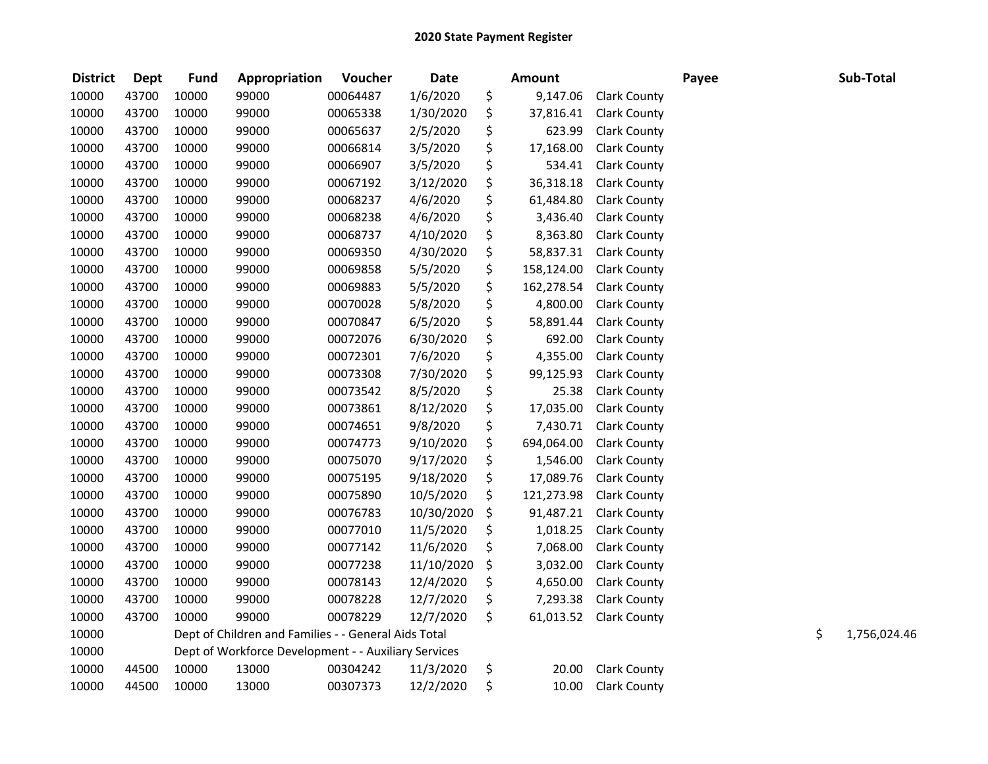| <b>District</b> | <b>Dept</b> | <b>Fund</b> | Appropriation                                        | Voucher  | <b>Date</b> | <b>Amount</b>    |                     | Payee | Sub-Total          |
|-----------------|-------------|-------------|------------------------------------------------------|----------|-------------|------------------|---------------------|-------|--------------------|
| 10000           | 43700       | 10000       | 99000                                                | 00064487 | 1/6/2020    | \$<br>9,147.06   | <b>Clark County</b> |       |                    |
| 10000           | 43700       | 10000       | 99000                                                | 00065338 | 1/30/2020   | \$<br>37,816.41  | <b>Clark County</b> |       |                    |
| 10000           | 43700       | 10000       | 99000                                                | 00065637 | 2/5/2020    | \$<br>623.99     | <b>Clark County</b> |       |                    |
| 10000           | 43700       | 10000       | 99000                                                | 00066814 | 3/5/2020    | \$<br>17,168.00  | <b>Clark County</b> |       |                    |
| 10000           | 43700       | 10000       | 99000                                                | 00066907 | 3/5/2020    | \$<br>534.41     | <b>Clark County</b> |       |                    |
| 10000           | 43700       | 10000       | 99000                                                | 00067192 | 3/12/2020   | \$<br>36,318.18  | <b>Clark County</b> |       |                    |
| 10000           | 43700       | 10000       | 99000                                                | 00068237 | 4/6/2020    | \$<br>61,484.80  | <b>Clark County</b> |       |                    |
| 10000           | 43700       | 10000       | 99000                                                | 00068238 | 4/6/2020    | \$<br>3,436.40   | <b>Clark County</b> |       |                    |
| 10000           | 43700       | 10000       | 99000                                                | 00068737 | 4/10/2020   | \$<br>8,363.80   | <b>Clark County</b> |       |                    |
| 10000           | 43700       | 10000       | 99000                                                | 00069350 | 4/30/2020   | \$<br>58,837.31  | <b>Clark County</b> |       |                    |
| 10000           | 43700       | 10000       | 99000                                                | 00069858 | 5/5/2020    | \$<br>158,124.00 | Clark County        |       |                    |
| 10000           | 43700       | 10000       | 99000                                                | 00069883 | 5/5/2020    | \$<br>162,278.54 | <b>Clark County</b> |       |                    |
| 10000           | 43700       | 10000       | 99000                                                | 00070028 | 5/8/2020    | \$<br>4,800.00   | <b>Clark County</b> |       |                    |
| 10000           | 43700       | 10000       | 99000                                                | 00070847 | 6/5/2020    | \$<br>58,891.44  | Clark County        |       |                    |
| 10000           | 43700       | 10000       | 99000                                                | 00072076 | 6/30/2020   | \$<br>692.00     | <b>Clark County</b> |       |                    |
| 10000           | 43700       | 10000       | 99000                                                | 00072301 | 7/6/2020    | \$<br>4,355.00   | <b>Clark County</b> |       |                    |
| 10000           | 43700       | 10000       | 99000                                                | 00073308 | 7/30/2020   | \$<br>99,125.93  | <b>Clark County</b> |       |                    |
| 10000           | 43700       | 10000       | 99000                                                | 00073542 | 8/5/2020    | \$<br>25.38      | <b>Clark County</b> |       |                    |
| 10000           | 43700       | 10000       | 99000                                                | 00073861 | 8/12/2020   | \$<br>17,035.00  | <b>Clark County</b> |       |                    |
| 10000           | 43700       | 10000       | 99000                                                | 00074651 | 9/8/2020    | \$<br>7,430.71   | <b>Clark County</b> |       |                    |
| 10000           | 43700       | 10000       | 99000                                                | 00074773 | 9/10/2020   | \$<br>694,064.00 | <b>Clark County</b> |       |                    |
| 10000           | 43700       | 10000       | 99000                                                | 00075070 | 9/17/2020   | \$<br>1,546.00   | <b>Clark County</b> |       |                    |
| 10000           | 43700       | 10000       | 99000                                                | 00075195 | 9/18/2020   | \$<br>17,089.76  | <b>Clark County</b> |       |                    |
| 10000           | 43700       | 10000       | 99000                                                | 00075890 | 10/5/2020   | \$<br>121,273.98 | <b>Clark County</b> |       |                    |
| 10000           | 43700       | 10000       | 99000                                                | 00076783 | 10/30/2020  | \$<br>91,487.21  | Clark County        |       |                    |
| 10000           | 43700       | 10000       | 99000                                                | 00077010 | 11/5/2020   | \$<br>1,018.25   | <b>Clark County</b> |       |                    |
| 10000           | 43700       | 10000       | 99000                                                | 00077142 | 11/6/2020   | \$<br>7,068.00   | <b>Clark County</b> |       |                    |
| 10000           | 43700       | 10000       | 99000                                                | 00077238 | 11/10/2020  | \$<br>3,032.00   | <b>Clark County</b> |       |                    |
| 10000           | 43700       | 10000       | 99000                                                | 00078143 | 12/4/2020   | \$<br>4,650.00   | <b>Clark County</b> |       |                    |
| 10000           | 43700       | 10000       | 99000                                                | 00078228 | 12/7/2020   | \$<br>7,293.38   | <b>Clark County</b> |       |                    |
| 10000           | 43700       | 10000       | 99000                                                | 00078229 | 12/7/2020   | \$<br>61,013.52  | <b>Clark County</b> |       |                    |
| 10000           |             |             | Dept of Children and Families - - General Aids Total |          |             |                  |                     |       | \$<br>1,756,024.46 |
| 10000           |             |             | Dept of Workforce Development - - Auxiliary Services |          |             |                  |                     |       |                    |
| 10000           | 44500       | 10000       | 13000                                                | 00304242 | 11/3/2020   | \$<br>20.00      | <b>Clark County</b> |       |                    |
| 10000           | 44500       | 10000       | 13000                                                | 00307373 | 12/2/2020   | \$<br>10.00      | <b>Clark County</b> |       |                    |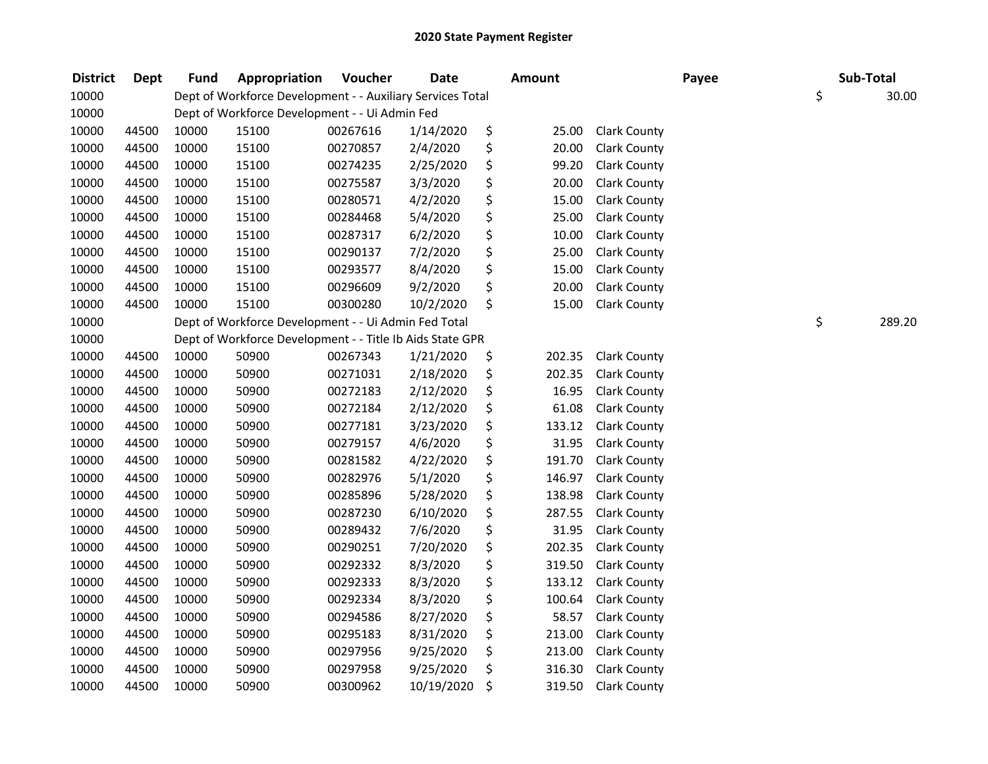| <b>District</b> | Dept  | <b>Fund</b> | Appropriation                                              | Voucher  | <b>Date</b> | Amount       |                     | Payee | Sub-Total |        |
|-----------------|-------|-------------|------------------------------------------------------------|----------|-------------|--------------|---------------------|-------|-----------|--------|
| 10000           |       |             | Dept of Workforce Development - - Auxiliary Services Total |          |             |              |                     |       | \$        | 30.00  |
| 10000           |       |             | Dept of Workforce Development - - Ui Admin Fed             |          |             |              |                     |       |           |        |
| 10000           | 44500 | 10000       | 15100                                                      | 00267616 | 1/14/2020   | \$<br>25.00  | <b>Clark County</b> |       |           |        |
| 10000           | 44500 | 10000       | 15100                                                      | 00270857 | 2/4/2020    | \$<br>20.00  | <b>Clark County</b> |       |           |        |
| 10000           | 44500 | 10000       | 15100                                                      | 00274235 | 2/25/2020   | \$<br>99.20  | <b>Clark County</b> |       |           |        |
| 10000           | 44500 | 10000       | 15100                                                      | 00275587 | 3/3/2020    | \$<br>20.00  | <b>Clark County</b> |       |           |        |
| 10000           | 44500 | 10000       | 15100                                                      | 00280571 | 4/2/2020    | \$<br>15.00  | <b>Clark County</b> |       |           |        |
| 10000           | 44500 | 10000       | 15100                                                      | 00284468 | 5/4/2020    | \$<br>25.00  | <b>Clark County</b> |       |           |        |
| 10000           | 44500 | 10000       | 15100                                                      | 00287317 | 6/2/2020    | \$<br>10.00  | <b>Clark County</b> |       |           |        |
| 10000           | 44500 | 10000       | 15100                                                      | 00290137 | 7/2/2020    | \$<br>25.00  | <b>Clark County</b> |       |           |        |
| 10000           | 44500 | 10000       | 15100                                                      | 00293577 | 8/4/2020    | \$<br>15.00  | <b>Clark County</b> |       |           |        |
| 10000           | 44500 | 10000       | 15100                                                      | 00296609 | 9/2/2020    | \$<br>20.00  | <b>Clark County</b> |       |           |        |
| 10000           | 44500 | 10000       | 15100                                                      | 00300280 | 10/2/2020   | \$<br>15.00  | <b>Clark County</b> |       |           |        |
| 10000           |       |             | Dept of Workforce Development - - Ui Admin Fed Total       |          |             |              |                     |       | \$        | 289.20 |
| 10000           |       |             | Dept of Workforce Development - - Title Ib Aids State GPR  |          |             |              |                     |       |           |        |
| 10000           | 44500 | 10000       | 50900                                                      | 00267343 | 1/21/2020   | \$<br>202.35 | <b>Clark County</b> |       |           |        |
| 10000           | 44500 | 10000       | 50900                                                      | 00271031 | 2/18/2020   | \$<br>202.35 | <b>Clark County</b> |       |           |        |
| 10000           | 44500 | 10000       | 50900                                                      | 00272183 | 2/12/2020   | \$<br>16.95  | <b>Clark County</b> |       |           |        |
| 10000           | 44500 | 10000       | 50900                                                      | 00272184 | 2/12/2020   | \$<br>61.08  | <b>Clark County</b> |       |           |        |
| 10000           | 44500 | 10000       | 50900                                                      | 00277181 | 3/23/2020   | \$<br>133.12 | <b>Clark County</b> |       |           |        |
| 10000           | 44500 | 10000       | 50900                                                      | 00279157 | 4/6/2020    | \$<br>31.95  | <b>Clark County</b> |       |           |        |
| 10000           | 44500 | 10000       | 50900                                                      | 00281582 | 4/22/2020   | \$<br>191.70 | Clark County        |       |           |        |
| 10000           | 44500 | 10000       | 50900                                                      | 00282976 | 5/1/2020    | \$<br>146.97 | <b>Clark County</b> |       |           |        |
| 10000           | 44500 | 10000       | 50900                                                      | 00285896 | 5/28/2020   | \$<br>138.98 | <b>Clark County</b> |       |           |        |
| 10000           | 44500 | 10000       | 50900                                                      | 00287230 | 6/10/2020   | \$<br>287.55 | <b>Clark County</b> |       |           |        |
| 10000           | 44500 | 10000       | 50900                                                      | 00289432 | 7/6/2020    | \$<br>31.95  | <b>Clark County</b> |       |           |        |
| 10000           | 44500 | 10000       | 50900                                                      | 00290251 | 7/20/2020   | \$<br>202.35 | <b>Clark County</b> |       |           |        |
| 10000           | 44500 | 10000       | 50900                                                      | 00292332 | 8/3/2020    | \$<br>319.50 | <b>Clark County</b> |       |           |        |
| 10000           | 44500 | 10000       | 50900                                                      | 00292333 | 8/3/2020    | \$<br>133.12 | <b>Clark County</b> |       |           |        |
| 10000           | 44500 | 10000       | 50900                                                      | 00292334 | 8/3/2020    | \$<br>100.64 | <b>Clark County</b> |       |           |        |
| 10000           | 44500 | 10000       | 50900                                                      | 00294586 | 8/27/2020   | \$<br>58.57  | <b>Clark County</b> |       |           |        |
| 10000           | 44500 | 10000       | 50900                                                      | 00295183 | 8/31/2020   | \$<br>213.00 | <b>Clark County</b> |       |           |        |
| 10000           | 44500 | 10000       | 50900                                                      | 00297956 | 9/25/2020   | \$<br>213.00 | <b>Clark County</b> |       |           |        |
| 10000           | 44500 | 10000       | 50900                                                      | 00297958 | 9/25/2020   | \$<br>316.30 | <b>Clark County</b> |       |           |        |
| 10000           | 44500 | 10000       | 50900                                                      | 00300962 | 10/19/2020  | \$<br>319.50 | <b>Clark County</b> |       |           |        |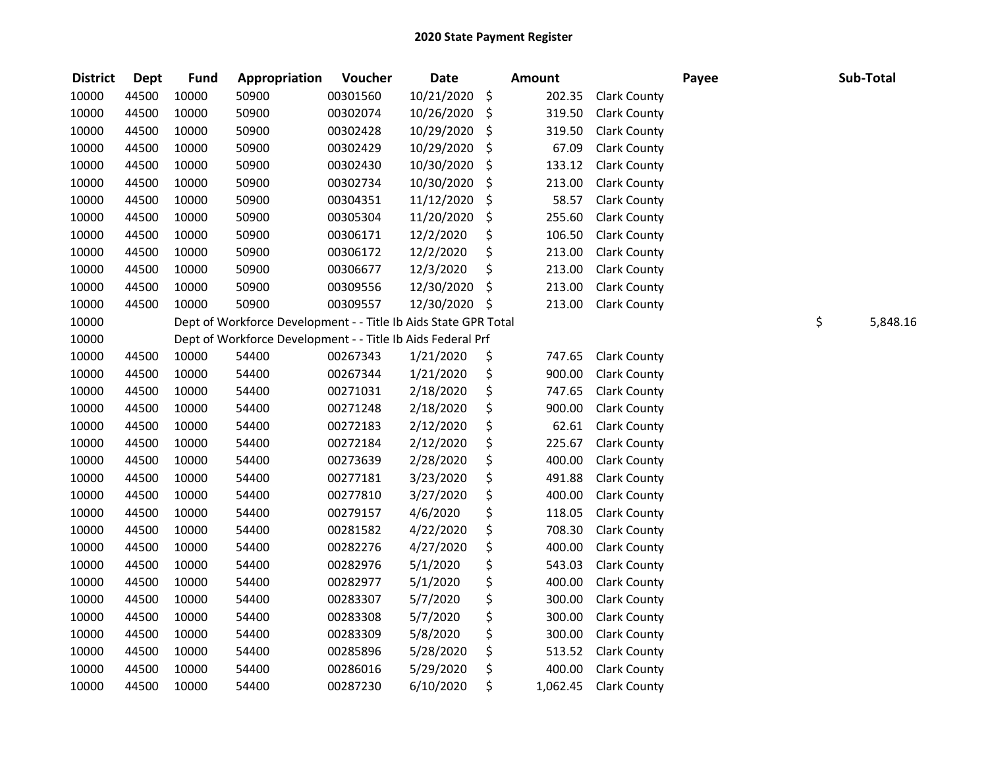| <b>District</b> | <b>Dept</b> | <b>Fund</b> | Appropriation                                                   | Voucher  | <b>Date</b> | <b>Amount</b>  |                     | Payee | Sub-Total      |
|-----------------|-------------|-------------|-----------------------------------------------------------------|----------|-------------|----------------|---------------------|-------|----------------|
| 10000           | 44500       | 10000       | 50900                                                           | 00301560 | 10/21/2020  | \$<br>202.35   | <b>Clark County</b> |       |                |
| 10000           | 44500       | 10000       | 50900                                                           | 00302074 | 10/26/2020  | \$<br>319.50   | <b>Clark County</b> |       |                |
| 10000           | 44500       | 10000       | 50900                                                           | 00302428 | 10/29/2020  | \$<br>319.50   | <b>Clark County</b> |       |                |
| 10000           | 44500       | 10000       | 50900                                                           | 00302429 | 10/29/2020  | \$<br>67.09    | <b>Clark County</b> |       |                |
| 10000           | 44500       | 10000       | 50900                                                           | 00302430 | 10/30/2020  | \$<br>133.12   | <b>Clark County</b> |       |                |
| 10000           | 44500       | 10000       | 50900                                                           | 00302734 | 10/30/2020  | \$<br>213.00   | <b>Clark County</b> |       |                |
| 10000           | 44500       | 10000       | 50900                                                           | 00304351 | 11/12/2020  | \$<br>58.57    | <b>Clark County</b> |       |                |
| 10000           | 44500       | 10000       | 50900                                                           | 00305304 | 11/20/2020  | \$<br>255.60   | <b>Clark County</b> |       |                |
| 10000           | 44500       | 10000       | 50900                                                           | 00306171 | 12/2/2020   | \$<br>106.50   | <b>Clark County</b> |       |                |
| 10000           | 44500       | 10000       | 50900                                                           | 00306172 | 12/2/2020   | \$<br>213.00   | <b>Clark County</b> |       |                |
| 10000           | 44500       | 10000       | 50900                                                           | 00306677 | 12/3/2020   | \$<br>213.00   | <b>Clark County</b> |       |                |
| 10000           | 44500       | 10000       | 50900                                                           | 00309556 | 12/30/2020  | \$<br>213.00   | <b>Clark County</b> |       |                |
| 10000           | 44500       | 10000       | 50900                                                           | 00309557 | 12/30/2020  | \$<br>213.00   | <b>Clark County</b> |       |                |
| 10000           |             |             | Dept of Workforce Development - - Title Ib Aids State GPR Total |          |             |                |                     |       | \$<br>5,848.16 |
| 10000           |             |             | Dept of Workforce Development - - Title Ib Aids Federal Prf     |          |             |                |                     |       |                |
| 10000           | 44500       | 10000       | 54400                                                           | 00267343 | 1/21/2020   | \$<br>747.65   | <b>Clark County</b> |       |                |
| 10000           | 44500       | 10000       | 54400                                                           | 00267344 | 1/21/2020   | \$<br>900.00   | <b>Clark County</b> |       |                |
| 10000           | 44500       | 10000       | 54400                                                           | 00271031 | 2/18/2020   | \$<br>747.65   | <b>Clark County</b> |       |                |
| 10000           | 44500       | 10000       | 54400                                                           | 00271248 | 2/18/2020   | \$<br>900.00   | <b>Clark County</b> |       |                |
| 10000           | 44500       | 10000       | 54400                                                           | 00272183 | 2/12/2020   | \$<br>62.61    | <b>Clark County</b> |       |                |
| 10000           | 44500       | 10000       | 54400                                                           | 00272184 | 2/12/2020   | \$<br>225.67   | <b>Clark County</b> |       |                |
| 10000           | 44500       | 10000       | 54400                                                           | 00273639 | 2/28/2020   | \$<br>400.00   | <b>Clark County</b> |       |                |
| 10000           | 44500       | 10000       | 54400                                                           | 00277181 | 3/23/2020   | \$<br>491.88   | <b>Clark County</b> |       |                |
| 10000           | 44500       | 10000       | 54400                                                           | 00277810 | 3/27/2020   | \$<br>400.00   | <b>Clark County</b> |       |                |
| 10000           | 44500       | 10000       | 54400                                                           | 00279157 | 4/6/2020    | \$<br>118.05   | <b>Clark County</b> |       |                |
| 10000           | 44500       | 10000       | 54400                                                           | 00281582 | 4/22/2020   | \$<br>708.30   | Clark County        |       |                |
| 10000           | 44500       | 10000       | 54400                                                           | 00282276 | 4/27/2020   | \$<br>400.00   | <b>Clark County</b> |       |                |
| 10000           | 44500       | 10000       | 54400                                                           | 00282976 | 5/1/2020    | \$<br>543.03   | <b>Clark County</b> |       |                |
| 10000           | 44500       | 10000       | 54400                                                           | 00282977 | 5/1/2020    | \$<br>400.00   | <b>Clark County</b> |       |                |
| 10000           | 44500       | 10000       | 54400                                                           | 00283307 | 5/7/2020    | \$<br>300.00   | <b>Clark County</b> |       |                |
| 10000           | 44500       | 10000       | 54400                                                           | 00283308 | 5/7/2020    | \$<br>300.00   | Clark County        |       |                |
| 10000           | 44500       | 10000       | 54400                                                           | 00283309 | 5/8/2020    | \$<br>300.00   | <b>Clark County</b> |       |                |
| 10000           | 44500       | 10000       | 54400                                                           | 00285896 | 5/28/2020   | \$<br>513.52   | <b>Clark County</b> |       |                |
| 10000           | 44500       | 10000       | 54400                                                           | 00286016 | 5/29/2020   | \$<br>400.00   | <b>Clark County</b> |       |                |
| 10000           | 44500       | 10000       | 54400                                                           | 00287230 | 6/10/2020   | \$<br>1,062.45 | <b>Clark County</b> |       |                |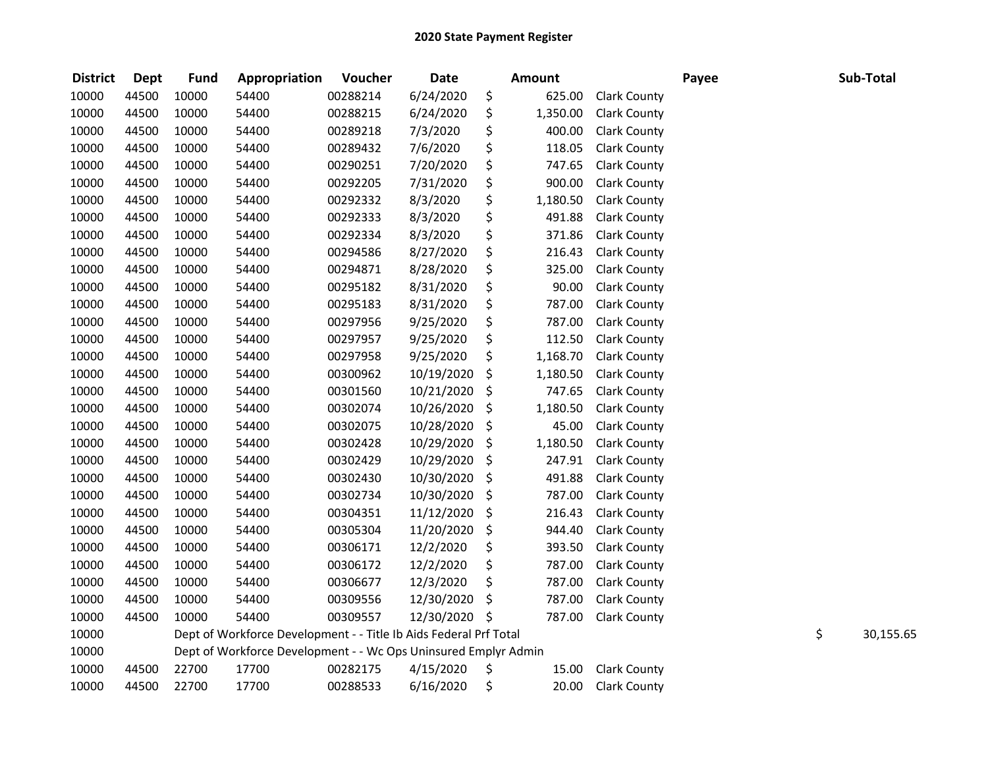| <b>District</b> | <b>Dept</b> | <b>Fund</b> | Appropriation                                                     | Voucher  | <b>Date</b>   | <b>Amount</b>  |                     | Payee | Sub-Total       |
|-----------------|-------------|-------------|-------------------------------------------------------------------|----------|---------------|----------------|---------------------|-------|-----------------|
| 10000           | 44500       | 10000       | 54400                                                             | 00288214 | 6/24/2020     | \$<br>625.00   | <b>Clark County</b> |       |                 |
| 10000           | 44500       | 10000       | 54400                                                             | 00288215 | 6/24/2020     | \$<br>1,350.00 | <b>Clark County</b> |       |                 |
| 10000           | 44500       | 10000       | 54400                                                             | 00289218 | 7/3/2020      | \$<br>400.00   | <b>Clark County</b> |       |                 |
| 10000           | 44500       | 10000       | 54400                                                             | 00289432 | 7/6/2020      | \$<br>118.05   | <b>Clark County</b> |       |                 |
| 10000           | 44500       | 10000       | 54400                                                             | 00290251 | 7/20/2020     | \$<br>747.65   | <b>Clark County</b> |       |                 |
| 10000           | 44500       | 10000       | 54400                                                             | 00292205 | 7/31/2020     | \$<br>900.00   | <b>Clark County</b> |       |                 |
| 10000           | 44500       | 10000       | 54400                                                             | 00292332 | 8/3/2020      | \$<br>1,180.50 | Clark County        |       |                 |
| 10000           | 44500       | 10000       | 54400                                                             | 00292333 | 8/3/2020      | \$<br>491.88   | <b>Clark County</b> |       |                 |
| 10000           | 44500       | 10000       | 54400                                                             | 00292334 | 8/3/2020      | \$<br>371.86   | <b>Clark County</b> |       |                 |
| 10000           | 44500       | 10000       | 54400                                                             | 00294586 | 8/27/2020     | \$<br>216.43   | <b>Clark County</b> |       |                 |
| 10000           | 44500       | 10000       | 54400                                                             | 00294871 | 8/28/2020     | \$<br>325.00   | <b>Clark County</b> |       |                 |
| 10000           | 44500       | 10000       | 54400                                                             | 00295182 | 8/31/2020     | \$<br>90.00    | <b>Clark County</b> |       |                 |
| 10000           | 44500       | 10000       | 54400                                                             | 00295183 | 8/31/2020     | \$<br>787.00   | <b>Clark County</b> |       |                 |
| 10000           | 44500       | 10000       | 54400                                                             | 00297956 | 9/25/2020     | \$<br>787.00   | <b>Clark County</b> |       |                 |
| 10000           | 44500       | 10000       | 54400                                                             | 00297957 | 9/25/2020     | \$<br>112.50   | <b>Clark County</b> |       |                 |
| 10000           | 44500       | 10000       | 54400                                                             | 00297958 | 9/25/2020     | \$<br>1,168.70 | Clark County        |       |                 |
| 10000           | 44500       | 10000       | 54400                                                             | 00300962 | 10/19/2020    | \$<br>1,180.50 | Clark County        |       |                 |
| 10000           | 44500       | 10000       | 54400                                                             | 00301560 | 10/21/2020    | \$<br>747.65   | <b>Clark County</b> |       |                 |
| 10000           | 44500       | 10000       | 54400                                                             | 00302074 | 10/26/2020    | \$<br>1,180.50 | <b>Clark County</b> |       |                 |
| 10000           | 44500       | 10000       | 54400                                                             | 00302075 | 10/28/2020    | \$<br>45.00    | <b>Clark County</b> |       |                 |
| 10000           | 44500       | 10000       | 54400                                                             | 00302428 | 10/29/2020    | \$<br>1,180.50 | <b>Clark County</b> |       |                 |
| 10000           | 44500       | 10000       | 54400                                                             | 00302429 | 10/29/2020    | \$<br>247.91   | <b>Clark County</b> |       |                 |
| 10000           | 44500       | 10000       | 54400                                                             | 00302430 | 10/30/2020    | \$<br>491.88   | <b>Clark County</b> |       |                 |
| 10000           | 44500       | 10000       | 54400                                                             | 00302734 | 10/30/2020    | \$<br>787.00   | <b>Clark County</b> |       |                 |
| 10000           | 44500       | 10000       | 54400                                                             | 00304351 | 11/12/2020    | \$<br>216.43   | Clark County        |       |                 |
| 10000           | 44500       | 10000       | 54400                                                             | 00305304 | 11/20/2020    | \$<br>944.40   | Clark County        |       |                 |
| 10000           | 44500       | 10000       | 54400                                                             | 00306171 | 12/2/2020     | \$<br>393.50   | <b>Clark County</b> |       |                 |
| 10000           | 44500       | 10000       | 54400                                                             | 00306172 | 12/2/2020     | \$<br>787.00   | <b>Clark County</b> |       |                 |
| 10000           | 44500       | 10000       | 54400                                                             | 00306677 | 12/3/2020     | \$<br>787.00   | <b>Clark County</b> |       |                 |
| 10000           | 44500       | 10000       | 54400                                                             | 00309556 | 12/30/2020    | \$<br>787.00   | <b>Clark County</b> |       |                 |
| 10000           | 44500       | 10000       | 54400                                                             | 00309557 | 12/30/2020 \$ | 787.00         | <b>Clark County</b> |       |                 |
| 10000           |             |             | Dept of Workforce Development - - Title Ib Aids Federal Prf Total |          |               |                |                     |       | \$<br>30,155.65 |
| 10000           |             |             | Dept of Workforce Development - - Wc Ops Uninsured Emplyr Admin   |          |               |                |                     |       |                 |
| 10000           | 44500       | 22700       | 17700                                                             | 00282175 | 4/15/2020     | \$<br>15.00    | <b>Clark County</b> |       |                 |
| 10000           | 44500       | 22700       | 17700                                                             | 00288533 | 6/16/2020     | \$<br>20.00    | <b>Clark County</b> |       |                 |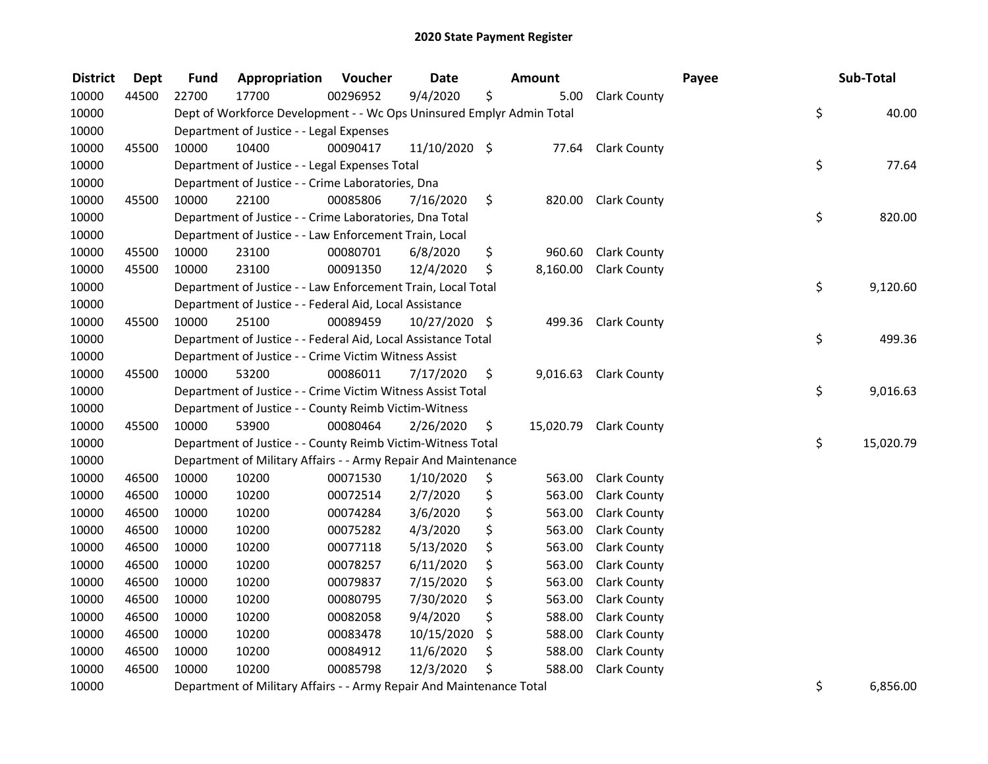| <b>District</b> | <b>Dept</b> | <b>Fund</b> | Appropriation                                                         | Voucher  | <b>Date</b>   | <b>Amount</b>  |                        | Payee | Sub-Total       |
|-----------------|-------------|-------------|-----------------------------------------------------------------------|----------|---------------|----------------|------------------------|-------|-----------------|
| 10000           | 44500       | 22700       | 17700                                                                 | 00296952 | 9/4/2020      | \$<br>5.00     | <b>Clark County</b>    |       |                 |
| 10000           |             |             | Dept of Workforce Development - - Wc Ops Uninsured Emplyr Admin Total |          |               |                |                        |       | \$<br>40.00     |
| 10000           |             |             | Department of Justice - - Legal Expenses                              |          |               |                |                        |       |                 |
| 10000           | 45500       | 10000       | 10400                                                                 | 00090417 | 11/10/2020 \$ |                | 77.64 Clark County     |       |                 |
| 10000           |             |             | Department of Justice - - Legal Expenses Total                        |          |               |                |                        |       | \$<br>77.64     |
| 10000           |             |             | Department of Justice - - Crime Laboratories, Dna                     |          |               |                |                        |       |                 |
| 10000           | 45500       | 10000       | 22100                                                                 | 00085806 | 7/16/2020     | \$<br>820.00   | <b>Clark County</b>    |       |                 |
| 10000           |             |             | Department of Justice - - Crime Laboratories, Dna Total               |          |               |                |                        |       | \$<br>820.00    |
| 10000           |             |             | Department of Justice - - Law Enforcement Train, Local                |          |               |                |                        |       |                 |
| 10000           | 45500       | 10000       | 23100                                                                 | 00080701 | 6/8/2020      | \$<br>960.60   | <b>Clark County</b>    |       |                 |
| 10000           | 45500       | 10000       | 23100                                                                 | 00091350 | 12/4/2020     | \$<br>8,160.00 | <b>Clark County</b>    |       |                 |
| 10000           |             |             | Department of Justice - - Law Enforcement Train, Local Total          |          |               |                |                        |       | \$<br>9,120.60  |
| 10000           |             |             | Department of Justice - - Federal Aid, Local Assistance               |          |               |                |                        |       |                 |
| 10000           | 45500       | 10000       | 25100                                                                 | 00089459 | 10/27/2020 \$ | 499.36         | <b>Clark County</b>    |       |                 |
| 10000           |             |             | Department of Justice - - Federal Aid, Local Assistance Total         |          |               |                |                        |       | \$<br>499.36    |
| 10000           |             |             | Department of Justice - - Crime Victim Witness Assist                 |          |               |                |                        |       |                 |
| 10000           | 45500       | 10000       | 53200                                                                 | 00086011 | 7/17/2020     | \$<br>9,016.63 | <b>Clark County</b>    |       |                 |
| 10000           |             |             | Department of Justice - - Crime Victim Witness Assist Total           |          |               |                |                        |       | \$<br>9,016.63  |
| 10000           |             |             | Department of Justice - - County Reimb Victim-Witness                 |          |               |                |                        |       |                 |
| 10000           | 45500       | 10000       | 53900                                                                 | 00080464 | 2/26/2020     | \$             | 15,020.79 Clark County |       |                 |
| 10000           |             |             | Department of Justice - - County Reimb Victim-Witness Total           |          |               |                |                        |       | \$<br>15,020.79 |
| 10000           |             |             | Department of Military Affairs - - Army Repair And Maintenance        |          |               |                |                        |       |                 |
| 10000           | 46500       | 10000       | 10200                                                                 | 00071530 | 1/10/2020     | \$<br>563.00   | <b>Clark County</b>    |       |                 |
| 10000           | 46500       | 10000       | 10200                                                                 | 00072514 | 2/7/2020      | \$<br>563.00   | <b>Clark County</b>    |       |                 |
| 10000           | 46500       | 10000       | 10200                                                                 | 00074284 | 3/6/2020      | \$<br>563.00   | Clark County           |       |                 |
| 10000           | 46500       | 10000       | 10200                                                                 | 00075282 | 4/3/2020      | \$<br>563.00   | Clark County           |       |                 |
| 10000           | 46500       | 10000       | 10200                                                                 | 00077118 | 5/13/2020     | \$<br>563.00   | <b>Clark County</b>    |       |                 |
| 10000           | 46500       | 10000       | 10200                                                                 | 00078257 | 6/11/2020     | \$<br>563.00   | <b>Clark County</b>    |       |                 |
| 10000           | 46500       | 10000       | 10200                                                                 | 00079837 | 7/15/2020     | \$<br>563.00   | <b>Clark County</b>    |       |                 |
| 10000           | 46500       | 10000       | 10200                                                                 | 00080795 | 7/30/2020     | \$<br>563.00   | <b>Clark County</b>    |       |                 |
| 10000           | 46500       | 10000       | 10200                                                                 | 00082058 | 9/4/2020      | \$<br>588.00   | <b>Clark County</b>    |       |                 |
| 10000           | 46500       | 10000       | 10200                                                                 | 00083478 | 10/15/2020    | \$<br>588.00   | <b>Clark County</b>    |       |                 |
| 10000           | 46500       | 10000       | 10200                                                                 | 00084912 | 11/6/2020     | \$<br>588.00   | <b>Clark County</b>    |       |                 |
| 10000           | 46500       | 10000       | 10200                                                                 | 00085798 | 12/3/2020     | \$<br>588.00   | <b>Clark County</b>    |       |                 |
| 10000           |             |             | Department of Military Affairs - - Army Repair And Maintenance Total  |          |               |                |                        |       | \$<br>6,856.00  |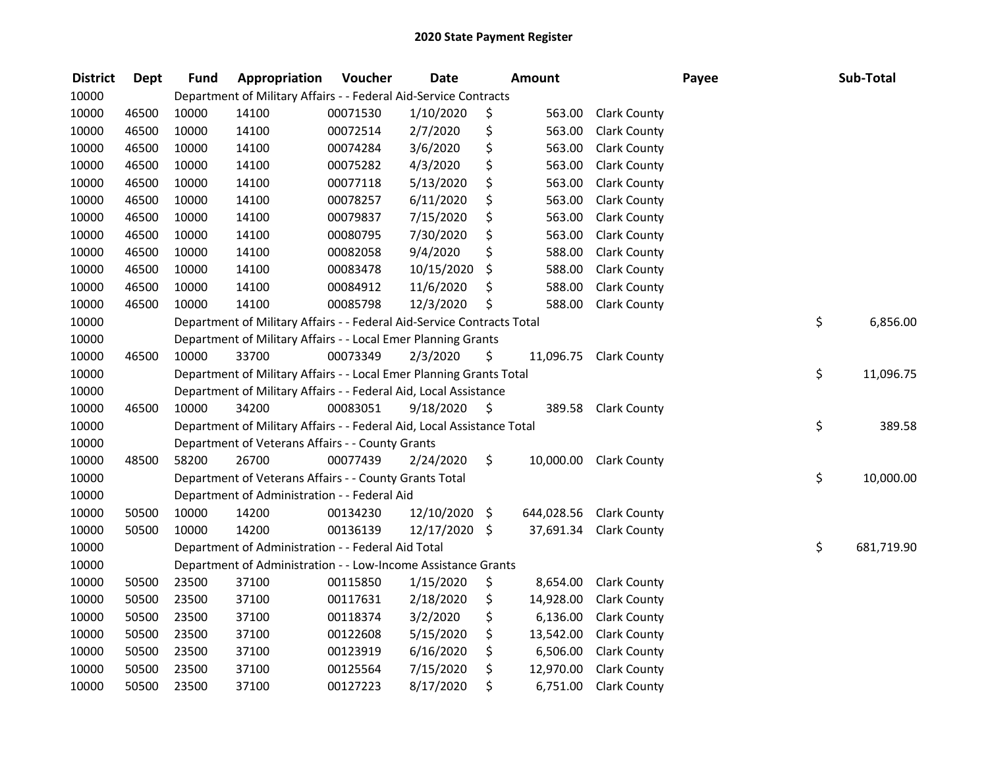| <b>District</b> | Dept  | <b>Fund</b> | Appropriation                                                          | Voucher  | <b>Date</b> |      | Amount     |                        | Payee | Sub-Total        |
|-----------------|-------|-------------|------------------------------------------------------------------------|----------|-------------|------|------------|------------------------|-------|------------------|
| 10000           |       |             | Department of Military Affairs - - Federal Aid-Service Contracts       |          |             |      |            |                        |       |                  |
| 10000           | 46500 | 10000       | 14100                                                                  | 00071530 | 1/10/2020   | \$   | 563.00     | <b>Clark County</b>    |       |                  |
| 10000           | 46500 | 10000       | 14100                                                                  | 00072514 | 2/7/2020    | \$   | 563.00     | <b>Clark County</b>    |       |                  |
| 10000           | 46500 | 10000       | 14100                                                                  | 00074284 | 3/6/2020    | \$   | 563.00     | <b>Clark County</b>    |       |                  |
| 10000           | 46500 | 10000       | 14100                                                                  | 00075282 | 4/3/2020    | \$   | 563.00     | <b>Clark County</b>    |       |                  |
| 10000           | 46500 | 10000       | 14100                                                                  | 00077118 | 5/13/2020   | \$   | 563.00     | <b>Clark County</b>    |       |                  |
| 10000           | 46500 | 10000       | 14100                                                                  | 00078257 | 6/11/2020   | \$   | 563.00     | <b>Clark County</b>    |       |                  |
| 10000           | 46500 | 10000       | 14100                                                                  | 00079837 | 7/15/2020   | \$   | 563.00     | <b>Clark County</b>    |       |                  |
| 10000           | 46500 | 10000       | 14100                                                                  | 00080795 | 7/30/2020   | \$   | 563.00     | <b>Clark County</b>    |       |                  |
| 10000           | 46500 | 10000       | 14100                                                                  | 00082058 | 9/4/2020    | \$   | 588.00     | Clark County           |       |                  |
| 10000           | 46500 | 10000       | 14100                                                                  | 00083478 | 10/15/2020  | \$   | 588.00     | <b>Clark County</b>    |       |                  |
| 10000           | 46500 | 10000       | 14100                                                                  | 00084912 | 11/6/2020   | \$   | 588.00     | <b>Clark County</b>    |       |                  |
| 10000           | 46500 | 10000       | 14100                                                                  | 00085798 | 12/3/2020   | \$   | 588.00     | <b>Clark County</b>    |       |                  |
| 10000           |       |             | Department of Military Affairs - - Federal Aid-Service Contracts Total |          |             |      |            |                        |       | \$<br>6,856.00   |
| 10000           |       |             | Department of Military Affairs - - Local Emer Planning Grants          |          |             |      |            |                        |       |                  |
| 10000           | 46500 | 10000       | 33700                                                                  | 00073349 | 2/3/2020    | \$   | 11,096.75  | <b>Clark County</b>    |       |                  |
| 10000           |       |             | Department of Military Affairs - - Local Emer Planning Grants Total    |          |             |      |            |                        |       | \$<br>11,096.75  |
| 10000           |       |             | Department of Military Affairs - - Federal Aid, Local Assistance       |          |             |      |            |                        |       |                  |
| 10000           | 46500 | 10000       | 34200                                                                  | 00083051 | 9/18/2020   | - \$ | 389.58     | <b>Clark County</b>    |       |                  |
| 10000           |       |             | Department of Military Affairs - - Federal Aid, Local Assistance Total |          |             |      |            |                        |       | \$<br>389.58     |
| 10000           |       |             | Department of Veterans Affairs - - County Grants                       |          |             |      |            |                        |       |                  |
| 10000           | 48500 | 58200       | 26700                                                                  | 00077439 | 2/24/2020   | \$.  |            | 10,000.00 Clark County |       |                  |
| 10000           |       |             | Department of Veterans Affairs - - County Grants Total                 |          |             |      |            |                        |       | \$<br>10,000.00  |
| 10000           |       |             | Department of Administration - - Federal Aid                           |          |             |      |            |                        |       |                  |
| 10000           | 50500 | 10000       | 14200                                                                  | 00134230 | 12/10/2020  | \$   | 644,028.56 | <b>Clark County</b>    |       |                  |
| 10000           | 50500 | 10000       | 14200                                                                  | 00136139 | 12/17/2020  | \$   | 37,691.34  | <b>Clark County</b>    |       |                  |
| 10000           |       |             | Department of Administration - - Federal Aid Total                     |          |             |      |            |                        |       | \$<br>681,719.90 |
| 10000           |       |             | Department of Administration - - Low-Income Assistance Grants          |          |             |      |            |                        |       |                  |
| 10000           | 50500 | 23500       | 37100                                                                  | 00115850 | 1/15/2020   | \$   | 8,654.00   | <b>Clark County</b>    |       |                  |
| 10000           | 50500 | 23500       | 37100                                                                  | 00117631 | 2/18/2020   | \$   | 14,928.00  | <b>Clark County</b>    |       |                  |
| 10000           | 50500 | 23500       | 37100                                                                  | 00118374 | 3/2/2020    | \$   | 6,136.00   | <b>Clark County</b>    |       |                  |
| 10000           | 50500 | 23500       | 37100                                                                  | 00122608 | 5/15/2020   | \$   | 13,542.00  | <b>Clark County</b>    |       |                  |
| 10000           | 50500 | 23500       | 37100                                                                  | 00123919 | 6/16/2020   | \$   | 6,506.00   | <b>Clark County</b>    |       |                  |
| 10000           | 50500 | 23500       | 37100                                                                  | 00125564 | 7/15/2020   | \$   | 12,970.00  | <b>Clark County</b>    |       |                  |
| 10000           | 50500 | 23500       | 37100                                                                  | 00127223 | 8/17/2020   | \$   | 6,751.00   | <b>Clark County</b>    |       |                  |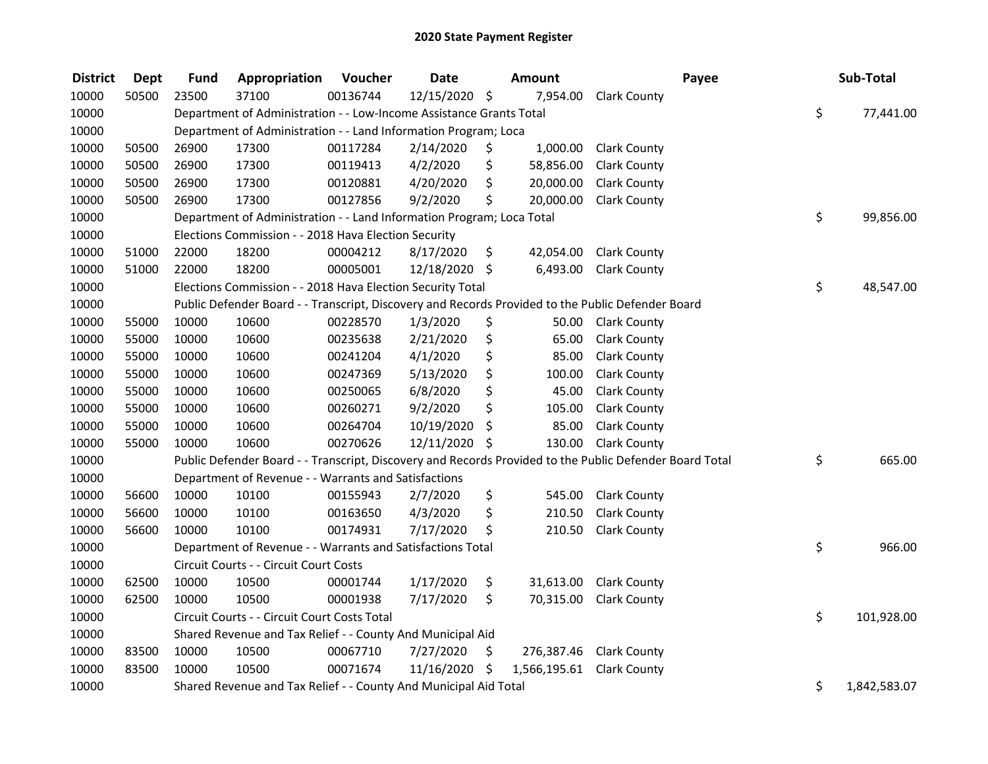| <b>District</b> | <b>Dept</b> | <b>Fund</b> | Appropriation                                                                                           | Voucher  | <b>Date</b>   | Amount                          |                         | Payee | Sub-Total          |
|-----------------|-------------|-------------|---------------------------------------------------------------------------------------------------------|----------|---------------|---------------------------------|-------------------------|-------|--------------------|
| 10000           | 50500       | 23500       | 37100                                                                                                   | 00136744 | 12/15/2020 \$ | 7,954.00                        | <b>Clark County</b>     |       |                    |
| 10000           |             |             | Department of Administration - - Low-Income Assistance Grants Total                                     |          |               |                                 |                         |       | \$<br>77,441.00    |
| 10000           |             |             | Department of Administration - - Land Information Program; Loca                                         |          |               |                                 |                         |       |                    |
| 10000           | 50500       | 26900       | 17300                                                                                                   | 00117284 | 2/14/2020     | \$<br>1,000.00                  | <b>Clark County</b>     |       |                    |
| 10000           | 50500       | 26900       | 17300                                                                                                   | 00119413 | 4/2/2020      | \$<br>58,856.00                 | <b>Clark County</b>     |       |                    |
| 10000           | 50500       | 26900       | 17300                                                                                                   | 00120881 | 4/20/2020     | \$<br>20,000.00                 | <b>Clark County</b>     |       |                    |
| 10000           | 50500       | 26900       | 17300                                                                                                   | 00127856 | 9/2/2020      | \$<br>20,000.00                 | <b>Clark County</b>     |       |                    |
| 10000           |             |             | Department of Administration - - Land Information Program; Loca Total                                   |          |               |                                 |                         |       | \$<br>99,856.00    |
| 10000           |             |             | Elections Commission - - 2018 Hava Election Security                                                    |          |               |                                 |                         |       |                    |
| 10000           | 51000       | 22000       | 18200                                                                                                   | 00004212 | 8/17/2020     | \$<br>42,054.00                 | <b>Clark County</b>     |       |                    |
| 10000           | 51000       | 22000       | 18200                                                                                                   | 00005001 | 12/18/2020 \$ | 6,493.00                        | <b>Clark County</b>     |       |                    |
| 10000           |             |             | Elections Commission - - 2018 Hava Election Security Total                                              |          |               |                                 |                         |       | \$<br>48,547.00    |
| 10000           |             |             | Public Defender Board - - Transcript, Discovery and Records Provided to the Public Defender Board       |          |               |                                 |                         |       |                    |
| 10000           | 55000       | 10000       | 10600                                                                                                   | 00228570 | 1/3/2020      | \$<br>50.00                     | <b>Clark County</b>     |       |                    |
| 10000           | 55000       | 10000       | 10600                                                                                                   | 00235638 | 2/21/2020     | \$<br>65.00                     | <b>Clark County</b>     |       |                    |
| 10000           | 55000       | 10000       | 10600                                                                                                   | 00241204 | 4/1/2020      | \$<br>85.00                     | <b>Clark County</b>     |       |                    |
| 10000           | 55000       | 10000       | 10600                                                                                                   | 00247369 | 5/13/2020     | \$<br>100.00                    | <b>Clark County</b>     |       |                    |
| 10000           | 55000       | 10000       | 10600                                                                                                   | 00250065 | 6/8/2020      | \$<br>45.00                     | <b>Clark County</b>     |       |                    |
| 10000           | 55000       | 10000       | 10600                                                                                                   | 00260271 | 9/2/2020      | \$<br>105.00                    | <b>Clark County</b>     |       |                    |
| 10000           | 55000       | 10000       | 10600                                                                                                   | 00264704 | 10/19/2020    | \$<br>85.00                     | <b>Clark County</b>     |       |                    |
| 10000           | 55000       | 10000       | 10600                                                                                                   | 00270626 | 12/11/2020 \$ | 130.00                          | <b>Clark County</b>     |       |                    |
| 10000           |             |             | Public Defender Board - - Transcript, Discovery and Records Provided to the Public Defender Board Total |          |               |                                 |                         |       | \$<br>665.00       |
| 10000           |             |             | Department of Revenue - - Warrants and Satisfactions                                                    |          |               |                                 |                         |       |                    |
| 10000           | 56600       | 10000       | 10100                                                                                                   | 00155943 | 2/7/2020      | \$<br>545.00                    | <b>Clark County</b>     |       |                    |
| 10000           | 56600       | 10000       | 10100                                                                                                   | 00163650 | 4/3/2020      | \$<br>210.50                    | <b>Clark County</b>     |       |                    |
| 10000           | 56600       | 10000       | 10100                                                                                                   | 00174931 | 7/17/2020     | \$<br>210.50                    | <b>Clark County</b>     |       |                    |
| 10000           |             |             | Department of Revenue - - Warrants and Satisfactions Total                                              |          |               |                                 |                         |       | \$<br>966.00       |
| 10000           |             |             | Circuit Courts - - Circuit Court Costs                                                                  |          |               |                                 |                         |       |                    |
| 10000           | 62500       | 10000       | 10500                                                                                                   | 00001744 | 1/17/2020     | \$<br>31,613.00                 | <b>Clark County</b>     |       |                    |
| 10000           | 62500       | 10000       | 10500                                                                                                   | 00001938 | 7/17/2020     | \$<br>70,315.00                 | <b>Clark County</b>     |       |                    |
| 10000           |             |             | Circuit Courts - - Circuit Court Costs Total                                                            |          |               |                                 |                         |       | \$<br>101,928.00   |
| 10000           |             |             | Shared Revenue and Tax Relief - - County And Municipal Aid                                              |          |               |                                 |                         |       |                    |
| 10000           | 83500       | 10000       | 10500                                                                                                   | 00067710 | 7/27/2020     | \$                              | 276,387.46 Clark County |       |                    |
| 10000           | 83500       | 10000       | 10500                                                                                                   | 00071674 | 11/16/2020    | \$<br>1,566,195.61 Clark County |                         |       |                    |
| 10000           |             |             | Shared Revenue and Tax Relief - - County And Municipal Aid Total                                        |          |               |                                 |                         |       | \$<br>1,842,583.07 |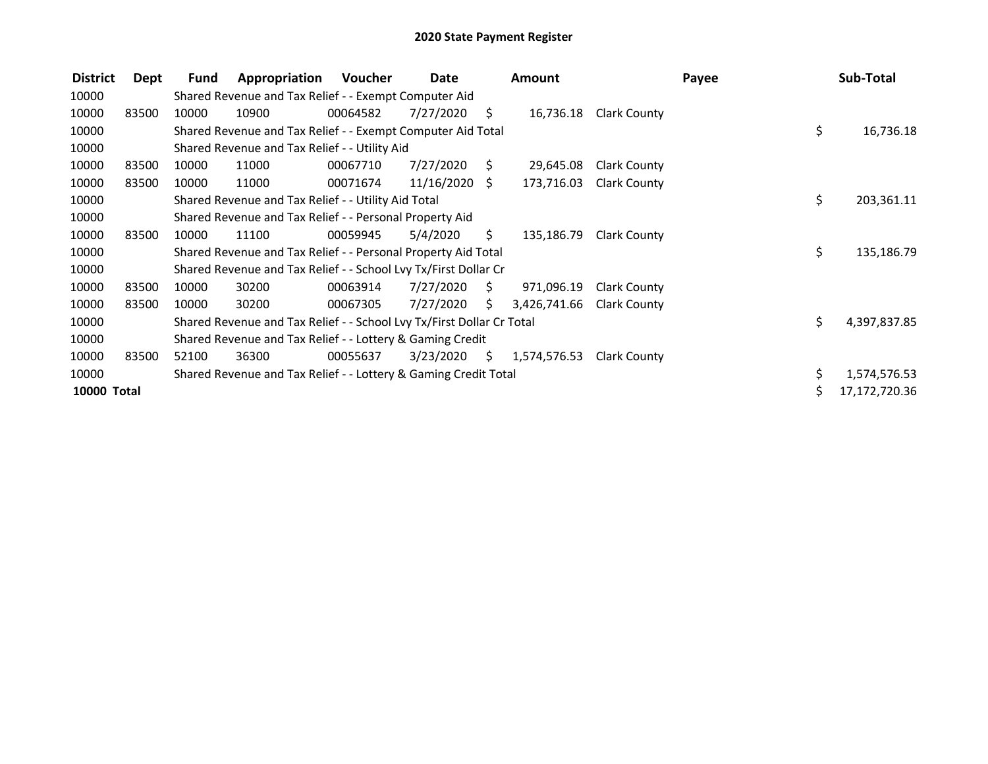| <b>District</b>    | Dept  | Fund  | Appropriation                                                         | Voucher  | Date            |      | <b>Amount</b> |                     | Payee |     | Sub-Total     |
|--------------------|-------|-------|-----------------------------------------------------------------------|----------|-----------------|------|---------------|---------------------|-------|-----|---------------|
| 10000              |       |       | Shared Revenue and Tax Relief - - Exempt Computer Aid                 |          |                 |      |               |                     |       |     |               |
| 10000              | 83500 | 10000 | 10900                                                                 | 00064582 | 7/27/2020       | S.   | 16,736.18     | Clark County        |       |     |               |
| 10000              |       |       | Shared Revenue and Tax Relief - - Exempt Computer Aid Total           |          |                 |      |               |                     |       | \$. | 16,736.18     |
| 10000              |       |       | Shared Revenue and Tax Relief - - Utility Aid                         |          |                 |      |               |                     |       |     |               |
| 10000              | 83500 | 10000 | 11000                                                                 | 00067710 | 7/27/2020       | S.   | 29,645.08     | Clark County        |       |     |               |
| 10000              | 83500 | 10000 | 11000                                                                 | 00071674 | $11/16/2020$ \$ |      | 173,716.03    | <b>Clark County</b> |       |     |               |
| 10000              |       |       | Shared Revenue and Tax Relief - - Utility Aid Total                   |          |                 |      |               |                     |       | \$  | 203,361.11    |
| 10000              |       |       | Shared Revenue and Tax Relief - - Personal Property Aid               |          |                 |      |               |                     |       |     |               |
| 10000              | 83500 | 10000 | 11100                                                                 | 00059945 | 5/4/2020        | S.   | 135,186.79    | <b>Clark County</b> |       |     |               |
| 10000              |       |       | Shared Revenue and Tax Relief - - Personal Property Aid Total         |          |                 |      |               |                     |       | \$  | 135,186.79    |
| 10000              |       |       | Shared Revenue and Tax Relief - - School Lvy Tx/First Dollar Cr       |          |                 |      |               |                     |       |     |               |
| 10000              | 83500 | 10000 | 30200                                                                 | 00063914 | 7/27/2020       | - \$ | 971,096.19    | Clark County        |       |     |               |
| 10000              | 83500 | 10000 | 30200                                                                 | 00067305 | 7/27/2020       | \$.  | 3,426,741.66  | <b>Clark County</b> |       |     |               |
| 10000              |       |       | Shared Revenue and Tax Relief - - School Lvy Tx/First Dollar Cr Total |          |                 |      |               |                     |       | \$. | 4,397,837.85  |
| 10000              |       |       | Shared Revenue and Tax Relief - - Lottery & Gaming Credit             |          |                 |      |               |                     |       |     |               |
| 10000              | 83500 | 52100 | 36300                                                                 | 00055637 | 3/23/2020       | - \$ | 1,574,576.53  | Clark County        |       |     |               |
| 10000              |       |       | Shared Revenue and Tax Relief - - Lottery & Gaming Credit Total       |          |                 |      |               |                     |       | \$. | 1,574,576.53  |
| <b>10000 Total</b> |       |       |                                                                       |          |                 |      |               |                     |       |     | 17,172,720.36 |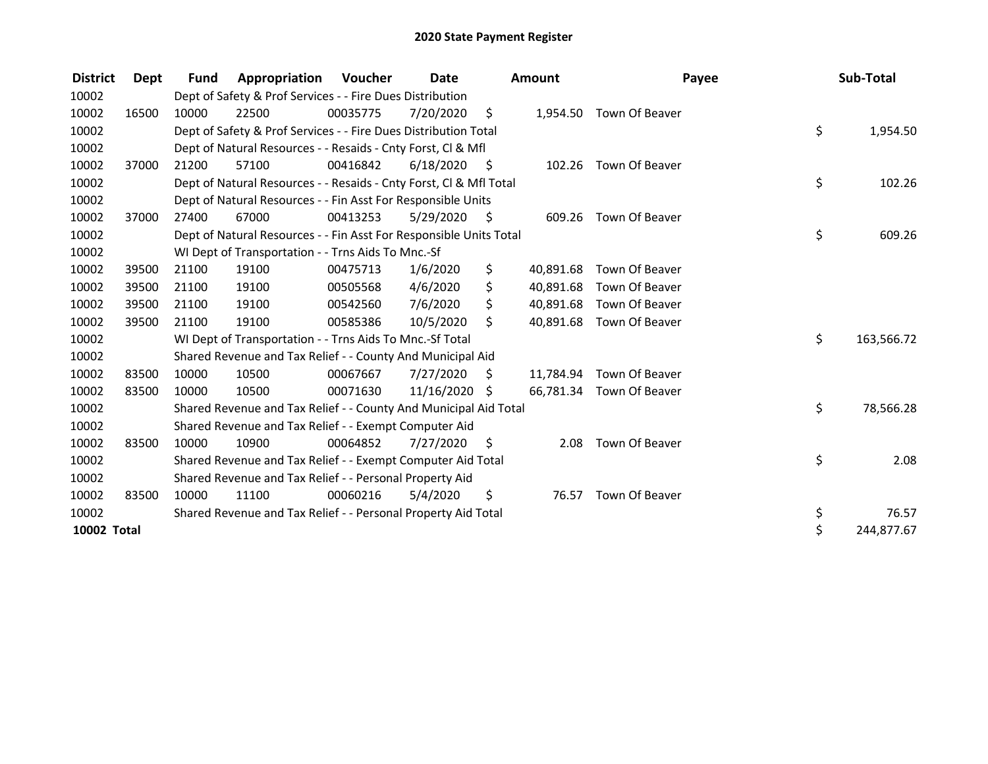| <b>District</b>    | Dept  | <b>Fund</b> | Appropriation                                                      | Voucher  | <b>Date</b> |      | <b>Amount</b> | Payee                    | Sub-Total        |
|--------------------|-------|-------------|--------------------------------------------------------------------|----------|-------------|------|---------------|--------------------------|------------------|
| 10002              |       |             | Dept of Safety & Prof Services - - Fire Dues Distribution          |          |             |      |               |                          |                  |
| 10002              | 16500 | 10000       | 22500                                                              | 00035775 | 7/20/2020   | \$   | 1,954.50      | Town Of Beaver           |                  |
| 10002              |       |             | Dept of Safety & Prof Services - - Fire Dues Distribution Total    |          |             |      |               |                          | \$<br>1,954.50   |
| 10002              |       |             | Dept of Natural Resources - - Resaids - Cnty Forst, CI & Mfl       |          |             |      |               |                          |                  |
| 10002              | 37000 | 21200       | 57100                                                              | 00416842 | 6/18/2020   | - \$ |               | 102.26 Town Of Beaver    |                  |
| 10002              |       |             | Dept of Natural Resources - - Resaids - Cnty Forst, CI & Mfl Total |          |             |      |               |                          | \$<br>102.26     |
| 10002              |       |             | Dept of Natural Resources - - Fin Asst For Responsible Units       |          |             |      |               |                          |                  |
| 10002              | 37000 | 27400       | 67000                                                              | 00413253 | 5/29/2020   | - S  | 609.26        | Town Of Beaver           |                  |
| 10002              |       |             | Dept of Natural Resources - - Fin Asst For Responsible Units Total |          |             |      |               |                          | \$<br>609.26     |
| 10002              |       |             | WI Dept of Transportation - - Trns Aids To Mnc.-Sf                 |          |             |      |               |                          |                  |
| 10002              | 39500 | 21100       | 19100                                                              | 00475713 | 1/6/2020    | \$   | 40,891.68     | Town Of Beaver           |                  |
| 10002              | 39500 | 21100       | 19100                                                              | 00505568 | 4/6/2020    | \$   | 40,891.68     | Town Of Beaver           |                  |
| 10002              | 39500 | 21100       | 19100                                                              | 00542560 | 7/6/2020    | \$   | 40,891.68     | Town Of Beaver           |                  |
| 10002              | 39500 | 21100       | 19100                                                              | 00585386 | 10/5/2020   | Ŝ.   | 40,891.68     | Town Of Beaver           |                  |
| 10002              |       |             | WI Dept of Transportation - - Trns Aids To Mnc.-Sf Total           |          |             |      |               |                          | \$<br>163,566.72 |
| 10002              |       |             | Shared Revenue and Tax Relief - - County And Municipal Aid         |          |             |      |               |                          |                  |
| 10002              | 83500 | 10000       | 10500                                                              | 00067667 | 7/27/2020   | \$   |               | 11,784.94 Town Of Beaver |                  |
| 10002              | 83500 | 10000       | 10500                                                              | 00071630 | 11/16/2020  | \$   |               | 66,781.34 Town Of Beaver |                  |
| 10002              |       |             | Shared Revenue and Tax Relief - - County And Municipal Aid Total   |          |             |      |               |                          | \$<br>78,566.28  |
| 10002              |       |             | Shared Revenue and Tax Relief - - Exempt Computer Aid              |          |             |      |               |                          |                  |
| 10002              | 83500 | 10000       | 10900                                                              | 00064852 | 7/27/2020   | - \$ | 2.08          | Town Of Beaver           |                  |
| 10002              |       |             | Shared Revenue and Tax Relief - - Exempt Computer Aid Total        |          |             |      |               |                          | \$<br>2.08       |
| 10002              |       |             | Shared Revenue and Tax Relief - - Personal Property Aid            |          |             |      |               |                          |                  |
| 10002              | 83500 | 10000       | 11100                                                              | 00060216 | 5/4/2020    | \$   | 76.57         | Town Of Beaver           |                  |
| 10002              |       |             | Shared Revenue and Tax Relief - - Personal Property Aid Total      |          |             |      |               |                          | \$<br>76.57      |
| <b>10002 Total</b> |       |             |                                                                    |          |             |      |               |                          | \$<br>244,877.67 |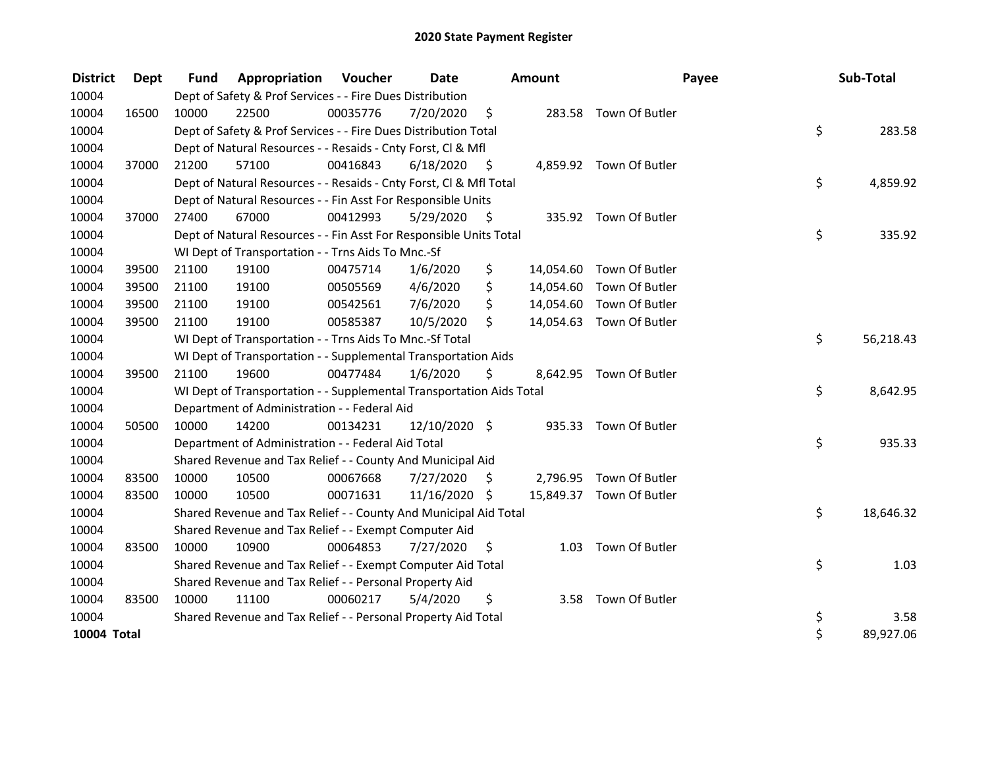| <b>District</b>    | Dept  | <b>Fund</b> | <b>Appropriation Voucher</b>                                         |          | Date          |      | <b>Amount</b> |                          | Payee | Sub-Total |
|--------------------|-------|-------------|----------------------------------------------------------------------|----------|---------------|------|---------------|--------------------------|-------|-----------|
| 10004              |       |             | Dept of Safety & Prof Services - - Fire Dues Distribution            |          |               |      |               |                          |       |           |
| 10004              | 16500 | 10000       | 22500                                                                | 00035776 | 7/20/2020     | - \$ |               | 283.58 Town Of Butler    |       |           |
| 10004              |       |             | Dept of Safety & Prof Services - - Fire Dues Distribution Total      |          |               |      |               |                          | \$    | 283.58    |
| 10004              |       |             | Dept of Natural Resources - - Resaids - Cnty Forst, Cl & Mfl         |          |               |      |               |                          |       |           |
| 10004              | 37000 | 21200       | 57100                                                                | 00416843 | 6/18/2020     | - \$ |               | 4,859.92 Town Of Butler  |       |           |
| 10004              |       |             | Dept of Natural Resources - - Resaids - Cnty Forst, Cl & Mfl Total   |          |               |      |               |                          | \$    | 4,859.92  |
| 10004              |       |             | Dept of Natural Resources - - Fin Asst For Responsible Units         |          |               |      |               |                          |       |           |
| 10004              | 37000 | 27400       | 67000                                                                | 00412993 | 5/29/2020     | - \$ |               | 335.92 Town Of Butler    |       |           |
| 10004              |       |             | Dept of Natural Resources - - Fin Asst For Responsible Units Total   |          |               |      |               |                          | \$    | 335.92    |
| 10004              |       |             | WI Dept of Transportation - - Trns Aids To Mnc.-Sf                   |          |               |      |               |                          |       |           |
| 10004              | 39500 | 21100       | 19100                                                                | 00475714 | 1/6/2020      | \$   | 14,054.60     | Town Of Butler           |       |           |
| 10004              | 39500 | 21100       | 19100                                                                | 00505569 | 4/6/2020      | \$   |               | 14,054.60 Town Of Butler |       |           |
| 10004              | 39500 | 21100       | 19100                                                                | 00542561 | 7/6/2020      | \$   |               | 14,054.60 Town Of Butler |       |           |
| 10004              | 39500 | 21100       | 19100                                                                | 00585387 | 10/5/2020     | \$   |               | 14,054.63 Town Of Butler |       |           |
| 10004              |       |             | WI Dept of Transportation - - Trns Aids To Mnc.-Sf Total             |          |               |      |               |                          | \$    | 56,218.43 |
| 10004              |       |             | WI Dept of Transportation - - Supplemental Transportation Aids       |          |               |      |               |                          |       |           |
| 10004              | 39500 | 21100       | 19600                                                                | 00477484 | 1/6/2020      | \$   |               | 8,642.95 Town Of Butler  |       |           |
| 10004              |       |             | WI Dept of Transportation - - Supplemental Transportation Aids Total |          |               |      |               |                          | \$    | 8,642.95  |
| 10004              |       |             | Department of Administration - - Federal Aid                         |          |               |      |               |                          |       |           |
| 10004              | 50500 | 10000       | 14200                                                                | 00134231 | 12/10/2020 \$ |      |               | 935.33 Town Of Butler    |       |           |
| 10004              |       |             | Department of Administration - - Federal Aid Total                   |          |               |      |               |                          | \$    | 935.33    |
| 10004              |       |             | Shared Revenue and Tax Relief - - County And Municipal Aid           |          |               |      |               |                          |       |           |
| 10004              | 83500 | 10000       | 10500                                                                | 00067668 | 7/27/2020     | \$   |               | 2,796.95 Town Of Butler  |       |           |
| 10004              | 83500 | 10000       | 10500                                                                | 00071631 | 11/16/2020 \$ |      |               | 15,849.37 Town Of Butler |       |           |
| 10004              |       |             | Shared Revenue and Tax Relief - - County And Municipal Aid Total     |          |               |      |               |                          | \$    | 18,646.32 |
| 10004              |       |             | Shared Revenue and Tax Relief - - Exempt Computer Aid                |          |               |      |               |                          |       |           |
| 10004              | 83500 | 10000       | 10900                                                                | 00064853 | 7/27/2020     | S    | 1.03          | Town Of Butler           |       |           |
| 10004              |       |             | Shared Revenue and Tax Relief - - Exempt Computer Aid Total          |          |               |      |               |                          | \$    | 1.03      |
| 10004              |       |             | Shared Revenue and Tax Relief - - Personal Property Aid              |          |               |      |               |                          |       |           |
| 10004              | 83500 | 10000       | 11100                                                                | 00060217 | 5/4/2020      | \$   |               | 3.58 Town Of Butler      |       |           |
| 10004              |       |             | Shared Revenue and Tax Relief - - Personal Property Aid Total        |          |               |      |               |                          | \$    | 3.58      |
| <b>10004 Total</b> |       |             |                                                                      |          |               |      |               |                          | \$    | 89,927.06 |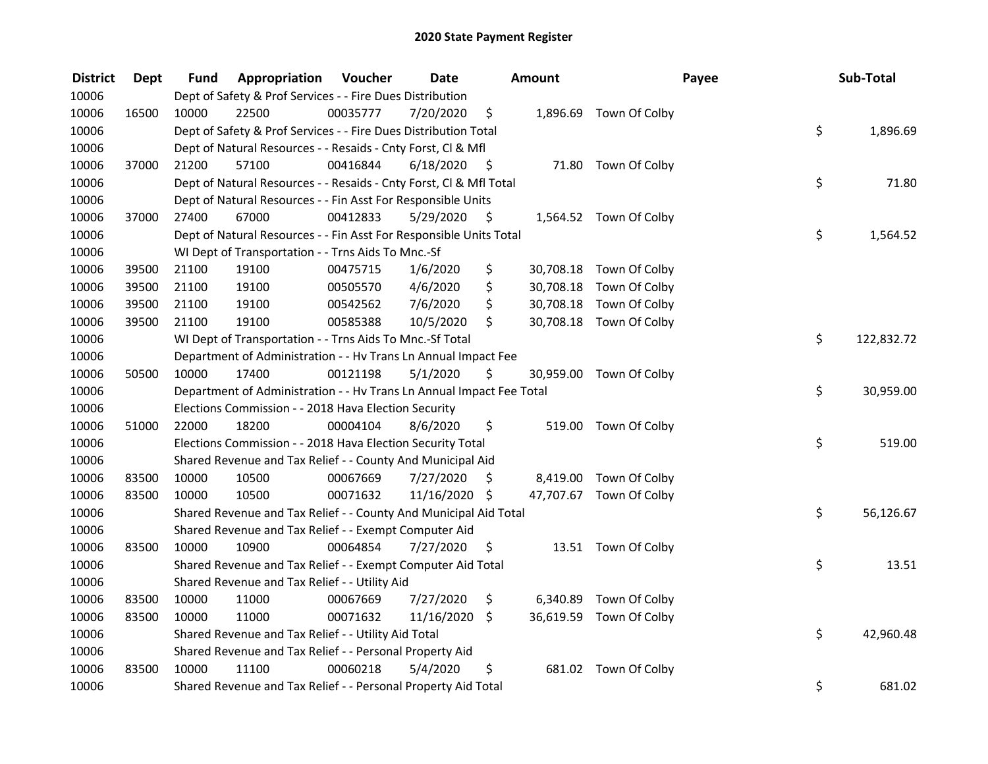| <b>District</b> | Dept  | Fund  | Appropriation                                                        | Voucher  | <b>Date</b>   |      | Amount   |                         | Payee | Sub-Total  |
|-----------------|-------|-------|----------------------------------------------------------------------|----------|---------------|------|----------|-------------------------|-------|------------|
| 10006           |       |       | Dept of Safety & Prof Services - - Fire Dues Distribution            |          |               |      |          |                         |       |            |
| 10006           | 16500 | 10000 | 22500                                                                | 00035777 | 7/20/2020     | \$   |          | 1,896.69 Town Of Colby  |       |            |
| 10006           |       |       | Dept of Safety & Prof Services - - Fire Dues Distribution Total      |          |               |      |          |                         | \$    | 1,896.69   |
| 10006           |       |       | Dept of Natural Resources - - Resaids - Cnty Forst, Cl & Mfl         |          |               |      |          |                         |       |            |
| 10006           | 37000 | 21200 | 57100                                                                | 00416844 | 6/18/2020     | - \$ |          | 71.80 Town Of Colby     |       |            |
| 10006           |       |       | Dept of Natural Resources - - Resaids - Cnty Forst, Cl & Mfl Total   |          |               |      |          |                         | \$    | 71.80      |
| 10006           |       |       | Dept of Natural Resources - - Fin Asst For Responsible Units         |          |               |      |          |                         |       |            |
| 10006           | 37000 | 27400 | 67000                                                                | 00412833 | 5/29/2020     | - \$ |          | 1,564.52 Town Of Colby  |       |            |
| 10006           |       |       | Dept of Natural Resources - - Fin Asst For Responsible Units Total   |          |               |      |          |                         | \$    | 1,564.52   |
| 10006           |       |       | WI Dept of Transportation - - Trns Aids To Mnc.-Sf                   |          |               |      |          |                         |       |            |
| 10006           | 39500 | 21100 | 19100                                                                | 00475715 | 1/6/2020      | \$   |          | 30,708.18 Town Of Colby |       |            |
| 10006           | 39500 | 21100 | 19100                                                                | 00505570 | 4/6/2020      | \$   |          | 30,708.18 Town Of Colby |       |            |
| 10006           | 39500 | 21100 | 19100                                                                | 00542562 | 7/6/2020      | \$   |          | 30,708.18 Town Of Colby |       |            |
| 10006           | 39500 | 21100 | 19100                                                                | 00585388 | 10/5/2020     | \$   |          | 30,708.18 Town Of Colby |       |            |
| 10006           |       |       | WI Dept of Transportation - - Trns Aids To Mnc.-Sf Total             |          |               |      |          |                         | \$    | 122,832.72 |
| 10006           |       |       | Department of Administration - - Hv Trans Ln Annual Impact Fee       |          |               |      |          |                         |       |            |
| 10006           | 50500 | 10000 | 17400                                                                | 00121198 | 5/1/2020      | \$   |          | 30,959.00 Town Of Colby |       |            |
| 10006           |       |       | Department of Administration - - Hv Trans Ln Annual Impact Fee Total |          |               |      |          |                         | \$    | 30,959.00  |
| 10006           |       |       | Elections Commission - - 2018 Hava Election Security                 |          |               |      |          |                         |       |            |
| 10006           | 51000 | 22000 | 18200                                                                | 00004104 | 8/6/2020      | \$   |          | 519.00 Town Of Colby    |       |            |
| 10006           |       |       | Elections Commission - - 2018 Hava Election Security Total           |          |               |      |          |                         | \$    | 519.00     |
| 10006           |       |       | Shared Revenue and Tax Relief - - County And Municipal Aid           |          |               |      |          |                         |       |            |
| 10006           | 83500 | 10000 | 10500                                                                | 00067669 | 7/27/2020     | \$.  |          | 8,419.00 Town Of Colby  |       |            |
| 10006           | 83500 | 10000 | 10500                                                                | 00071632 | 11/16/2020 \$ |      |          | 47,707.67 Town Of Colby |       |            |
| 10006           |       |       | Shared Revenue and Tax Relief - - County And Municipal Aid Total     |          |               |      |          |                         | \$    | 56,126.67  |
| 10006           |       |       | Shared Revenue and Tax Relief - - Exempt Computer Aid                |          |               |      |          |                         |       |            |
| 10006           | 83500 | 10000 | 10900                                                                | 00064854 | 7/27/2020     | \$   |          | 13.51 Town Of Colby     |       |            |
| 10006           |       |       | Shared Revenue and Tax Relief - - Exempt Computer Aid Total          |          |               |      |          |                         | \$    | 13.51      |
| 10006           |       |       | Shared Revenue and Tax Relief - - Utility Aid                        |          |               |      |          |                         |       |            |
| 10006           | 83500 | 10000 | 11000                                                                | 00067669 | 7/27/2020     | \$   | 6,340.89 | Town Of Colby           |       |            |
| 10006           | 83500 | 10000 | 11000                                                                | 00071632 | 11/16/2020    | \$   |          | 36,619.59 Town Of Colby |       |            |
| 10006           |       |       | Shared Revenue and Tax Relief - - Utility Aid Total                  |          |               |      |          |                         | \$    | 42,960.48  |
| 10006           |       |       | Shared Revenue and Tax Relief - - Personal Property Aid              |          |               |      |          |                         |       |            |
| 10006           | 83500 | 10000 | 11100                                                                | 00060218 | 5/4/2020      | \$   |          | 681.02 Town Of Colby    |       |            |
| 10006           |       |       | Shared Revenue and Tax Relief - - Personal Property Aid Total        |          |               |      |          |                         | \$    | 681.02     |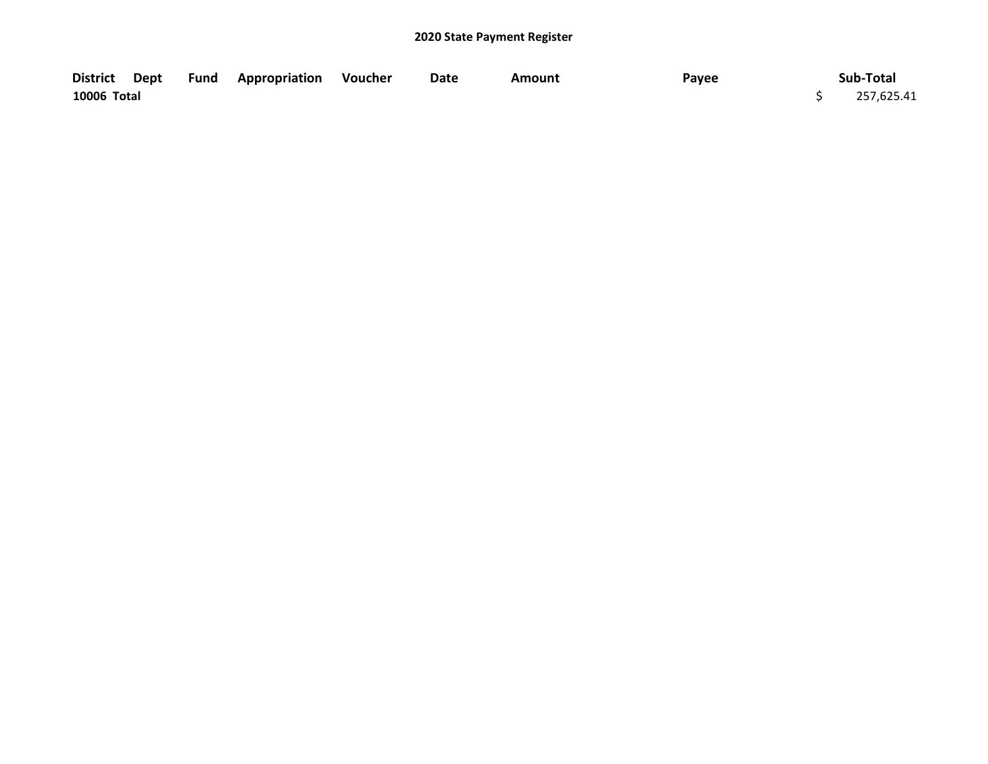| District Dept |  | <b>Fund Appropriation Voucher</b> | Date | Amount | Payee | Sub-Total  |
|---------------|--|-----------------------------------|------|--------|-------|------------|
| 10006 Total   |  |                                   |      |        |       | 257,625.41 |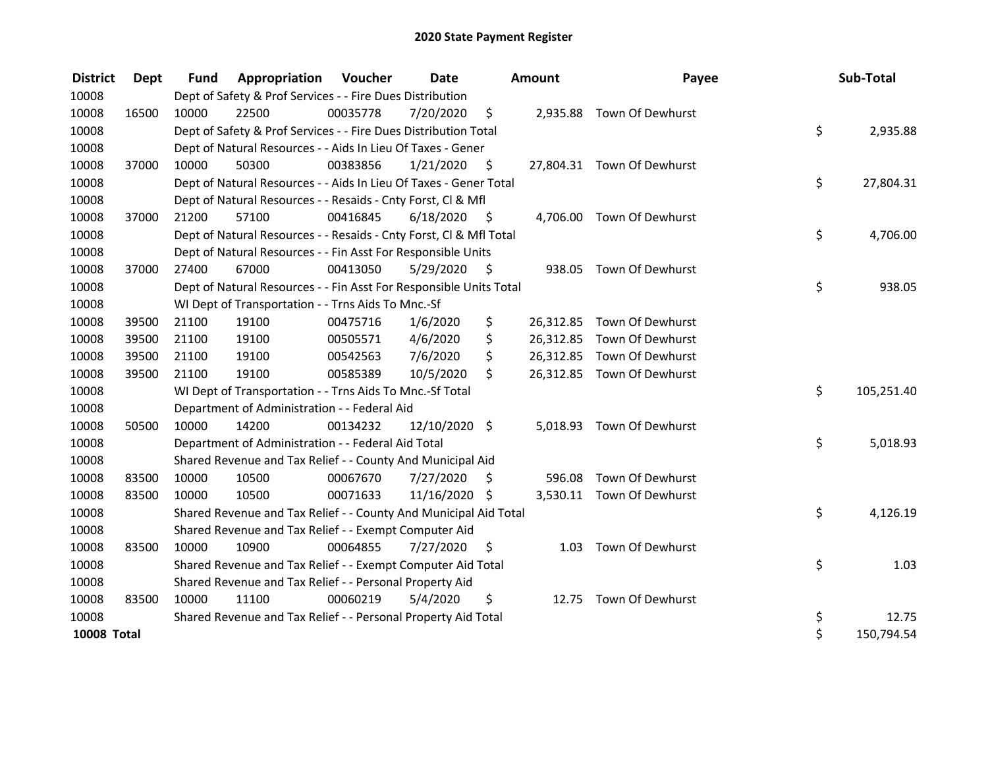| <b>District</b>    | <b>Dept</b> | <b>Fund</b> | <b>Appropriation Voucher</b>                                       |          | Date          |         | <b>Amount</b> | Payee                      | Sub-Total        |
|--------------------|-------------|-------------|--------------------------------------------------------------------|----------|---------------|---------|---------------|----------------------------|------------------|
| 10008              |             |             | Dept of Safety & Prof Services - - Fire Dues Distribution          |          |               |         |               |                            |                  |
| 10008              | 16500       | 10000       | 22500                                                              | 00035778 | 7/20/2020     | $\zeta$ |               | 2,935.88 Town Of Dewhurst  |                  |
| 10008              |             |             | Dept of Safety & Prof Services - - Fire Dues Distribution Total    |          |               |         |               |                            | \$<br>2,935.88   |
| 10008              |             |             | Dept of Natural Resources - - Aids In Lieu Of Taxes - Gener        |          |               |         |               |                            |                  |
| 10008              | 37000       | 10000       | 50300                                                              | 00383856 | 1/21/2020     | $\zeta$ |               | 27,804.31 Town Of Dewhurst |                  |
| 10008              |             |             | Dept of Natural Resources - - Aids In Lieu Of Taxes - Gener Total  |          |               |         |               |                            | \$<br>27,804.31  |
| 10008              |             |             | Dept of Natural Resources - - Resaids - Cnty Forst, Cl & Mfl       |          |               |         |               |                            |                  |
| 10008              | 37000       | 21200       | 57100                                                              | 00416845 | 6/18/2020     | - \$    |               | 4,706.00 Town Of Dewhurst  |                  |
| 10008              |             |             | Dept of Natural Resources - - Resaids - Cnty Forst, Cl & Mfl Total |          |               |         |               |                            | \$<br>4,706.00   |
| 10008              |             |             | Dept of Natural Resources - - Fin Asst For Responsible Units       |          |               |         |               |                            |                  |
| 10008              | 37000       | 27400       | 67000                                                              | 00413050 | 5/29/2020     | - \$    |               | 938.05 Town Of Dewhurst    |                  |
| 10008              |             |             | Dept of Natural Resources - - Fin Asst For Responsible Units Total |          |               |         |               |                            | \$<br>938.05     |
| 10008              |             |             | WI Dept of Transportation - - Trns Aids To Mnc.-Sf                 |          |               |         |               |                            |                  |
| 10008              | 39500       | 21100       | 19100                                                              | 00475716 | 1/6/2020      | \$      |               | 26,312.85 Town Of Dewhurst |                  |
| 10008              | 39500       | 21100       | 19100                                                              | 00505571 | 4/6/2020      | \$      |               | 26,312.85 Town Of Dewhurst |                  |
| 10008              | 39500       | 21100       | 19100                                                              | 00542563 | 7/6/2020      | \$      |               | 26,312.85 Town Of Dewhurst |                  |
| 10008              | 39500       | 21100       | 19100                                                              | 00585389 | 10/5/2020     | \$      |               | 26,312.85 Town Of Dewhurst |                  |
| 10008              |             |             | WI Dept of Transportation - - Trns Aids To Mnc.-Sf Total           |          |               |         |               |                            | \$<br>105,251.40 |
| 10008              |             |             | Department of Administration - - Federal Aid                       |          |               |         |               |                            |                  |
| 10008              | 50500       | 10000       | 14200                                                              | 00134232 | 12/10/2020 \$ |         |               | 5,018.93 Town Of Dewhurst  |                  |
| 10008              |             |             | Department of Administration - - Federal Aid Total                 |          |               |         |               |                            | \$<br>5,018.93   |
| 10008              |             |             | Shared Revenue and Tax Relief - - County And Municipal Aid         |          |               |         |               |                            |                  |
| 10008              | 83500       | 10000       | 10500                                                              | 00067670 | 7/27/2020     | Ŝ.      | 596.08        | Town Of Dewhurst           |                  |
| 10008              | 83500       | 10000       | 10500                                                              | 00071633 | 11/16/2020 \$ |         |               | 3,530.11 Town Of Dewhurst  |                  |
| 10008              |             |             | Shared Revenue and Tax Relief - - County And Municipal Aid Total   |          |               |         |               |                            | \$<br>4,126.19   |
| 10008              |             |             | Shared Revenue and Tax Relief - - Exempt Computer Aid              |          |               |         |               |                            |                  |
| 10008              | 83500       | 10000       | 10900                                                              | 00064855 | 7/27/2020     | S.      | 1.03          | Town Of Dewhurst           |                  |
| 10008              |             |             | Shared Revenue and Tax Relief - - Exempt Computer Aid Total        |          |               |         |               |                            | \$<br>1.03       |
| 10008              |             |             | Shared Revenue and Tax Relief - - Personal Property Aid            |          |               |         |               |                            |                  |
| 10008              | 83500       | 10000       | 11100                                                              | 00060219 | 5/4/2020      | \$      |               | 12.75 Town Of Dewhurst     |                  |
| 10008              |             |             | Shared Revenue and Tax Relief - - Personal Property Aid Total      |          |               |         |               |                            | \$<br>12.75      |
| <b>10008 Total</b> |             |             |                                                                    |          |               |         |               |                            | \$<br>150,794.54 |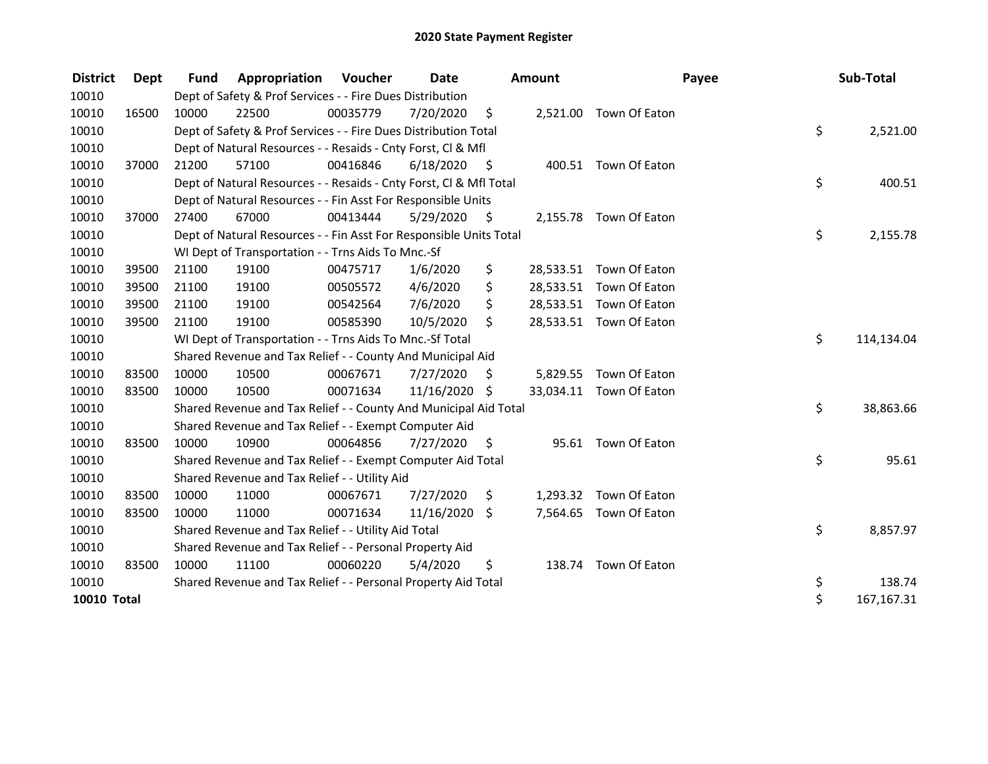| <b>District</b> | Dept  | <b>Fund</b> | Appropriation                                                      | <b>Voucher</b> | <b>Date</b>   |      | <b>Amount</b> |                         | Payee | Sub-Total  |
|-----------------|-------|-------------|--------------------------------------------------------------------|----------------|---------------|------|---------------|-------------------------|-------|------------|
| 10010           |       |             | Dept of Safety & Prof Services - - Fire Dues Distribution          |                |               |      |               |                         |       |            |
| 10010           | 16500 | 10000       | 22500                                                              | 00035779       | 7/20/2020     | \$   |               | 2,521.00 Town Of Eaton  |       |            |
| 10010           |       |             | Dept of Safety & Prof Services - - Fire Dues Distribution Total    |                |               |      |               |                         | \$    | 2,521.00   |
| 10010           |       |             | Dept of Natural Resources - - Resaids - Cnty Forst, Cl & Mfl       |                |               |      |               |                         |       |            |
| 10010           | 37000 | 21200       | 57100                                                              | 00416846       | 6/18/2020     | - \$ |               | 400.51 Town Of Eaton    |       |            |
| 10010           |       |             | Dept of Natural Resources - - Resaids - Cnty Forst, Cl & Mfl Total |                |               |      |               |                         | \$    | 400.51     |
| 10010           |       |             | Dept of Natural Resources - - Fin Asst For Responsible Units       |                |               |      |               |                         |       |            |
| 10010           | 37000 | 27400       | 67000                                                              | 00413444       | 5/29/2020     | - \$ |               | 2,155.78 Town Of Eaton  |       |            |
| 10010           |       |             | Dept of Natural Resources - - Fin Asst For Responsible Units Total |                |               |      |               |                         | \$    | 2,155.78   |
| 10010           |       |             | WI Dept of Transportation - - Trns Aids To Mnc.-Sf                 |                |               |      |               |                         |       |            |
| 10010           | 39500 | 21100       | 19100                                                              | 00475717       | 1/6/2020      | \$   |               | 28,533.51 Town Of Eaton |       |            |
| 10010           | 39500 | 21100       | 19100                                                              | 00505572       | 4/6/2020      | \$   |               | 28,533.51 Town Of Eaton |       |            |
| 10010           | 39500 | 21100       | 19100                                                              | 00542564       | 7/6/2020      | \$   |               | 28,533.51 Town Of Eaton |       |            |
| 10010           | 39500 | 21100       | 19100                                                              | 00585390       | 10/5/2020     | Ś.   |               | 28,533.51 Town Of Eaton |       |            |
| 10010           |       |             | WI Dept of Transportation - - Trns Aids To Mnc.-Sf Total           |                |               |      |               |                         | \$    | 114,134.04 |
| 10010           |       |             | Shared Revenue and Tax Relief - - County And Municipal Aid         |                |               |      |               |                         |       |            |
| 10010           | 83500 | 10000       | 10500                                                              | 00067671       | 7/27/2020     | S    | 5,829.55      | Town Of Eaton           |       |            |
| 10010           | 83500 | 10000       | 10500                                                              | 00071634       | 11/16/2020 \$ |      |               | 33,034.11 Town Of Eaton |       |            |
| 10010           |       |             | Shared Revenue and Tax Relief - - County And Municipal Aid Total   |                |               |      |               |                         | \$    | 38,863.66  |
| 10010           |       |             | Shared Revenue and Tax Relief - - Exempt Computer Aid              |                |               |      |               |                         |       |            |
| 10010           | 83500 | 10000       | 10900                                                              | 00064856       | 7/27/2020     | \$   | 95.61         | Town Of Eaton           |       |            |
| 10010           |       |             | Shared Revenue and Tax Relief - - Exempt Computer Aid Total        |                |               |      |               |                         | \$    | 95.61      |
| 10010           |       |             | Shared Revenue and Tax Relief - - Utility Aid                      |                |               |      |               |                         |       |            |
| 10010           | 83500 | 10000       | 11000                                                              | 00067671       | 7/27/2020     | \$   |               | 1,293.32 Town Of Eaton  |       |            |
| 10010           | 83500 | 10000       | 11000                                                              | 00071634       | 11/16/2020    | \$   |               | 7,564.65 Town Of Eaton  |       |            |
| 10010           |       |             | Shared Revenue and Tax Relief - - Utility Aid Total                |                |               |      |               |                         | \$    | 8,857.97   |
| 10010           |       |             | Shared Revenue and Tax Relief - - Personal Property Aid            |                |               |      |               |                         |       |            |
| 10010           | 83500 | 10000       | 11100                                                              | 00060220       | 5/4/2020      | \$   |               | 138.74 Town Of Eaton    |       |            |
| 10010           |       |             | Shared Revenue and Tax Relief - - Personal Property Aid Total      |                |               |      |               |                         | \$    | 138.74     |
| 10010 Total     |       |             |                                                                    |                |               |      |               |                         | \$    | 167,167.31 |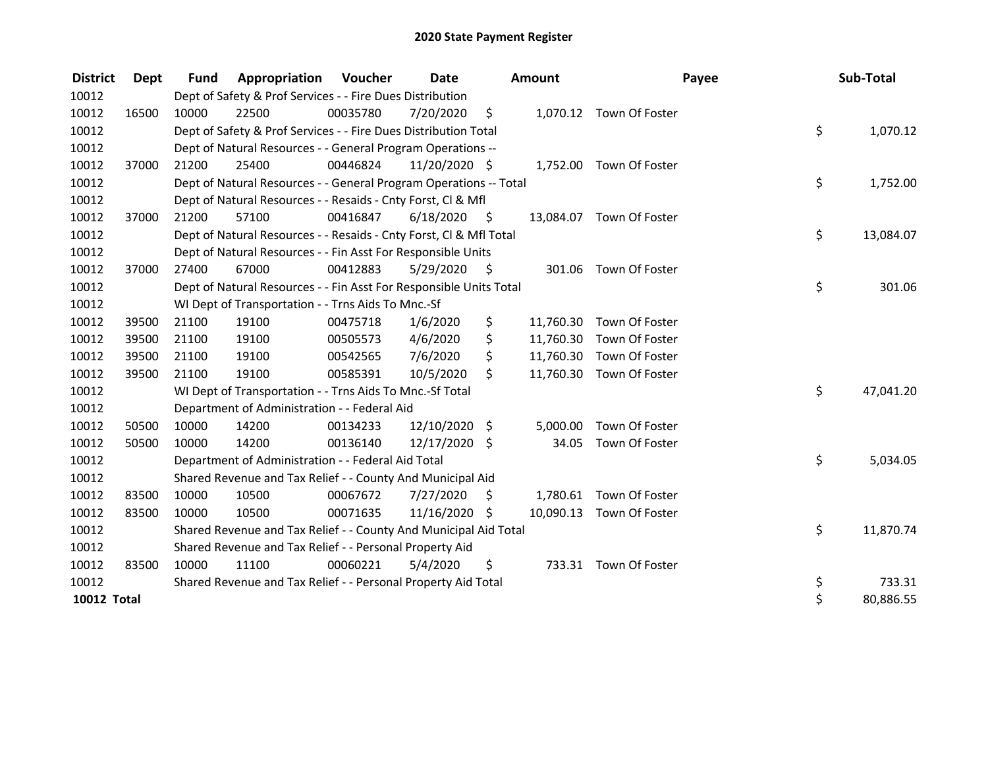| <b>District</b>    | Dept  | <b>Fund</b> | Appropriation                                                      | <b>Voucher</b> | Date            |      | <b>Amount</b> |                          | Payee | Sub-Total |
|--------------------|-------|-------------|--------------------------------------------------------------------|----------------|-----------------|------|---------------|--------------------------|-------|-----------|
| 10012              |       |             | Dept of Safety & Prof Services - - Fire Dues Distribution          |                |                 |      |               |                          |       |           |
| 10012              | 16500 | 10000       | 22500                                                              | 00035780       | 7/20/2020       | \$   |               | 1,070.12 Town Of Foster  |       |           |
| 10012              |       |             | Dept of Safety & Prof Services - - Fire Dues Distribution Total    |                |                 |      |               |                          | \$    | 1,070.12  |
| 10012              |       |             | Dept of Natural Resources - - General Program Operations --        |                |                 |      |               |                          |       |           |
| 10012              | 37000 | 21200       | 25400                                                              | 00446824       | 11/20/2020 \$   |      |               | 1,752.00 Town Of Foster  |       |           |
| 10012              |       |             | Dept of Natural Resources - - General Program Operations -- Total  |                |                 |      |               |                          | \$    | 1,752.00  |
| 10012              |       |             | Dept of Natural Resources - - Resaids - Cnty Forst, Cl & Mfl       |                |                 |      |               |                          |       |           |
| 10012              | 37000 | 21200       | 57100                                                              | 00416847       | 6/18/2020       | - \$ |               | 13,084.07 Town Of Foster |       |           |
| 10012              |       |             | Dept of Natural Resources - - Resaids - Cnty Forst, Cl & Mfl Total |                |                 |      |               |                          | \$    | 13,084.07 |
| 10012              |       |             | Dept of Natural Resources - - Fin Asst For Responsible Units       |                |                 |      |               |                          |       |           |
| 10012              | 37000 | 27400       | 67000                                                              | 00412883       | 5/29/2020       | - \$ |               | 301.06 Town Of Foster    |       |           |
| 10012              |       |             | Dept of Natural Resources - - Fin Asst For Responsible Units Total |                |                 |      |               |                          | \$    | 301.06    |
| 10012              |       |             | WI Dept of Transportation - - Trns Aids To Mnc.-Sf                 |                |                 |      |               |                          |       |           |
| 10012              | 39500 | 21100       | 19100                                                              | 00475718       | 1/6/2020        | \$   | 11,760.30     | Town Of Foster           |       |           |
| 10012              | 39500 | 21100       | 19100                                                              | 00505573       | 4/6/2020        | \$   | 11,760.30     | Town Of Foster           |       |           |
| 10012              | 39500 | 21100       | 19100                                                              | 00542565       | 7/6/2020        | \$   |               | 11,760.30 Town Of Foster |       |           |
| 10012              | 39500 | 21100       | 19100                                                              | 00585391       | 10/5/2020       | \$   | 11,760.30     | Town Of Foster           |       |           |
| 10012              |       |             | WI Dept of Transportation - - Trns Aids To Mnc.-Sf Total           |                |                 |      |               |                          | \$    | 47,041.20 |
| 10012              |       |             | Department of Administration - - Federal Aid                       |                |                 |      |               |                          |       |           |
| 10012              | 50500 | 10000       | 14200                                                              | 00134233       | 12/10/2020 \$   |      | 5,000.00      | Town Of Foster           |       |           |
| 10012              | 50500 | 10000       | 14200                                                              | 00136140       | 12/17/2020 \$   |      | 34.05         | Town Of Foster           |       |           |
| 10012              |       |             | Department of Administration - - Federal Aid Total                 |                |                 |      |               |                          | \$    | 5,034.05  |
| 10012              |       |             | Shared Revenue and Tax Relief - - County And Municipal Aid         |                |                 |      |               |                          |       |           |
| 10012              | 83500 | 10000       | 10500                                                              | 00067672       | 7/27/2020       | S    | 1,780.61      | Town Of Foster           |       |           |
| 10012              | 83500 | 10000       | 10500                                                              | 00071635       | $11/16/2020$ \$ |      |               | 10,090.13 Town Of Foster |       |           |
| 10012              |       |             | Shared Revenue and Tax Relief - - County And Municipal Aid Total   |                |                 |      |               |                          | \$    | 11,870.74 |
| 10012              |       |             | Shared Revenue and Tax Relief - - Personal Property Aid            |                |                 |      |               |                          |       |           |
| 10012              | 83500 | 10000       | 11100                                                              | 00060221       | 5/4/2020        | \$   |               | 733.31 Town Of Foster    |       |           |
| 10012              |       |             | Shared Revenue and Tax Relief - - Personal Property Aid Total      |                |                 |      |               |                          | \$    | 733.31    |
| <b>10012 Total</b> |       |             |                                                                    |                |                 |      |               |                          | \$    | 80,886.55 |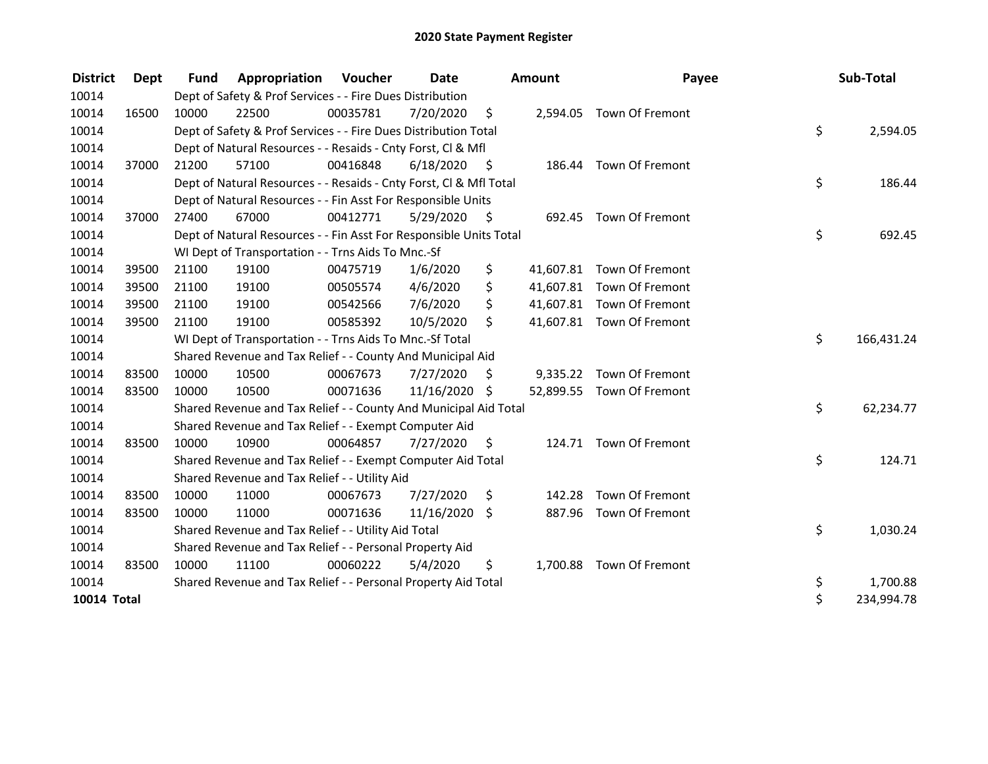| <b>District</b> | Dept  | <b>Fund</b> | Appropriation                                                      | <b>Voucher</b> | <b>Date</b>   |      | <b>Amount</b> | Payee                     | Sub-Total        |
|-----------------|-------|-------------|--------------------------------------------------------------------|----------------|---------------|------|---------------|---------------------------|------------------|
| 10014           |       |             | Dept of Safety & Prof Services - - Fire Dues Distribution          |                |               |      |               |                           |                  |
| 10014           | 16500 | 10000       | 22500                                                              | 00035781       | 7/20/2020     | \$   |               | 2,594.05 Town Of Fremont  |                  |
| 10014           |       |             | Dept of Safety & Prof Services - - Fire Dues Distribution Total    |                |               |      |               |                           | \$<br>2,594.05   |
| 10014           |       |             | Dept of Natural Resources - - Resaids - Cnty Forst, CI & Mfl       |                |               |      |               |                           |                  |
| 10014           | 37000 | 21200       | 57100                                                              | 00416848       | 6/18/2020     | - \$ |               | 186.44 Town Of Fremont    |                  |
| 10014           |       |             | Dept of Natural Resources - - Resaids - Cnty Forst, CI & Mfl Total |                |               |      |               |                           | \$<br>186.44     |
| 10014           |       |             | Dept of Natural Resources - - Fin Asst For Responsible Units       |                |               |      |               |                           |                  |
| 10014           | 37000 | 27400       | 67000                                                              | 00412771       | 5/29/2020     | - \$ | 692.45        | Town Of Fremont           |                  |
| 10014           |       |             | Dept of Natural Resources - - Fin Asst For Responsible Units Total |                |               |      |               |                           | \$<br>692.45     |
| 10014           |       |             | WI Dept of Transportation - - Trns Aids To Mnc.-Sf                 |                |               |      |               |                           |                  |
| 10014           | 39500 | 21100       | 19100                                                              | 00475719       | 1/6/2020      | \$   |               | 41,607.81 Town Of Fremont |                  |
| 10014           | 39500 | 21100       | 19100                                                              | 00505574       | 4/6/2020      | \$   |               | 41,607.81 Town Of Fremont |                  |
| 10014           | 39500 | 21100       | 19100                                                              | 00542566       | 7/6/2020      | \$   |               | 41,607.81 Town Of Fremont |                  |
| 10014           | 39500 | 21100       | 19100                                                              | 00585392       | 10/5/2020     | Ŝ.   |               | 41,607.81 Town Of Fremont |                  |
| 10014           |       |             | WI Dept of Transportation - - Trns Aids To Mnc.-Sf Total           |                |               |      |               |                           | \$<br>166,431.24 |
| 10014           |       |             | Shared Revenue and Tax Relief - - County And Municipal Aid         |                |               |      |               |                           |                  |
| 10014           | 83500 | 10000       | 10500                                                              | 00067673       | 7/27/2020     | S    |               | 9,335.22 Town Of Fremont  |                  |
| 10014           | 83500 | 10000       | 10500                                                              | 00071636       | 11/16/2020 \$ |      |               | 52,899.55 Town Of Fremont |                  |
| 10014           |       |             | Shared Revenue and Tax Relief - - County And Municipal Aid Total   |                |               |      |               |                           | \$<br>62,234.77  |
| 10014           |       |             | Shared Revenue and Tax Relief - - Exempt Computer Aid              |                |               |      |               |                           |                  |
| 10014           | 83500 | 10000       | 10900                                                              | 00064857       | 7/27/2020     | \$   |               | 124.71 Town Of Fremont    |                  |
| 10014           |       |             | Shared Revenue and Tax Relief - - Exempt Computer Aid Total        |                |               |      |               |                           | \$<br>124.71     |
| 10014           |       |             | Shared Revenue and Tax Relief - - Utility Aid                      |                |               |      |               |                           |                  |
| 10014           | 83500 | 10000       | 11000                                                              | 00067673       | 7/27/2020     | \$   | 142.28        | Town Of Fremont           |                  |
| 10014           | 83500 | 10000       | 11000                                                              | 00071636       | 11/16/2020 \$ |      | 887.96        | Town Of Fremont           |                  |
| 10014           |       |             | Shared Revenue and Tax Relief - - Utility Aid Total                |                |               |      |               |                           | \$<br>1,030.24   |
| 10014           |       |             | Shared Revenue and Tax Relief - - Personal Property Aid            |                |               |      |               |                           |                  |
| 10014           | 83500 | 10000       | 11100                                                              | 00060222       | 5/4/2020      | \$   |               | 1,700.88 Town Of Fremont  |                  |
| 10014           |       |             | Shared Revenue and Tax Relief - - Personal Property Aid Total      |                |               |      |               |                           | \$<br>1,700.88   |
| 10014 Total     |       |             |                                                                    |                |               |      |               |                           | \$<br>234,994.78 |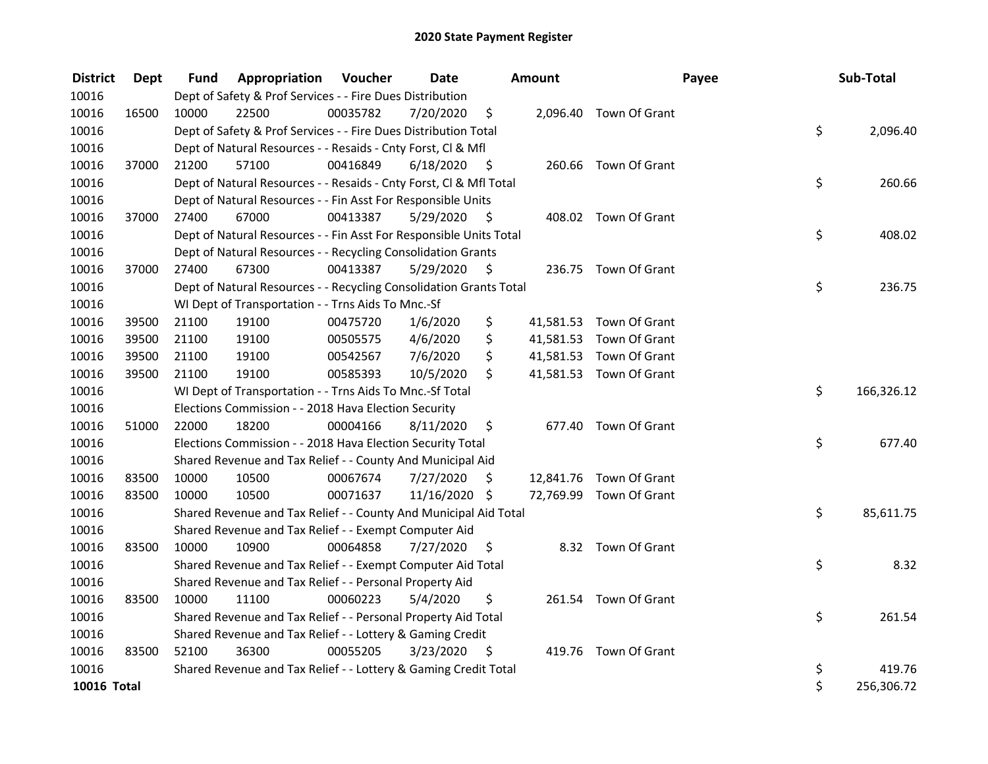| <b>District</b> | <b>Dept</b> | Fund  | Appropriation                                                      | Voucher  | <b>Date</b>   |      | <b>Amount</b> |                         | Payee | Sub-Total  |
|-----------------|-------------|-------|--------------------------------------------------------------------|----------|---------------|------|---------------|-------------------------|-------|------------|
| 10016           |             |       | Dept of Safety & Prof Services - - Fire Dues Distribution          |          |               |      |               |                         |       |            |
| 10016           | 16500       | 10000 | 22500                                                              | 00035782 | 7/20/2020     | \$   |               | 2,096.40 Town Of Grant  |       |            |
| 10016           |             |       | Dept of Safety & Prof Services - - Fire Dues Distribution Total    |          |               |      |               |                         | \$    | 2,096.40   |
| 10016           |             |       | Dept of Natural Resources - - Resaids - Cnty Forst, Cl & Mfl       |          |               |      |               |                         |       |            |
| 10016           | 37000       | 21200 | 57100                                                              | 00416849 | 6/18/2020     | - \$ |               | 260.66 Town Of Grant    |       |            |
| 10016           |             |       | Dept of Natural Resources - - Resaids - Cnty Forst, Cl & Mfl Total |          |               |      |               |                         | \$    | 260.66     |
| 10016           |             |       | Dept of Natural Resources - - Fin Asst For Responsible Units       |          |               |      |               |                         |       |            |
| 10016           | 37000       | 27400 | 67000                                                              | 00413387 | 5/29/2020     | - \$ |               | 408.02 Town Of Grant    |       |            |
| 10016           |             |       | Dept of Natural Resources - - Fin Asst For Responsible Units Total |          |               |      |               |                         | \$    | 408.02     |
| 10016           |             |       | Dept of Natural Resources - - Recycling Consolidation Grants       |          |               |      |               |                         |       |            |
| 10016           | 37000       | 27400 | 67300                                                              | 00413387 | 5/29/2020     | S.   |               | 236.75 Town Of Grant    |       |            |
| 10016           |             |       | Dept of Natural Resources - - Recycling Consolidation Grants Total |          |               |      |               |                         | \$    | 236.75     |
| 10016           |             |       | WI Dept of Transportation - - Trns Aids To Mnc.-Sf                 |          |               |      |               |                         |       |            |
| 10016           | 39500       | 21100 | 19100                                                              | 00475720 | 1/6/2020      | \$   |               | 41,581.53 Town Of Grant |       |            |
| 10016           | 39500       | 21100 | 19100                                                              | 00505575 | 4/6/2020      | \$   |               | 41,581.53 Town Of Grant |       |            |
| 10016           | 39500       | 21100 | 19100                                                              | 00542567 | 7/6/2020      | \$   |               | 41,581.53 Town Of Grant |       |            |
| 10016           | 39500       | 21100 | 19100                                                              | 00585393 | 10/5/2020     | \$   |               | 41,581.53 Town Of Grant |       |            |
| 10016           |             |       | WI Dept of Transportation - - Trns Aids To Mnc.-Sf Total           |          |               |      |               |                         | \$    | 166,326.12 |
| 10016           |             |       | Elections Commission - - 2018 Hava Election Security               |          |               |      |               |                         |       |            |
| 10016           | 51000       | 22000 | 18200                                                              | 00004166 | 8/11/2020     | \$   |               | 677.40 Town Of Grant    |       |            |
| 10016           |             |       | Elections Commission - - 2018 Hava Election Security Total         |          |               |      |               |                         | \$    | 677.40     |
| 10016           |             |       | Shared Revenue and Tax Relief - - County And Municipal Aid         |          |               |      |               |                         |       |            |
| 10016           | 83500       | 10000 | 10500                                                              | 00067674 | 7/27/2020     | \$   |               | 12,841.76 Town Of Grant |       |            |
| 10016           | 83500       | 10000 | 10500                                                              | 00071637 | 11/16/2020 \$ |      |               | 72,769.99 Town Of Grant |       |            |
| 10016           |             |       | Shared Revenue and Tax Relief - - County And Municipal Aid Total   |          |               |      |               |                         | \$    | 85,611.75  |
| 10016           |             |       | Shared Revenue and Tax Relief - - Exempt Computer Aid              |          |               |      |               |                         |       |            |
| 10016           | 83500       | 10000 | 10900                                                              | 00064858 | 7/27/2020     | \$   |               | 8.32 Town Of Grant      |       |            |
| 10016           |             |       | Shared Revenue and Tax Relief - - Exempt Computer Aid Total        |          |               |      |               |                         | \$    | 8.32       |
| 10016           |             |       | Shared Revenue and Tax Relief - - Personal Property Aid            |          |               |      |               |                         |       |            |
| 10016           | 83500       | 10000 | 11100                                                              | 00060223 | 5/4/2020      | \$   |               | 261.54 Town Of Grant    |       |            |
| 10016           |             |       | Shared Revenue and Tax Relief - - Personal Property Aid Total      |          |               |      |               |                         | \$    | 261.54     |
| 10016           |             |       | Shared Revenue and Tax Relief - - Lottery & Gaming Credit          |          |               |      |               |                         |       |            |
| 10016           | 83500       | 52100 | 36300                                                              | 00055205 | 3/23/2020     | - \$ |               | 419.76 Town Of Grant    |       |            |
| 10016           |             |       | Shared Revenue and Tax Relief - - Lottery & Gaming Credit Total    |          |               |      |               |                         | \$    | 419.76     |
| 10016 Total     |             |       |                                                                    |          |               |      |               |                         | \$    | 256,306.72 |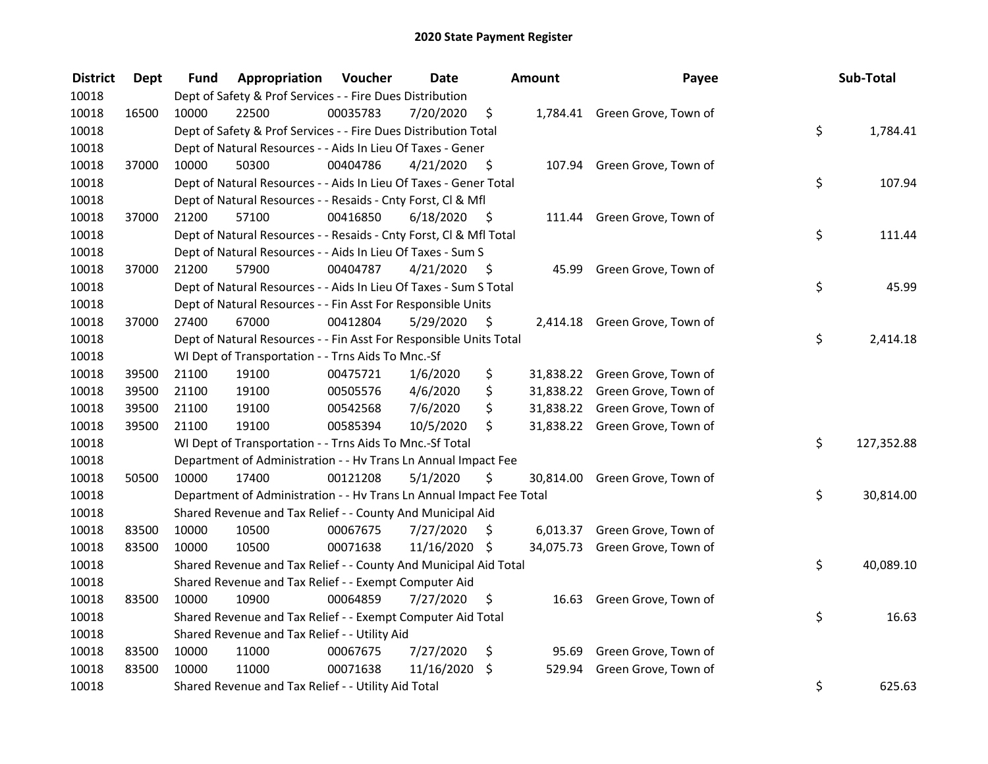| <b>District</b> | <b>Dept</b> | Fund  | Appropriation                                                        | Voucher  | <b>Date</b>   |      | Amount | Payee                          | Sub-Total        |
|-----------------|-------------|-------|----------------------------------------------------------------------|----------|---------------|------|--------|--------------------------------|------------------|
| 10018           |             |       | Dept of Safety & Prof Services - - Fire Dues Distribution            |          |               |      |        |                                |                  |
| 10018           | 16500       | 10000 | 22500                                                                | 00035783 | 7/20/2020     | \$   |        | 1,784.41 Green Grove, Town of  |                  |
| 10018           |             |       | Dept of Safety & Prof Services - - Fire Dues Distribution Total      |          |               |      |        |                                | \$<br>1,784.41   |
| 10018           |             |       | Dept of Natural Resources - - Aids In Lieu Of Taxes - Gener          |          |               |      |        |                                |                  |
| 10018           | 37000       | 10000 | 50300                                                                | 00404786 | 4/21/2020     | - \$ |        | 107.94 Green Grove, Town of    |                  |
| 10018           |             |       | Dept of Natural Resources - - Aids In Lieu Of Taxes - Gener Total    |          |               |      |        |                                | \$<br>107.94     |
| 10018           |             |       | Dept of Natural Resources - - Resaids - Cnty Forst, Cl & Mfl         |          |               |      |        |                                |                  |
| 10018           | 37000       | 21200 | 57100                                                                | 00416850 | 6/18/2020     | - \$ |        | 111.44 Green Grove, Town of    |                  |
| 10018           |             |       | Dept of Natural Resources - - Resaids - Cnty Forst, Cl & Mfl Total   |          |               |      |        |                                | \$<br>111.44     |
| 10018           |             |       | Dept of Natural Resources - - Aids In Lieu Of Taxes - Sum S          |          |               |      |        |                                |                  |
| 10018           | 37000       | 21200 | 57900                                                                | 00404787 | 4/21/2020     | - \$ | 45.99  | Green Grove, Town of           |                  |
| 10018           |             |       | Dept of Natural Resources - - Aids In Lieu Of Taxes - Sum S Total    |          |               |      |        |                                | \$<br>45.99      |
| 10018           |             |       | Dept of Natural Resources - - Fin Asst For Responsible Units         |          |               |      |        |                                |                  |
| 10018           | 37000       | 27400 | 67000                                                                | 00412804 | 5/29/2020     | \$   |        | 2,414.18 Green Grove, Town of  |                  |
| 10018           |             |       | Dept of Natural Resources - - Fin Asst For Responsible Units Total   |          |               |      |        |                                | \$<br>2,414.18   |
| 10018           |             |       | WI Dept of Transportation - - Trns Aids To Mnc.-Sf                   |          |               |      |        |                                |                  |
| 10018           | 39500       | 21100 | 19100                                                                | 00475721 | 1/6/2020      | \$   |        | 31,838.22 Green Grove, Town of |                  |
| 10018           | 39500       | 21100 | 19100                                                                | 00505576 | 4/6/2020      | \$   |        | 31,838.22 Green Grove, Town of |                  |
| 10018           | 39500       | 21100 | 19100                                                                | 00542568 | 7/6/2020      | \$   |        | 31,838.22 Green Grove, Town of |                  |
| 10018           | 39500       | 21100 | 19100                                                                | 00585394 | 10/5/2020     | \$   |        | 31,838.22 Green Grove, Town of |                  |
| 10018           |             |       | WI Dept of Transportation - - Trns Aids To Mnc.-Sf Total             |          |               |      |        |                                | \$<br>127,352.88 |
| 10018           |             |       | Department of Administration - - Hv Trans Ln Annual Impact Fee       |          |               |      |        |                                |                  |
| 10018           | 50500       | 10000 | 17400                                                                | 00121208 | 5/1/2020      | \$   |        | 30,814.00 Green Grove, Town of |                  |
| 10018           |             |       | Department of Administration - - Hv Trans Ln Annual Impact Fee Total |          |               |      |        |                                | \$<br>30,814.00  |
| 10018           |             |       | Shared Revenue and Tax Relief - - County And Municipal Aid           |          |               |      |        |                                |                  |
| 10018           | 83500       | 10000 | 10500                                                                | 00067675 | 7/27/2020     | S.   |        | 6,013.37 Green Grove, Town of  |                  |
| 10018           | 83500       | 10000 | 10500                                                                | 00071638 | 11/16/2020 \$ |      |        | 34,075.73 Green Grove, Town of |                  |
| 10018           |             |       | Shared Revenue and Tax Relief - - County And Municipal Aid Total     |          |               |      |        |                                | \$<br>40,089.10  |
| 10018           |             |       | Shared Revenue and Tax Relief - - Exempt Computer Aid                |          |               |      |        |                                |                  |
| 10018           | 83500       | 10000 | 10900                                                                | 00064859 | 7/27/2020     | \$   | 16.63  | Green Grove, Town of           |                  |
| 10018           |             |       | Shared Revenue and Tax Relief - - Exempt Computer Aid Total          |          |               |      |        |                                | \$<br>16.63      |
| 10018           |             |       | Shared Revenue and Tax Relief - - Utility Aid                        |          |               |      |        |                                |                  |
| 10018           | 83500       | 10000 | 11000                                                                | 00067675 | 7/27/2020     | \$   |        | 95.69 Green Grove, Town of     |                  |
| 10018           | 83500       | 10000 | 11000                                                                | 00071638 | 11/16/2020    | \$   | 529.94 | Green Grove, Town of           |                  |
| 10018           |             |       | Shared Revenue and Tax Relief - - Utility Aid Total                  |          |               |      |        |                                | \$<br>625.63     |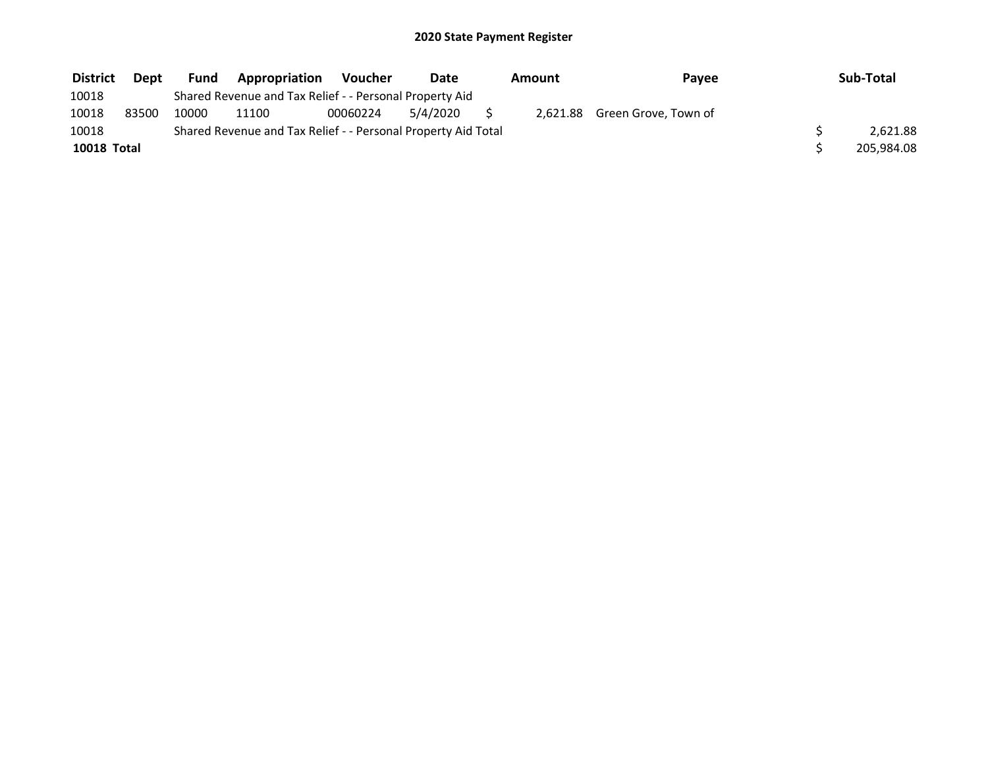| <b>District</b>    | Dept  | <b>Fund</b> | Appropriation                                                 | Voucher  | Date     | Amount | Payee                         | Sub-Total  |
|--------------------|-------|-------------|---------------------------------------------------------------|----------|----------|--------|-------------------------------|------------|
| 10018              |       |             | Shared Revenue and Tax Relief - - Personal Property Aid       |          |          |        |                               |            |
| 10018              | 83500 | 10000       | 11100                                                         | 00060224 | 5/4/2020 |        | 2,621.88 Green Grove, Town of |            |
| 10018              |       |             | Shared Revenue and Tax Relief - - Personal Property Aid Total |          |          |        |                               | 2.621.88   |
| <b>10018 Total</b> |       |             |                                                               |          |          |        |                               | 205,984.08 |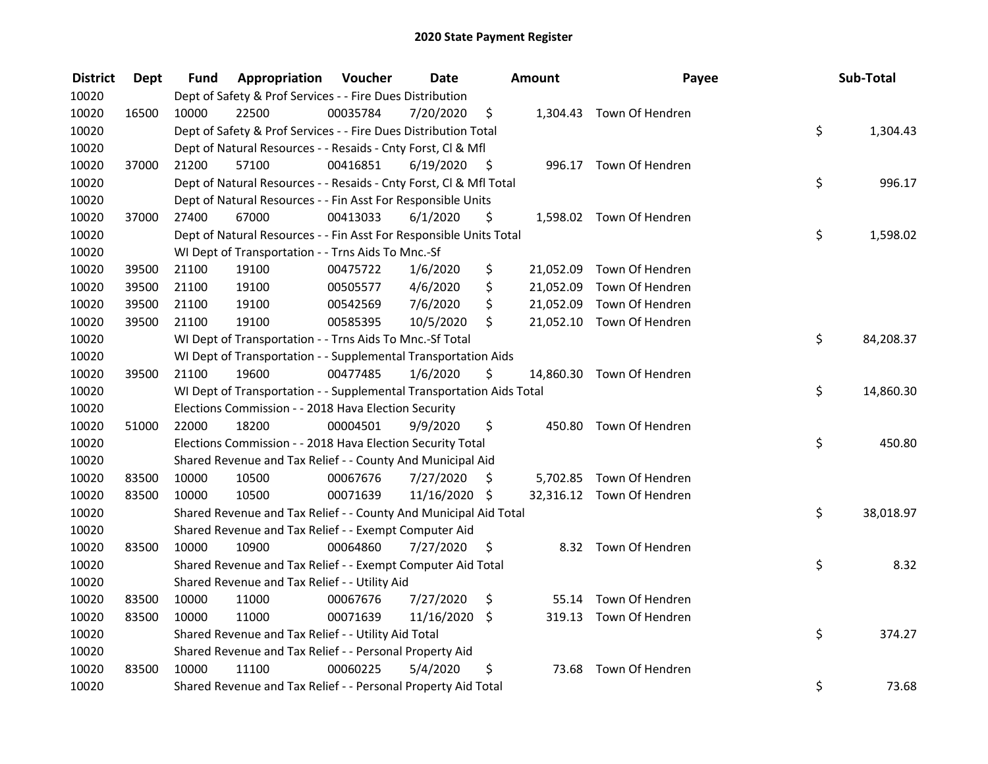| <b>District</b> | Dept  | Fund  | Appropriation                                                        | Voucher  | <b>Date</b>   |      | Amount    | Payee                     | Sub-Total       |
|-----------------|-------|-------|----------------------------------------------------------------------|----------|---------------|------|-----------|---------------------------|-----------------|
| 10020           |       |       | Dept of Safety & Prof Services - - Fire Dues Distribution            |          |               |      |           |                           |                 |
| 10020           | 16500 | 10000 | 22500                                                                | 00035784 | 7/20/2020     | \$   |           | 1,304.43 Town Of Hendren  |                 |
| 10020           |       |       | Dept of Safety & Prof Services - - Fire Dues Distribution Total      |          |               |      |           |                           | \$<br>1,304.43  |
| 10020           |       |       | Dept of Natural Resources - - Resaids - Cnty Forst, Cl & Mfl         |          |               |      |           |                           |                 |
| 10020           | 37000 | 21200 | 57100                                                                | 00416851 | 6/19/2020     | - \$ |           | 996.17 Town Of Hendren    |                 |
| 10020           |       |       | Dept of Natural Resources - - Resaids - Cnty Forst, Cl & Mfl Total   |          |               |      |           |                           | \$<br>996.17    |
| 10020           |       |       | Dept of Natural Resources - - Fin Asst For Responsible Units         |          |               |      |           |                           |                 |
| 10020           | 37000 | 27400 | 67000                                                                | 00413033 | 6/1/2020      | \$   |           | 1,598.02 Town Of Hendren  |                 |
| 10020           |       |       | Dept of Natural Resources - - Fin Asst For Responsible Units Total   |          |               |      |           |                           | \$<br>1,598.02  |
| 10020           |       |       | WI Dept of Transportation - - Trns Aids To Mnc.-Sf                   |          |               |      |           |                           |                 |
| 10020           | 39500 | 21100 | 19100                                                                | 00475722 | 1/6/2020      | \$   | 21,052.09 | Town Of Hendren           |                 |
| 10020           | 39500 | 21100 | 19100                                                                | 00505577 | 4/6/2020      | \$   | 21,052.09 | Town Of Hendren           |                 |
| 10020           | 39500 | 21100 | 19100                                                                | 00542569 | 7/6/2020      | \$   | 21,052.09 | Town Of Hendren           |                 |
| 10020           | 39500 | 21100 | 19100                                                                | 00585395 | 10/5/2020     | \$   |           | 21,052.10 Town Of Hendren |                 |
| 10020           |       |       | WI Dept of Transportation - - Trns Aids To Mnc.-Sf Total             |          |               |      |           |                           | \$<br>84,208.37 |
| 10020           |       |       | WI Dept of Transportation - - Supplemental Transportation Aids       |          |               |      |           |                           |                 |
| 10020           | 39500 | 21100 | 19600                                                                | 00477485 | 1/6/2020      | \$   |           | 14,860.30 Town Of Hendren |                 |
| 10020           |       |       | WI Dept of Transportation - - Supplemental Transportation Aids Total |          |               |      |           |                           | \$<br>14,860.30 |
| 10020           |       |       | Elections Commission - - 2018 Hava Election Security                 |          |               |      |           |                           |                 |
| 10020           | 51000 | 22000 | 18200                                                                | 00004501 | 9/9/2020      | \$   | 450.80    | Town Of Hendren           |                 |
| 10020           |       |       | Elections Commission - - 2018 Hava Election Security Total           |          |               |      |           |                           | \$<br>450.80    |
| 10020           |       |       | Shared Revenue and Tax Relief - - County And Municipal Aid           |          |               |      |           |                           |                 |
| 10020           | 83500 | 10000 | 10500                                                                | 00067676 | 7/27/2020     | S    |           | 5,702.85 Town Of Hendren  |                 |
| 10020           | 83500 | 10000 | 10500                                                                | 00071639 | 11/16/2020 \$ |      |           | 32,316.12 Town Of Hendren |                 |
| 10020           |       |       | Shared Revenue and Tax Relief - - County And Municipal Aid Total     |          |               |      |           |                           | \$<br>38,018.97 |
| 10020           |       |       | Shared Revenue and Tax Relief - - Exempt Computer Aid                |          |               |      |           |                           |                 |
| 10020           | 83500 | 10000 | 10900                                                                | 00064860 | 7/27/2020     | \$   |           | 8.32 Town Of Hendren      |                 |
| 10020           |       |       | Shared Revenue and Tax Relief - - Exempt Computer Aid Total          |          |               |      |           |                           | \$<br>8.32      |
| 10020           |       |       | Shared Revenue and Tax Relief - - Utility Aid                        |          |               |      |           |                           |                 |
| 10020           | 83500 | 10000 | 11000                                                                | 00067676 | 7/27/2020     | \$   | 55.14     | Town Of Hendren           |                 |
| 10020           | 83500 | 10000 | 11000                                                                | 00071639 | 11/16/2020    | \$   |           | 319.13 Town Of Hendren    |                 |
| 10020           |       |       | Shared Revenue and Tax Relief - - Utility Aid Total                  |          |               |      |           |                           | \$<br>374.27    |
| 10020           |       |       | Shared Revenue and Tax Relief - - Personal Property Aid              |          |               |      |           |                           |                 |
| 10020           | 83500 | 10000 | 11100                                                                | 00060225 | 5/4/2020      | \$   | 73.68     | Town Of Hendren           |                 |
| 10020           |       |       | Shared Revenue and Tax Relief - - Personal Property Aid Total        |          |               |      |           |                           | \$<br>73.68     |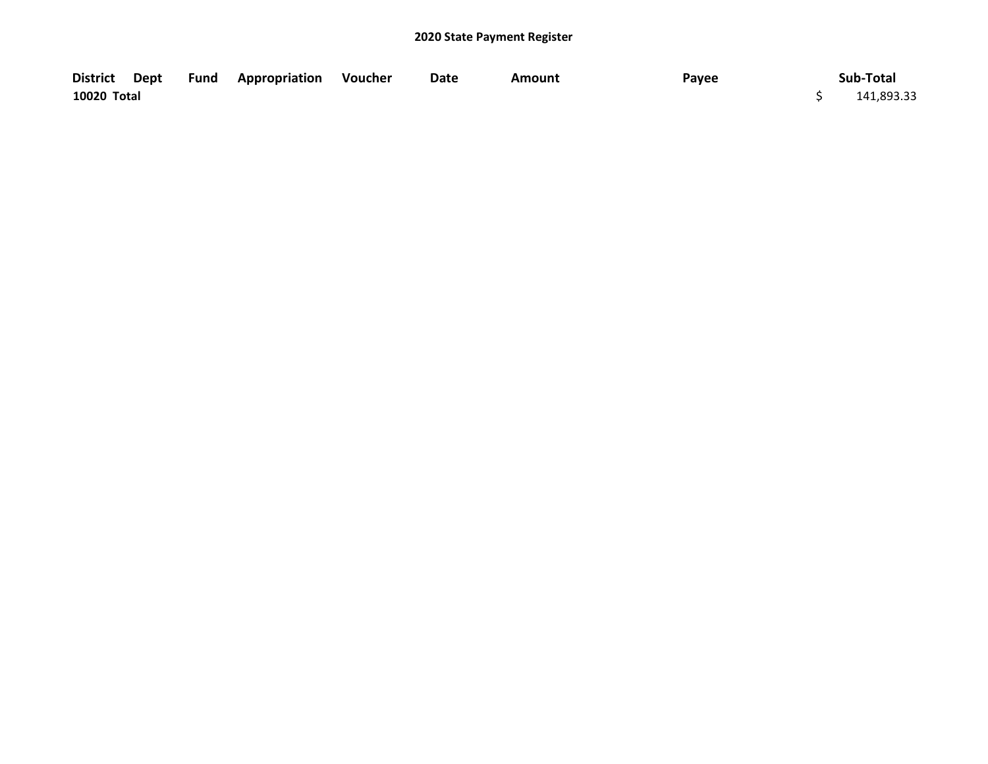|             |  | District Dept Fund Appropriation Voucher | Date | Amount | Payee | Sub-Total  |
|-------------|--|------------------------------------------|------|--------|-------|------------|
| 10020 Total |  |                                          |      |        |       | 141,893.33 |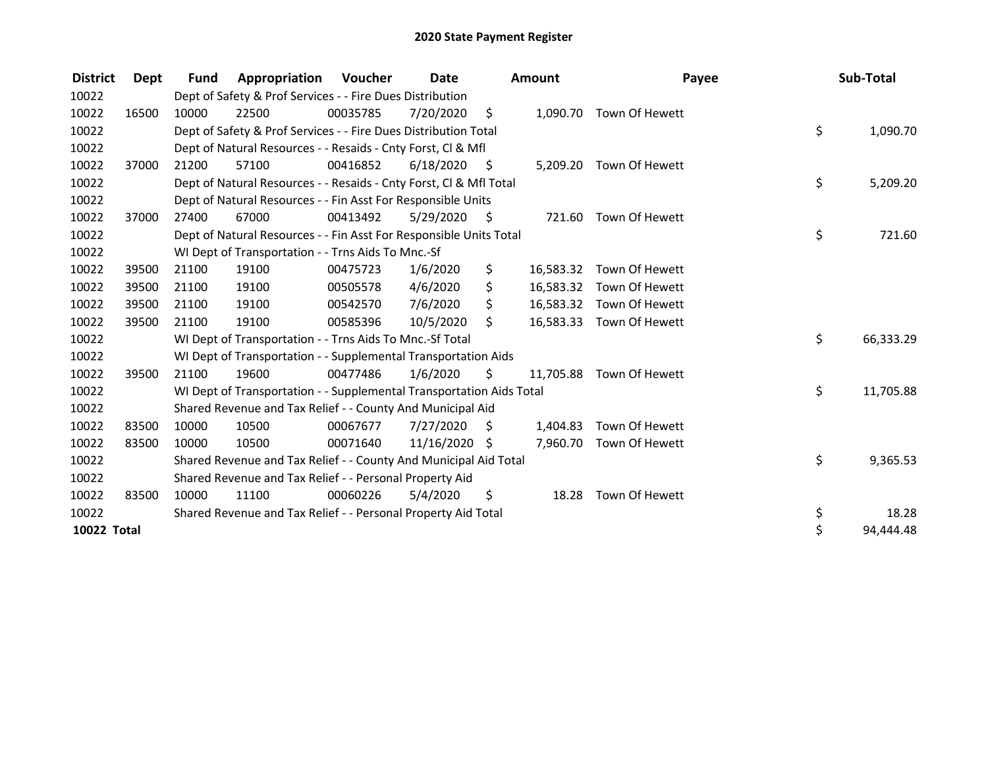| <b>District</b>    | Dept  | <b>Fund</b> | Appropriation                                                        | <b>Voucher</b> | <b>Date</b>   |      | <b>Amount</b> | Payee                    | Sub-Total       |
|--------------------|-------|-------------|----------------------------------------------------------------------|----------------|---------------|------|---------------|--------------------------|-----------------|
| 10022              |       |             | Dept of Safety & Prof Services - - Fire Dues Distribution            |                |               |      |               |                          |                 |
| 10022              | 16500 | 10000       | 22500                                                                | 00035785       | 7/20/2020     | \$   |               | 1,090.70 Town Of Hewett  |                 |
| 10022              |       |             | Dept of Safety & Prof Services - - Fire Dues Distribution Total      |                |               |      |               |                          | \$<br>1,090.70  |
| 10022              |       |             | Dept of Natural Resources - - Resaids - Cnty Forst, CI & Mfl         |                |               |      |               |                          |                 |
| 10022              | 37000 | 21200       | 57100                                                                | 00416852       | 6/18/2020     | - \$ |               | 5,209.20 Town Of Hewett  |                 |
| 10022              |       |             | Dept of Natural Resources - - Resaids - Cnty Forst, CI & Mfl Total   |                |               |      |               |                          | \$<br>5,209.20  |
| 10022              |       |             | Dept of Natural Resources - - Fin Asst For Responsible Units         |                |               |      |               |                          |                 |
| 10022              | 37000 | 27400       | 67000                                                                | 00413492       | 5/29/2020     | - \$ | 721.60        | Town Of Hewett           |                 |
| 10022              |       |             | Dept of Natural Resources - - Fin Asst For Responsible Units Total   |                |               |      |               |                          | \$<br>721.60    |
| 10022              |       |             | WI Dept of Transportation - - Trns Aids To Mnc.-Sf                   |                |               |      |               |                          |                 |
| 10022              | 39500 | 21100       | 19100                                                                | 00475723       | 1/6/2020      | \$   | 16,583.32     | Town Of Hewett           |                 |
| 10022              | 39500 | 21100       | 19100                                                                | 00505578       | 4/6/2020      | \$   |               | 16,583.32 Town Of Hewett |                 |
| 10022              | 39500 | 21100       | 19100                                                                | 00542570       | 7/6/2020      | \$   |               | 16,583.32 Town Of Hewett |                 |
| 10022              | 39500 | 21100       | 19100                                                                | 00585396       | 10/5/2020     | Ŝ.   | 16,583.33     | Town Of Hewett           |                 |
| 10022              |       |             | WI Dept of Transportation - - Trns Aids To Mnc.-Sf Total             |                |               |      |               |                          | \$<br>66,333.29 |
| 10022              |       |             | WI Dept of Transportation - - Supplemental Transportation Aids       |                |               |      |               |                          |                 |
| 10022              | 39500 | 21100       | 19600                                                                | 00477486       | 1/6/2020      | \$   |               | 11,705.88 Town Of Hewett |                 |
| 10022              |       |             | WI Dept of Transportation - - Supplemental Transportation Aids Total |                |               |      |               |                          | \$<br>11,705.88 |
| 10022              |       |             | Shared Revenue and Tax Relief - - County And Municipal Aid           |                |               |      |               |                          |                 |
| 10022              | 83500 | 10000       | 10500                                                                | 00067677       | 7/27/2020     | \$   | 1,404.83      | Town Of Hewett           |                 |
| 10022              | 83500 | 10000       | 10500                                                                | 00071640       | 11/16/2020 \$ |      |               | 7,960.70 Town Of Hewett  |                 |
| 10022              |       |             | Shared Revenue and Tax Relief - - County And Municipal Aid Total     |                |               |      |               |                          | \$<br>9,365.53  |
| 10022              |       |             | Shared Revenue and Tax Relief - - Personal Property Aid              |                |               |      |               |                          |                 |
| 10022              | 83500 | 10000       | 11100                                                                | 00060226       | 5/4/2020      | \$   | 18.28         | Town Of Hewett           |                 |
| 10022              |       |             | Shared Revenue and Tax Relief - - Personal Property Aid Total        |                |               |      |               |                          | \$<br>18.28     |
| <b>10022 Total</b> |       |             |                                                                      |                |               |      |               |                          | \$<br>94,444.48 |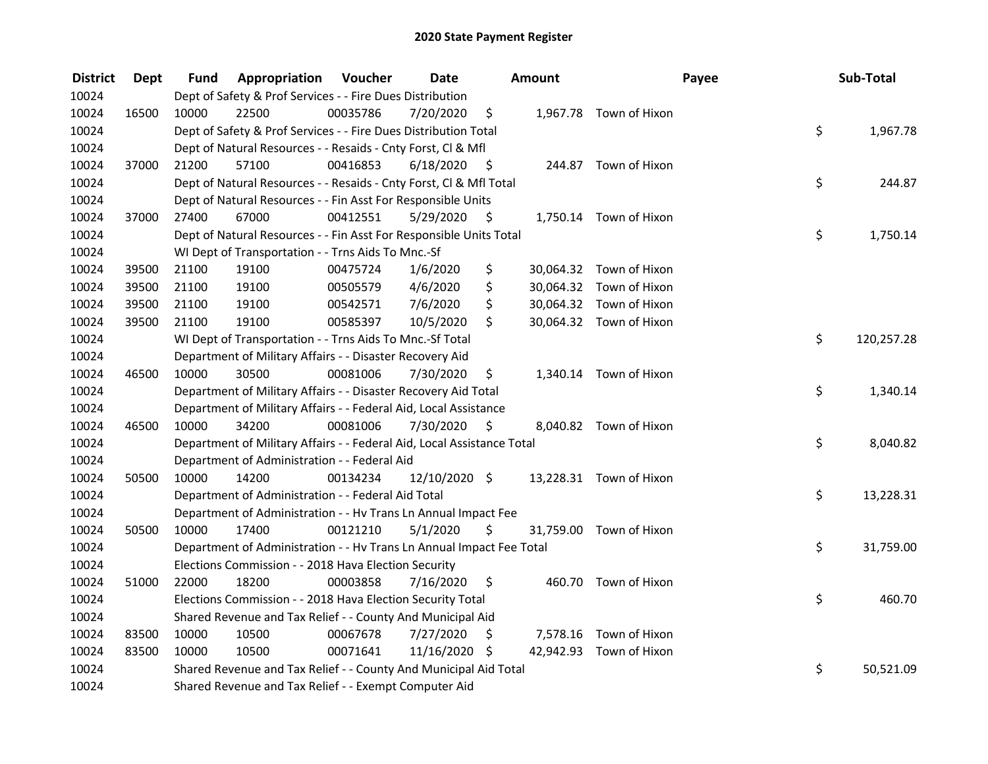| <b>District</b> | <b>Dept</b> | Fund  | <b>Appropriation Voucher</b>                                           |          | <b>Date</b>     |      | Amount |                         | Payee | Sub-Total  |
|-----------------|-------------|-------|------------------------------------------------------------------------|----------|-----------------|------|--------|-------------------------|-------|------------|
| 10024           |             |       | Dept of Safety & Prof Services - - Fire Dues Distribution              |          |                 |      |        |                         |       |            |
| 10024           | 16500       | 10000 | 22500                                                                  | 00035786 | 7/20/2020       | \$   |        | 1,967.78 Town of Hixon  |       |            |
| 10024           |             |       | Dept of Safety & Prof Services - - Fire Dues Distribution Total        |          |                 |      |        |                         | \$    | 1,967.78   |
| 10024           |             |       | Dept of Natural Resources - - Resaids - Cnty Forst, Cl & Mfl           |          |                 |      |        |                         |       |            |
| 10024           | 37000       | 21200 | 57100                                                                  | 00416853 | 6/18/2020       | - \$ |        | 244.87 Town of Hixon    |       |            |
| 10024           |             |       | Dept of Natural Resources - - Resaids - Cnty Forst, CI & Mfl Total     |          |                 |      |        |                         | \$    | 244.87     |
| 10024           |             |       | Dept of Natural Resources - - Fin Asst For Responsible Units           |          |                 |      |        |                         |       |            |
| 10024           | 37000       | 27400 | 67000                                                                  | 00412551 | 5/29/2020       | - \$ |        | 1,750.14 Town of Hixon  |       |            |
| 10024           |             |       | Dept of Natural Resources - - Fin Asst For Responsible Units Total     |          |                 |      |        |                         | \$    | 1,750.14   |
| 10024           |             |       | WI Dept of Transportation - - Trns Aids To Mnc.-Sf                     |          |                 |      |        |                         |       |            |
| 10024           | 39500       | 21100 | 19100                                                                  | 00475724 | 1/6/2020        | \$   |        | 30,064.32 Town of Hixon |       |            |
| 10024           | 39500       | 21100 | 19100                                                                  | 00505579 | 4/6/2020        | \$   |        | 30,064.32 Town of Hixon |       |            |
| 10024           | 39500       | 21100 | 19100                                                                  | 00542571 | 7/6/2020        | \$   |        | 30,064.32 Town of Hixon |       |            |
| 10024           | 39500       | 21100 | 19100                                                                  | 00585397 | 10/5/2020       | \$   |        | 30,064.32 Town of Hixon |       |            |
| 10024           |             |       | WI Dept of Transportation - - Trns Aids To Mnc.-Sf Total               |          |                 |      |        |                         | \$    | 120,257.28 |
| 10024           |             |       | Department of Military Affairs - - Disaster Recovery Aid               |          |                 |      |        |                         |       |            |
| 10024           | 46500       | 10000 | 30500                                                                  | 00081006 | 7/30/2020       | \$   |        | 1,340.14 Town of Hixon  |       |            |
| 10024           |             |       | Department of Military Affairs - - Disaster Recovery Aid Total         |          |                 |      |        |                         | \$    | 1,340.14   |
| 10024           |             |       | Department of Military Affairs - - Federal Aid, Local Assistance       |          |                 |      |        |                         |       |            |
| 10024           | 46500       | 10000 | 34200                                                                  | 00081006 | 7/30/2020       | - \$ |        | 8,040.82 Town of Hixon  |       |            |
| 10024           |             |       | Department of Military Affairs - - Federal Aid, Local Assistance Total |          |                 |      |        |                         | \$    | 8,040.82   |
| 10024           |             |       | Department of Administration - - Federal Aid                           |          |                 |      |        |                         |       |            |
| 10024           | 50500       | 10000 | 14200                                                                  | 00134234 | $12/10/2020$ \$ |      |        | 13,228.31 Town of Hixon |       |            |
| 10024           |             |       | Department of Administration - - Federal Aid Total                     |          |                 |      |        |                         | \$    | 13,228.31  |
| 10024           |             |       | Department of Administration - - Hv Trans Ln Annual Impact Fee         |          |                 |      |        |                         |       |            |
| 10024           | 50500       | 10000 | 17400                                                                  | 00121210 | 5/1/2020        | \$   |        | 31,759.00 Town of Hixon |       |            |
| 10024           |             |       | Department of Administration - - Hv Trans Ln Annual Impact Fee Total   |          |                 |      |        |                         | \$    | 31,759.00  |
| 10024           |             |       | Elections Commission - - 2018 Hava Election Security                   |          |                 |      |        |                         |       |            |
| 10024           | 51000       | 22000 | 18200                                                                  | 00003858 | 7/16/2020       | \$   |        | 460.70 Town of Hixon    |       |            |
| 10024           |             |       | Elections Commission - - 2018 Hava Election Security Total             |          |                 |      |        |                         | \$    | 460.70     |
| 10024           |             |       | Shared Revenue and Tax Relief - - County And Municipal Aid             |          |                 |      |        |                         |       |            |
| 10024           | 83500       | 10000 | 10500                                                                  | 00067678 | 7/27/2020       | \$   |        | 7,578.16 Town of Hixon  |       |            |
| 10024           | 83500       | 10000 | 10500                                                                  | 00071641 | 11/16/2020 \$   |      |        | 42,942.93 Town of Hixon |       |            |
| 10024           |             |       | Shared Revenue and Tax Relief - - County And Municipal Aid Total       |          |                 |      |        |                         | \$    | 50,521.09  |
| 10024           |             |       | Shared Revenue and Tax Relief - - Exempt Computer Aid                  |          |                 |      |        |                         |       |            |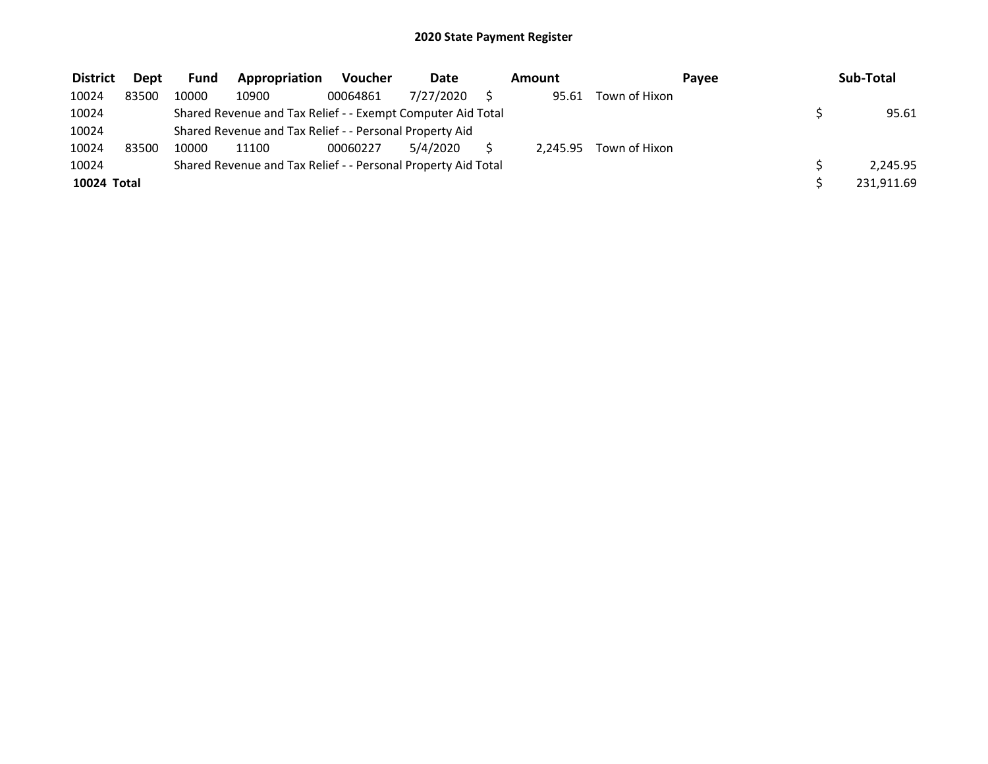| <b>District</b> | <b>Dept</b> | <b>Fund</b> | Appropriation                                                 | <b>Voucher</b> | Date      | Amount   |               | <b>Pavee</b> | Sub-Total  |
|-----------------|-------------|-------------|---------------------------------------------------------------|----------------|-----------|----------|---------------|--------------|------------|
| 10024           | 83500       | 10000       | 10900                                                         | 00064861       | 7/27/2020 | 95.61    | Town of Hixon |              |            |
| 10024           |             |             | Shared Revenue and Tax Relief - - Exempt Computer Aid Total   |                |           |          |               |              | 95.61      |
| 10024           |             |             | Shared Revenue and Tax Relief - - Personal Property Aid       |                |           |          |               |              |            |
| 10024           | 83500       | 10000       | 11100                                                         | 00060227       | 5/4/2020  | 2.245.95 | Town of Hixon |              |            |
| 10024           |             |             | Shared Revenue and Tax Relief - - Personal Property Aid Total |                |           |          |               |              | 2.245.95   |
| 10024 Total     |             |             |                                                               |                |           |          |               |              | 231.911.69 |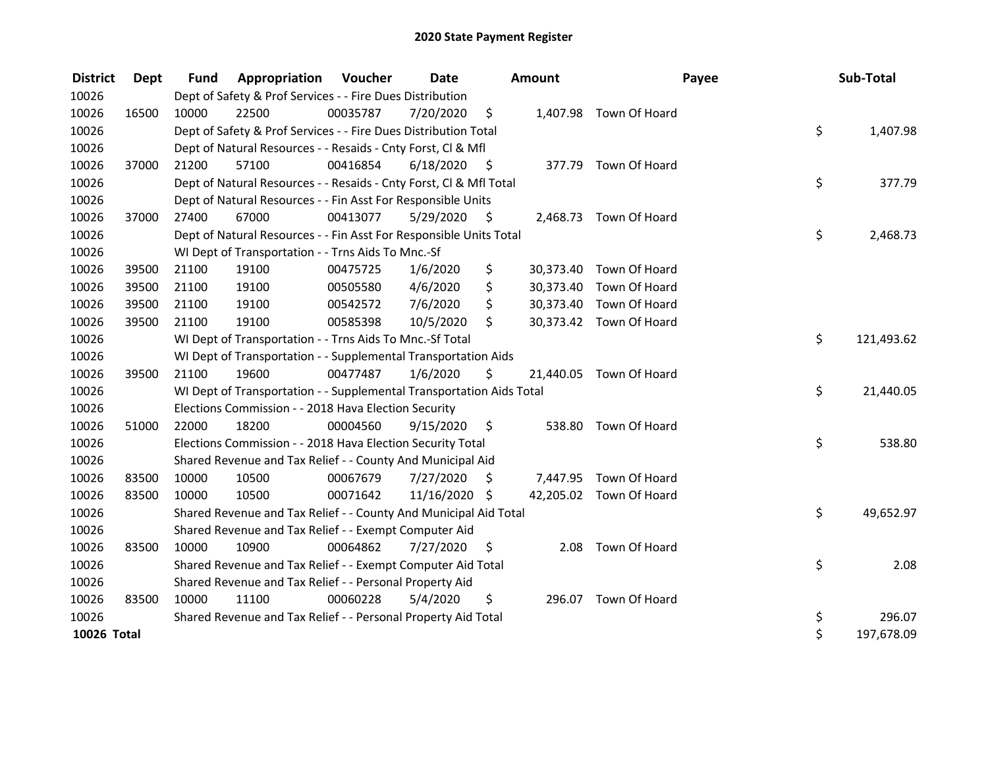| <b>District</b> | <b>Dept</b> | <b>Fund</b> | Appropriation                                                        | <b>Voucher</b> | <b>Date</b>   |      | <b>Amount</b> |                         | Payee | Sub-Total  |
|-----------------|-------------|-------------|----------------------------------------------------------------------|----------------|---------------|------|---------------|-------------------------|-------|------------|
| 10026           |             |             | Dept of Safety & Prof Services - - Fire Dues Distribution            |                |               |      |               |                         |       |            |
| 10026           | 16500       | 10000       | 22500                                                                | 00035787       | 7/20/2020     | \$   |               | 1,407.98 Town Of Hoard  |       |            |
| 10026           |             |             | Dept of Safety & Prof Services - - Fire Dues Distribution Total      |                |               |      |               |                         | \$    | 1,407.98   |
| 10026           |             |             | Dept of Natural Resources - - Resaids - Cnty Forst, Cl & Mfl         |                |               |      |               |                         |       |            |
| 10026           | 37000       | 21200       | 57100                                                                | 00416854       | 6/18/2020     | - \$ |               | 377.79 Town Of Hoard    |       |            |
| 10026           |             |             | Dept of Natural Resources - - Resaids - Cnty Forst, Cl & Mfl Total   |                |               |      |               |                         | \$    | 377.79     |
| 10026           |             |             | Dept of Natural Resources - - Fin Asst For Responsible Units         |                |               |      |               |                         |       |            |
| 10026           | 37000       | 27400       | 67000                                                                | 00413077       | 5/29/2020     | \$   |               | 2,468.73 Town Of Hoard  |       |            |
| 10026           |             |             | Dept of Natural Resources - - Fin Asst For Responsible Units Total   |                |               |      |               |                         | \$    | 2,468.73   |
| 10026           |             |             | WI Dept of Transportation - - Trns Aids To Mnc.-Sf                   |                |               |      |               |                         |       |            |
| 10026           | 39500       | 21100       | 19100                                                                | 00475725       | 1/6/2020      | \$   |               | 30,373.40 Town Of Hoard |       |            |
| 10026           | 39500       | 21100       | 19100                                                                | 00505580       | 4/6/2020      | \$   |               | 30,373.40 Town Of Hoard |       |            |
| 10026           | 39500       | 21100       | 19100                                                                | 00542572       | 7/6/2020      | \$   |               | 30,373.40 Town Of Hoard |       |            |
| 10026           | 39500       | 21100       | 19100                                                                | 00585398       | 10/5/2020     | \$   |               | 30,373.42 Town Of Hoard |       |            |
| 10026           |             |             | WI Dept of Transportation - - Trns Aids To Mnc.-Sf Total             |                |               |      |               |                         | \$    | 121,493.62 |
| 10026           |             |             | WI Dept of Transportation - - Supplemental Transportation Aids       |                |               |      |               |                         |       |            |
| 10026           | 39500       | 21100       | 19600                                                                | 00477487       | 1/6/2020      | \$   |               | 21,440.05 Town Of Hoard |       |            |
| 10026           |             |             | WI Dept of Transportation - - Supplemental Transportation Aids Total |                |               |      |               |                         | \$    | 21,440.05  |
| 10026           |             |             | Elections Commission - - 2018 Hava Election Security                 |                |               |      |               |                         |       |            |
| 10026           | 51000       | 22000       | 18200                                                                | 00004560       | 9/15/2020     | \$   | 538.80        | Town Of Hoard           |       |            |
| 10026           |             |             | Elections Commission - - 2018 Hava Election Security Total           |                |               |      |               |                         | \$    | 538.80     |
| 10026           |             |             | Shared Revenue and Tax Relief - - County And Municipal Aid           |                |               |      |               |                         |       |            |
| 10026           | 83500       | 10000       | 10500                                                                | 00067679       | 7/27/2020     | \$   |               | 7,447.95 Town Of Hoard  |       |            |
| 10026           | 83500       | 10000       | 10500                                                                | 00071642       | 11/16/2020 \$ |      |               | 42,205.02 Town Of Hoard |       |            |
| 10026           |             |             | Shared Revenue and Tax Relief - - County And Municipal Aid Total     |                |               |      |               |                         | \$    | 49,652.97  |
| 10026           |             |             | Shared Revenue and Tax Relief - - Exempt Computer Aid                |                |               |      |               |                         |       |            |
| 10026           | 83500       | 10000       | 10900                                                                | 00064862       | 7/27/2020     | S    | 2.08          | Town Of Hoard           |       |            |
| 10026           |             |             | Shared Revenue and Tax Relief - - Exempt Computer Aid Total          |                |               |      |               |                         | \$    | 2.08       |
| 10026           |             |             | Shared Revenue and Tax Relief - - Personal Property Aid              |                |               |      |               |                         |       |            |
| 10026           | 83500       | 10000       | 11100                                                                | 00060228       | 5/4/2020      | \$   |               | 296.07 Town Of Hoard    |       |            |
| 10026           |             |             | Shared Revenue and Tax Relief - - Personal Property Aid Total        |                |               |      |               |                         | \$    | 296.07     |
| 10026 Total     |             |             |                                                                      |                |               |      |               |                         | \$    | 197,678.09 |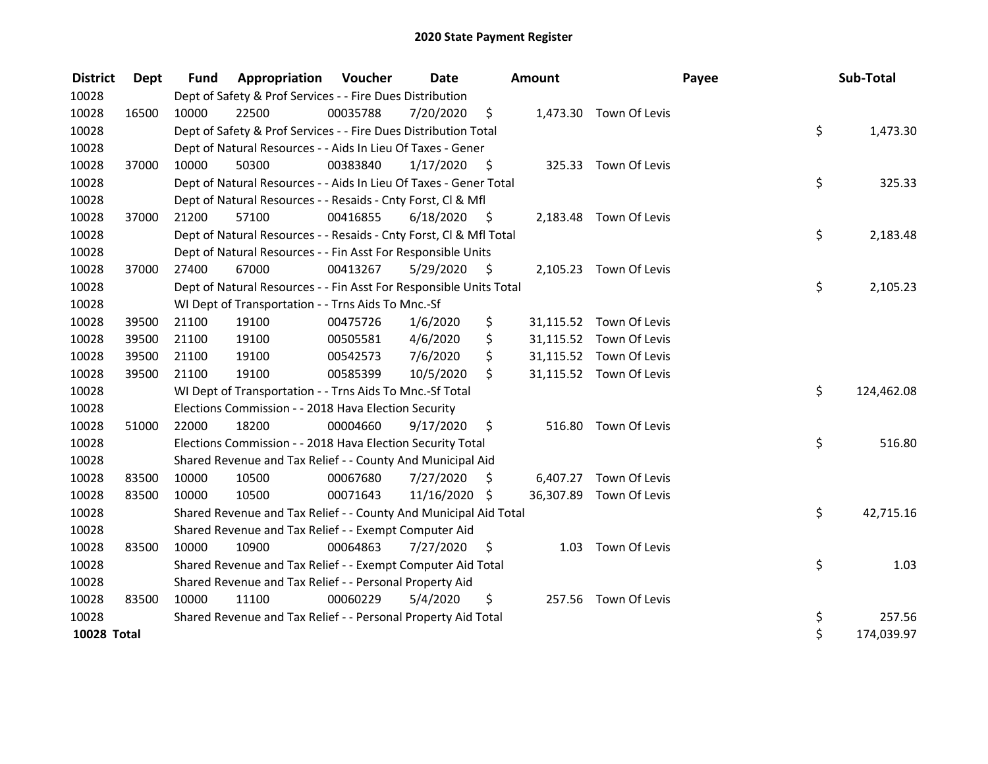| <b>District</b>    | Dept  | <b>Fund</b> | Appropriation                                                      | Voucher  | <b>Date</b>   |      | <b>Amount</b> |                         | Payee | Sub-Total  |      |
|--------------------|-------|-------------|--------------------------------------------------------------------|----------|---------------|------|---------------|-------------------------|-------|------------|------|
| 10028              |       |             | Dept of Safety & Prof Services - - Fire Dues Distribution          |          |               |      |               |                         |       |            |      |
| 10028              | 16500 | 10000       | 22500                                                              | 00035788 | 7/20/2020     | \$   |               | 1,473.30 Town Of Levis  |       |            |      |
| 10028              |       |             | Dept of Safety & Prof Services - - Fire Dues Distribution Total    |          |               |      |               |                         | \$    | 1,473.30   |      |
| 10028              |       |             | Dept of Natural Resources - - Aids In Lieu Of Taxes - Gener        |          |               |      |               |                         |       |            |      |
| 10028              | 37000 | 10000       | 50300                                                              | 00383840 | 1/17/2020     | \$   |               | 325.33 Town Of Levis    |       |            |      |
| 10028              |       |             | Dept of Natural Resources - - Aids In Lieu Of Taxes - Gener Total  |          |               |      |               |                         | \$    | 325.33     |      |
| 10028              |       |             | Dept of Natural Resources - - Resaids - Cnty Forst, Cl & Mfl       |          |               |      |               |                         |       |            |      |
| 10028              | 37000 | 21200       | 57100                                                              | 00416855 | 6/18/2020     | - \$ |               | 2,183.48 Town Of Levis  |       |            |      |
| 10028              |       |             | Dept of Natural Resources - - Resaids - Cnty Forst, Cl & Mfl Total |          |               |      |               |                         | \$    | 2,183.48   |      |
| 10028              |       |             | Dept of Natural Resources - - Fin Asst For Responsible Units       |          |               |      |               |                         |       |            |      |
| 10028              | 37000 | 27400       | 67000                                                              | 00413267 | 5/29/2020     | \$   |               | 2,105.23 Town Of Levis  |       |            |      |
| 10028              |       |             | Dept of Natural Resources - - Fin Asst For Responsible Units Total |          |               |      |               |                         | \$    | 2,105.23   |      |
| 10028              |       |             | WI Dept of Transportation - - Trns Aids To Mnc.-Sf                 |          |               |      |               |                         |       |            |      |
| 10028              | 39500 | 21100       | 19100                                                              | 00475726 | 1/6/2020      | \$   |               | 31,115.52 Town Of Levis |       |            |      |
| 10028              | 39500 | 21100       | 19100                                                              | 00505581 | 4/6/2020      | \$   |               | 31,115.52 Town Of Levis |       |            |      |
| 10028              | 39500 | 21100       | 19100                                                              | 00542573 | 7/6/2020      | \$   |               | 31,115.52 Town Of Levis |       |            |      |
| 10028              | 39500 | 21100       | 19100                                                              | 00585399 | 10/5/2020     | \$   |               | 31,115.52 Town Of Levis |       |            |      |
| 10028              |       |             | WI Dept of Transportation - - Trns Aids To Mnc.-Sf Total           |          |               |      |               |                         | \$    | 124,462.08 |      |
| 10028              |       |             | Elections Commission - - 2018 Hava Election Security               |          |               |      |               |                         |       |            |      |
| 10028              | 51000 | 22000       | 18200                                                              | 00004660 | 9/17/2020     | \$   | 516.80        | Town Of Levis           |       |            |      |
| 10028              |       |             | Elections Commission - - 2018 Hava Election Security Total         |          |               |      |               |                         | \$    | 516.80     |      |
| 10028              |       |             | Shared Revenue and Tax Relief - - County And Municipal Aid         |          |               |      |               |                         |       |            |      |
| 10028              | 83500 | 10000       | 10500                                                              | 00067680 | 7/27/2020     | Ŝ.   | 6,407.27      | Town Of Levis           |       |            |      |
| 10028              | 83500 | 10000       | 10500                                                              | 00071643 | 11/16/2020 \$ |      |               | 36,307.89 Town Of Levis |       |            |      |
| 10028              |       |             | Shared Revenue and Tax Relief - - County And Municipal Aid Total   |          |               |      |               |                         | \$    | 42,715.16  |      |
| 10028              |       |             | Shared Revenue and Tax Relief - - Exempt Computer Aid              |          |               |      |               |                         |       |            |      |
| 10028              | 83500 | 10000       | 10900                                                              | 00064863 | 7/27/2020     | S    | 1.03          | Town Of Levis           |       |            |      |
| 10028              |       |             | Shared Revenue and Tax Relief - - Exempt Computer Aid Total        |          |               |      |               |                         | \$    |            | 1.03 |
| 10028              |       |             | Shared Revenue and Tax Relief - - Personal Property Aid            |          |               |      |               |                         |       |            |      |
| 10028              | 83500 | 10000       | 11100                                                              | 00060229 | 5/4/2020      | \$   |               | 257.56 Town Of Levis    |       |            |      |
| 10028              |       |             | Shared Revenue and Tax Relief - - Personal Property Aid Total      |          |               |      |               |                         | \$    | 257.56     |      |
| <b>10028 Total</b> |       |             |                                                                    |          |               |      |               |                         | \$    | 174,039.97 |      |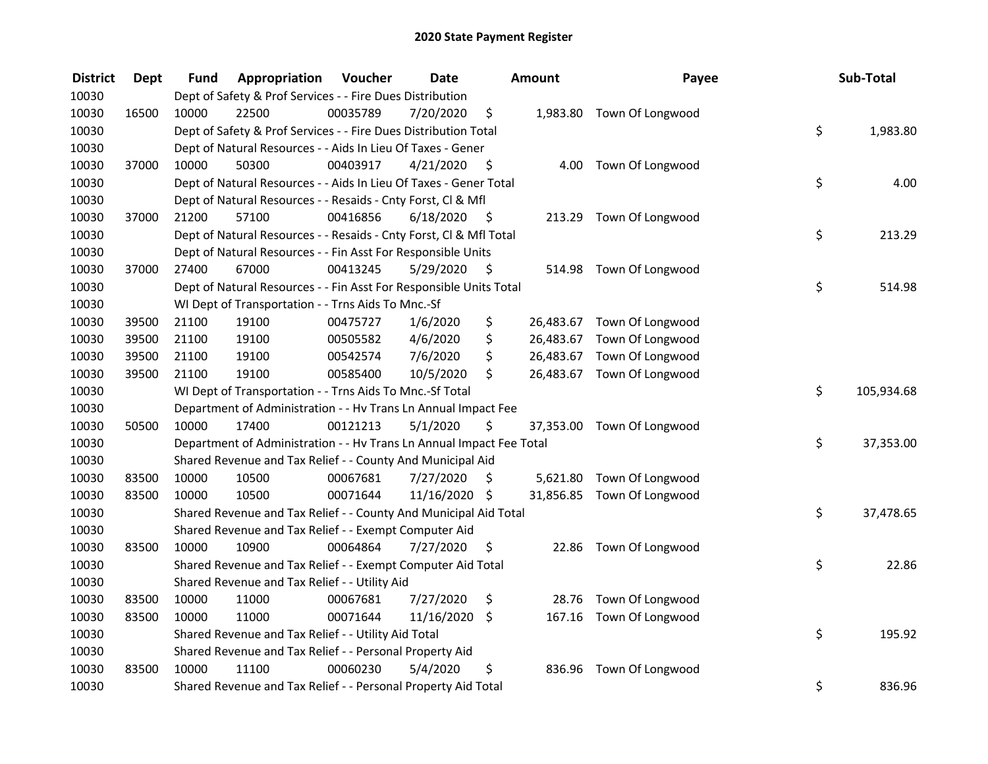| <b>District</b> | Dept  | Fund  | Appropriation                                                        | Voucher  | <b>Date</b>   |      | <b>Amount</b> | Payee                      | Sub-Total        |
|-----------------|-------|-------|----------------------------------------------------------------------|----------|---------------|------|---------------|----------------------------|------------------|
| 10030           |       |       | Dept of Safety & Prof Services - - Fire Dues Distribution            |          |               |      |               |                            |                  |
| 10030           | 16500 | 10000 | 22500                                                                | 00035789 | 7/20/2020     | \$   |               | 1,983.80 Town Of Longwood  |                  |
| 10030           |       |       | Dept of Safety & Prof Services - - Fire Dues Distribution Total      |          |               |      |               |                            | \$<br>1,983.80   |
| 10030           |       |       | Dept of Natural Resources - - Aids In Lieu Of Taxes - Gener          |          |               |      |               |                            |                  |
| 10030           | 37000 | 10000 | 50300                                                                | 00403917 | 4/21/2020     | \$   |               | 4.00 Town Of Longwood      |                  |
| 10030           |       |       | Dept of Natural Resources - - Aids In Lieu Of Taxes - Gener Total    |          |               |      |               |                            | \$<br>4.00       |
| 10030           |       |       | Dept of Natural Resources - - Resaids - Cnty Forst, Cl & Mfl         |          |               |      |               |                            |                  |
| 10030           | 37000 | 21200 | 57100                                                                | 00416856 | 6/18/2020     | - \$ |               | 213.29 Town Of Longwood    |                  |
| 10030           |       |       | Dept of Natural Resources - - Resaids - Cnty Forst, Cl & Mfl Total   |          |               |      |               |                            | \$<br>213.29     |
| 10030           |       |       | Dept of Natural Resources - - Fin Asst For Responsible Units         |          |               |      |               |                            |                  |
| 10030           | 37000 | 27400 | 67000                                                                | 00413245 | 5/29/2020     | \$   |               | 514.98 Town Of Longwood    |                  |
| 10030           |       |       | Dept of Natural Resources - - Fin Asst For Responsible Units Total   |          |               |      |               |                            | \$<br>514.98     |
| 10030           |       |       | WI Dept of Transportation - - Trns Aids To Mnc.-Sf                   |          |               |      |               |                            |                  |
| 10030           | 39500 | 21100 | 19100                                                                | 00475727 | 1/6/2020      | \$   |               | 26,483.67 Town Of Longwood |                  |
| 10030           | 39500 | 21100 | 19100                                                                | 00505582 | 4/6/2020      | \$   |               | 26,483.67 Town Of Longwood |                  |
| 10030           | 39500 | 21100 | 19100                                                                | 00542574 | 7/6/2020      | \$   |               | 26,483.67 Town Of Longwood |                  |
| 10030           | 39500 | 21100 | 19100                                                                | 00585400 | 10/5/2020     | \$   |               | 26,483.67 Town Of Longwood |                  |
| 10030           |       |       | WI Dept of Transportation - - Trns Aids To Mnc.-Sf Total             |          |               |      |               |                            | \$<br>105,934.68 |
| 10030           |       |       | Department of Administration - - Hv Trans Ln Annual Impact Fee       |          |               |      |               |                            |                  |
| 10030           | 50500 | 10000 | 17400                                                                | 00121213 | 5/1/2020      | \$   |               | 37,353.00 Town Of Longwood |                  |
| 10030           |       |       | Department of Administration - - Hv Trans Ln Annual Impact Fee Total |          |               |      |               |                            | \$<br>37,353.00  |
| 10030           |       |       | Shared Revenue and Tax Relief - - County And Municipal Aid           |          |               |      |               |                            |                  |
| 10030           | 83500 | 10000 | 10500                                                                | 00067681 | 7/27/2020     | \$.  |               | 5,621.80 Town Of Longwood  |                  |
| 10030           | 83500 | 10000 | 10500                                                                | 00071644 | 11/16/2020 \$ |      |               | 31,856.85 Town Of Longwood |                  |
| 10030           |       |       | Shared Revenue and Tax Relief - - County And Municipal Aid Total     |          |               |      |               |                            | \$<br>37,478.65  |
| 10030           |       |       | Shared Revenue and Tax Relief - - Exempt Computer Aid                |          |               |      |               |                            |                  |
| 10030           | 83500 | 10000 | 10900                                                                | 00064864 | 7/27/2020     | \$   |               | 22.86 Town Of Longwood     |                  |
| 10030           |       |       | Shared Revenue and Tax Relief - - Exempt Computer Aid Total          |          |               |      |               |                            | \$<br>22.86      |
| 10030           |       |       | Shared Revenue and Tax Relief - - Utility Aid                        |          |               |      |               |                            |                  |
| 10030           | 83500 | 10000 | 11000                                                                | 00067681 | 7/27/2020     | \$   | 28.76         | Town Of Longwood           |                  |
| 10030           | 83500 | 10000 | 11000                                                                | 00071644 | 11/16/2020    | \$   |               | 167.16 Town Of Longwood    |                  |
| 10030           |       |       | Shared Revenue and Tax Relief - - Utility Aid Total                  |          |               |      |               |                            | \$<br>195.92     |
| 10030           |       |       | Shared Revenue and Tax Relief - - Personal Property Aid              |          |               |      |               |                            |                  |
| 10030           | 83500 | 10000 | 11100                                                                | 00060230 | 5/4/2020      | \$   | 836.96        | Town Of Longwood           |                  |
| 10030           |       |       | Shared Revenue and Tax Relief - - Personal Property Aid Total        |          |               |      |               |                            | \$<br>836.96     |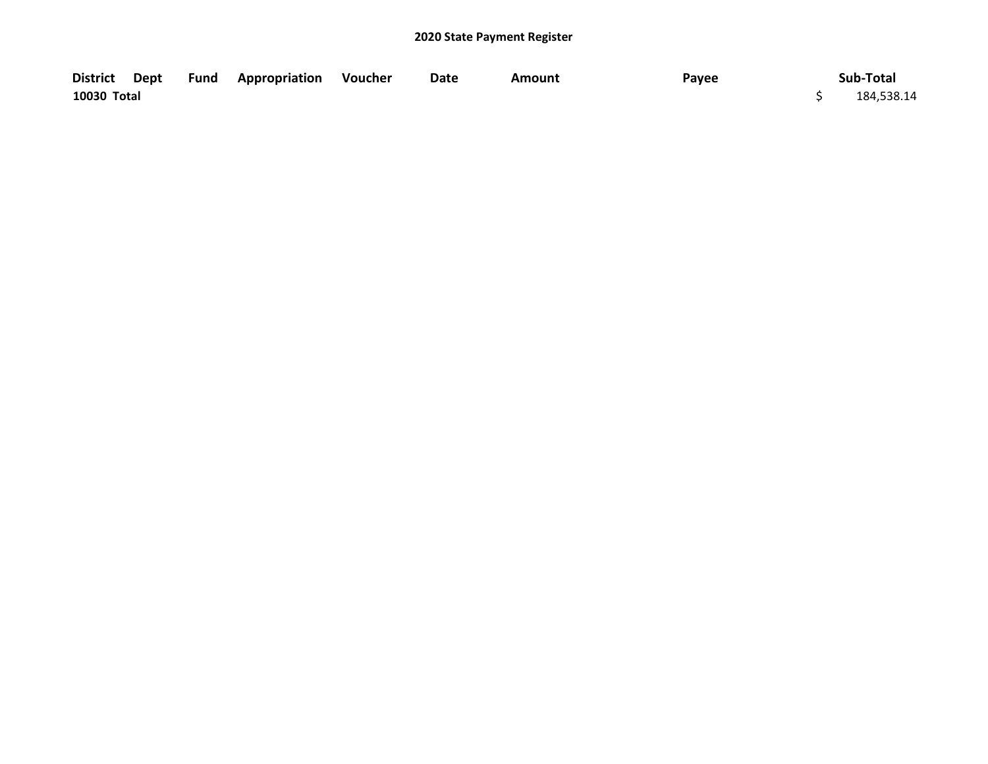| <b>District</b> | Dept | Fund | <b>Appropriation Voucher</b> | Date | Amount | Payee | Sub-Total  |
|-----------------|------|------|------------------------------|------|--------|-------|------------|
| 10030 Total     |      |      |                              |      |        |       | 184,538.14 |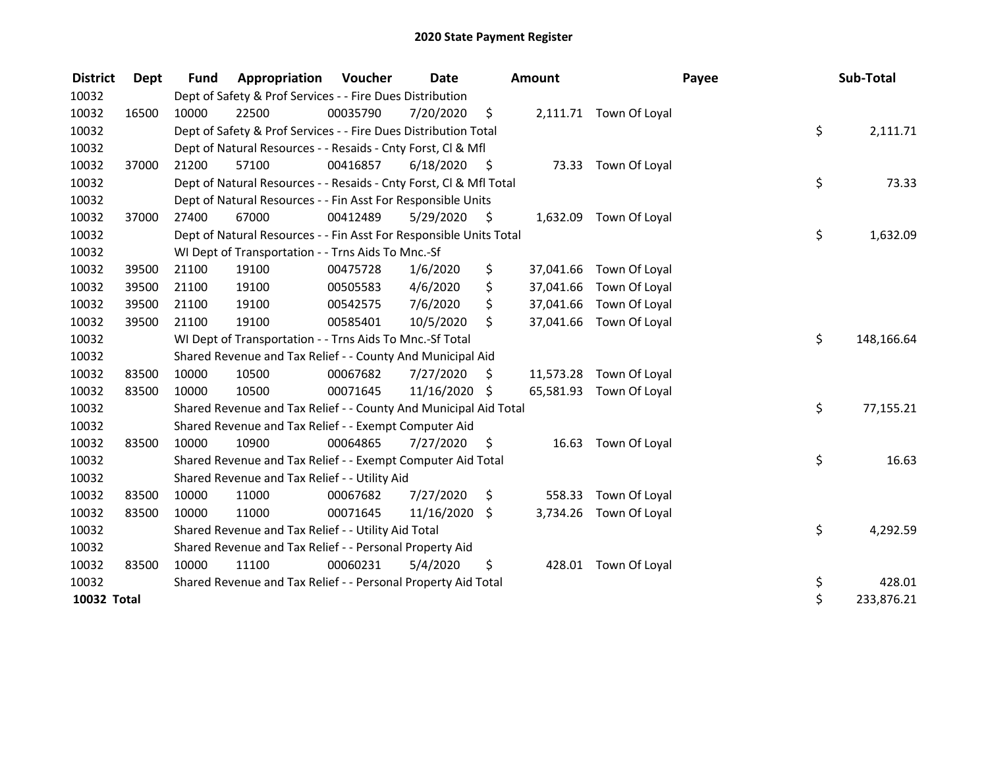| <b>District</b> | Dept  | <b>Fund</b> | Appropriation                                                      | <b>Voucher</b> | Date          |      | <b>Amount</b> |                         | Payee | Sub-Total  |
|-----------------|-------|-------------|--------------------------------------------------------------------|----------------|---------------|------|---------------|-------------------------|-------|------------|
| 10032           |       |             | Dept of Safety & Prof Services - - Fire Dues Distribution          |                |               |      |               |                         |       |            |
| 10032           | 16500 | 10000       | 22500                                                              | 00035790       | 7/20/2020     | \$   |               | 2,111.71 Town Of Loyal  |       |            |
| 10032           |       |             | Dept of Safety & Prof Services - - Fire Dues Distribution Total    |                |               |      |               |                         | \$    | 2,111.71   |
| 10032           |       |             | Dept of Natural Resources - - Resaids - Cnty Forst, CI & Mfl       |                |               |      |               |                         |       |            |
| 10032           | 37000 | 21200       | 57100                                                              | 00416857       | 6/18/2020     | - \$ |               | 73.33 Town Of Loyal     |       |            |
| 10032           |       |             | Dept of Natural Resources - - Resaids - Cnty Forst, Cl & Mfl Total |                |               |      |               |                         | \$    | 73.33      |
| 10032           |       |             | Dept of Natural Resources - - Fin Asst For Responsible Units       |                |               |      |               |                         |       |            |
| 10032           | 37000 | 27400       | 67000                                                              | 00412489       | 5/29/2020     | - \$ | 1,632.09      | Town Of Loyal           |       |            |
| 10032           |       |             | Dept of Natural Resources - - Fin Asst For Responsible Units Total |                |               |      |               |                         | \$    | 1,632.09   |
| 10032           |       |             | WI Dept of Transportation - - Trns Aids To Mnc.-Sf                 |                |               |      |               |                         |       |            |
| 10032           | 39500 | 21100       | 19100                                                              | 00475728       | 1/6/2020      | \$   | 37,041.66     | Town Of Loyal           |       |            |
| 10032           | 39500 | 21100       | 19100                                                              | 00505583       | 4/6/2020      | \$   | 37,041.66     | Town Of Loyal           |       |            |
| 10032           | 39500 | 21100       | 19100                                                              | 00542575       | 7/6/2020      | \$   |               | 37,041.66 Town Of Loyal |       |            |
| 10032           | 39500 | 21100       | 19100                                                              | 00585401       | 10/5/2020     | \$   | 37,041.66     | Town Of Loyal           |       |            |
| 10032           |       |             | WI Dept of Transportation - - Trns Aids To Mnc.-Sf Total           |                |               |      |               |                         | \$    | 148,166.64 |
| 10032           |       |             | Shared Revenue and Tax Relief - - County And Municipal Aid         |                |               |      |               |                         |       |            |
| 10032           | 83500 | 10000       | 10500                                                              | 00067682       | 7/27/2020     | \$.  | 11,573.28     | Town Of Loyal           |       |            |
| 10032           | 83500 | 10000       | 10500                                                              | 00071645       | 11/16/2020 \$ |      |               | 65,581.93 Town Of Loyal |       |            |
| 10032           |       |             | Shared Revenue and Tax Relief - - County And Municipal Aid Total   |                |               |      |               |                         | \$    | 77,155.21  |
| 10032           |       |             | Shared Revenue and Tax Relief - - Exempt Computer Aid              |                |               |      |               |                         |       |            |
| 10032           | 83500 | 10000       | 10900                                                              | 00064865       | 7/27/2020     | \$   | 16.63         | Town Of Loyal           |       |            |
| 10032           |       |             | Shared Revenue and Tax Relief - - Exempt Computer Aid Total        |                |               |      |               |                         | \$    | 16.63      |
| 10032           |       |             | Shared Revenue and Tax Relief - - Utility Aid                      |                |               |      |               |                         |       |            |
| 10032           | 83500 | 10000       | 11000                                                              | 00067682       | 7/27/2020     | \$   | 558.33        | Town Of Loyal           |       |            |
| 10032           | 83500 | 10000       | 11000                                                              | 00071645       | 11/16/2020    | \$   | 3,734.26      | Town Of Loyal           |       |            |
| 10032           |       |             | Shared Revenue and Tax Relief - - Utility Aid Total                |                |               |      |               |                         | \$    | 4,292.59   |
| 10032           |       |             | Shared Revenue and Tax Relief - - Personal Property Aid            |                |               |      |               |                         |       |            |
| 10032           | 83500 | 10000       | 11100                                                              | 00060231       | 5/4/2020      | \$   | 428.01        | Town Of Loyal           |       |            |
| 10032           |       |             | Shared Revenue and Tax Relief - - Personal Property Aid Total      |                |               |      |               |                         | \$    | 428.01     |
| 10032 Total     |       |             |                                                                    |                |               |      |               |                         | \$    | 233,876.21 |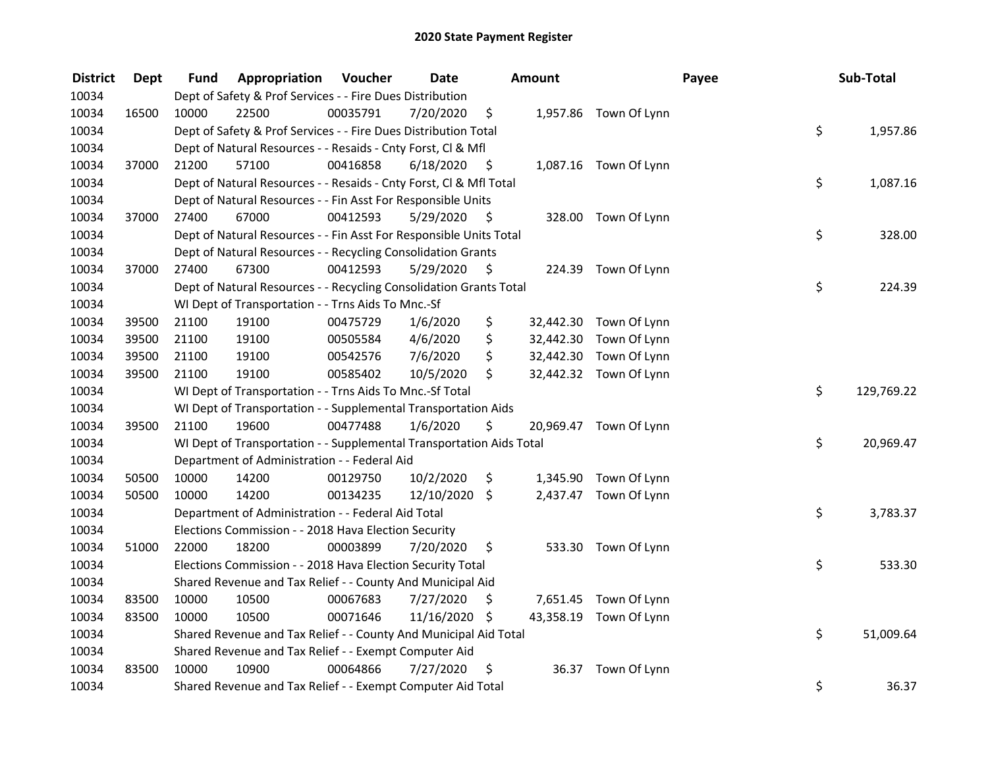| <b>District</b> | Dept  | Fund  | Appropriation                                                        | Voucher  | <b>Date</b>   |      | Amount    |                        | Payee | Sub-Total  |
|-----------------|-------|-------|----------------------------------------------------------------------|----------|---------------|------|-----------|------------------------|-------|------------|
| 10034           |       |       | Dept of Safety & Prof Services - - Fire Dues Distribution            |          |               |      |           |                        |       |            |
| 10034           | 16500 | 10000 | 22500                                                                | 00035791 | 7/20/2020     | \$   |           | 1,957.86 Town Of Lynn  |       |            |
| 10034           |       |       | Dept of Safety & Prof Services - - Fire Dues Distribution Total      |          |               |      |           |                        | \$    | 1,957.86   |
| 10034           |       |       | Dept of Natural Resources - - Resaids - Cnty Forst, Cl & Mfl         |          |               |      |           |                        |       |            |
| 10034           | 37000 | 21200 | 57100                                                                | 00416858 | 6/18/2020     | - \$ |           | 1,087.16 Town Of Lynn  |       |            |
| 10034           |       |       | Dept of Natural Resources - - Resaids - Cnty Forst, Cl & Mfl Total   |          |               |      |           |                        | \$    | 1,087.16   |
| 10034           |       |       | Dept of Natural Resources - - Fin Asst For Responsible Units         |          |               |      |           |                        |       |            |
| 10034           | 37000 | 27400 | 67000                                                                | 00412593 | 5/29/2020     | - \$ |           | 328.00 Town Of Lynn    |       |            |
| 10034           |       |       | Dept of Natural Resources - - Fin Asst For Responsible Units Total   |          |               |      |           |                        | \$    | 328.00     |
| 10034           |       |       | Dept of Natural Resources - - Recycling Consolidation Grants         |          |               |      |           |                        |       |            |
| 10034           | 37000 | 27400 | 67300                                                                | 00412593 | 5/29/2020     | \$   |           | 224.39 Town Of Lynn    |       |            |
| 10034           |       |       | Dept of Natural Resources - - Recycling Consolidation Grants Total   |          |               |      |           |                        | \$    | 224.39     |
| 10034           |       |       | WI Dept of Transportation - - Trns Aids To Mnc.-Sf                   |          |               |      |           |                        |       |            |
| 10034           | 39500 | 21100 | 19100                                                                | 00475729 | 1/6/2020      | \$   | 32,442.30 | Town Of Lynn           |       |            |
| 10034           | 39500 | 21100 | 19100                                                                | 00505584 | 4/6/2020      | \$   | 32,442.30 | Town Of Lynn           |       |            |
| 10034           | 39500 | 21100 | 19100                                                                | 00542576 | 7/6/2020      | \$   | 32,442.30 | Town Of Lynn           |       |            |
| 10034           | 39500 | 21100 | 19100                                                                | 00585402 | 10/5/2020     | \$   |           | 32,442.32 Town Of Lynn |       |            |
| 10034           |       |       | WI Dept of Transportation - - Trns Aids To Mnc.-Sf Total             |          |               |      |           |                        | \$    | 129,769.22 |
| 10034           |       |       | WI Dept of Transportation - - Supplemental Transportation Aids       |          |               |      |           |                        |       |            |
| 10034           | 39500 | 21100 | 19600                                                                | 00477488 | 1/6/2020      | \$   |           | 20,969.47 Town Of Lynn |       |            |
| 10034           |       |       | WI Dept of Transportation - - Supplemental Transportation Aids Total |          |               |      |           |                        | \$    | 20,969.47  |
| 10034           |       |       | Department of Administration - - Federal Aid                         |          |               |      |           |                        |       |            |
| 10034           | 50500 | 10000 | 14200                                                                | 00129750 | 10/2/2020     | \$   |           | 1,345.90 Town Of Lynn  |       |            |
| 10034           | 50500 | 10000 | 14200                                                                | 00134235 | 12/10/2020    | \$   |           | 2,437.47 Town Of Lynn  |       |            |
| 10034           |       |       | Department of Administration - - Federal Aid Total                   |          |               |      |           |                        | \$    | 3,783.37   |
| 10034           |       |       | Elections Commission - - 2018 Hava Election Security                 |          |               |      |           |                        |       |            |
| 10034           | 51000 | 22000 | 18200                                                                | 00003899 | 7/20/2020     | \$   |           | 533.30 Town Of Lynn    |       |            |
| 10034           |       |       | Elections Commission - - 2018 Hava Election Security Total           |          |               |      |           |                        | \$    | 533.30     |
| 10034           |       |       | Shared Revenue and Tax Relief - - County And Municipal Aid           |          |               |      |           |                        |       |            |
| 10034           | 83500 | 10000 | 10500                                                                | 00067683 | 7/27/2020     | \$   |           | 7,651.45 Town Of Lynn  |       |            |
| 10034           | 83500 | 10000 | 10500                                                                | 00071646 | 11/16/2020 \$ |      |           | 43,358.19 Town Of Lynn |       |            |
| 10034           |       |       | Shared Revenue and Tax Relief - - County And Municipal Aid Total     |          |               |      |           |                        | \$    | 51,009.64  |
| 10034           |       |       | Shared Revenue and Tax Relief - - Exempt Computer Aid                |          |               |      |           |                        |       |            |
| 10034           | 83500 | 10000 | 10900                                                                | 00064866 | 7/27/2020     | \$   | 36.37     | Town Of Lynn           |       |            |
| 10034           |       |       | Shared Revenue and Tax Relief - - Exempt Computer Aid Total          |          |               |      |           |                        | \$    | 36.37      |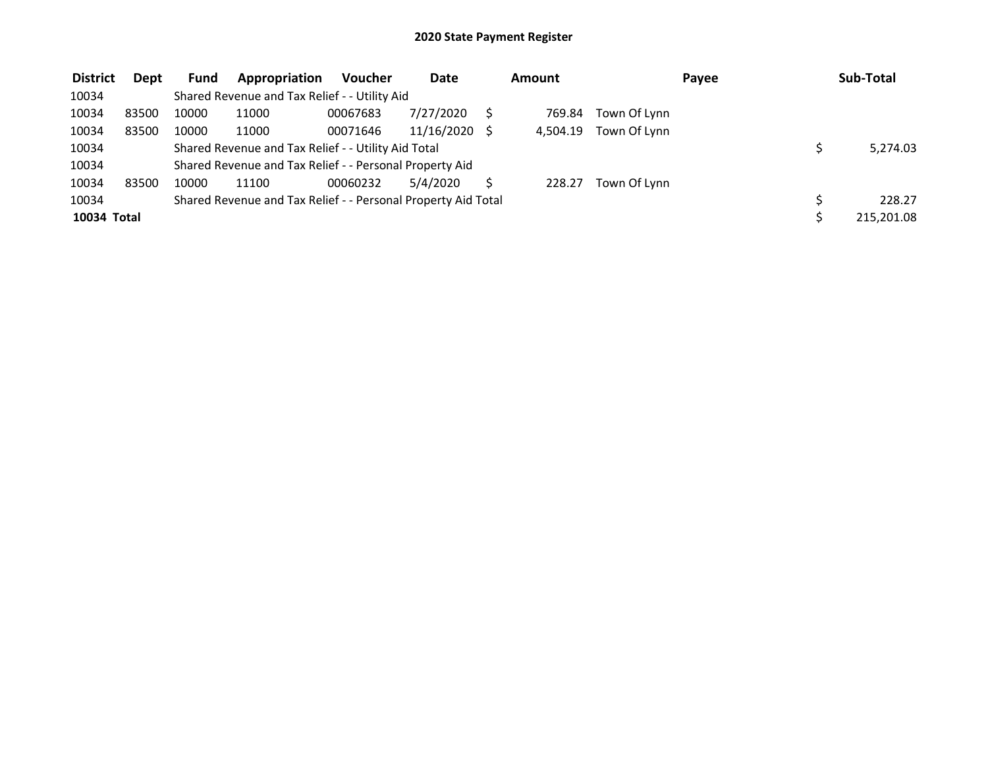| <b>District</b> | <b>Dept</b> | <b>Fund</b> | Appropriation                                                 | <b>Voucher</b> | <b>Date</b> | Amount   |              | Payee | Sub-Total  |
|-----------------|-------------|-------------|---------------------------------------------------------------|----------------|-------------|----------|--------------|-------|------------|
| 10034           |             |             | Shared Revenue and Tax Relief - - Utility Aid                 |                |             |          |              |       |            |
| 10034           | 83500       | 10000       | 11000                                                         | 00067683       | 7/27/2020   | 769.84   | Town Of Lynn |       |            |
| 10034           | 83500       | 10000       | 11000                                                         | 00071646       | 11/16/2020  | 4,504.19 | Town Of Lynn |       |            |
| 10034           |             |             | Shared Revenue and Tax Relief - - Utility Aid Total           |                |             |          |              |       | 5,274.03   |
| 10034           |             |             | Shared Revenue and Tax Relief - - Personal Property Aid       |                |             |          |              |       |            |
| 10034           | 83500       | 10000       | 11100                                                         | 00060232       | 5/4/2020    | 228.27   | Town Of Lynn |       |            |
| 10034           |             |             | Shared Revenue and Tax Relief - - Personal Property Aid Total |                |             |          |              |       | 228.27     |
| 10034 Total     |             |             |                                                               |                |             |          |              |       | 215,201.08 |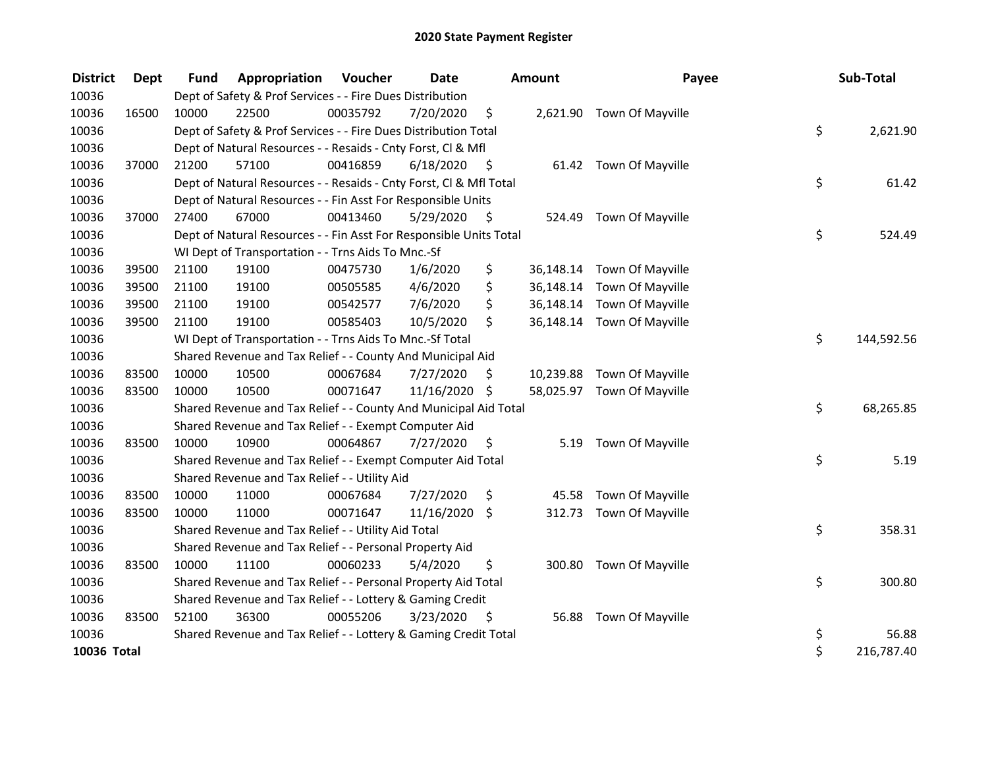| <b>District</b> | <b>Dept</b> | <b>Fund</b> | Appropriation                                                      | <b>Voucher</b> | <b>Date</b>   |                     | <b>Amount</b> | Payee                      | Sub-Total        |
|-----------------|-------------|-------------|--------------------------------------------------------------------|----------------|---------------|---------------------|---------------|----------------------------|------------------|
| 10036           |             |             | Dept of Safety & Prof Services - - Fire Dues Distribution          |                |               |                     |               |                            |                  |
| 10036           | 16500       | 10000       | 22500                                                              | 00035792       | 7/20/2020     | \$                  |               | 2,621.90 Town Of Mayville  |                  |
| 10036           |             |             | Dept of Safety & Prof Services - - Fire Dues Distribution Total    |                |               |                     |               |                            | \$<br>2,621.90   |
| 10036           |             |             | Dept of Natural Resources - - Resaids - Cnty Forst, Cl & Mfl       |                |               |                     |               |                            |                  |
| 10036           | 37000       | 21200       | 57100                                                              | 00416859       | 6/18/2020     | - \$                |               | 61.42 Town Of Mayville     |                  |
| 10036           |             |             | Dept of Natural Resources - - Resaids - Cnty Forst, Cl & Mfl Total |                |               |                     |               |                            | \$<br>61.42      |
| 10036           |             |             | Dept of Natural Resources - - Fin Asst For Responsible Units       |                |               |                     |               |                            |                  |
| 10036           | 37000       | 27400       | 67000                                                              | 00413460       | 5/29/2020     | $\ddot{\mathsf{S}}$ | 524.49        | Town Of Mayville           |                  |
| 10036           |             |             | Dept of Natural Resources - - Fin Asst For Responsible Units Total |                |               |                     |               |                            | \$<br>524.49     |
| 10036           |             |             | WI Dept of Transportation - - Trns Aids To Mnc.-Sf                 |                |               |                     |               |                            |                  |
| 10036           | 39500       | 21100       | 19100                                                              | 00475730       | 1/6/2020      | \$                  |               | 36,148.14 Town Of Mayville |                  |
| 10036           | 39500       | 21100       | 19100                                                              | 00505585       | 4/6/2020      | \$                  | 36,148.14     | Town Of Mayville           |                  |
| 10036           | 39500       | 21100       | 19100                                                              | 00542577       | 7/6/2020      | \$                  | 36,148.14     | Town Of Mayville           |                  |
| 10036           | 39500       | 21100       | 19100                                                              | 00585403       | 10/5/2020     | \$                  |               | 36,148.14 Town Of Mayville |                  |
| 10036           |             |             | WI Dept of Transportation - - Trns Aids To Mnc.-Sf Total           |                |               |                     |               |                            | \$<br>144,592.56 |
| 10036           |             |             | Shared Revenue and Tax Relief - - County And Municipal Aid         |                |               |                     |               |                            |                  |
| 10036           | 83500       | 10000       | 10500                                                              | 00067684       | 7/27/2020     | \$                  | 10,239.88     | Town Of Mayville           |                  |
| 10036           | 83500       | 10000       | 10500                                                              | 00071647       | 11/16/2020 \$ |                     |               | 58,025.97 Town Of Mayville |                  |
| 10036           |             |             | Shared Revenue and Tax Relief - - County And Municipal Aid Total   |                |               |                     |               |                            | \$<br>68,265.85  |
| 10036           |             |             | Shared Revenue and Tax Relief - - Exempt Computer Aid              |                |               |                     |               |                            |                  |
| 10036           | 83500       | 10000       | 10900                                                              | 00064867       | 7/27/2020     | \$                  | 5.19          | Town Of Mayville           |                  |
| 10036           |             |             | Shared Revenue and Tax Relief - - Exempt Computer Aid Total        |                |               |                     |               |                            | \$<br>5.19       |
| 10036           |             |             | Shared Revenue and Tax Relief - - Utility Aid                      |                |               |                     |               |                            |                  |
| 10036           | 83500       | 10000       | 11000                                                              | 00067684       | 7/27/2020     | \$                  | 45.58         | Town Of Mayville           |                  |
| 10036           | 83500       | 10000       | 11000                                                              | 00071647       | 11/16/2020    | \$                  | 312.73        | Town Of Mayville           |                  |
| 10036           |             |             | Shared Revenue and Tax Relief - - Utility Aid Total                |                |               |                     |               |                            | \$<br>358.31     |
| 10036           |             |             | Shared Revenue and Tax Relief - - Personal Property Aid            |                |               |                     |               |                            |                  |
| 10036           | 83500       | 10000       | 11100                                                              | 00060233       | 5/4/2020      | \$                  |               | 300.80 Town Of Mayville    |                  |
| 10036           |             |             | Shared Revenue and Tax Relief - - Personal Property Aid Total      |                |               |                     |               |                            | \$<br>300.80     |
| 10036           |             |             | Shared Revenue and Tax Relief - - Lottery & Gaming Credit          |                |               |                     |               |                            |                  |
| 10036           | 83500       | 52100       | 36300                                                              | 00055206       | 3/23/2020     | \$                  | 56.88         | Town Of Mayville           |                  |
| 10036           |             |             | Shared Revenue and Tax Relief - - Lottery & Gaming Credit Total    |                |               |                     |               |                            | \$<br>56.88      |
| 10036 Total     |             |             |                                                                    |                |               |                     |               |                            | \$<br>216,787.40 |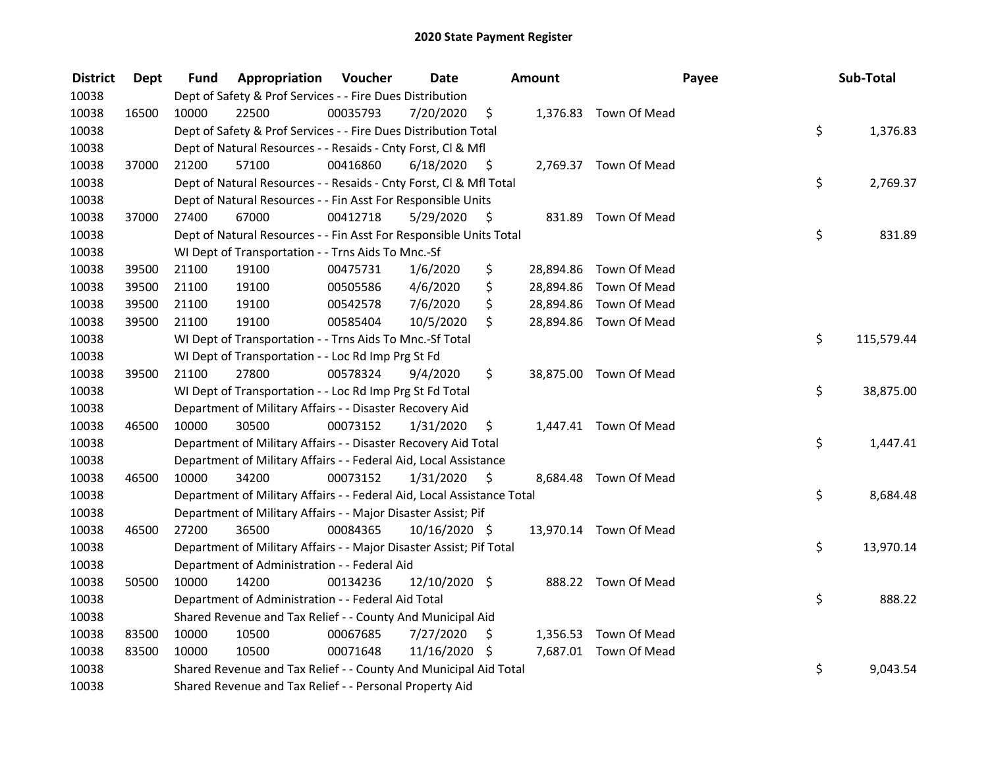| <b>District</b> | <b>Dept</b> | Fund  | Appropriation                                                          | Voucher  | <b>Date</b>   |      | Amount |                        | Payee | Sub-Total  |
|-----------------|-------------|-------|------------------------------------------------------------------------|----------|---------------|------|--------|------------------------|-------|------------|
| 10038           |             |       | Dept of Safety & Prof Services - - Fire Dues Distribution              |          |               |      |        |                        |       |            |
| 10038           | 16500       | 10000 | 22500                                                                  | 00035793 | 7/20/2020     | \$   |        | 1,376.83 Town Of Mead  |       |            |
| 10038           |             |       | Dept of Safety & Prof Services - - Fire Dues Distribution Total        |          |               |      |        |                        | \$    | 1,376.83   |
| 10038           |             |       | Dept of Natural Resources - - Resaids - Cnty Forst, Cl & Mfl           |          |               |      |        |                        |       |            |
| 10038           | 37000       | 21200 | 57100                                                                  | 00416860 | 6/18/2020     | - \$ |        | 2,769.37 Town Of Mead  |       |            |
| 10038           |             |       | Dept of Natural Resources - - Resaids - Cnty Forst, CI & Mfl Total     |          |               |      |        |                        | \$    | 2,769.37   |
| 10038           |             |       | Dept of Natural Resources - - Fin Asst For Responsible Units           |          |               |      |        |                        |       |            |
| 10038           | 37000       | 27400 | 67000                                                                  | 00412718 | 5/29/2020     | - \$ |        | 831.89 Town Of Mead    |       |            |
| 10038           |             |       | Dept of Natural Resources - - Fin Asst For Responsible Units Total     |          |               |      |        |                        | \$    | 831.89     |
| 10038           |             |       | WI Dept of Transportation - - Trns Aids To Mnc.-Sf                     |          |               |      |        |                        |       |            |
| 10038           | 39500       | 21100 | 19100                                                                  | 00475731 | 1/6/2020      | \$   |        | 28,894.86 Town Of Mead |       |            |
| 10038           | 39500       | 21100 | 19100                                                                  | 00505586 | 4/6/2020      | \$   |        | 28,894.86 Town Of Mead |       |            |
| 10038           | 39500       | 21100 | 19100                                                                  | 00542578 | 7/6/2020      | \$   |        | 28,894.86 Town Of Mead |       |            |
| 10038           | 39500       | 21100 | 19100                                                                  | 00585404 | 10/5/2020     | \$   |        | 28,894.86 Town Of Mead |       |            |
| 10038           |             |       | WI Dept of Transportation - - Trns Aids To Mnc.-Sf Total               |          |               |      |        |                        | \$    | 115,579.44 |
| 10038           |             |       | WI Dept of Transportation - - Loc Rd Imp Prg St Fd                     |          |               |      |        |                        |       |            |
| 10038           | 39500       | 21100 | 27800                                                                  | 00578324 | 9/4/2020      | \$.  |        | 38,875.00 Town Of Mead |       |            |
| 10038           |             |       | WI Dept of Transportation - - Loc Rd Imp Prg St Fd Total               |          |               |      |        |                        | \$    | 38,875.00  |
| 10038           |             |       | Department of Military Affairs - - Disaster Recovery Aid               |          |               |      |        |                        |       |            |
| 10038           | 46500       | 10000 | 30500                                                                  | 00073152 | 1/31/2020     | \$   |        | 1,447.41 Town Of Mead  |       |            |
| 10038           |             |       | Department of Military Affairs - - Disaster Recovery Aid Total         |          |               |      |        |                        | \$    | 1,447.41   |
| 10038           |             |       | Department of Military Affairs - - Federal Aid, Local Assistance       |          |               |      |        |                        |       |            |
| 10038           | 46500       | 10000 | 34200                                                                  | 00073152 | 1/31/2020     | - \$ |        | 8,684.48 Town Of Mead  |       |            |
| 10038           |             |       | Department of Military Affairs - - Federal Aid, Local Assistance Total |          |               |      |        |                        | \$    | 8,684.48   |
| 10038           |             |       | Department of Military Affairs - - Major Disaster Assist; Pif          |          |               |      |        |                        |       |            |
| 10038           | 46500       | 27200 | 36500                                                                  | 00084365 | 10/16/2020 \$ |      |        | 13,970.14 Town Of Mead |       |            |
| 10038           |             |       | Department of Military Affairs - - Major Disaster Assist; Pif Total    |          |               |      |        |                        | \$    | 13,970.14  |
| 10038           |             |       | Department of Administration - - Federal Aid                           |          |               |      |        |                        |       |            |
| 10038           | 50500       | 10000 | 14200                                                                  | 00134236 | 12/10/2020 \$ |      |        | 888.22 Town Of Mead    |       |            |
| 10038           |             |       | Department of Administration - - Federal Aid Total                     |          |               |      |        |                        | \$    | 888.22     |
| 10038           |             |       | Shared Revenue and Tax Relief - - County And Municipal Aid             |          |               |      |        |                        |       |            |
| 10038           | 83500       | 10000 | 10500                                                                  | 00067685 | 7/27/2020     | \$   |        | 1,356.53 Town Of Mead  |       |            |
| 10038           | 83500       | 10000 | 10500                                                                  | 00071648 | 11/16/2020 \$ |      |        | 7,687.01 Town Of Mead  |       |            |
| 10038           |             |       | Shared Revenue and Tax Relief - - County And Municipal Aid Total       |          |               |      |        |                        | \$    | 9,043.54   |
| 10038           |             |       | Shared Revenue and Tax Relief - - Personal Property Aid                |          |               |      |        |                        |       |            |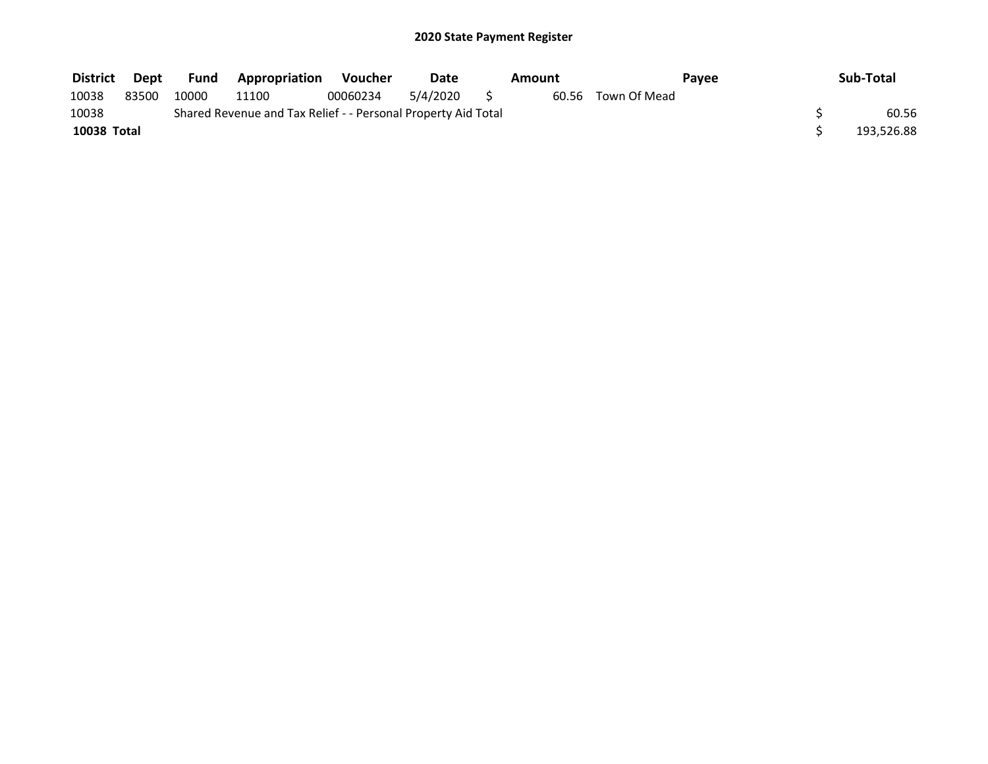| <b>District</b> | Dept  | Fund  | <b>Appropriation</b>                                          | Voucher  | Date     | Amount |                    | Pavee | Sub-Total  |
|-----------------|-------|-------|---------------------------------------------------------------|----------|----------|--------|--------------------|-------|------------|
| 10038           | 83500 | 10000 | 11100                                                         | 00060234 | 5/4/2020 |        | 60.56 Town Of Mead |       |            |
| 10038           |       |       | Shared Revenue and Tax Relief - - Personal Property Aid Total |          |          |        |                    |       | 60.56      |
| 10038 Total     |       |       |                                                               |          |          |        |                    |       | 193,526.88 |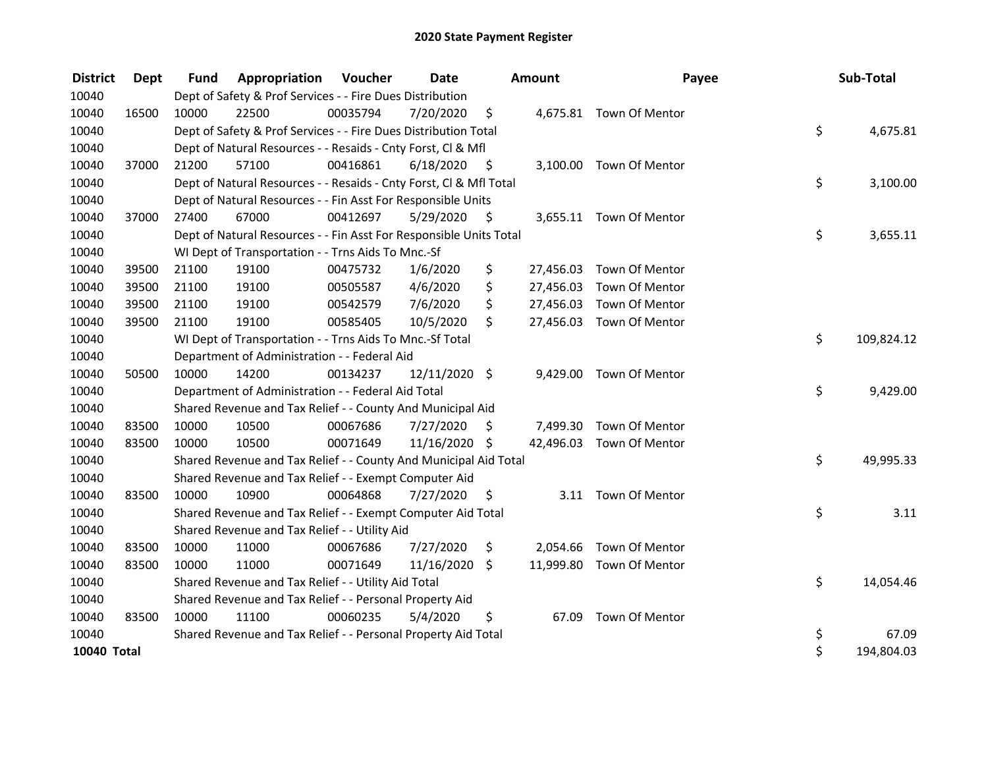| <b>District</b> | Dept  | <b>Fund</b> | <b>Appropriation Voucher</b>                                       |          | <b>Date</b>   |      | <b>Amount</b> | Payee                    | Sub-Total        |
|-----------------|-------|-------------|--------------------------------------------------------------------|----------|---------------|------|---------------|--------------------------|------------------|
| 10040           |       |             | Dept of Safety & Prof Services - - Fire Dues Distribution          |          |               |      |               |                          |                  |
| 10040           | 16500 | 10000       | 22500                                                              | 00035794 | 7/20/2020     | \$   |               | 4,675.81 Town Of Mentor  |                  |
| 10040           |       |             | Dept of Safety & Prof Services - - Fire Dues Distribution Total    |          |               |      |               |                          | \$<br>4,675.81   |
| 10040           |       |             | Dept of Natural Resources - - Resaids - Cnty Forst, Cl & Mfl       |          |               |      |               |                          |                  |
| 10040           | 37000 | 21200       | 57100                                                              | 00416861 | 6/18/2020     | - \$ |               | 3,100.00 Town Of Mentor  |                  |
| 10040           |       |             | Dept of Natural Resources - - Resaids - Cnty Forst, Cl & Mfl Total |          |               |      |               |                          | \$<br>3,100.00   |
| 10040           |       |             | Dept of Natural Resources - - Fin Asst For Responsible Units       |          |               |      |               |                          |                  |
| 10040           | 37000 | 27400       | 67000                                                              | 00412697 | 5/29/2020     | - \$ |               | 3,655.11 Town Of Mentor  |                  |
| 10040           |       |             | Dept of Natural Resources - - Fin Asst For Responsible Units Total |          |               |      |               |                          | \$<br>3,655.11   |
| 10040           |       |             | WI Dept of Transportation - - Trns Aids To Mnc.-Sf                 |          |               |      |               |                          |                  |
| 10040           | 39500 | 21100       | 19100                                                              | 00475732 | 1/6/2020      | \$   |               | 27,456.03 Town Of Mentor |                  |
| 10040           | 39500 | 21100       | 19100                                                              | 00505587 | 4/6/2020      | \$   | 27,456.03     | Town Of Mentor           |                  |
| 10040           | 39500 | 21100       | 19100                                                              | 00542579 | 7/6/2020      | \$   |               | 27,456.03 Town Of Mentor |                  |
| 10040           | 39500 | 21100       | 19100                                                              | 00585405 | 10/5/2020     | \$   |               | 27,456.03 Town Of Mentor |                  |
| 10040           |       |             | WI Dept of Transportation - - Trns Aids To Mnc.-Sf Total           |          |               |      |               |                          | \$<br>109,824.12 |
| 10040           |       |             | Department of Administration - - Federal Aid                       |          |               |      |               |                          |                  |
| 10040           | 50500 | 10000       | 14200                                                              | 00134237 | 12/11/2020 \$ |      | 9,429.00      | Town Of Mentor           |                  |
| 10040           |       |             | Department of Administration - - Federal Aid Total                 |          |               |      |               |                          | \$<br>9,429.00   |
| 10040           |       |             | Shared Revenue and Tax Relief - - County And Municipal Aid         |          |               |      |               |                          |                  |
| 10040           | 83500 | 10000       | 10500                                                              | 00067686 | 7/27/2020     | S    |               | 7,499.30 Town Of Mentor  |                  |
| 10040           | 83500 | 10000       | 10500                                                              | 00071649 | 11/16/2020 \$ |      |               | 42,496.03 Town Of Mentor |                  |
| 10040           |       |             | Shared Revenue and Tax Relief - - County And Municipal Aid Total   |          |               |      |               |                          | \$<br>49,995.33  |
| 10040           |       |             | Shared Revenue and Tax Relief - - Exempt Computer Aid              |          |               |      |               |                          |                  |
| 10040           | 83500 | 10000       | 10900                                                              | 00064868 | 7/27/2020     | \$   |               | 3.11 Town Of Mentor      |                  |
| 10040           |       |             | Shared Revenue and Tax Relief - - Exempt Computer Aid Total        |          |               |      |               |                          | \$<br>3.11       |
| 10040           |       |             | Shared Revenue and Tax Relief - - Utility Aid                      |          |               |      |               |                          |                  |
| 10040           | 83500 | 10000       | 11000                                                              | 00067686 | 7/27/2020     | \$   | 2,054.66      | Town Of Mentor           |                  |
| 10040           | 83500 | 10000       | 11000                                                              | 00071649 | 11/16/2020    | \$   |               | 11,999.80 Town Of Mentor |                  |
| 10040           |       |             | Shared Revenue and Tax Relief - - Utility Aid Total                |          |               |      |               |                          | \$<br>14,054.46  |
| 10040           |       |             | Shared Revenue and Tax Relief - - Personal Property Aid            |          |               |      |               |                          |                  |
| 10040           | 83500 | 10000       | 11100                                                              | 00060235 | 5/4/2020      | \$   | 67.09         | Town Of Mentor           |                  |
| 10040           |       |             | Shared Revenue and Tax Relief - - Personal Property Aid Total      |          |               |      |               |                          | \$<br>67.09      |
| 10040 Total     |       |             |                                                                    |          |               |      |               |                          | \$<br>194,804.03 |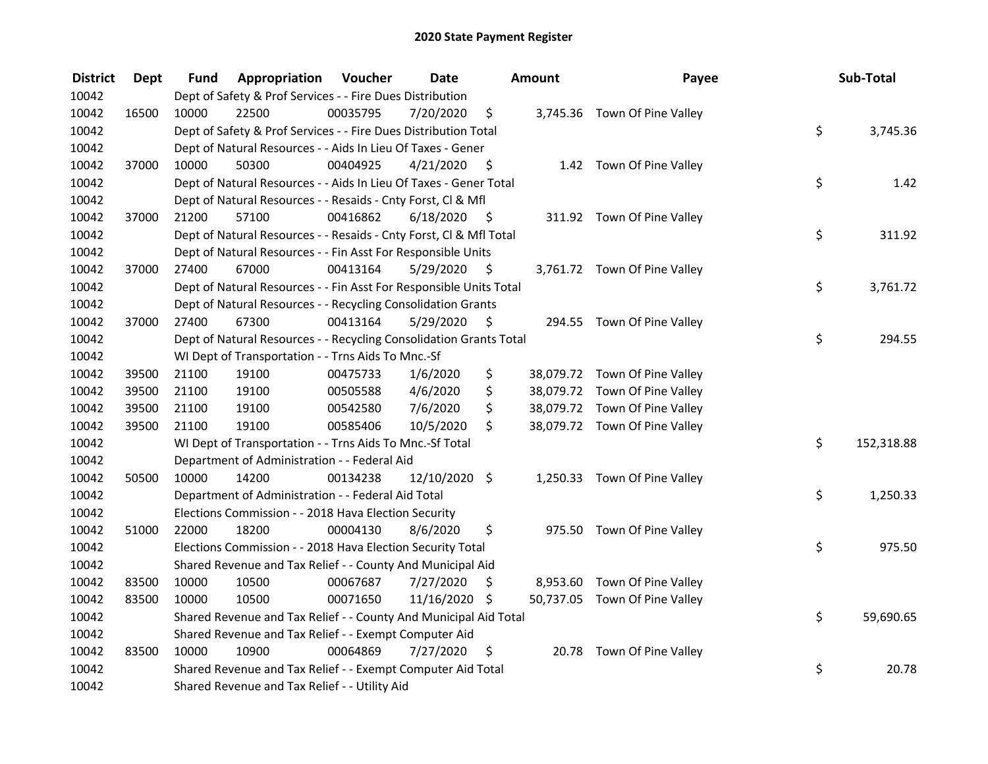| <b>District</b> | <b>Dept</b> | Fund  | Appropriation                                                      | Voucher  | <b>Date</b>   |      | Amount | Payee                         | Sub-Total        |
|-----------------|-------------|-------|--------------------------------------------------------------------|----------|---------------|------|--------|-------------------------------|------------------|
| 10042           |             |       | Dept of Safety & Prof Services - - Fire Dues Distribution          |          |               |      |        |                               |                  |
| 10042           | 16500       | 10000 | 22500                                                              | 00035795 | 7/20/2020     | \$   |        | 3,745.36 Town Of Pine Valley  |                  |
| 10042           |             |       | Dept of Safety & Prof Services - - Fire Dues Distribution Total    |          |               |      |        |                               | \$<br>3,745.36   |
| 10042           |             |       | Dept of Natural Resources - - Aids In Lieu Of Taxes - Gener        |          |               |      |        |                               |                  |
| 10042           | 37000       | 10000 | 50300                                                              | 00404925 | 4/21/2020     | - \$ |        | 1.42 Town Of Pine Valley      |                  |
| 10042           |             |       | Dept of Natural Resources - - Aids In Lieu Of Taxes - Gener Total  |          |               |      |        |                               | \$<br>1.42       |
| 10042           |             |       | Dept of Natural Resources - - Resaids - Cnty Forst, Cl & Mfl       |          |               |      |        |                               |                  |
| 10042           | 37000       | 21200 | 57100                                                              | 00416862 | 6/18/2020     | - \$ |        | 311.92 Town Of Pine Valley    |                  |
| 10042           |             |       | Dept of Natural Resources - - Resaids - Cnty Forst, Cl & Mfl Total |          |               |      |        |                               | \$<br>311.92     |
| 10042           |             |       | Dept of Natural Resources - - Fin Asst For Responsible Units       |          |               |      |        |                               |                  |
| 10042           | 37000       | 27400 | 67000                                                              | 00413164 | 5/29/2020     | \$   |        | 3,761.72 Town Of Pine Valley  |                  |
| 10042           |             |       | Dept of Natural Resources - - Fin Asst For Responsible Units Total |          |               |      |        |                               | \$<br>3,761.72   |
| 10042           |             |       | Dept of Natural Resources - - Recycling Consolidation Grants       |          |               |      |        |                               |                  |
| 10042           | 37000       | 27400 | 67300                                                              | 00413164 | 5/29/2020     | \$,  |        | 294.55 Town Of Pine Valley    |                  |
| 10042           |             |       | Dept of Natural Resources - - Recycling Consolidation Grants Total |          |               |      |        |                               | \$<br>294.55     |
| 10042           |             |       | WI Dept of Transportation - - Trns Aids To Mnc.-Sf                 |          |               |      |        |                               |                  |
| 10042           | 39500       | 21100 | 19100                                                              | 00475733 | 1/6/2020      | \$   |        | 38,079.72 Town Of Pine Valley |                  |
| 10042           | 39500       | 21100 | 19100                                                              | 00505588 | 4/6/2020      | \$   |        | 38,079.72 Town Of Pine Valley |                  |
| 10042           | 39500       | 21100 | 19100                                                              | 00542580 | 7/6/2020      | \$   |        | 38,079.72 Town Of Pine Valley |                  |
| 10042           | 39500       | 21100 | 19100                                                              | 00585406 | 10/5/2020     | \$   |        | 38,079.72 Town Of Pine Valley |                  |
| 10042           |             |       | WI Dept of Transportation - - Trns Aids To Mnc.-Sf Total           |          |               |      |        |                               | \$<br>152,318.88 |
| 10042           |             |       | Department of Administration - - Federal Aid                       |          |               |      |        |                               |                  |
| 10042           | 50500       | 10000 | 14200                                                              | 00134238 | 12/10/2020 \$ |      |        | 1,250.33 Town Of Pine Valley  |                  |
| 10042           |             |       | Department of Administration - - Federal Aid Total                 |          |               |      |        |                               | \$<br>1,250.33   |
| 10042           |             |       | Elections Commission - - 2018 Hava Election Security               |          |               |      |        |                               |                  |
| 10042           | 51000       | 22000 | 18200                                                              | 00004130 | 8/6/2020      | \$   |        | 975.50 Town Of Pine Valley    |                  |
| 10042           |             |       | Elections Commission - - 2018 Hava Election Security Total         |          |               |      |        |                               | \$<br>975.50     |
| 10042           |             |       | Shared Revenue and Tax Relief - - County And Municipal Aid         |          |               |      |        |                               |                  |
| 10042           | 83500       | 10000 | 10500                                                              | 00067687 | 7/27/2020     | \$   |        | 8,953.60 Town Of Pine Valley  |                  |
| 10042           | 83500       | 10000 | 10500                                                              | 00071650 | 11/16/2020 \$ |      |        | 50,737.05 Town Of Pine Valley |                  |
| 10042           |             |       | Shared Revenue and Tax Relief - - County And Municipal Aid Total   |          |               |      |        |                               | \$<br>59,690.65  |
| 10042           |             |       | Shared Revenue and Tax Relief - - Exempt Computer Aid              |          |               |      |        |                               |                  |
| 10042           | 83500       | 10000 | 10900                                                              | 00064869 | 7/27/2020     | \$   |        | 20.78 Town Of Pine Valley     |                  |
| 10042           |             |       | Shared Revenue and Tax Relief - - Exempt Computer Aid Total        |          |               |      |        |                               | \$<br>20.78      |
| 10042           |             |       | Shared Revenue and Tax Relief - - Utility Aid                      |          |               |      |        |                               |                  |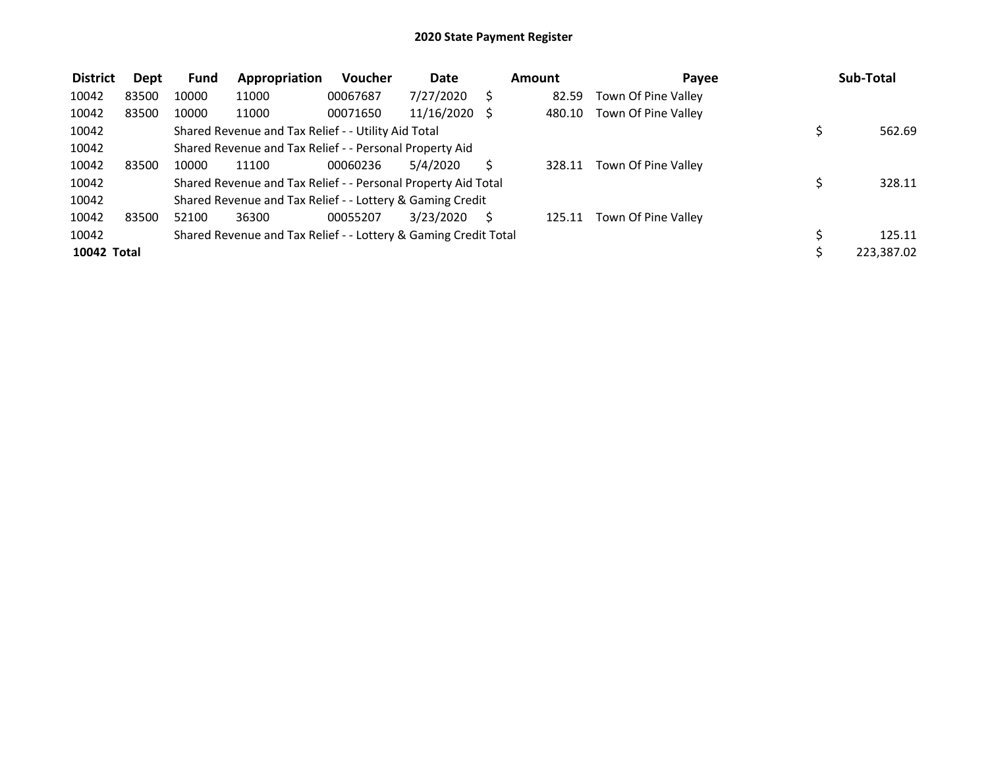| <b>District</b> | Dept  | <b>Fund</b> | Appropriation                                                   | <b>Voucher</b> | Date          | Amount | Payee               | Sub-Total  |
|-----------------|-------|-------------|-----------------------------------------------------------------|----------------|---------------|--------|---------------------|------------|
| 10042           | 83500 | 10000       | 11000                                                           | 00067687       | 7/27/2020     | 82.59  | Town Of Pine Valley |            |
| 10042           | 83500 | 10000       | 11000                                                           | 00071650       | 11/16/2020 \$ | 480.10 | Town Of Pine Valley |            |
| 10042           |       |             | Shared Revenue and Tax Relief - - Utility Aid Total             |                |               |        |                     | 562.69     |
| 10042           |       |             | Shared Revenue and Tax Relief - - Personal Property Aid         |                |               |        |                     |            |
| 10042           | 83500 | 10000       | 11100                                                           | 00060236       | 5/4/2020      | 328.11 | Town Of Pine Valley |            |
| 10042           |       |             | Shared Revenue and Tax Relief - - Personal Property Aid Total   |                |               |        |                     | 328.11     |
| 10042           |       |             | Shared Revenue and Tax Relief - - Lottery & Gaming Credit       |                |               |        |                     |            |
| 10042           | 83500 | 52100       | 36300                                                           | 00055207       | 3/23/2020     | 125.11 | Town Of Pine Valley |            |
| 10042           |       |             | Shared Revenue and Tax Relief - - Lottery & Gaming Credit Total |                |               |        |                     | 125.11     |
| 10042 Total     |       |             |                                                                 |                |               |        |                     | 223,387.02 |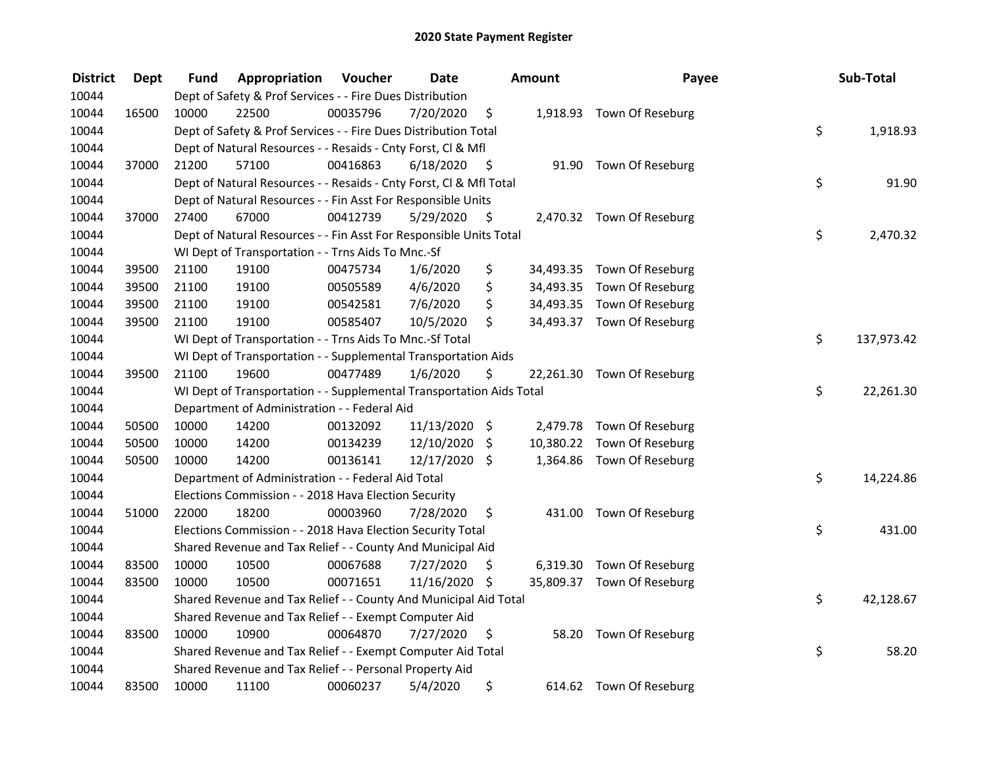| <b>District</b> | <b>Dept</b> | Fund  | Appropriation                                                        | Voucher  | <b>Date</b>   |      | Amount | Payee                      | Sub-Total        |
|-----------------|-------------|-------|----------------------------------------------------------------------|----------|---------------|------|--------|----------------------------|------------------|
| 10044           |             |       | Dept of Safety & Prof Services - - Fire Dues Distribution            |          |               |      |        |                            |                  |
| 10044           | 16500       | 10000 | 22500                                                                | 00035796 | 7/20/2020     | \$   |        | 1,918.93 Town Of Reseburg  |                  |
| 10044           |             |       | Dept of Safety & Prof Services - - Fire Dues Distribution Total      |          |               |      |        |                            | \$<br>1,918.93   |
| 10044           |             |       | Dept of Natural Resources - - Resaids - Cnty Forst, Cl & Mfl         |          |               |      |        |                            |                  |
| 10044           | 37000       | 21200 | 57100                                                                | 00416863 | 6/18/2020     | - \$ |        | 91.90 Town Of Reseburg     |                  |
| 10044           |             |       | Dept of Natural Resources - - Resaids - Cnty Forst, CI & Mfl Total   |          |               |      |        |                            | \$<br>91.90      |
| 10044           |             |       | Dept of Natural Resources - - Fin Asst For Responsible Units         |          |               |      |        |                            |                  |
| 10044           | 37000       | 27400 | 67000                                                                | 00412739 | 5/29/2020     | - \$ |        | 2,470.32 Town Of Reseburg  |                  |
| 10044           |             |       | Dept of Natural Resources - - Fin Asst For Responsible Units Total   |          |               |      |        |                            | \$<br>2,470.32   |
| 10044           |             |       | WI Dept of Transportation - - Trns Aids To Mnc.-Sf                   |          |               |      |        |                            |                  |
| 10044           | 39500       | 21100 | 19100                                                                | 00475734 | 1/6/2020      | \$   |        | 34,493.35 Town Of Reseburg |                  |
| 10044           | 39500       | 21100 | 19100                                                                | 00505589 | 4/6/2020      | \$   |        | 34,493.35 Town Of Reseburg |                  |
| 10044           | 39500       | 21100 | 19100                                                                | 00542581 | 7/6/2020      | \$   |        | 34,493.35 Town Of Reseburg |                  |
| 10044           | 39500       | 21100 | 19100                                                                | 00585407 | 10/5/2020     | \$   |        | 34,493.37 Town Of Reseburg |                  |
| 10044           |             |       | WI Dept of Transportation - - Trns Aids To Mnc.-Sf Total             |          |               |      |        |                            | \$<br>137,973.42 |
| 10044           |             |       | WI Dept of Transportation - - Supplemental Transportation Aids       |          |               |      |        |                            |                  |
| 10044           | 39500       | 21100 | 19600                                                                | 00477489 | 1/6/2020      | \$   |        | 22,261.30 Town Of Reseburg |                  |
| 10044           |             |       | WI Dept of Transportation - - Supplemental Transportation Aids Total |          |               |      |        |                            | \$<br>22,261.30  |
| 10044           |             |       | Department of Administration - - Federal Aid                         |          |               |      |        |                            |                  |
| 10044           | 50500       | 10000 | 14200                                                                | 00132092 | 11/13/2020 \$ |      |        | 2,479.78 Town Of Reseburg  |                  |
| 10044           | 50500       | 10000 | 14200                                                                | 00134239 | 12/10/2020    | \$   |        | 10,380.22 Town Of Reseburg |                  |
| 10044           | 50500       | 10000 | 14200                                                                | 00136141 | 12/17/2020 \$ |      |        | 1,364.86 Town Of Reseburg  |                  |
| 10044           |             |       | Department of Administration - - Federal Aid Total                   |          |               |      |        |                            | \$<br>14,224.86  |
| 10044           |             |       | Elections Commission - - 2018 Hava Election Security                 |          |               |      |        |                            |                  |
| 10044           | 51000       | 22000 | 18200                                                                | 00003960 | 7/28/2020     | \$   |        | 431.00 Town Of Reseburg    |                  |
| 10044           |             |       | Elections Commission - - 2018 Hava Election Security Total           |          |               |      |        |                            | \$<br>431.00     |
| 10044           |             |       | Shared Revenue and Tax Relief - - County And Municipal Aid           |          |               |      |        |                            |                  |
| 10044           | 83500       | 10000 | 10500                                                                | 00067688 | 7/27/2020     | \$   |        | 6,319.30 Town Of Reseburg  |                  |
| 10044           | 83500       | 10000 | 10500                                                                | 00071651 | 11/16/2020 \$ |      |        | 35,809.37 Town Of Reseburg |                  |
| 10044           |             |       | Shared Revenue and Tax Relief - - County And Municipal Aid Total     |          |               |      |        |                            | \$<br>42,128.67  |
| 10044           |             |       | Shared Revenue and Tax Relief - - Exempt Computer Aid                |          |               |      |        |                            |                  |
| 10044           | 83500       | 10000 | 10900                                                                | 00064870 | 7/27/2020     | \$   | 58.20  | Town Of Reseburg           |                  |
| 10044           |             |       | Shared Revenue and Tax Relief - - Exempt Computer Aid Total          |          |               |      |        |                            | \$<br>58.20      |
| 10044           |             |       | Shared Revenue and Tax Relief - - Personal Property Aid              |          |               |      |        |                            |                  |
| 10044           | 83500       | 10000 | 11100                                                                | 00060237 | 5/4/2020      | \$   |        | 614.62 Town Of Reseburg    |                  |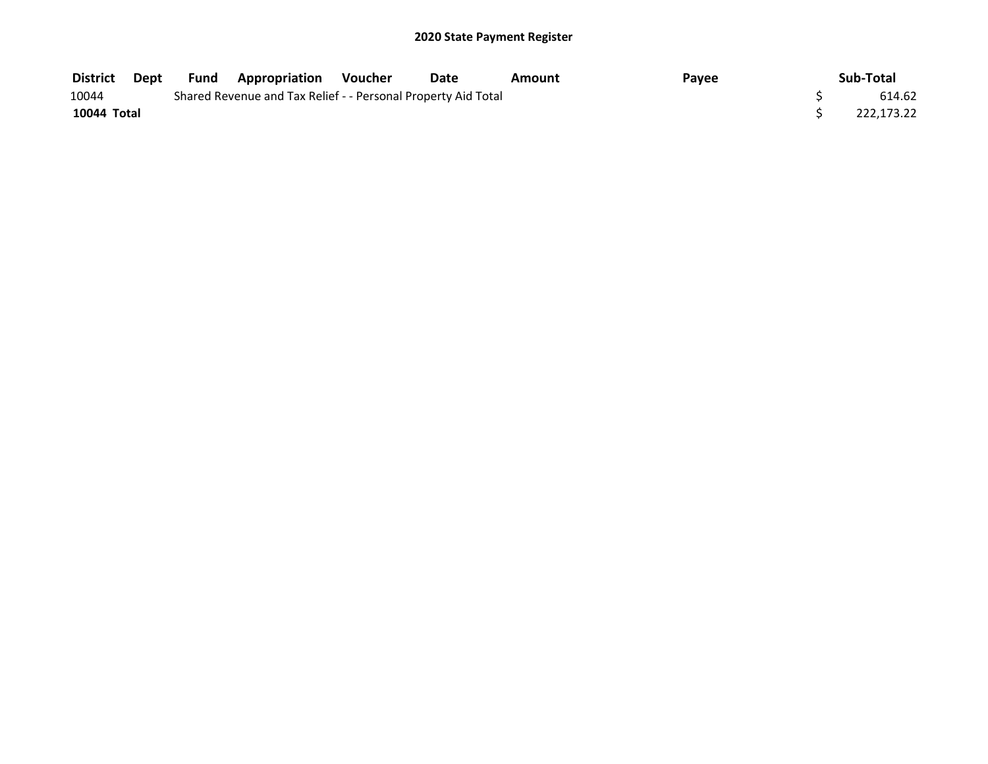| <b>District</b> | Dept | <b>Fund Appropriation</b>                                     | Voucher | Date | Amount | Payee | Sub-Total  |
|-----------------|------|---------------------------------------------------------------|---------|------|--------|-------|------------|
| 10044           |      | Shared Revenue and Tax Relief - - Personal Property Aid Total |         |      |        |       | 614.62     |
| 10044 Total     |      |                                                               |         |      |        |       | 222.173.22 |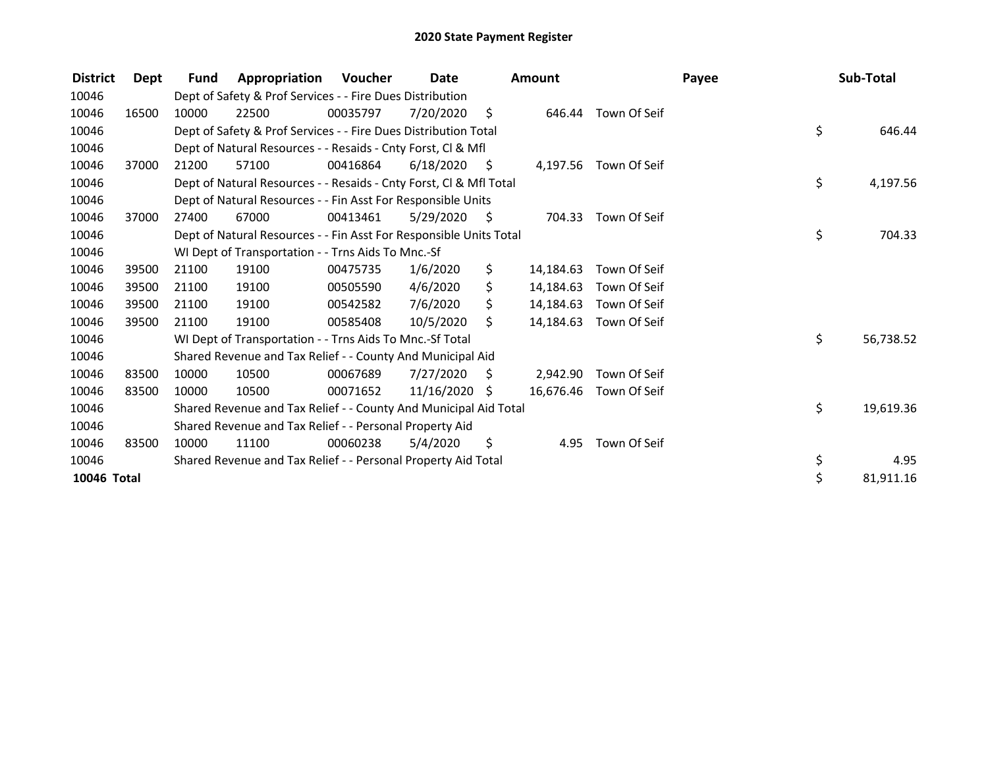| <b>District</b> | Dept  | <b>Fund</b> | Appropriation                                                      | Voucher  | Date            |                | Amount    |                       | Payee | Sub-Total       |
|-----------------|-------|-------------|--------------------------------------------------------------------|----------|-----------------|----------------|-----------|-----------------------|-------|-----------------|
| 10046           |       |             | Dept of Safety & Prof Services - - Fire Dues Distribution          |          |                 |                |           |                       |       |                 |
| 10046           | 16500 | 10000       | 22500                                                              | 00035797 | 7/20/2020       | $\ddot{\zeta}$ | 646.44    | Town Of Seif          |       |                 |
| 10046           |       |             | Dept of Safety & Prof Services - - Fire Dues Distribution Total    |          |                 |                |           |                       |       | \$<br>646.44    |
| 10046           |       |             | Dept of Natural Resources - - Resaids - Cnty Forst, CI & Mfl       |          |                 |                |           |                       |       |                 |
| 10046           | 37000 | 21200       | 57100                                                              | 00416864 | 6/18/2020       | -S             |           | 4,197.56 Town Of Seif |       |                 |
| 10046           |       |             | Dept of Natural Resources - - Resaids - Cnty Forst, Cl & Mfl Total |          |                 |                |           |                       |       | \$<br>4,197.56  |
| 10046           |       |             | Dept of Natural Resources - - Fin Asst For Responsible Units       |          |                 |                |           |                       |       |                 |
| 10046           | 37000 | 27400       | 67000                                                              | 00413461 | 5/29/2020       | - \$           | 704.33    | Town Of Seif          |       |                 |
| 10046           |       |             | Dept of Natural Resources - - Fin Asst For Responsible Units Total |          |                 |                |           |                       |       | \$<br>704.33    |
| 10046           |       |             | WI Dept of Transportation - - Trns Aids To Mnc.-Sf                 |          |                 |                |           |                       |       |                 |
| 10046           | 39500 | 21100       | 19100                                                              | 00475735 | 1/6/2020        | \$             | 14,184.63 | Town Of Seif          |       |                 |
| 10046           | 39500 | 21100       | 19100                                                              | 00505590 | 4/6/2020        | \$             | 14,184.63 | Town Of Seif          |       |                 |
| 10046           | 39500 | 21100       | 19100                                                              | 00542582 | 7/6/2020        | Ś.             | 14,184.63 | Town Of Seif          |       |                 |
| 10046           | 39500 | 21100       | 19100                                                              | 00585408 | 10/5/2020       | Ś.             | 14,184.63 | Town Of Seif          |       |                 |
| 10046           |       |             | WI Dept of Transportation - - Trns Aids To Mnc.-Sf Total           |          |                 |                |           |                       |       | \$<br>56,738.52 |
| 10046           |       |             | Shared Revenue and Tax Relief - - County And Municipal Aid         |          |                 |                |           |                       |       |                 |
| 10046           | 83500 | 10000       | 10500                                                              | 00067689 | 7/27/2020       | S.             | 2,942.90  | Town Of Seif          |       |                 |
| 10046           | 83500 | 10000       | 10500                                                              | 00071652 | $11/16/2020$ \$ |                | 16,676.46 | Town Of Seif          |       |                 |
| 10046           |       |             | Shared Revenue and Tax Relief - - County And Municipal Aid Total   |          |                 |                |           |                       |       | \$<br>19,619.36 |
| 10046           |       |             | Shared Revenue and Tax Relief - - Personal Property Aid            |          |                 |                |           |                       |       |                 |
| 10046           | 83500 | 10000       | 11100                                                              | 00060238 | 5/4/2020        | \$             | 4.95      | Town Of Seif          |       |                 |
| 10046           |       |             | Shared Revenue and Tax Relief - - Personal Property Aid Total      |          |                 |                |           |                       |       | \$<br>4.95      |
| 10046 Total     |       |             |                                                                    |          |                 |                |           |                       |       | \$<br>81,911.16 |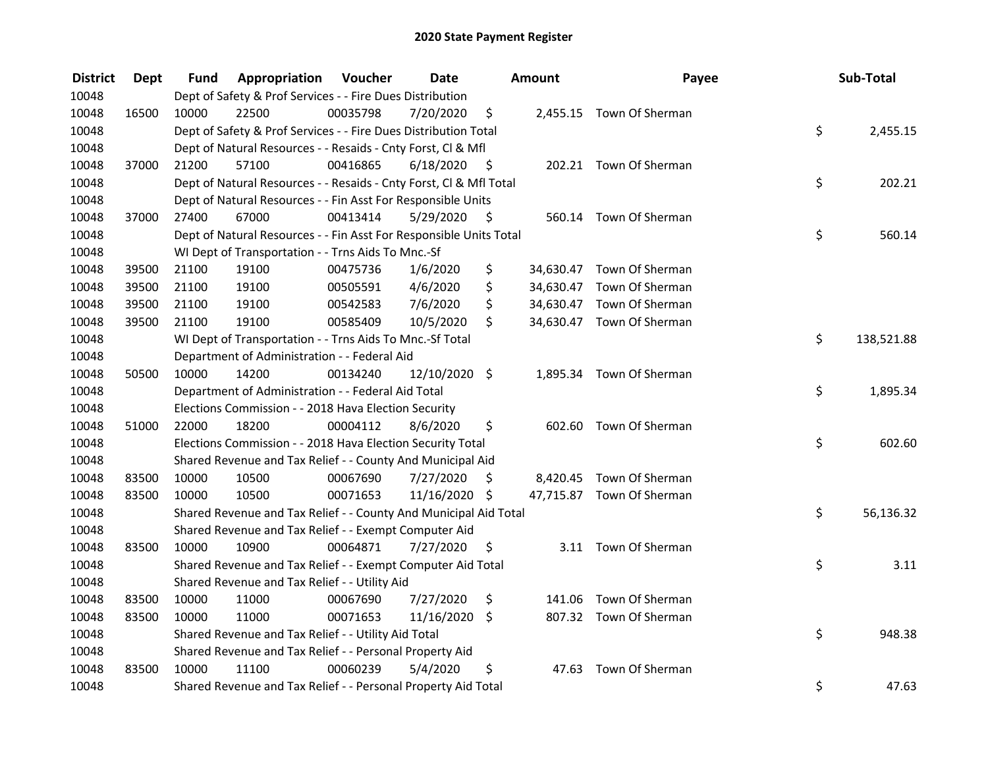| <b>District</b> | <b>Dept</b> | Fund  | Appropriation                                                      | Voucher  | <b>Date</b>   |      | <b>Amount</b> | Payee                     | Sub-Total        |
|-----------------|-------------|-------|--------------------------------------------------------------------|----------|---------------|------|---------------|---------------------------|------------------|
| 10048           |             |       | Dept of Safety & Prof Services - - Fire Dues Distribution          |          |               |      |               |                           |                  |
| 10048           | 16500       | 10000 | 22500                                                              | 00035798 | 7/20/2020     | \$   |               | 2,455.15 Town Of Sherman  |                  |
| 10048           |             |       | Dept of Safety & Prof Services - - Fire Dues Distribution Total    |          |               |      |               |                           | \$<br>2,455.15   |
| 10048           |             |       | Dept of Natural Resources - - Resaids - Cnty Forst, Cl & Mfl       |          |               |      |               |                           |                  |
| 10048           | 37000       | 21200 | 57100                                                              | 00416865 | 6/18/2020     | - \$ |               | 202.21 Town Of Sherman    |                  |
| 10048           |             |       | Dept of Natural Resources - - Resaids - Cnty Forst, Cl & Mfl Total |          |               |      |               |                           | \$<br>202.21     |
| 10048           |             |       | Dept of Natural Resources - - Fin Asst For Responsible Units       |          |               |      |               |                           |                  |
| 10048           | 37000       | 27400 | 67000                                                              | 00413414 | 5/29/2020     | - \$ |               | 560.14 Town Of Sherman    |                  |
| 10048           |             |       | Dept of Natural Resources - - Fin Asst For Responsible Units Total |          |               |      |               |                           | \$<br>560.14     |
| 10048           |             |       | WI Dept of Transportation - - Trns Aids To Mnc.-Sf                 |          |               |      |               |                           |                  |
| 10048           | 39500       | 21100 | 19100                                                              | 00475736 | 1/6/2020      | \$   |               | 34,630.47 Town Of Sherman |                  |
| 10048           | 39500       | 21100 | 19100                                                              | 00505591 | 4/6/2020      | \$   |               | 34,630.47 Town Of Sherman |                  |
| 10048           | 39500       | 21100 | 19100                                                              | 00542583 | 7/6/2020      | \$   |               | 34,630.47 Town Of Sherman |                  |
| 10048           | 39500       | 21100 | 19100                                                              | 00585409 | 10/5/2020     | \$   |               | 34,630.47 Town Of Sherman |                  |
| 10048           |             |       | WI Dept of Transportation - - Trns Aids To Mnc.-Sf Total           |          |               |      |               |                           | \$<br>138,521.88 |
| 10048           |             |       | Department of Administration - - Federal Aid                       |          |               |      |               |                           |                  |
| 10048           | 50500       | 10000 | 14200                                                              | 00134240 | 12/10/2020 \$ |      |               | 1,895.34 Town Of Sherman  |                  |
| 10048           |             |       | Department of Administration - - Federal Aid Total                 |          |               |      |               |                           | \$<br>1,895.34   |
| 10048           |             |       | Elections Commission - - 2018 Hava Election Security               |          |               |      |               |                           |                  |
| 10048           | 51000       | 22000 | 18200                                                              | 00004112 | 8/6/2020      | \$   |               | 602.60 Town Of Sherman    |                  |
| 10048           |             |       | Elections Commission - - 2018 Hava Election Security Total         |          |               |      |               |                           | \$<br>602.60     |
| 10048           |             |       | Shared Revenue and Tax Relief - - County And Municipal Aid         |          |               |      |               |                           |                  |
| 10048           | 83500       | 10000 | 10500                                                              | 00067690 | 7/27/2020     | S    |               | 8,420.45 Town Of Sherman  |                  |
| 10048           | 83500       | 10000 | 10500                                                              | 00071653 | 11/16/2020 \$ |      |               | 47,715.87 Town Of Sherman |                  |
| 10048           |             |       | Shared Revenue and Tax Relief - - County And Municipal Aid Total   |          |               |      |               |                           | \$<br>56,136.32  |
| 10048           |             |       | Shared Revenue and Tax Relief - - Exempt Computer Aid              |          |               |      |               |                           |                  |
| 10048           | 83500       | 10000 | 10900                                                              | 00064871 | 7/27/2020     | \$.  |               | 3.11 Town Of Sherman      |                  |
| 10048           |             |       | Shared Revenue and Tax Relief - - Exempt Computer Aid Total        |          |               |      |               |                           | \$<br>3.11       |
| 10048           |             |       | Shared Revenue and Tax Relief - - Utility Aid                      |          |               |      |               |                           |                  |
| 10048           | 83500       | 10000 | 11000                                                              | 00067690 | 7/27/2020     | \$   | 141.06        | Town Of Sherman           |                  |
| 10048           | 83500       | 10000 | 11000                                                              | 00071653 | 11/16/2020    | \$   |               | 807.32 Town Of Sherman    |                  |
| 10048           |             |       | Shared Revenue and Tax Relief - - Utility Aid Total                |          |               |      |               |                           | \$<br>948.38     |
| 10048           |             |       | Shared Revenue and Tax Relief - - Personal Property Aid            |          |               |      |               |                           |                  |
| 10048           | 83500       | 10000 | 11100                                                              | 00060239 | 5/4/2020      | \$   | 47.63         | Town Of Sherman           |                  |
| 10048           |             |       | Shared Revenue and Tax Relief - - Personal Property Aid Total      |          |               |      |               |                           | \$<br>47.63      |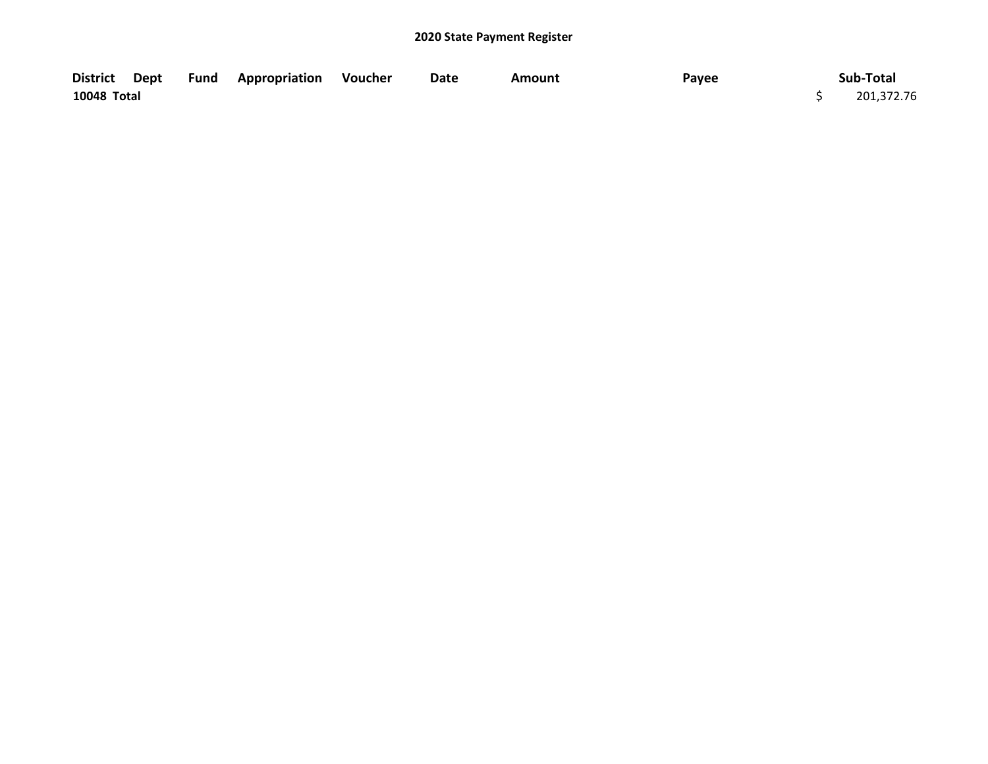| <b>District</b> | Dept | Fund | <b>Appropriation Voucher</b> | Date | Amount | Payee | Sub-Total  |
|-----------------|------|------|------------------------------|------|--------|-------|------------|
| 10048 Total     |      |      |                              |      |        |       | 201,372.76 |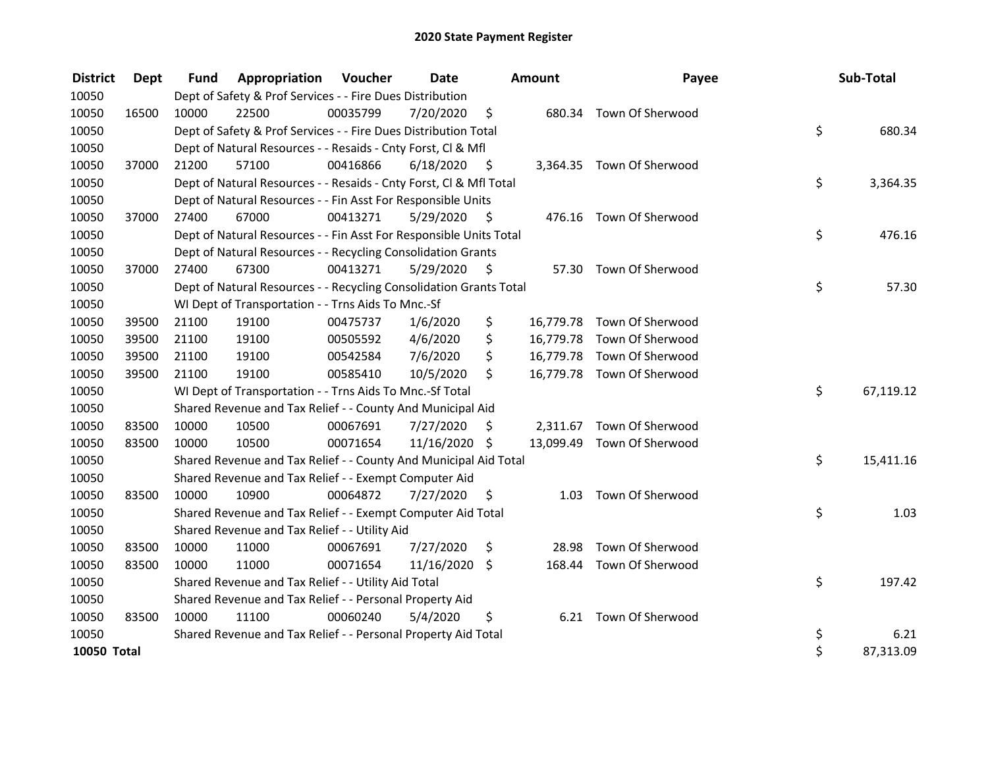| <b>District</b>    | Dept  | <b>Fund</b> | <b>Appropriation Voucher</b>                                       |          | <b>Date</b>   |      | <b>Amount</b> | Payee                      | Sub-Total       |
|--------------------|-------|-------------|--------------------------------------------------------------------|----------|---------------|------|---------------|----------------------------|-----------------|
| 10050              |       |             | Dept of Safety & Prof Services - - Fire Dues Distribution          |          |               |      |               |                            |                 |
| 10050              | 16500 | 10000       | 22500                                                              | 00035799 | 7/20/2020     | \$   |               | 680.34 Town Of Sherwood    |                 |
| 10050              |       |             | Dept of Safety & Prof Services - - Fire Dues Distribution Total    |          |               |      |               |                            | \$<br>680.34    |
| 10050              |       |             | Dept of Natural Resources - - Resaids - Cnty Forst, Cl & Mfl       |          |               |      |               |                            |                 |
| 10050              | 37000 | 21200       | 57100                                                              | 00416866 | 6/18/2020     | - \$ |               | 3,364.35 Town Of Sherwood  |                 |
| 10050              |       |             | Dept of Natural Resources - - Resaids - Cnty Forst, Cl & Mfl Total |          |               |      |               |                            | \$<br>3,364.35  |
| 10050              |       |             | Dept of Natural Resources - - Fin Asst For Responsible Units       |          |               |      |               |                            |                 |
| 10050              | 37000 | 27400       | 67000                                                              | 00413271 | 5/29/2020     | - \$ |               | 476.16 Town Of Sherwood    |                 |
| 10050              |       |             | Dept of Natural Resources - - Fin Asst For Responsible Units Total |          |               |      |               |                            | \$<br>476.16    |
| 10050              |       |             | Dept of Natural Resources - - Recycling Consolidation Grants       |          |               |      |               |                            |                 |
| 10050              | 37000 | 27400       | 67300                                                              | 00413271 | 5/29/2020     | \$   |               | 57.30 Town Of Sherwood     |                 |
| 10050              |       |             | Dept of Natural Resources - - Recycling Consolidation Grants Total |          |               |      |               |                            | \$<br>57.30     |
| 10050              |       |             | WI Dept of Transportation - - Trns Aids To Mnc.-Sf                 |          |               |      |               |                            |                 |
| 10050              | 39500 | 21100       | 19100                                                              | 00475737 | 1/6/2020      | \$   |               | 16,779.78 Town Of Sherwood |                 |
| 10050              | 39500 | 21100       | 19100                                                              | 00505592 | 4/6/2020      | \$   |               | 16,779.78 Town Of Sherwood |                 |
| 10050              | 39500 | 21100       | 19100                                                              | 00542584 | 7/6/2020      | \$   |               | 16,779.78 Town Of Sherwood |                 |
| 10050              | 39500 | 21100       | 19100                                                              | 00585410 | 10/5/2020     | \$   |               | 16,779.78 Town Of Sherwood |                 |
| 10050              |       |             | WI Dept of Transportation - - Trns Aids To Mnc.-Sf Total           |          |               |      |               |                            | \$<br>67,119.12 |
| 10050              |       |             | Shared Revenue and Tax Relief - - County And Municipal Aid         |          |               |      |               |                            |                 |
| 10050              | 83500 | 10000       | 10500                                                              | 00067691 | 7/27/2020     | S    |               | 2,311.67 Town Of Sherwood  |                 |
| 10050              | 83500 | 10000       | 10500                                                              | 00071654 | 11/16/2020 \$ |      |               | 13,099.49 Town Of Sherwood |                 |
| 10050              |       |             | Shared Revenue and Tax Relief - - County And Municipal Aid Total   |          |               |      |               |                            | \$<br>15,411.16 |
| 10050              |       |             | Shared Revenue and Tax Relief - - Exempt Computer Aid              |          |               |      |               |                            |                 |
| 10050              | 83500 | 10000       | 10900                                                              | 00064872 | 7/27/2020     | \$   | 1.03          | Town Of Sherwood           |                 |
| 10050              |       |             | Shared Revenue and Tax Relief - - Exempt Computer Aid Total        |          |               |      |               |                            | \$<br>1.03      |
| 10050              |       |             | Shared Revenue and Tax Relief - - Utility Aid                      |          |               |      |               |                            |                 |
| 10050              | 83500 | 10000       | 11000                                                              | 00067691 | 7/27/2020     | \$   | 28.98         | Town Of Sherwood           |                 |
| 10050              | 83500 | 10000       | 11000                                                              | 00071654 | 11/16/2020 \$ |      |               | 168.44 Town Of Sherwood    |                 |
| 10050              |       |             | Shared Revenue and Tax Relief - - Utility Aid Total                |          |               |      |               |                            | \$<br>197.42    |
| 10050              |       |             | Shared Revenue and Tax Relief - - Personal Property Aid            |          |               |      |               |                            |                 |
| 10050              | 83500 | 10000       | 11100                                                              | 00060240 | 5/4/2020      | \$   |               | 6.21 Town Of Sherwood      |                 |
| 10050              |       |             | Shared Revenue and Tax Relief - - Personal Property Aid Total      |          |               |      |               |                            | \$<br>6.21      |
| <b>10050 Total</b> |       |             |                                                                    |          |               |      |               |                            | \$<br>87,313.09 |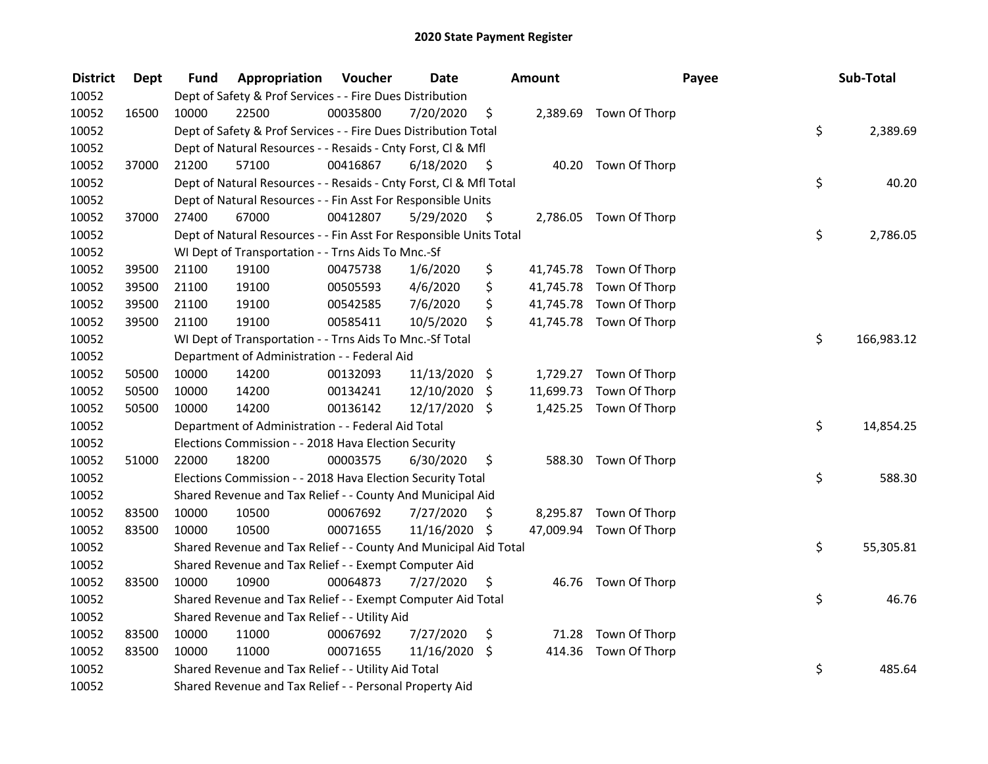| <b>District</b> | <b>Dept</b> | Fund  | Appropriation                                                      | Voucher  | <b>Date</b>   |      | Amount    |                         | Payee | Sub-Total  |
|-----------------|-------------|-------|--------------------------------------------------------------------|----------|---------------|------|-----------|-------------------------|-------|------------|
| 10052           |             |       | Dept of Safety & Prof Services - - Fire Dues Distribution          |          |               |      |           |                         |       |            |
| 10052           | 16500       | 10000 | 22500                                                              | 00035800 | 7/20/2020     | \$   |           | 2,389.69 Town Of Thorp  |       |            |
| 10052           |             |       | Dept of Safety & Prof Services - - Fire Dues Distribution Total    |          |               |      |           |                         | \$    | 2,389.69   |
| 10052           |             |       | Dept of Natural Resources - - Resaids - Cnty Forst, Cl & Mfl       |          |               |      |           |                         |       |            |
| 10052           | 37000       | 21200 | 57100                                                              | 00416867 | 6/18/2020     | - \$ |           | 40.20 Town Of Thorp     |       |            |
| 10052           |             |       | Dept of Natural Resources - - Resaids - Cnty Forst, Cl & Mfl Total |          |               |      |           |                         | \$    | 40.20      |
| 10052           |             |       | Dept of Natural Resources - - Fin Asst For Responsible Units       |          |               |      |           |                         |       |            |
| 10052           | 37000       | 27400 | 67000                                                              | 00412807 | 5/29/2020     | - \$ |           | 2,786.05 Town Of Thorp  |       |            |
| 10052           |             |       | Dept of Natural Resources - - Fin Asst For Responsible Units Total |          |               |      |           |                         | \$    | 2,786.05   |
| 10052           |             |       | WI Dept of Transportation - - Trns Aids To Mnc.-Sf                 |          |               |      |           |                         |       |            |
| 10052           | 39500       | 21100 | 19100                                                              | 00475738 | 1/6/2020      | \$   |           | 41,745.78 Town Of Thorp |       |            |
| 10052           | 39500       | 21100 | 19100                                                              | 00505593 | 4/6/2020      | \$   |           | 41,745.78 Town Of Thorp |       |            |
| 10052           | 39500       | 21100 | 19100                                                              | 00542585 | 7/6/2020      | \$   |           | 41,745.78 Town Of Thorp |       |            |
| 10052           | 39500       | 21100 | 19100                                                              | 00585411 | 10/5/2020     | \$   |           | 41,745.78 Town Of Thorp |       |            |
| 10052           |             |       | WI Dept of Transportation - - Trns Aids To Mnc.-Sf Total           |          |               |      |           |                         | \$    | 166,983.12 |
| 10052           |             |       | Department of Administration - - Federal Aid                       |          |               |      |           |                         |       |            |
| 10052           | 50500       | 10000 | 14200                                                              | 00132093 | 11/13/2020 \$ |      | 1,729.27  | Town Of Thorp           |       |            |
| 10052           | 50500       | 10000 | 14200                                                              | 00134241 | 12/10/2020    | \$   | 11,699.73 | Town Of Thorp           |       |            |
| 10052           | 50500       | 10000 | 14200                                                              | 00136142 | 12/17/2020 \$ |      |           | 1,425.25 Town Of Thorp  |       |            |
| 10052           |             |       | Department of Administration - - Federal Aid Total                 |          |               |      |           |                         | \$    | 14,854.25  |
| 10052           |             |       | Elections Commission - - 2018 Hava Election Security               |          |               |      |           |                         |       |            |
| 10052           | 51000       | 22000 | 18200                                                              | 00003575 | 6/30/2020     | \$.  |           | 588.30 Town Of Thorp    |       |            |
| 10052           |             |       | Elections Commission - - 2018 Hava Election Security Total         |          |               |      |           |                         | \$    | 588.30     |
| 10052           |             |       | Shared Revenue and Tax Relief - - County And Municipal Aid         |          |               |      |           |                         |       |            |
| 10052           | 83500       | 10000 | 10500                                                              | 00067692 | 7/27/2020     | S    |           | 8,295.87 Town Of Thorp  |       |            |
| 10052           | 83500       | 10000 | 10500                                                              | 00071655 | 11/16/2020 \$ |      |           | 47,009.94 Town Of Thorp |       |            |
| 10052           |             |       | Shared Revenue and Tax Relief - - County And Municipal Aid Total   |          |               |      |           |                         | \$    | 55,305.81  |
| 10052           |             |       | Shared Revenue and Tax Relief - - Exempt Computer Aid              |          |               |      |           |                         |       |            |
| 10052           | 83500       | 10000 | 10900                                                              | 00064873 | 7/27/2020     | \$   |           | 46.76 Town Of Thorp     |       |            |
| 10052           |             |       | Shared Revenue and Tax Relief - - Exempt Computer Aid Total        |          |               |      |           |                         | \$    | 46.76      |
| 10052           |             |       | Shared Revenue and Tax Relief - - Utility Aid                      |          |               |      |           |                         |       |            |
| 10052           | 83500       | 10000 | 11000                                                              | 00067692 | 7/27/2020     | \$   |           | 71.28 Town Of Thorp     |       |            |
| 10052           | 83500       | 10000 | 11000                                                              | 00071655 | 11/16/2020 \$ |      | 414.36    | Town Of Thorp           |       |            |
| 10052           |             |       | Shared Revenue and Tax Relief - - Utility Aid Total                |          |               |      |           |                         | \$    | 485.64     |
| 10052           |             |       | Shared Revenue and Tax Relief - - Personal Property Aid            |          |               |      |           |                         |       |            |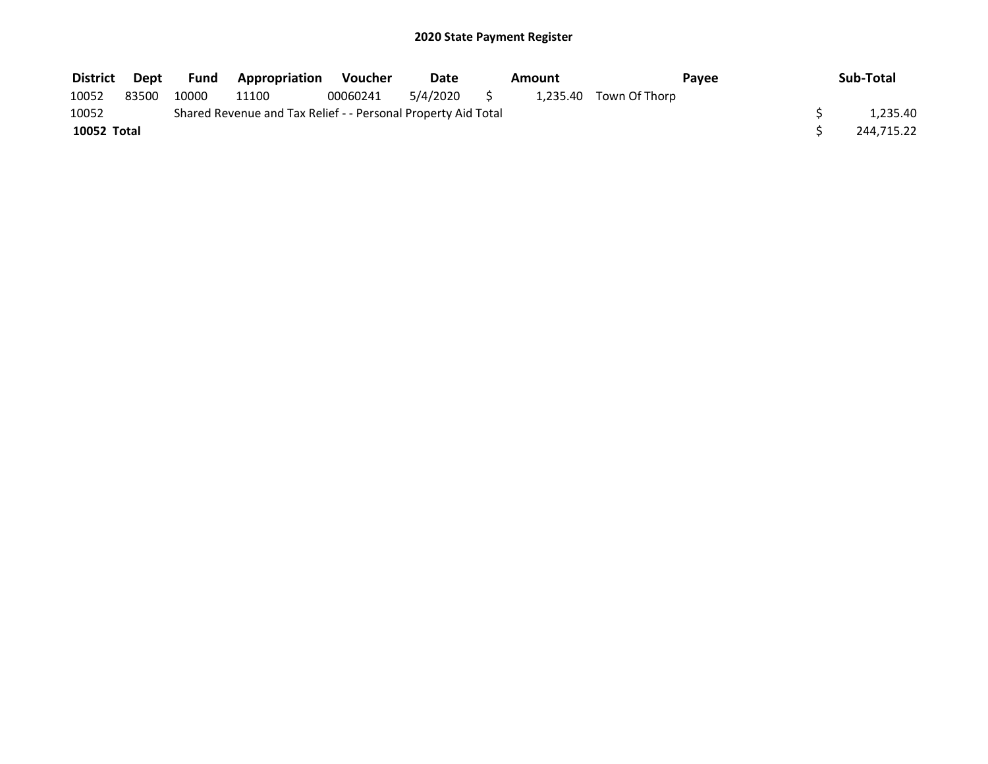| <b>District</b> | Dept  |       | <b>Fund Appropriation</b>                                     | Voucher  | Date     | Amount |                        | Pavee | Sub-Total  |  |
|-----------------|-------|-------|---------------------------------------------------------------|----------|----------|--------|------------------------|-------|------------|--|
| 10052           | 83500 | 10000 | 11100                                                         | 00060241 | 5/4/2020 |        | 1,235.40 Town Of Thorp |       |            |  |
| 10052           |       |       | Shared Revenue and Tax Relief - - Personal Property Aid Total |          |          |        |                        |       | 1.235.40   |  |
| 10052 Total     |       |       |                                                               |          |          |        |                        |       | 244,715.22 |  |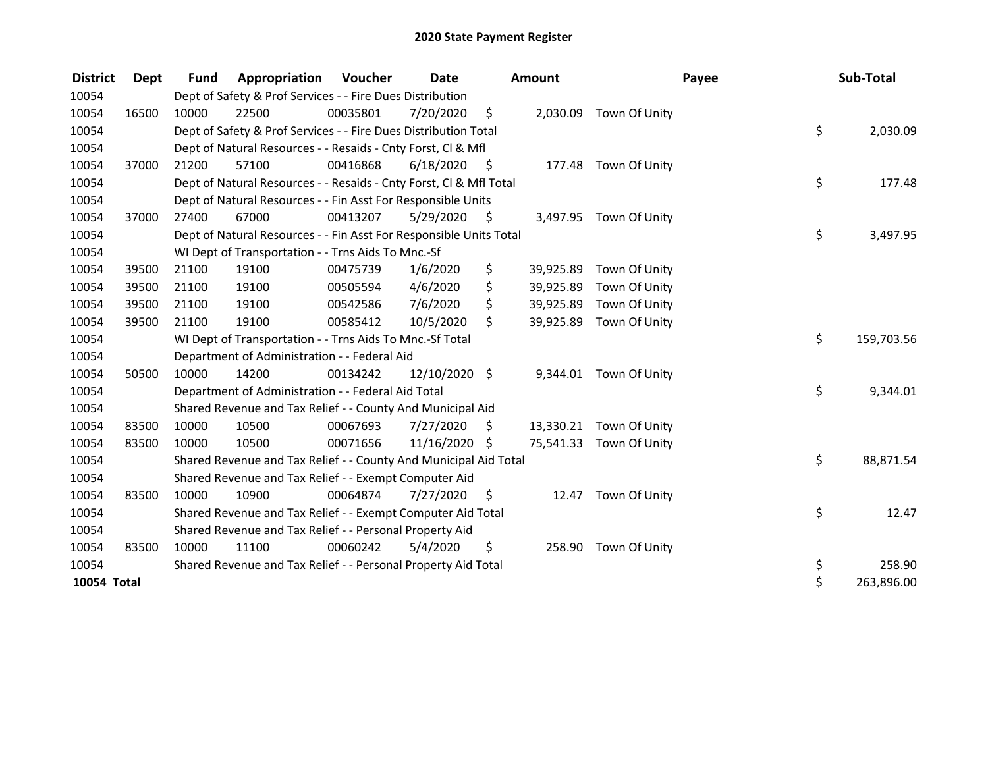| <b>District</b> | Dept  | <b>Fund</b> | Appropriation                                                      | <b>Voucher</b> | Date          |      | <b>Amount</b> |                         | Payee | Sub-Total  |
|-----------------|-------|-------------|--------------------------------------------------------------------|----------------|---------------|------|---------------|-------------------------|-------|------------|
| 10054           |       |             | Dept of Safety & Prof Services - - Fire Dues Distribution          |                |               |      |               |                         |       |            |
| 10054           | 16500 | 10000       | 22500                                                              | 00035801       | 7/20/2020     | \$   | 2,030.09      | Town Of Unity           |       |            |
| 10054           |       |             | Dept of Safety & Prof Services - - Fire Dues Distribution Total    |                |               |      |               |                         | \$    | 2,030.09   |
| 10054           |       |             | Dept of Natural Resources - - Resaids - Cnty Forst, CI & Mfl       |                |               |      |               |                         |       |            |
| 10054           | 37000 | 21200       | 57100                                                              | 00416868       | 6/18/2020     | - \$ |               | 177.48 Town Of Unity    |       |            |
| 10054           |       |             | Dept of Natural Resources - - Resaids - Cnty Forst, Cl & Mfl Total |                |               |      |               |                         | \$    | 177.48     |
| 10054           |       |             | Dept of Natural Resources - - Fin Asst For Responsible Units       |                |               |      |               |                         |       |            |
| 10054           | 37000 | 27400       | 67000                                                              | 00413207       | 5/29/2020     | \$   |               | 3,497.95 Town Of Unity  |       |            |
| 10054           |       |             | Dept of Natural Resources - - Fin Asst For Responsible Units Total |                |               |      |               |                         | \$    | 3,497.95   |
| 10054           |       |             | WI Dept of Transportation - - Trns Aids To Mnc.-Sf                 |                |               |      |               |                         |       |            |
| 10054           | 39500 | 21100       | 19100                                                              | 00475739       | 1/6/2020      | \$   | 39,925.89     | Town Of Unity           |       |            |
| 10054           | 39500 | 21100       | 19100                                                              | 00505594       | 4/6/2020      | \$   | 39,925.89     | Town Of Unity           |       |            |
| 10054           | 39500 | 21100       | 19100                                                              | 00542586       | 7/6/2020      | \$   | 39,925.89     | Town Of Unity           |       |            |
| 10054           | 39500 | 21100       | 19100                                                              | 00585412       | 10/5/2020     | \$   | 39,925.89     | Town Of Unity           |       |            |
| 10054           |       |             | WI Dept of Transportation - - Trns Aids To Mnc.-Sf Total           |                |               |      |               |                         | \$    | 159,703.56 |
| 10054           |       |             | Department of Administration - - Federal Aid                       |                |               |      |               |                         |       |            |
| 10054           | 50500 | 10000       | 14200                                                              | 00134242       | 12/10/2020 \$ |      |               | 9,344.01 Town Of Unity  |       |            |
| 10054           |       |             | Department of Administration - - Federal Aid Total                 |                |               |      |               |                         | \$    | 9,344.01   |
| 10054           |       |             | Shared Revenue and Tax Relief - - County And Municipal Aid         |                |               |      |               |                         |       |            |
| 10054           | 83500 | 10000       | 10500                                                              | 00067693       | 7/27/2020     | \$   |               | 13,330.21 Town Of Unity |       |            |
| 10054           | 83500 | 10000       | 10500                                                              | 00071656       | 11/16/2020 \$ |      |               | 75,541.33 Town Of Unity |       |            |
| 10054           |       |             | Shared Revenue and Tax Relief - - County And Municipal Aid Total   |                |               |      |               |                         | \$    | 88,871.54  |
| 10054           |       |             | Shared Revenue and Tax Relief - - Exempt Computer Aid              |                |               |      |               |                         |       |            |
| 10054           | 83500 | 10000       | 10900                                                              | 00064874       | 7/27/2020     | S    | 12.47         | Town Of Unity           |       |            |
| 10054           |       |             | Shared Revenue and Tax Relief - - Exempt Computer Aid Total        |                |               |      |               |                         | \$    | 12.47      |
| 10054           |       |             | Shared Revenue and Tax Relief - - Personal Property Aid            |                |               |      |               |                         |       |            |
| 10054           | 83500 | 10000       | 11100                                                              | 00060242       | 5/4/2020      | \$   | 258.90        | Town Of Unity           |       |            |
| 10054           |       |             | Shared Revenue and Tax Relief - - Personal Property Aid Total      |                |               |      |               |                         | \$    | 258.90     |
| 10054 Total     |       |             |                                                                    |                |               |      |               |                         | \$    | 263,896.00 |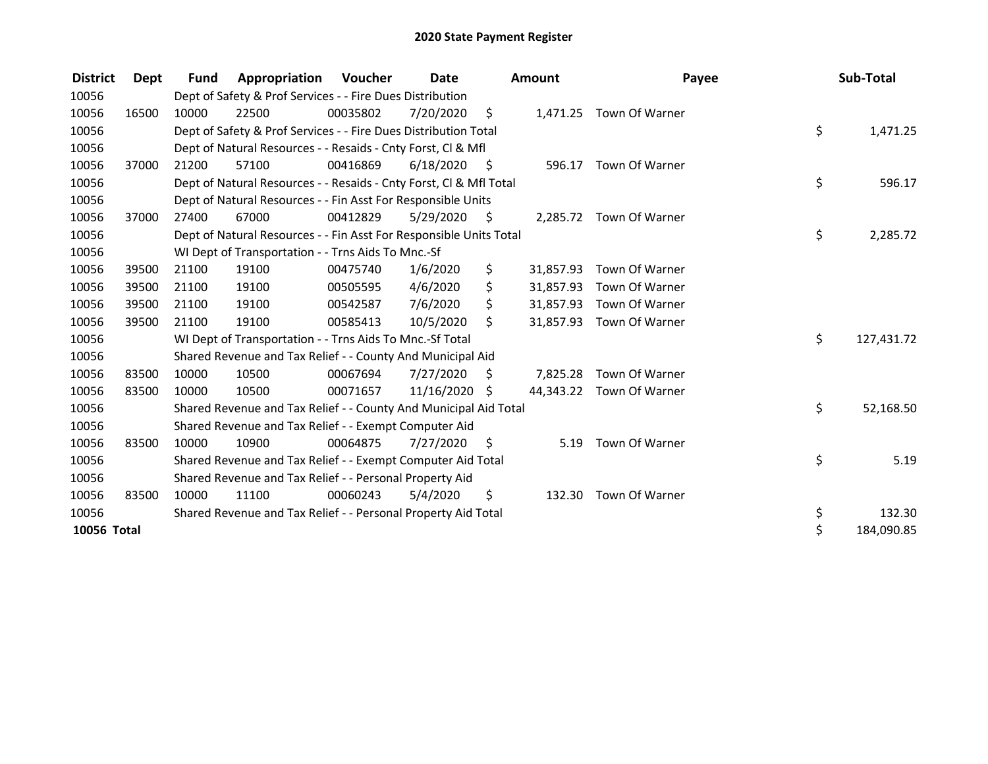| <b>District</b> | Dept  | <b>Fund</b> | Appropriation                                                      | <b>Voucher</b> | Date          |      | <b>Amount</b> | Payee                    | Sub-Total        |
|-----------------|-------|-------------|--------------------------------------------------------------------|----------------|---------------|------|---------------|--------------------------|------------------|
| 10056           |       |             | Dept of Safety & Prof Services - - Fire Dues Distribution          |                |               |      |               |                          |                  |
| 10056           | 16500 | 10000       | 22500                                                              | 00035802       | 7/20/2020     | \$   |               | 1,471.25 Town Of Warner  |                  |
| 10056           |       |             | Dept of Safety & Prof Services - - Fire Dues Distribution Total    |                |               |      |               |                          | \$<br>1,471.25   |
| 10056           |       |             | Dept of Natural Resources - - Resaids - Cnty Forst, CI & Mfl       |                |               |      |               |                          |                  |
| 10056           | 37000 | 21200       | 57100                                                              | 00416869       | 6/18/2020     | - \$ | 596.17        | Town Of Warner           |                  |
| 10056           |       |             | Dept of Natural Resources - - Resaids - Cnty Forst, Cl & Mfl Total |                |               |      |               |                          | \$<br>596.17     |
| 10056           |       |             | Dept of Natural Resources - - Fin Asst For Responsible Units       |                |               |      |               |                          |                  |
| 10056           | 37000 | 27400       | 67000                                                              | 00412829       | 5/29/2020     | - \$ |               | 2,285.72 Town Of Warner  |                  |
| 10056           |       |             | Dept of Natural Resources - - Fin Asst For Responsible Units Total |                |               |      |               |                          | \$<br>2,285.72   |
| 10056           |       |             | WI Dept of Transportation - - Trns Aids To Mnc.-Sf                 |                |               |      |               |                          |                  |
| 10056           | 39500 | 21100       | 19100                                                              | 00475740       | 1/6/2020      | \$   | 31,857.93     | Town Of Warner           |                  |
| 10056           | 39500 | 21100       | 19100                                                              | 00505595       | 4/6/2020      | \$   | 31,857.93     | Town Of Warner           |                  |
| 10056           | 39500 | 21100       | 19100                                                              | 00542587       | 7/6/2020      | \$   | 31,857.93     | Town Of Warner           |                  |
| 10056           | 39500 | 21100       | 19100                                                              | 00585413       | 10/5/2020     | \$   | 31,857.93     | Town Of Warner           |                  |
| 10056           |       |             | WI Dept of Transportation - - Trns Aids To Mnc.-Sf Total           |                |               |      |               |                          | \$<br>127,431.72 |
| 10056           |       |             | Shared Revenue and Tax Relief - - County And Municipal Aid         |                |               |      |               |                          |                  |
| 10056           | 83500 | 10000       | 10500                                                              | 00067694       | 7/27/2020     | \$   | 7,825.28      | Town Of Warner           |                  |
| 10056           | 83500 | 10000       | 10500                                                              | 00071657       | 11/16/2020 \$ |      |               | 44,343.22 Town Of Warner |                  |
| 10056           |       |             | Shared Revenue and Tax Relief - - County And Municipal Aid Total   |                |               |      |               |                          | \$<br>52,168.50  |
| 10056           |       |             | Shared Revenue and Tax Relief - - Exempt Computer Aid              |                |               |      |               |                          |                  |
| 10056           | 83500 | 10000       | 10900                                                              | 00064875       | 7/27/2020     | - \$ | 5.19          | Town Of Warner           |                  |
| 10056           |       |             | Shared Revenue and Tax Relief - - Exempt Computer Aid Total        |                |               |      |               |                          | \$<br>5.19       |
| 10056           |       |             | Shared Revenue and Tax Relief - - Personal Property Aid            |                |               |      |               |                          |                  |
| 10056           | 83500 | 10000       | 11100                                                              | 00060243       | 5/4/2020      | \$   | 132.30        | Town Of Warner           |                  |
| 10056           |       |             | Shared Revenue and Tax Relief - - Personal Property Aid Total      |                |               |      |               |                          | \$<br>132.30     |
| 10056 Total     |       |             |                                                                    |                |               |      |               |                          | \$<br>184,090.85 |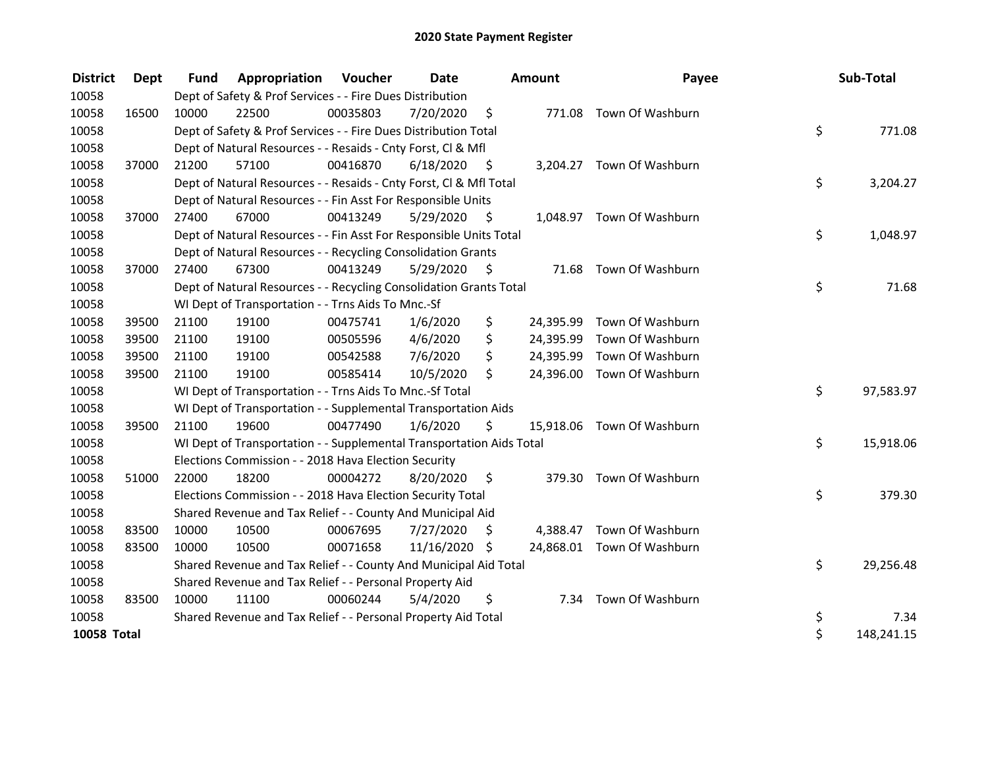| <b>District</b> | <b>Dept</b> | <b>Fund</b> | <b>Appropriation Voucher</b>                                         |          | Date          |                    | <b>Amount</b> | Payee                      | Sub-Total        |
|-----------------|-------------|-------------|----------------------------------------------------------------------|----------|---------------|--------------------|---------------|----------------------------|------------------|
| 10058           |             |             | Dept of Safety & Prof Services - - Fire Dues Distribution            |          |               |                    |               |                            |                  |
| 10058           | 16500       | 10000       | 22500                                                                | 00035803 | 7/20/2020     | $\ddot{\varsigma}$ |               | 771.08 Town Of Washburn    |                  |
| 10058           |             |             | Dept of Safety & Prof Services - - Fire Dues Distribution Total      |          |               |                    |               |                            | \$<br>771.08     |
| 10058           |             |             | Dept of Natural Resources - - Resaids - Cnty Forst, CI & Mfl         |          |               |                    |               |                            |                  |
| 10058           | 37000       | 21200       | 57100                                                                | 00416870 | 6/18/2020     | - \$               |               | 3,204.27 Town Of Washburn  |                  |
| 10058           |             |             | Dept of Natural Resources - - Resaids - Cnty Forst, Cl & Mfl Total   |          |               |                    |               |                            | \$<br>3,204.27   |
| 10058           |             |             | Dept of Natural Resources - - Fin Asst For Responsible Units         |          |               |                    |               |                            |                  |
| 10058           | 37000       | 27400       | 67000                                                                | 00413249 | 5/29/2020     | \$                 |               | 1,048.97 Town Of Washburn  |                  |
| 10058           |             |             | Dept of Natural Resources - - Fin Asst For Responsible Units Total   |          |               |                    |               |                            | \$<br>1,048.97   |
| 10058           |             |             | Dept of Natural Resources - - Recycling Consolidation Grants         |          |               |                    |               |                            |                  |
| 10058           | 37000       | 27400       | 67300                                                                | 00413249 | 5/29/2020     | \$                 |               | 71.68 Town Of Washburn     |                  |
| 10058           |             |             | Dept of Natural Resources - - Recycling Consolidation Grants Total   |          |               |                    |               |                            | \$<br>71.68      |
| 10058           |             |             | WI Dept of Transportation - - Trns Aids To Mnc.-Sf                   |          |               |                    |               |                            |                  |
| 10058           | 39500       | 21100       | 19100                                                                | 00475741 | 1/6/2020      | \$                 |               | 24,395.99 Town Of Washburn |                  |
| 10058           | 39500       | 21100       | 19100                                                                | 00505596 | 4/6/2020      | \$                 | 24,395.99     | Town Of Washburn           |                  |
| 10058           | 39500       | 21100       | 19100                                                                | 00542588 | 7/6/2020      | \$                 | 24,395.99     | Town Of Washburn           |                  |
| 10058           | 39500       | 21100       | 19100                                                                | 00585414 | 10/5/2020     | \$                 |               | 24,396.00 Town Of Washburn |                  |
| 10058           |             |             | WI Dept of Transportation - - Trns Aids To Mnc.-Sf Total             |          |               |                    |               |                            | \$<br>97,583.97  |
| 10058           |             |             | WI Dept of Transportation - - Supplemental Transportation Aids       |          |               |                    |               |                            |                  |
| 10058           | 39500       | 21100       | 19600                                                                | 00477490 | 1/6/2020      | \$                 |               | 15,918.06 Town Of Washburn |                  |
| 10058           |             |             | WI Dept of Transportation - - Supplemental Transportation Aids Total |          |               |                    |               |                            | \$<br>15,918.06  |
| 10058           |             |             | Elections Commission - - 2018 Hava Election Security                 |          |               |                    |               |                            |                  |
| 10058           | 51000       | 22000       | 18200                                                                | 00004272 | 8/20/2020     | \$                 |               | 379.30 Town Of Washburn    |                  |
| 10058           |             |             | Elections Commission - - 2018 Hava Election Security Total           |          |               |                    |               |                            | \$<br>379.30     |
| 10058           |             |             | Shared Revenue and Tax Relief - - County And Municipal Aid           |          |               |                    |               |                            |                  |
| 10058           | 83500       | 10000       | 10500                                                                | 00067695 | 7/27/2020     | \$                 | 4,388.47      | Town Of Washburn           |                  |
| 10058           | 83500       | 10000       | 10500                                                                | 00071658 | 11/16/2020 \$ |                    |               | 24,868.01 Town Of Washburn |                  |
| 10058           |             |             | Shared Revenue and Tax Relief - - County And Municipal Aid Total     |          |               |                    |               |                            | \$<br>29,256.48  |
| 10058           |             |             | Shared Revenue and Tax Relief - - Personal Property Aid              |          |               |                    |               |                            |                  |
| 10058           | 83500       | 10000       | 11100                                                                | 00060244 | 5/4/2020      | \$                 |               | 7.34 Town Of Washburn      |                  |
| 10058           |             |             | Shared Revenue and Tax Relief - - Personal Property Aid Total        |          |               |                    |               |                            | \$<br>7.34       |
| 10058 Total     |             |             |                                                                      |          |               |                    |               |                            | \$<br>148,241.15 |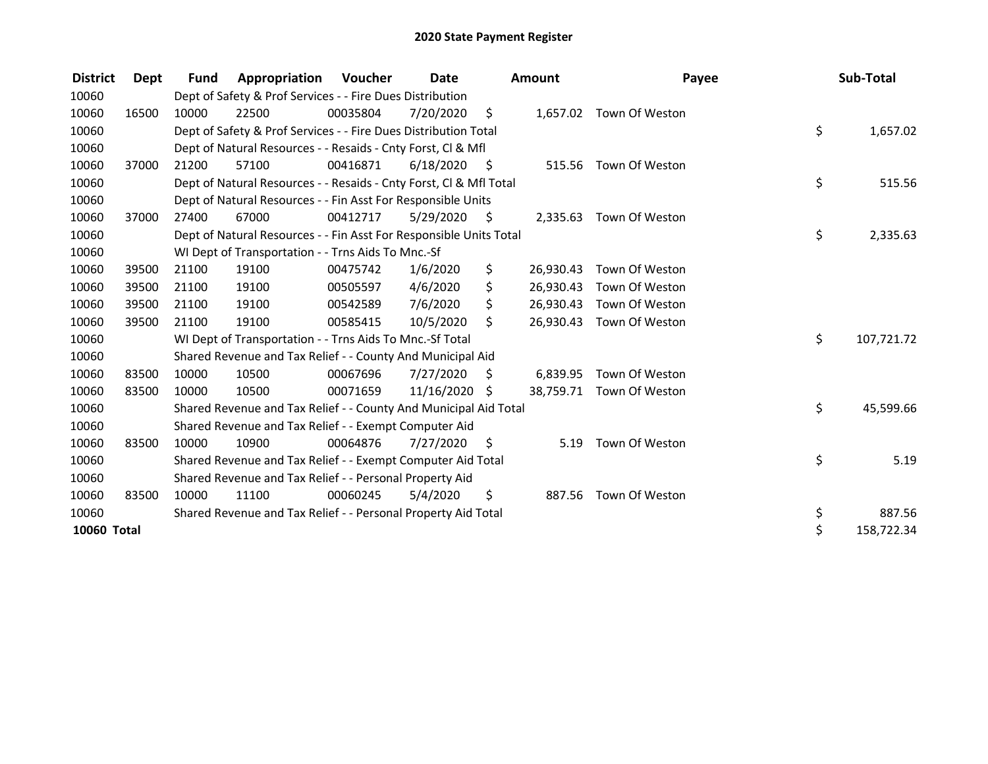| <b>District</b>    | Dept  | <b>Fund</b> | Appropriation                                                      | <b>Voucher</b> | Date          |      | <b>Amount</b> | Payee                    | Sub-Total        |
|--------------------|-------|-------------|--------------------------------------------------------------------|----------------|---------------|------|---------------|--------------------------|------------------|
| 10060              |       |             | Dept of Safety & Prof Services - - Fire Dues Distribution          |                |               |      |               |                          |                  |
| 10060              | 16500 | 10000       | 22500                                                              | 00035804       | 7/20/2020     | \$   |               | 1,657.02 Town Of Weston  |                  |
| 10060              |       |             | Dept of Safety & Prof Services - - Fire Dues Distribution Total    |                |               |      |               |                          | \$<br>1,657.02   |
| 10060              |       |             | Dept of Natural Resources - - Resaids - Cnty Forst, CI & Mfl       |                |               |      |               |                          |                  |
| 10060              | 37000 | 21200       | 57100                                                              | 00416871       | 6/18/2020     | - \$ | 515.56        | Town Of Weston           |                  |
| 10060              |       |             | Dept of Natural Resources - - Resaids - Cnty Forst, Cl & Mfl Total |                |               |      |               |                          | \$<br>515.56     |
| 10060              |       |             | Dept of Natural Resources - - Fin Asst For Responsible Units       |                |               |      |               |                          |                  |
| 10060              | 37000 | 27400       | 67000                                                              | 00412717       | 5/29/2020     | - \$ |               | 2,335.63 Town Of Weston  |                  |
| 10060              |       |             | Dept of Natural Resources - - Fin Asst For Responsible Units Total |                |               |      |               |                          | \$<br>2,335.63   |
| 10060              |       |             | WI Dept of Transportation - - Trns Aids To Mnc.-Sf                 |                |               |      |               |                          |                  |
| 10060              | 39500 | 21100       | 19100                                                              | 00475742       | 1/6/2020      | \$   | 26,930.43     | Town Of Weston           |                  |
| 10060              | 39500 | 21100       | 19100                                                              | 00505597       | 4/6/2020      | \$   | 26,930.43     | Town Of Weston           |                  |
| 10060              | 39500 | 21100       | 19100                                                              | 00542589       | 7/6/2020      | \$   | 26,930.43     | Town Of Weston           |                  |
| 10060              | 39500 | 21100       | 19100                                                              | 00585415       | 10/5/2020     | \$   | 26,930.43     | Town Of Weston           |                  |
| 10060              |       |             | WI Dept of Transportation - - Trns Aids To Mnc.-Sf Total           |                |               |      |               |                          | \$<br>107,721.72 |
| 10060              |       |             | Shared Revenue and Tax Relief - - County And Municipal Aid         |                |               |      |               |                          |                  |
| 10060              | 83500 | 10000       | 10500                                                              | 00067696       | 7/27/2020     | S    | 6,839.95      | Town Of Weston           |                  |
| 10060              | 83500 | 10000       | 10500                                                              | 00071659       | 11/16/2020 \$ |      |               | 38,759.71 Town Of Weston |                  |
| 10060              |       |             | Shared Revenue and Tax Relief - - County And Municipal Aid Total   |                |               |      |               |                          | \$<br>45,599.66  |
| 10060              |       |             | Shared Revenue and Tax Relief - - Exempt Computer Aid              |                |               |      |               |                          |                  |
| 10060              | 83500 | 10000       | 10900                                                              | 00064876       | 7/27/2020     | - \$ | 5.19          | Town Of Weston           |                  |
| 10060              |       |             | Shared Revenue and Tax Relief - - Exempt Computer Aid Total        |                |               |      |               |                          | \$<br>5.19       |
| 10060              |       |             | Shared Revenue and Tax Relief - - Personal Property Aid            |                |               |      |               |                          |                  |
| 10060              | 83500 | 10000       | 11100                                                              | 00060245       | 5/4/2020      | \$   | 887.56        | Town Of Weston           |                  |
| 10060              |       |             | Shared Revenue and Tax Relief - - Personal Property Aid Total      |                |               |      |               |                          | \$<br>887.56     |
| <b>10060 Total</b> |       |             |                                                                    |                |               |      |               |                          | \$<br>158,722.34 |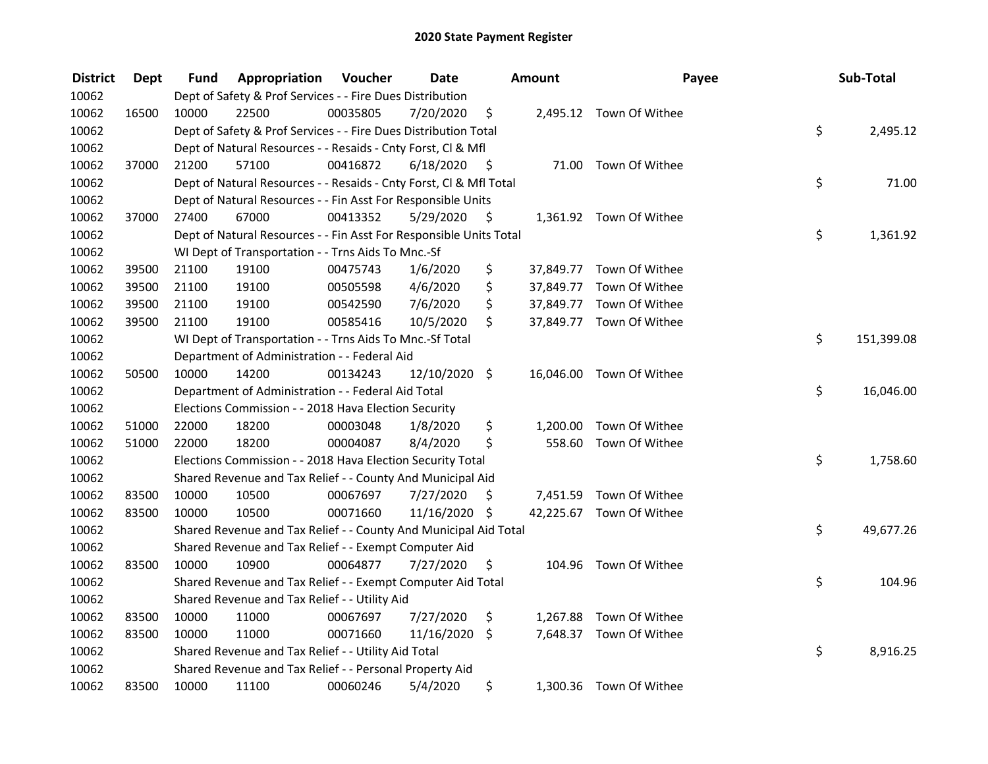| <b>District</b> | Dept  | Fund  | Appropriation                                                      | Voucher  | <b>Date</b>   |      | <b>Amount</b> | Payee                    | Sub-Total        |
|-----------------|-------|-------|--------------------------------------------------------------------|----------|---------------|------|---------------|--------------------------|------------------|
| 10062           |       |       | Dept of Safety & Prof Services - - Fire Dues Distribution          |          |               |      |               |                          |                  |
| 10062           | 16500 | 10000 | 22500                                                              | 00035805 | 7/20/2020     | \$   |               | 2,495.12 Town Of Withee  |                  |
| 10062           |       |       | Dept of Safety & Prof Services - - Fire Dues Distribution Total    |          |               |      |               |                          | \$<br>2,495.12   |
| 10062           |       |       | Dept of Natural Resources - - Resaids - Cnty Forst, Cl & Mfl       |          |               |      |               |                          |                  |
| 10062           | 37000 | 21200 | 57100                                                              | 00416872 | 6/18/2020     | - \$ |               | 71.00 Town Of Withee     |                  |
| 10062           |       |       | Dept of Natural Resources - - Resaids - Cnty Forst, CI & Mfl Total |          |               |      |               |                          | \$<br>71.00      |
| 10062           |       |       | Dept of Natural Resources - - Fin Asst For Responsible Units       |          |               |      |               |                          |                  |
| 10062           | 37000 | 27400 | 67000                                                              | 00413352 | 5/29/2020     | - \$ |               | 1,361.92 Town Of Withee  |                  |
| 10062           |       |       | Dept of Natural Resources - - Fin Asst For Responsible Units Total |          |               |      |               |                          | \$<br>1,361.92   |
| 10062           |       |       | WI Dept of Transportation - - Trns Aids To Mnc.-Sf                 |          |               |      |               |                          |                  |
| 10062           | 39500 | 21100 | 19100                                                              | 00475743 | 1/6/2020      | \$   |               | 37,849.77 Town Of Withee |                  |
| 10062           | 39500 | 21100 | 19100                                                              | 00505598 | 4/6/2020      | \$   |               | 37,849.77 Town Of Withee |                  |
| 10062           | 39500 | 21100 | 19100                                                              | 00542590 | 7/6/2020      | \$   |               | 37,849.77 Town Of Withee |                  |
| 10062           | 39500 | 21100 | 19100                                                              | 00585416 | 10/5/2020     | \$   |               | 37,849.77 Town Of Withee |                  |
| 10062           |       |       | WI Dept of Transportation - - Trns Aids To Mnc.-Sf Total           |          |               |      |               |                          | \$<br>151,399.08 |
| 10062           |       |       | Department of Administration - - Federal Aid                       |          |               |      |               |                          |                  |
| 10062           | 50500 | 10000 | 14200                                                              | 00134243 | 12/10/2020 \$ |      |               | 16,046.00 Town Of Withee |                  |
| 10062           |       |       | Department of Administration - - Federal Aid Total                 |          |               |      |               |                          | \$<br>16,046.00  |
| 10062           |       |       | Elections Commission - - 2018 Hava Election Security               |          |               |      |               |                          |                  |
| 10062           | 51000 | 22000 | 18200                                                              | 00003048 | 1/8/2020      | \$   | 1,200.00      | Town Of Withee           |                  |
| 10062           | 51000 | 22000 | 18200                                                              | 00004087 | 8/4/2020      | \$   | 558.60        | Town Of Withee           |                  |
| 10062           |       |       | Elections Commission - - 2018 Hava Election Security Total         |          |               |      |               |                          | \$<br>1,758.60   |
| 10062           |       |       | Shared Revenue and Tax Relief - - County And Municipal Aid         |          |               |      |               |                          |                  |
| 10062           | 83500 | 10000 | 10500                                                              | 00067697 | 7/27/2020     | S    |               | 7,451.59 Town Of Withee  |                  |
| 10062           | 83500 | 10000 | 10500                                                              | 00071660 | 11/16/2020    | - \$ |               | 42,225.67 Town Of Withee |                  |
| 10062           |       |       | Shared Revenue and Tax Relief - - County And Municipal Aid Total   |          |               |      |               |                          | \$<br>49,677.26  |
| 10062           |       |       | Shared Revenue and Tax Relief - - Exempt Computer Aid              |          |               |      |               |                          |                  |
| 10062           | 83500 | 10000 | 10900                                                              | 00064877 | 7/27/2020     | \$.  |               | 104.96 Town Of Withee    |                  |
| 10062           |       |       | Shared Revenue and Tax Relief - - Exempt Computer Aid Total        |          |               |      |               |                          | \$<br>104.96     |
| 10062           |       |       | Shared Revenue and Tax Relief - - Utility Aid                      |          |               |      |               |                          |                  |
| 10062           | 83500 | 10000 | 11000                                                              | 00067697 | 7/27/2020     | \$   |               | 1,267.88 Town Of Withee  |                  |
| 10062           | 83500 | 10000 | 11000                                                              | 00071660 | 11/16/2020 \$ |      |               | 7,648.37 Town Of Withee  |                  |
| 10062           |       |       | Shared Revenue and Tax Relief - - Utility Aid Total                |          |               |      |               |                          | \$<br>8,916.25   |
| 10062           |       |       | Shared Revenue and Tax Relief - - Personal Property Aid            |          |               |      |               |                          |                  |
| 10062           | 83500 | 10000 | 11100                                                              | 00060246 | 5/4/2020      | \$   |               | 1,300.36 Town Of Withee  |                  |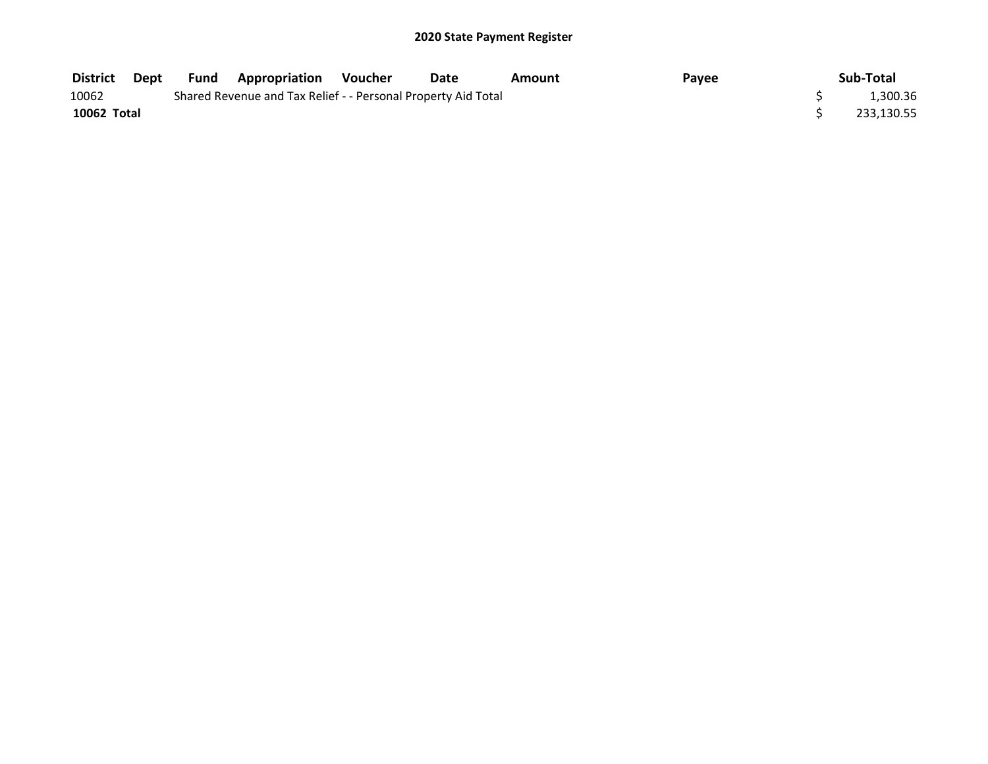| <b>District</b> | Dept | <b>Fund Appropriation</b>                                     | Voucher | Date | Amount | Payee | Sub-Total  |
|-----------------|------|---------------------------------------------------------------|---------|------|--------|-------|------------|
| 10062           |      | Shared Revenue and Tax Relief - - Personal Property Aid Total |         |      |        |       | 1,300.36   |
| 10062 Total     |      |                                                               |         |      |        |       | 233,130.55 |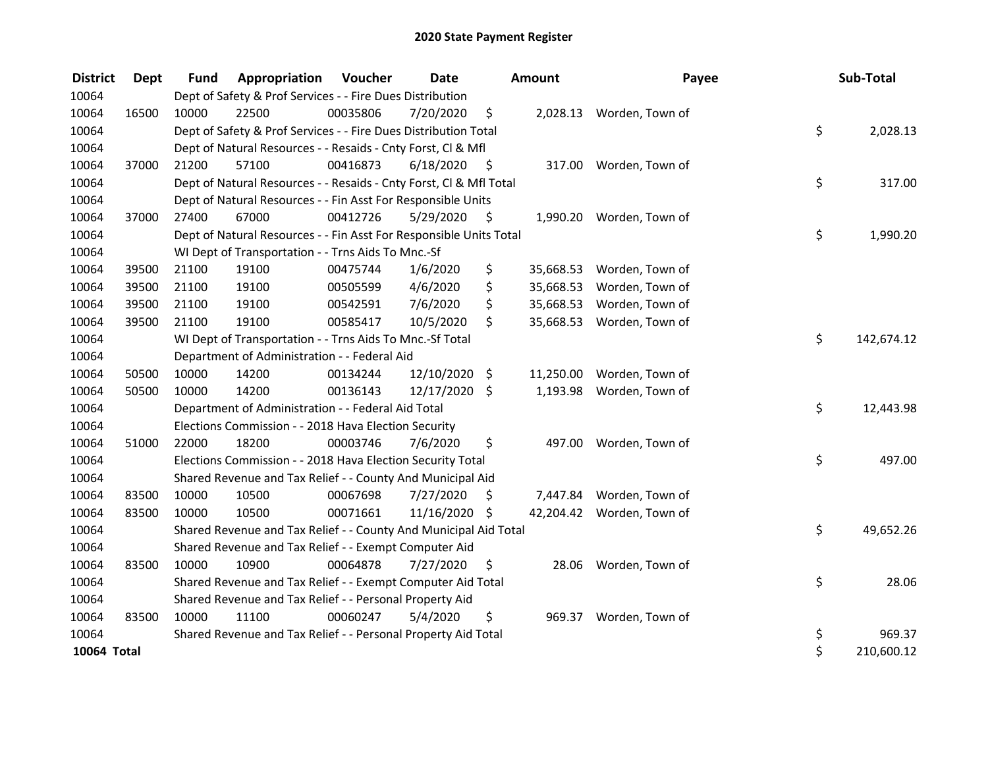| <b>District</b> | <b>Dept</b> | <b>Fund</b> | Appropriation                                                      | Voucher  | Date          |      | Amount    | Payee                    | Sub-Total        |
|-----------------|-------------|-------------|--------------------------------------------------------------------|----------|---------------|------|-----------|--------------------------|------------------|
| 10064           |             |             | Dept of Safety & Prof Services - - Fire Dues Distribution          |          |               |      |           |                          |                  |
| 10064           | 16500       | 10000       | 22500                                                              | 00035806 | 7/20/2020     | \$   |           | 2,028.13 Worden, Town of |                  |
| 10064           |             |             | Dept of Safety & Prof Services - - Fire Dues Distribution Total    |          |               |      |           |                          | \$<br>2,028.13   |
| 10064           |             |             | Dept of Natural Resources - - Resaids - Cnty Forst, Cl & Mfl       |          |               |      |           |                          |                  |
| 10064           | 37000       | 21200       | 57100                                                              | 00416873 | 6/18/2020     | - \$ | 317.00    | Worden, Town of          |                  |
| 10064           |             |             | Dept of Natural Resources - - Resaids - Cnty Forst, Cl & Mfl Total |          |               |      |           |                          | \$<br>317.00     |
| 10064           |             |             | Dept of Natural Resources - - Fin Asst For Responsible Units       |          |               |      |           |                          |                  |
| 10064           | 37000       | 27400       | 67000                                                              | 00412726 | 5/29/2020     | - \$ | 1,990.20  | Worden, Town of          |                  |
| 10064           |             |             | Dept of Natural Resources - - Fin Asst For Responsible Units Total |          |               |      |           |                          | \$<br>1,990.20   |
| 10064           |             |             | WI Dept of Transportation - - Trns Aids To Mnc.-Sf                 |          |               |      |           |                          |                  |
| 10064           | 39500       | 21100       | 19100                                                              | 00475744 | 1/6/2020      | \$   | 35,668.53 | Worden, Town of          |                  |
| 10064           | 39500       | 21100       | 19100                                                              | 00505599 | 4/6/2020      | \$   | 35,668.53 | Worden, Town of          |                  |
| 10064           | 39500       | 21100       | 19100                                                              | 00542591 | 7/6/2020      | \$   | 35,668.53 | Worden, Town of          |                  |
| 10064           | 39500       | 21100       | 19100                                                              | 00585417 | 10/5/2020     | \$   | 35,668.53 | Worden, Town of          |                  |
| 10064           |             |             | WI Dept of Transportation - - Trns Aids To Mnc.-Sf Total           |          |               |      |           |                          | \$<br>142,674.12 |
| 10064           |             |             | Department of Administration - - Federal Aid                       |          |               |      |           |                          |                  |
| 10064           | 50500       | 10000       | 14200                                                              | 00134244 | 12/10/2020    | \$   | 11,250.00 | Worden, Town of          |                  |
| 10064           | 50500       | 10000       | 14200                                                              | 00136143 | 12/17/2020 \$ |      | 1,193.98  | Worden, Town of          |                  |
| 10064           |             |             | Department of Administration - - Federal Aid Total                 |          |               |      |           |                          | \$<br>12,443.98  |
| 10064           |             |             | Elections Commission - - 2018 Hava Election Security               |          |               |      |           |                          |                  |
| 10064           | 51000       | 22000       | 18200                                                              | 00003746 | 7/6/2020      | \$   | 497.00    | Worden, Town of          |                  |
| 10064           |             |             | Elections Commission - - 2018 Hava Election Security Total         |          |               |      |           |                          | \$<br>497.00     |
| 10064           |             |             | Shared Revenue and Tax Relief - - County And Municipal Aid         |          |               |      |           |                          |                  |
| 10064           | 83500       | 10000       | 10500                                                              | 00067698 | 7/27/2020     | \$   | 7,447.84  | Worden, Town of          |                  |
| 10064           | 83500       | 10000       | 10500                                                              | 00071661 | 11/16/2020    | \$   | 42,204.42 | Worden, Town of          |                  |
| 10064           |             |             | Shared Revenue and Tax Relief - - County And Municipal Aid Total   |          |               |      |           |                          | \$<br>49,652.26  |
| 10064           |             |             | Shared Revenue and Tax Relief - - Exempt Computer Aid              |          |               |      |           |                          |                  |
| 10064           | 83500       | 10000       | 10900                                                              | 00064878 | 7/27/2020     | \$   | 28.06     | Worden, Town of          |                  |
| 10064           |             |             | Shared Revenue and Tax Relief - - Exempt Computer Aid Total        |          |               |      |           |                          | \$<br>28.06      |
| 10064           |             |             | Shared Revenue and Tax Relief - - Personal Property Aid            |          |               |      |           |                          |                  |
| 10064           | 83500       | 10000       | 11100                                                              | 00060247 | 5/4/2020      | \$   | 969.37    | Worden, Town of          |                  |
| 10064           |             |             | Shared Revenue and Tax Relief - - Personal Property Aid Total      |          |               |      |           |                          | \$<br>969.37     |
| 10064 Total     |             |             |                                                                    |          |               |      |           |                          | \$<br>210,600.12 |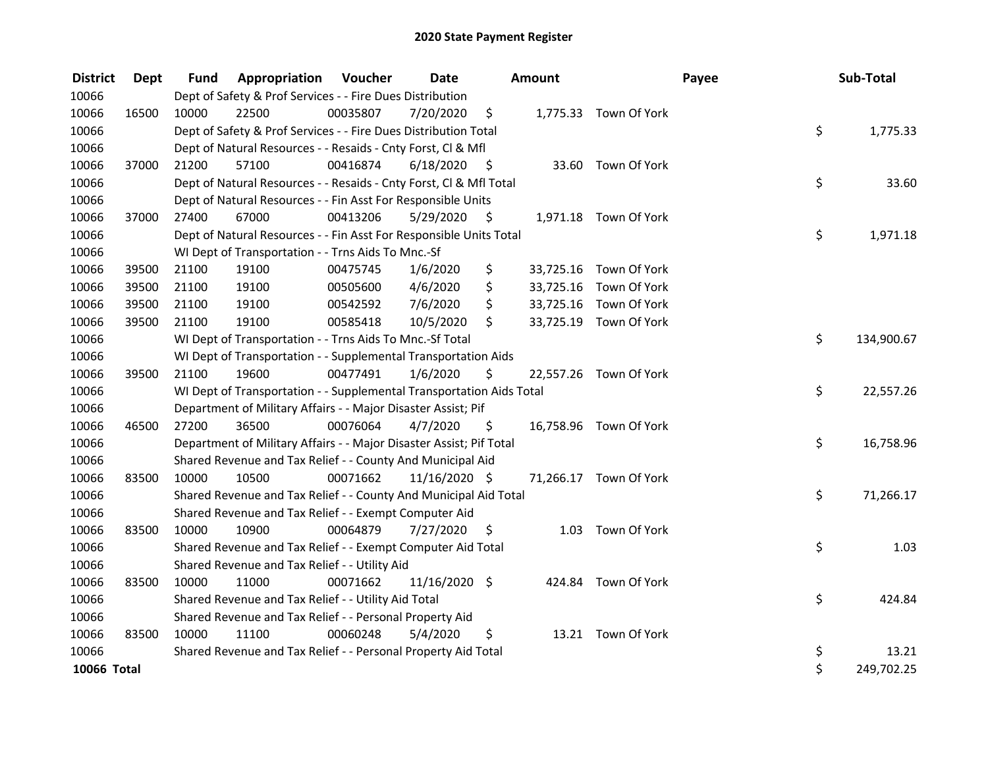| <b>District</b> | Dept  | <b>Fund</b> | Appropriation                                                        | Voucher  | <b>Date</b>   |      | <b>Amount</b> |                        | Payee | Sub-Total        |
|-----------------|-------|-------------|----------------------------------------------------------------------|----------|---------------|------|---------------|------------------------|-------|------------------|
| 10066           |       |             | Dept of Safety & Prof Services - - Fire Dues Distribution            |          |               |      |               |                        |       |                  |
| 10066           | 16500 | 10000       | 22500                                                                | 00035807 | 7/20/2020     | \$   |               | 1,775.33 Town Of York  |       |                  |
| 10066           |       |             | Dept of Safety & Prof Services - - Fire Dues Distribution Total      |          |               |      |               |                        |       | \$<br>1,775.33   |
| 10066           |       |             | Dept of Natural Resources - - Resaids - Cnty Forst, Cl & Mfl         |          |               |      |               |                        |       |                  |
| 10066           | 37000 | 21200       | 57100                                                                | 00416874 | 6/18/2020     | - \$ |               | 33.60 Town Of York     |       |                  |
| 10066           |       |             | Dept of Natural Resources - - Resaids - Cnty Forst, Cl & Mfl Total   |          |               |      |               |                        |       | \$<br>33.60      |
| 10066           |       |             | Dept of Natural Resources - - Fin Asst For Responsible Units         |          |               |      |               |                        |       |                  |
| 10066           | 37000 | 27400       | 67000                                                                | 00413206 | 5/29/2020     | -\$  |               | 1,971.18 Town Of York  |       |                  |
| 10066           |       |             | Dept of Natural Resources - - Fin Asst For Responsible Units Total   |          |               |      |               |                        |       | \$<br>1,971.18   |
| 10066           |       |             | WI Dept of Transportation - - Trns Aids To Mnc.-Sf                   |          |               |      |               |                        |       |                  |
| 10066           | 39500 | 21100       | 19100                                                                | 00475745 | 1/6/2020      | \$   |               | 33,725.16 Town Of York |       |                  |
| 10066           | 39500 | 21100       | 19100                                                                | 00505600 | 4/6/2020      | \$   |               | 33,725.16 Town Of York |       |                  |
| 10066           | 39500 | 21100       | 19100                                                                | 00542592 | 7/6/2020      | \$   |               | 33,725.16 Town Of York |       |                  |
| 10066           | 39500 | 21100       | 19100                                                                | 00585418 | 10/5/2020     | \$   |               | 33,725.19 Town Of York |       |                  |
| 10066           |       |             | WI Dept of Transportation - - Trns Aids To Mnc.-Sf Total             |          |               |      |               |                        |       | \$<br>134,900.67 |
| 10066           |       |             | WI Dept of Transportation - - Supplemental Transportation Aids       |          |               |      |               |                        |       |                  |
| 10066           | 39500 | 21100       | 19600                                                                | 00477491 | 1/6/2020      | \$   |               | 22,557.26 Town Of York |       |                  |
| 10066           |       |             | WI Dept of Transportation - - Supplemental Transportation Aids Total |          |               |      |               |                        |       | \$<br>22,557.26  |
| 10066           |       |             | Department of Military Affairs - - Major Disaster Assist; Pif        |          |               |      |               |                        |       |                  |
| 10066           | 46500 | 27200       | 36500                                                                | 00076064 | 4/7/2020      | \$   |               | 16,758.96 Town Of York |       |                  |
| 10066           |       |             | Department of Military Affairs - - Major Disaster Assist; Pif Total  |          |               |      |               |                        |       | \$<br>16,758.96  |
| 10066           |       |             | Shared Revenue and Tax Relief - - County And Municipal Aid           |          |               |      |               |                        |       |                  |
| 10066           | 83500 | 10000       | 10500                                                                | 00071662 | 11/16/2020 \$ |      |               | 71,266.17 Town Of York |       |                  |
| 10066           |       |             | Shared Revenue and Tax Relief - - County And Municipal Aid Total     |          |               |      |               |                        |       | \$<br>71,266.17  |
| 10066           |       |             | Shared Revenue and Tax Relief - - Exempt Computer Aid                |          |               |      |               |                        |       |                  |
| 10066           | 83500 | 10000       | 10900                                                                | 00064879 | 7/27/2020     | \$   |               | 1.03 Town Of York      |       |                  |
| 10066           |       |             | Shared Revenue and Tax Relief - - Exempt Computer Aid Total          |          |               |      |               |                        |       | \$<br>1.03       |
| 10066           |       |             | Shared Revenue and Tax Relief - - Utility Aid                        |          |               |      |               |                        |       |                  |
| 10066           | 83500 | 10000       | 11000                                                                | 00071662 | 11/16/2020 \$ |      |               | 424.84 Town Of York    |       |                  |
| 10066           |       |             | Shared Revenue and Tax Relief - - Utility Aid Total                  |          |               |      |               |                        |       | \$<br>424.84     |
| 10066           |       |             | Shared Revenue and Tax Relief - - Personal Property Aid              |          |               |      |               |                        |       |                  |
| 10066           | 83500 | 10000       | 11100                                                                | 00060248 | 5/4/2020      | \$   |               | 13.21 Town Of York     |       |                  |
| 10066           |       |             | Shared Revenue and Tax Relief - - Personal Property Aid Total        |          |               |      |               |                        |       | \$<br>13.21      |
| 10066 Total     |       |             |                                                                      |          |               |      |               |                        |       | \$<br>249,702.25 |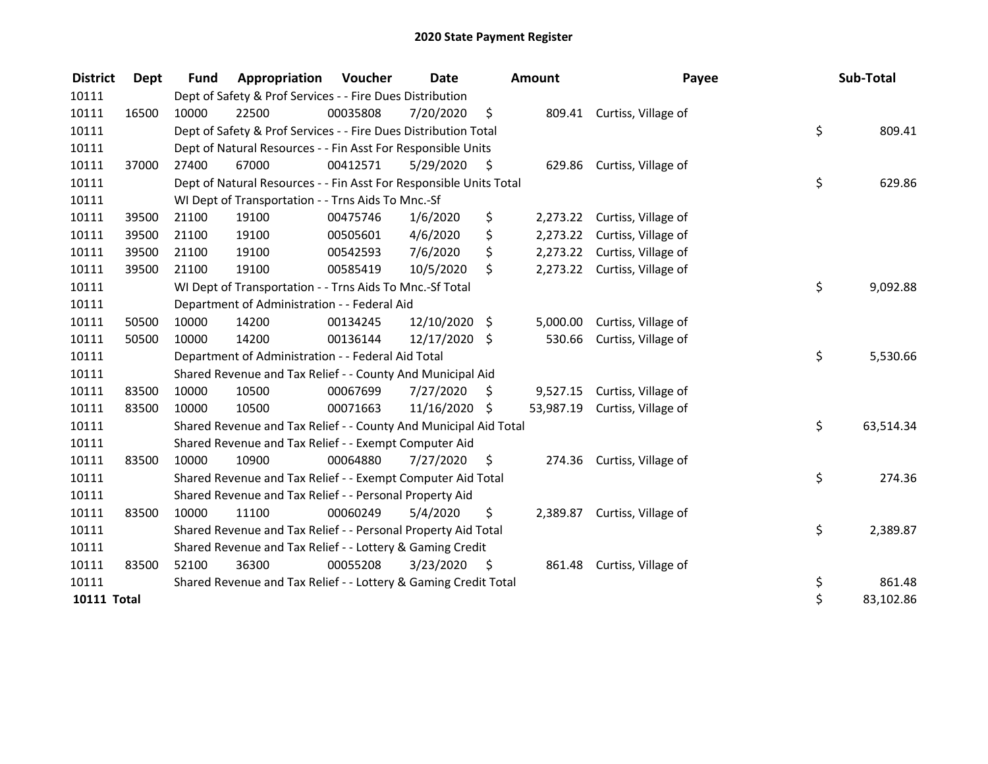| <b>District</b>    | Dept  | <b>Fund</b> | Appropriation                                                      | Voucher  | Date          |      | <b>Amount</b> | Payee                        | Sub-Total       |
|--------------------|-------|-------------|--------------------------------------------------------------------|----------|---------------|------|---------------|------------------------------|-----------------|
| 10111              |       |             | Dept of Safety & Prof Services - - Fire Dues Distribution          |          |               |      |               |                              |                 |
| 10111              | 16500 | 10000       | 22500                                                              | 00035808 | 7/20/2020     | \$   |               | 809.41 Curtiss, Village of   |                 |
| 10111              |       |             | Dept of Safety & Prof Services - - Fire Dues Distribution Total    |          |               |      |               |                              | \$<br>809.41    |
| 10111              |       |             | Dept of Natural Resources - - Fin Asst For Responsible Units       |          |               |      |               |                              |                 |
| 10111              | 37000 | 27400       | 67000                                                              | 00412571 | 5/29/2020     | - \$ |               | 629.86 Curtiss, Village of   |                 |
| 10111              |       |             | Dept of Natural Resources - - Fin Asst For Responsible Units Total |          |               |      |               |                              | \$<br>629.86    |
| 10111              |       |             | WI Dept of Transportation - - Trns Aids To Mnc.-Sf                 |          |               |      |               |                              |                 |
| 10111              | 39500 | 21100       | 19100                                                              | 00475746 | 1/6/2020      | \$   | 2,273.22      | Curtiss, Village of          |                 |
| 10111              | 39500 | 21100       | 19100                                                              | 00505601 | 4/6/2020      | \$   |               | 2,273.22 Curtiss, Village of |                 |
| 10111              | 39500 | 21100       | 19100                                                              | 00542593 | 7/6/2020      | \$   |               | 2,273.22 Curtiss, Village of |                 |
| 10111              | 39500 | 21100       | 19100                                                              | 00585419 | 10/5/2020     | \$   |               | 2,273.22 Curtiss, Village of |                 |
| 10111              |       |             | WI Dept of Transportation - - Trns Aids To Mnc.-Sf Total           |          |               |      |               |                              | \$<br>9,092.88  |
| 10111              |       |             | Department of Administration - - Federal Aid                       |          |               |      |               |                              |                 |
| 10111              | 50500 | 10000       | 14200                                                              | 00134245 | 12/10/2020 \$ |      | 5,000.00      | Curtiss, Village of          |                 |
| 10111              | 50500 | 10000       | 14200                                                              | 00136144 | 12/17/2020 \$ |      | 530.66        | Curtiss, Village of          |                 |
| 10111              |       |             | Department of Administration - - Federal Aid Total                 |          |               |      |               |                              | \$<br>5,530.66  |
| 10111              |       |             | Shared Revenue and Tax Relief - - County And Municipal Aid         |          |               |      |               |                              |                 |
| 10111              | 83500 | 10000       | 10500                                                              | 00067699 | 7/27/2020     | \$   | 9,527.15      | Curtiss, Village of          |                 |
| 10111              | 83500 | 10000       | 10500                                                              | 00071663 | 11/16/2020    | Ŝ.   | 53,987.19     | Curtiss, Village of          |                 |
| 10111              |       |             | Shared Revenue and Tax Relief - - County And Municipal Aid Total   |          |               |      |               |                              | \$<br>63,514.34 |
| 10111              |       |             | Shared Revenue and Tax Relief - - Exempt Computer Aid              |          |               |      |               |                              |                 |
| 10111              | 83500 | 10000       | 10900                                                              | 00064880 | 7/27/2020     | \$   | 274.36        | Curtiss, Village of          |                 |
| 10111              |       |             | Shared Revenue and Tax Relief - - Exempt Computer Aid Total        |          |               |      |               |                              | \$<br>274.36    |
| 10111              |       |             | Shared Revenue and Tax Relief - - Personal Property Aid            |          |               |      |               |                              |                 |
| 10111              | 83500 | 10000       | 11100                                                              | 00060249 | 5/4/2020      | \$   |               | 2,389.87 Curtiss, Village of |                 |
| 10111              |       |             | Shared Revenue and Tax Relief - - Personal Property Aid Total      |          |               |      |               |                              | \$<br>2,389.87  |
| 10111              |       |             | Shared Revenue and Tax Relief - - Lottery & Gaming Credit          |          |               |      |               |                              |                 |
| 10111              | 83500 | 52100       | 36300                                                              | 00055208 | 3/23/2020     | - \$ |               | 861.48 Curtiss, Village of   |                 |
| 10111              |       |             | Shared Revenue and Tax Relief - - Lottery & Gaming Credit Total    |          |               |      |               |                              | \$<br>861.48    |
| <b>10111 Total</b> |       |             |                                                                    |          |               |      |               |                              | \$<br>83,102.86 |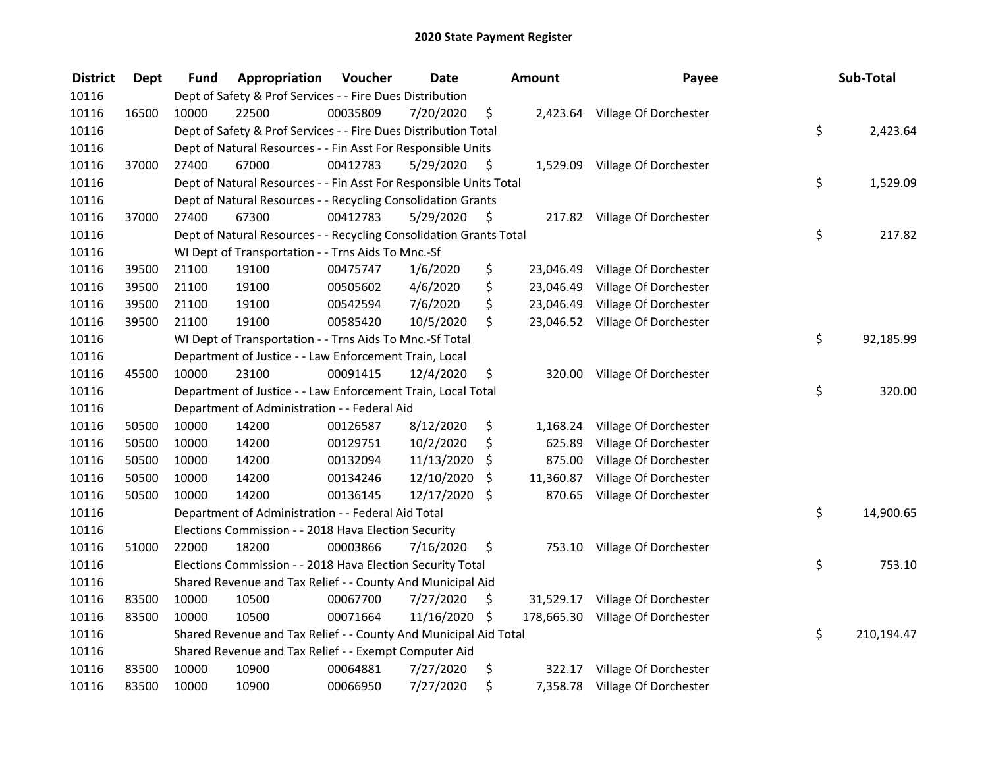| <b>District</b> | <b>Dept</b> | Fund  | Appropriation                                                      | Voucher  | <b>Date</b>   |      | Amount     | Payee                           | Sub-Total        |
|-----------------|-------------|-------|--------------------------------------------------------------------|----------|---------------|------|------------|---------------------------------|------------------|
| 10116           |             |       | Dept of Safety & Prof Services - - Fire Dues Distribution          |          |               |      |            |                                 |                  |
| 10116           | 16500       | 10000 | 22500                                                              | 00035809 | 7/20/2020     | \$   |            | 2,423.64 Village Of Dorchester  |                  |
| 10116           |             |       | Dept of Safety & Prof Services - - Fire Dues Distribution Total    |          |               |      |            |                                 | \$<br>2,423.64   |
| 10116           |             |       | Dept of Natural Resources - - Fin Asst For Responsible Units       |          |               |      |            |                                 |                  |
| 10116           | 37000       | 27400 | 67000                                                              | 00412783 | 5/29/2020     | \$   |            | 1,529.09 Village Of Dorchester  |                  |
| 10116           |             |       | Dept of Natural Resources - - Fin Asst For Responsible Units Total |          |               |      |            |                                 | \$<br>1,529.09   |
| 10116           |             |       | Dept of Natural Resources - - Recycling Consolidation Grants       |          |               |      |            |                                 |                  |
| 10116           | 37000       | 27400 | 67300                                                              | 00412783 | 5/29/2020     | - \$ |            | 217.82 Village Of Dorchester    |                  |
| 10116           |             |       | Dept of Natural Resources - - Recycling Consolidation Grants Total |          |               |      |            |                                 | \$<br>217.82     |
| 10116           |             |       | WI Dept of Transportation - - Trns Aids To Mnc.-Sf                 |          |               |      |            |                                 |                  |
| 10116           | 39500       | 21100 | 19100                                                              | 00475747 | 1/6/2020      | \$   |            | 23,046.49 Village Of Dorchester |                  |
| 10116           | 39500       | 21100 | 19100                                                              | 00505602 | 4/6/2020      | \$   | 23,046.49  | Village Of Dorchester           |                  |
| 10116           | 39500       | 21100 | 19100                                                              | 00542594 | 7/6/2020      | \$   | 23,046.49  | Village Of Dorchester           |                  |
| 10116           | 39500       | 21100 | 19100                                                              | 00585420 | 10/5/2020     | \$   |            | 23,046.52 Village Of Dorchester |                  |
| 10116           |             |       | WI Dept of Transportation - - Trns Aids To Mnc.-Sf Total           |          |               |      |            |                                 | \$<br>92,185.99  |
| 10116           |             |       | Department of Justice - - Law Enforcement Train, Local             |          |               |      |            |                                 |                  |
| 10116           | 45500       | 10000 | 23100                                                              | 00091415 | 12/4/2020     | \$   | 320.00     | Village Of Dorchester           |                  |
| 10116           |             |       | Department of Justice - - Law Enforcement Train, Local Total       |          |               |      |            |                                 | \$<br>320.00     |
| 10116           |             |       | Department of Administration - - Federal Aid                       |          |               |      |            |                                 |                  |
| 10116           | 50500       | 10000 | 14200                                                              | 00126587 | 8/12/2020     | \$   | 1,168.24   | Village Of Dorchester           |                  |
| 10116           | 50500       | 10000 | 14200                                                              | 00129751 | 10/2/2020     | \$   | 625.89     | Village Of Dorchester           |                  |
| 10116           | 50500       | 10000 | 14200                                                              | 00132094 | 11/13/2020    | \$   | 875.00     | Village Of Dorchester           |                  |
| 10116           | 50500       | 10000 | 14200                                                              | 00134246 | 12/10/2020    | \$   | 11,360.87  | Village Of Dorchester           |                  |
| 10116           | 50500       | 10000 | 14200                                                              | 00136145 | 12/17/2020 \$ |      | 870.65     | Village Of Dorchester           |                  |
| 10116           |             |       | Department of Administration - - Federal Aid Total                 |          |               |      |            |                                 | \$<br>14,900.65  |
| 10116           |             |       | Elections Commission - - 2018 Hava Election Security               |          |               |      |            |                                 |                  |
| 10116           | 51000       | 22000 | 18200                                                              | 00003866 | 7/16/2020     | \$   |            | 753.10 Village Of Dorchester    |                  |
| 10116           |             |       | Elections Commission - - 2018 Hava Election Security Total         |          |               |      |            |                                 | \$<br>753.10     |
| 10116           |             |       | Shared Revenue and Tax Relief - - County And Municipal Aid         |          |               |      |            |                                 |                  |
| 10116           | 83500       | 10000 | 10500                                                              | 00067700 | 7/27/2020     | \$   |            | 31,529.17 Village Of Dorchester |                  |
| 10116           | 83500       | 10000 | 10500                                                              | 00071664 | 11/16/2020 \$ |      | 178,665.30 | Village Of Dorchester           |                  |
| 10116           |             |       | Shared Revenue and Tax Relief - - County And Municipal Aid Total   |          |               |      |            |                                 | \$<br>210,194.47 |
| 10116           |             |       | Shared Revenue and Tax Relief - - Exempt Computer Aid              |          |               |      |            |                                 |                  |
| 10116           | 83500       | 10000 | 10900                                                              | 00064881 | 7/27/2020     | \$   | 322.17     | Village Of Dorchester           |                  |
| 10116           | 83500       | 10000 | 10900                                                              | 00066950 | 7/27/2020     | \$   |            | 7,358.78 Village Of Dorchester  |                  |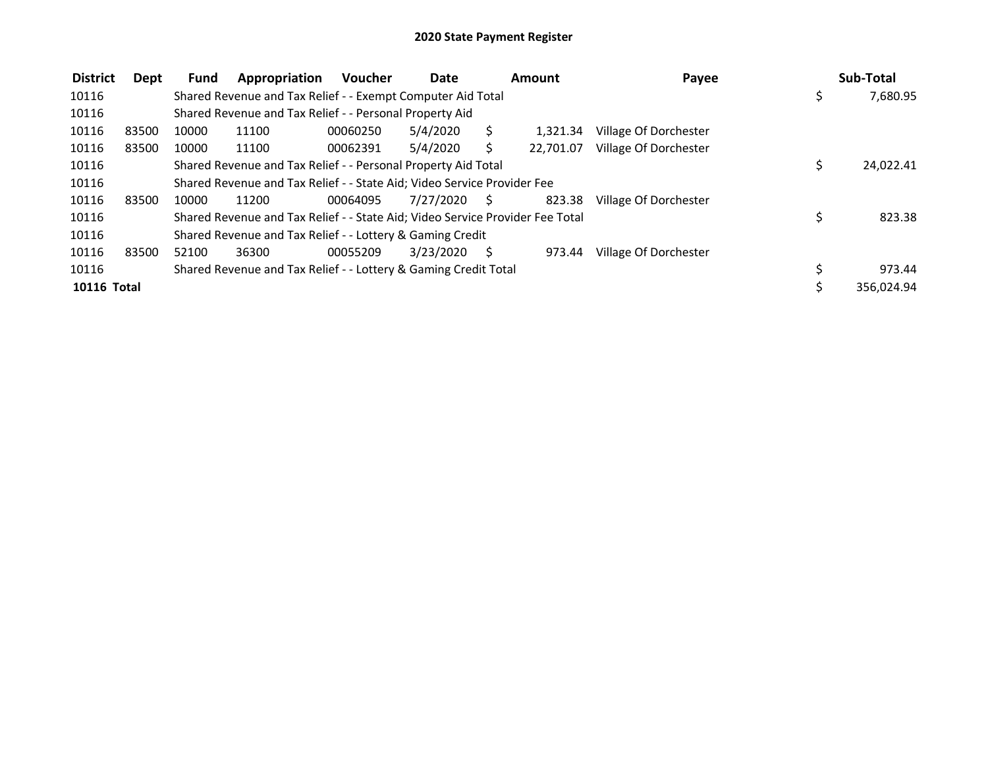| <b>District</b> | Dept  | <b>Fund</b> | Appropriation                                                                 | <b>Voucher</b> | Date      |    | Amount    | Payee                 |    | Sub-Total  |
|-----------------|-------|-------------|-------------------------------------------------------------------------------|----------------|-----------|----|-----------|-----------------------|----|------------|
| 10116           |       |             | Shared Revenue and Tax Relief - - Exempt Computer Aid Total                   |                |           |    |           |                       | \$ | 7,680.95   |
| 10116           |       |             | Shared Revenue and Tax Relief - - Personal Property Aid                       |                |           |    |           |                       |    |            |
| 10116           | 83500 | 10000       | 11100                                                                         | 00060250       | 5/4/2020  | S. | 1.321.34  | Village Of Dorchester |    |            |
| 10116           | 83500 | 10000       | 11100                                                                         | 00062391       | 5/4/2020  |    | 22.701.07 | Village Of Dorchester |    |            |
| 10116           |       |             | Shared Revenue and Tax Relief - - Personal Property Aid Total                 |                |           |    |           |                       | S  | 24,022.41  |
| 10116           |       |             | Shared Revenue and Tax Relief - - State Aid; Video Service Provider Fee       |                |           |    |           |                       |    |            |
| 10116           | 83500 | 10000       | 11200                                                                         | 00064095       | 7/27/2020 | S. | 823.38    | Village Of Dorchester |    |            |
| 10116           |       |             | Shared Revenue and Tax Relief - - State Aid; Video Service Provider Fee Total |                |           |    |           |                       | \$ | 823.38     |
| 10116           |       |             | Shared Revenue and Tax Relief - - Lottery & Gaming Credit                     |                |           |    |           |                       |    |            |
| 10116           | 83500 | 52100       | 36300                                                                         | 00055209       | 3/23/2020 | S. | 973.44    | Village Of Dorchester |    |            |
| 10116           |       |             | Shared Revenue and Tax Relief - - Lottery & Gaming Credit Total               |                |           |    |           |                       |    | 973.44     |
| 10116 Total     |       |             |                                                                               |                |           |    |           |                       |    | 356,024.94 |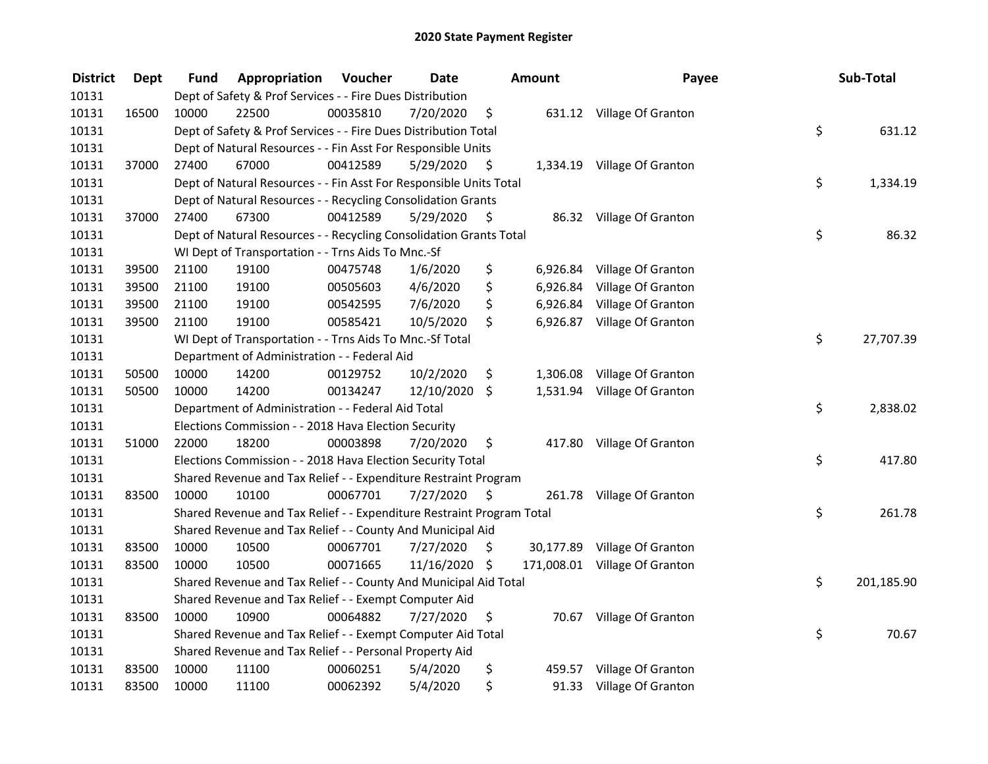| <b>District</b> | <b>Dept</b> | Fund  | Appropriation                                                         | Voucher  | <b>Date</b>   |      | <b>Amount</b> | Payee                         | Sub-Total        |
|-----------------|-------------|-------|-----------------------------------------------------------------------|----------|---------------|------|---------------|-------------------------------|------------------|
| 10131           |             |       | Dept of Safety & Prof Services - - Fire Dues Distribution             |          |               |      |               |                               |                  |
| 10131           | 16500       | 10000 | 22500                                                                 | 00035810 | 7/20/2020     | \$   |               | 631.12 Village Of Granton     |                  |
| 10131           |             |       | Dept of Safety & Prof Services - - Fire Dues Distribution Total       |          |               |      |               |                               | \$<br>631.12     |
| 10131           |             |       | Dept of Natural Resources - - Fin Asst For Responsible Units          |          |               |      |               |                               |                  |
| 10131           | 37000       | 27400 | 67000                                                                 | 00412589 | 5/29/2020     | \$   |               | 1,334.19 Village Of Granton   |                  |
| 10131           |             |       | Dept of Natural Resources - - Fin Asst For Responsible Units Total    |          |               |      |               |                               | \$<br>1,334.19   |
| 10131           |             |       | Dept of Natural Resources - - Recycling Consolidation Grants          |          |               |      |               |                               |                  |
| 10131           | 37000       | 27400 | 67300                                                                 | 00412589 | 5/29/2020     | - \$ |               | 86.32 Village Of Granton      |                  |
| 10131           |             |       | Dept of Natural Resources - - Recycling Consolidation Grants Total    |          |               |      |               |                               | \$<br>86.32      |
| 10131           |             |       | WI Dept of Transportation - - Trns Aids To Mnc.-Sf                    |          |               |      |               |                               |                  |
| 10131           | 39500       | 21100 | 19100                                                                 | 00475748 | 1/6/2020      | \$   |               | 6,926.84 Village Of Granton   |                  |
| 10131           | 39500       | 21100 | 19100                                                                 | 00505603 | 4/6/2020      | \$   | 6,926.84      | Village Of Granton            |                  |
| 10131           | 39500       | 21100 | 19100                                                                 | 00542595 | 7/6/2020      | \$   | 6,926.84      | Village Of Granton            |                  |
| 10131           | 39500       | 21100 | 19100                                                                 | 00585421 | 10/5/2020     | \$   |               | 6,926.87 Village Of Granton   |                  |
| 10131           |             |       | WI Dept of Transportation - - Trns Aids To Mnc.-Sf Total              |          |               |      |               |                               | \$<br>27,707.39  |
| 10131           |             |       | Department of Administration - - Federal Aid                          |          |               |      |               |                               |                  |
| 10131           | 50500       | 10000 | 14200                                                                 | 00129752 | 10/2/2020     | \$   | 1,306.08      | Village Of Granton            |                  |
| 10131           | 50500       | 10000 | 14200                                                                 | 00134247 | 12/10/2020 \$ |      |               | 1,531.94 Village Of Granton   |                  |
| 10131           |             |       | Department of Administration - - Federal Aid Total                    |          |               |      |               |                               | \$<br>2,838.02   |
| 10131           |             |       | Elections Commission - - 2018 Hava Election Security                  |          |               |      |               |                               |                  |
| 10131           | 51000       | 22000 | 18200                                                                 | 00003898 | 7/20/2020     | \$   |               | 417.80 Village Of Granton     |                  |
| 10131           |             |       | Elections Commission - - 2018 Hava Election Security Total            |          |               |      |               |                               | \$<br>417.80     |
| 10131           |             |       | Shared Revenue and Tax Relief - - Expenditure Restraint Program       |          |               |      |               |                               |                  |
| 10131           | 83500       | 10000 | 10100                                                                 | 00067701 | 7/27/2020     | - \$ |               | 261.78 Village Of Granton     |                  |
| 10131           |             |       | Shared Revenue and Tax Relief - - Expenditure Restraint Program Total |          |               |      |               |                               | \$<br>261.78     |
| 10131           |             |       | Shared Revenue and Tax Relief - - County And Municipal Aid            |          |               |      |               |                               |                  |
| 10131           | 83500       | 10000 | 10500                                                                 | 00067701 | 7/27/2020     | \$   |               | 30,177.89 Village Of Granton  |                  |
| 10131           | 83500       | 10000 | 10500                                                                 | 00071665 | 11/16/2020 \$ |      |               | 171,008.01 Village Of Granton |                  |
| 10131           |             |       | Shared Revenue and Tax Relief - - County And Municipal Aid Total      |          |               |      |               |                               | \$<br>201,185.90 |
| 10131           |             |       | Shared Revenue and Tax Relief - - Exempt Computer Aid                 |          |               |      |               |                               |                  |
| 10131           | 83500       | 10000 | 10900                                                                 | 00064882 | 7/27/2020     | \$   |               | 70.67 Village Of Granton      |                  |
| 10131           |             |       | Shared Revenue and Tax Relief - - Exempt Computer Aid Total           |          |               |      |               |                               | \$<br>70.67      |
| 10131           |             |       | Shared Revenue and Tax Relief - - Personal Property Aid               |          |               |      |               |                               |                  |
| 10131           | 83500       | 10000 | 11100                                                                 | 00060251 | 5/4/2020      | \$   |               | 459.57 Village Of Granton     |                  |
| 10131           | 83500       | 10000 | 11100                                                                 | 00062392 | 5/4/2020      | \$   |               | 91.33 Village Of Granton      |                  |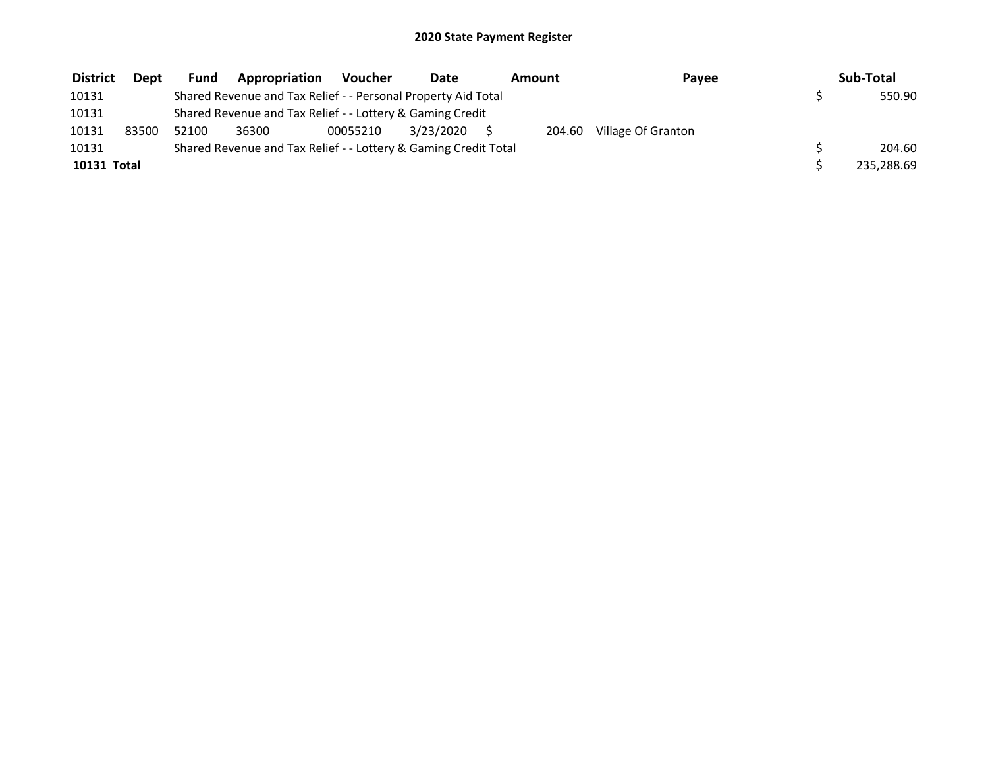| <b>District</b> | <b>Dept</b> | <b>Fund</b> | Appropriation                                                   | Voucher  | Date      | Amount |        | Pavee              | Sub-Total  |
|-----------------|-------------|-------------|-----------------------------------------------------------------|----------|-----------|--------|--------|--------------------|------------|
| 10131           |             |             | Shared Revenue and Tax Relief - - Personal Property Aid Total   |          |           |        |        |                    | 550.90     |
| 10131           |             |             | Shared Revenue and Tax Relief - - Lottery & Gaming Credit       |          |           |        |        |                    |            |
| 10131           | 83500       | 52100       | 36300                                                           | 00055210 | 3/23/2020 |        | 204.60 | Village Of Granton |            |
| 10131           |             |             | Shared Revenue and Tax Relief - - Lottery & Gaming Credit Total |          |           |        |        |                    | 204.60     |
| 10131 Total     |             |             |                                                                 |          |           |        |        |                    | 235,288.69 |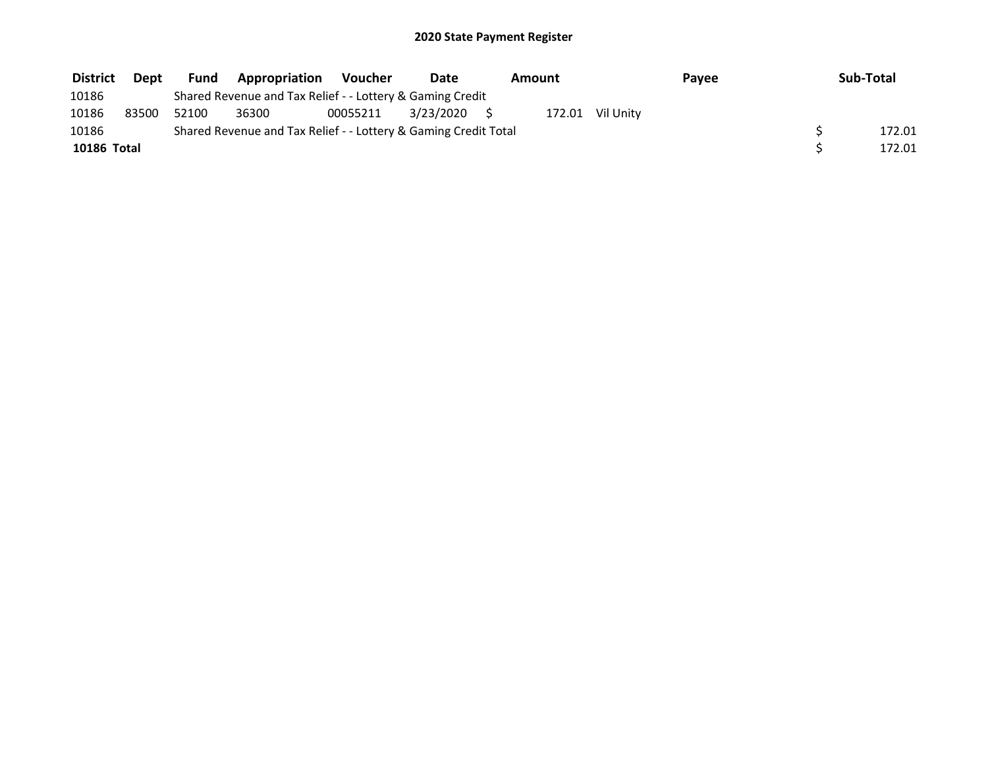| <b>District</b> | Dept  | <b>Fund</b> | Appropriation                                                   | Voucher  | Date         | Amount |                  | Payee | Sub-Total |
|-----------------|-------|-------------|-----------------------------------------------------------------|----------|--------------|--------|------------------|-------|-----------|
| 10186           |       |             | Shared Revenue and Tax Relief - - Lottery & Gaming Credit       |          |              |        |                  |       |           |
| 10186           | 83500 | 52100       | 36300                                                           | 00055211 | 3/23/2020 \$ |        | 172.01 Vil Unity |       |           |
| 10186           |       |             | Shared Revenue and Tax Relief - - Lottery & Gaming Credit Total |          |              |        |                  |       | 172.01    |
| 10186 Total     |       |             |                                                                 |          |              |        |                  |       | 172.01    |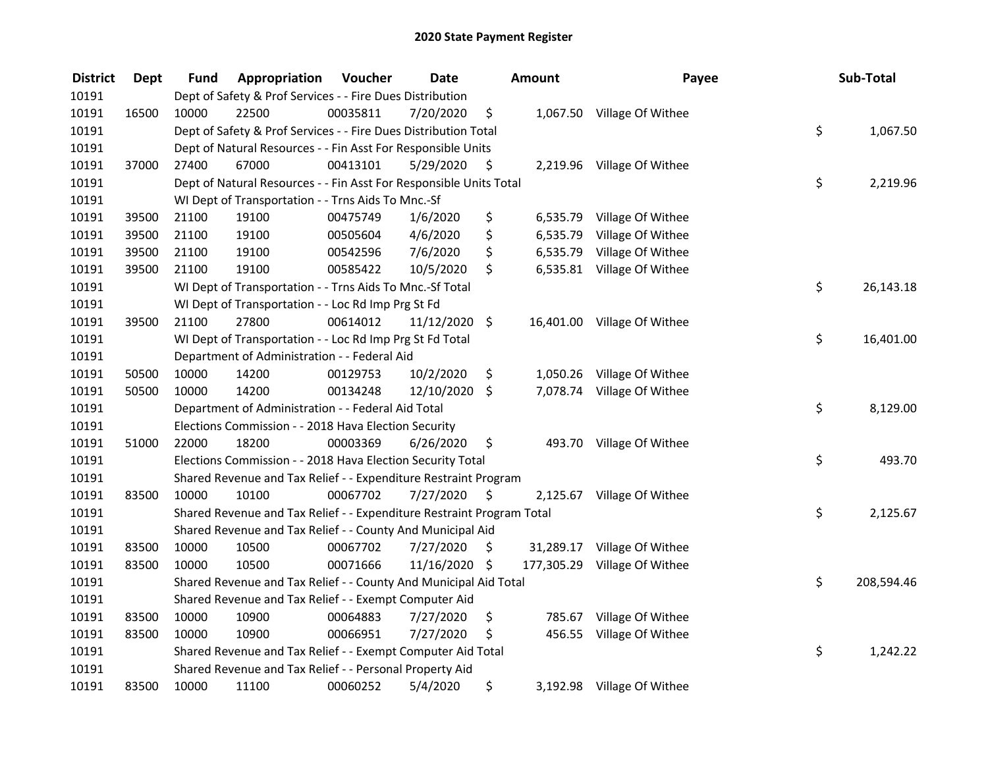| <b>District</b> | <b>Dept</b> | Fund  | Appropriation                                                         | Voucher  | <b>Date</b>   |      | <b>Amount</b> | Payee                       | Sub-Total        |
|-----------------|-------------|-------|-----------------------------------------------------------------------|----------|---------------|------|---------------|-----------------------------|------------------|
| 10191           |             |       | Dept of Safety & Prof Services - - Fire Dues Distribution             |          |               |      |               |                             |                  |
| 10191           | 16500       | 10000 | 22500                                                                 | 00035811 | 7/20/2020     | \$   |               | 1,067.50 Village Of Withee  |                  |
| 10191           |             |       | Dept of Safety & Prof Services - - Fire Dues Distribution Total       |          |               |      |               |                             | \$<br>1,067.50   |
| 10191           |             |       | Dept of Natural Resources - - Fin Asst For Responsible Units          |          |               |      |               |                             |                  |
| 10191           | 37000       | 27400 | 67000                                                                 | 00413101 | 5/29/2020     | \$   |               | 2,219.96 Village Of Withee  |                  |
| 10191           |             |       | Dept of Natural Resources - - Fin Asst For Responsible Units Total    |          |               |      |               |                             | \$<br>2,219.96   |
| 10191           |             |       | WI Dept of Transportation - - Trns Aids To Mnc.-Sf                    |          |               |      |               |                             |                  |
| 10191           | 39500       | 21100 | 19100                                                                 | 00475749 | 1/6/2020      | \$   |               | 6,535.79 Village Of Withee  |                  |
| 10191           | 39500       | 21100 | 19100                                                                 | 00505604 | 4/6/2020      | \$   | 6,535.79      | Village Of Withee           |                  |
| 10191           | 39500       | 21100 | 19100                                                                 | 00542596 | 7/6/2020      | \$   | 6,535.79      | Village Of Withee           |                  |
| 10191           | 39500       | 21100 | 19100                                                                 | 00585422 | 10/5/2020     | \$   |               | 6,535.81 Village Of Withee  |                  |
| 10191           |             |       | WI Dept of Transportation - - Trns Aids To Mnc.-Sf Total              |          |               |      |               |                             | \$<br>26,143.18  |
| 10191           |             |       | WI Dept of Transportation - - Loc Rd Imp Prg St Fd                    |          |               |      |               |                             |                  |
| 10191           | 39500       | 21100 | 27800                                                                 | 00614012 | 11/12/2020    | \$   |               | 16,401.00 Village Of Withee |                  |
| 10191           |             |       | WI Dept of Transportation - - Loc Rd Imp Prg St Fd Total              |          |               |      |               |                             | \$<br>16,401.00  |
| 10191           |             |       | Department of Administration - - Federal Aid                          |          |               |      |               |                             |                  |
| 10191           | 50500       | 10000 | 14200                                                                 | 00129753 | 10/2/2020     | \$   | 1,050.26      | Village Of Withee           |                  |
| 10191           | 50500       | 10000 | 14200                                                                 | 00134248 | 12/10/2020    | \$   |               | 7,078.74 Village Of Withee  |                  |
| 10191           |             |       | Department of Administration - - Federal Aid Total                    |          |               |      |               |                             | \$<br>8,129.00   |
| 10191           |             |       | Elections Commission - - 2018 Hava Election Security                  |          |               |      |               |                             |                  |
| 10191           | 51000       | 22000 | 18200                                                                 | 00003369 | 6/26/2020     | \$   |               | 493.70 Village Of Withee    |                  |
| 10191           |             |       | Elections Commission - - 2018 Hava Election Security Total            |          |               |      |               |                             | \$<br>493.70     |
| 10191           |             |       | Shared Revenue and Tax Relief - - Expenditure Restraint Program       |          |               |      |               |                             |                  |
| 10191           | 83500       | 10000 | 10100                                                                 | 00067702 | 7/27/2020     | - \$ |               | 2,125.67 Village Of Withee  |                  |
| 10191           |             |       | Shared Revenue and Tax Relief - - Expenditure Restraint Program Total |          |               |      |               |                             | \$<br>2,125.67   |
| 10191           |             |       | Shared Revenue and Tax Relief - - County And Municipal Aid            |          |               |      |               |                             |                  |
| 10191           | 83500       | 10000 | 10500                                                                 | 00067702 | 7/27/2020     | S    | 31,289.17     | Village Of Withee           |                  |
| 10191           | 83500       | 10000 | 10500                                                                 | 00071666 | 11/16/2020 \$ |      | 177,305.29    | Village Of Withee           |                  |
| 10191           |             |       | Shared Revenue and Tax Relief - - County And Municipal Aid Total      |          |               |      |               |                             | \$<br>208,594.46 |
| 10191           |             |       | Shared Revenue and Tax Relief - - Exempt Computer Aid                 |          |               |      |               |                             |                  |
| 10191           | 83500       | 10000 | 10900                                                                 | 00064883 | 7/27/2020     | \$   | 785.67        | Village Of Withee           |                  |
| 10191           | 83500       | 10000 | 10900                                                                 | 00066951 | 7/27/2020     | \$   | 456.55        | Village Of Withee           |                  |
| 10191           |             |       | Shared Revenue and Tax Relief - - Exempt Computer Aid Total           |          |               |      |               |                             | \$<br>1,242.22   |
| 10191           |             |       | Shared Revenue and Tax Relief - - Personal Property Aid               |          |               |      |               |                             |                  |
| 10191           | 83500       | 10000 | 11100                                                                 | 00060252 | 5/4/2020      | \$   |               | 3,192.98 Village Of Withee  |                  |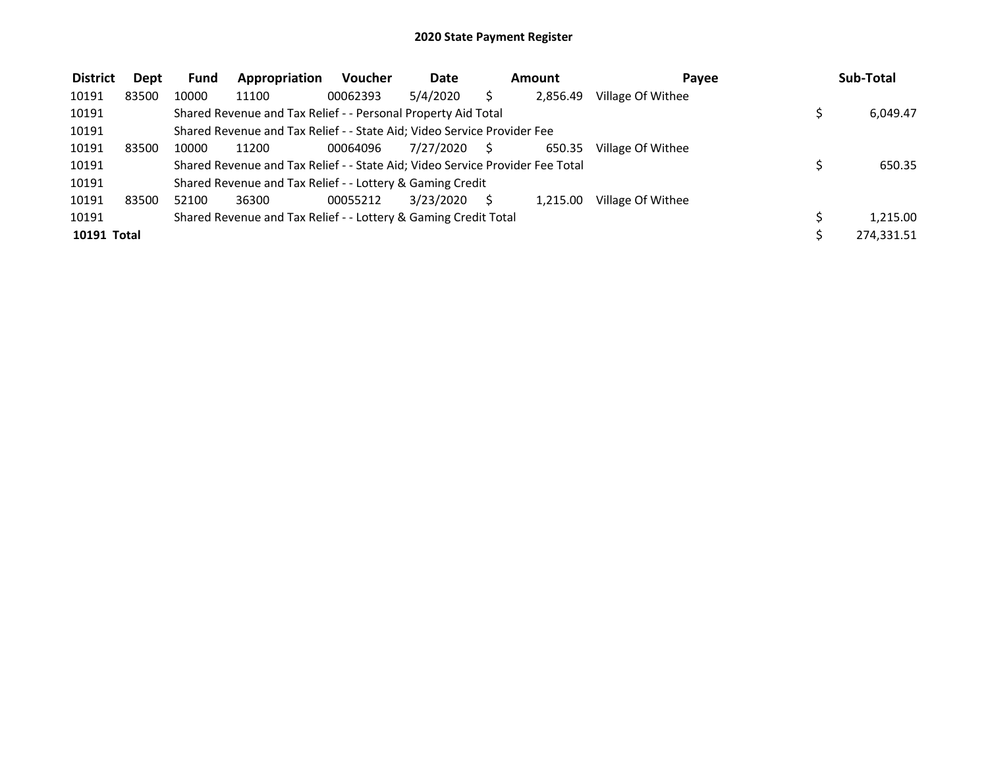| <b>District</b> | Dept  | <b>Fund</b> | Appropriation                                                                 | <b>Voucher</b> | <b>Date</b> |    | Amount   | Pavee             | Sub-Total  |
|-----------------|-------|-------------|-------------------------------------------------------------------------------|----------------|-------------|----|----------|-------------------|------------|
| 10191           | 83500 | 10000       | 11100                                                                         | 00062393       | 5/4/2020    |    | 2.856.49 | Village Of Withee |            |
| 10191           |       |             | Shared Revenue and Tax Relief - - Personal Property Aid Total                 |                |             |    |          |                   | 6,049.47   |
| 10191           |       |             | Shared Revenue and Tax Relief - - State Aid; Video Service Provider Fee       |                |             |    |          |                   |            |
| 10191           | 83500 | 10000       | 11200                                                                         | 00064096       | 7/27/2020   | S. | 650.35   | Village Of Withee |            |
| 10191           |       |             | Shared Revenue and Tax Relief - - State Aid; Video Service Provider Fee Total |                |             |    |          |                   | 650.35     |
| 10191           |       |             | Shared Revenue and Tax Relief - - Lottery & Gaming Credit                     |                |             |    |          |                   |            |
| 10191           | 83500 | 52100       | 36300                                                                         | 00055212       | 3/23/2020   |    | 1.215.00 | Village Of Withee |            |
| 10191           |       |             | Shared Revenue and Tax Relief - - Lottery & Gaming Credit Total               |                |             |    |          |                   | 1,215.00   |
| 10191 Total     |       |             |                                                                               |                |             |    |          |                   | 274,331.51 |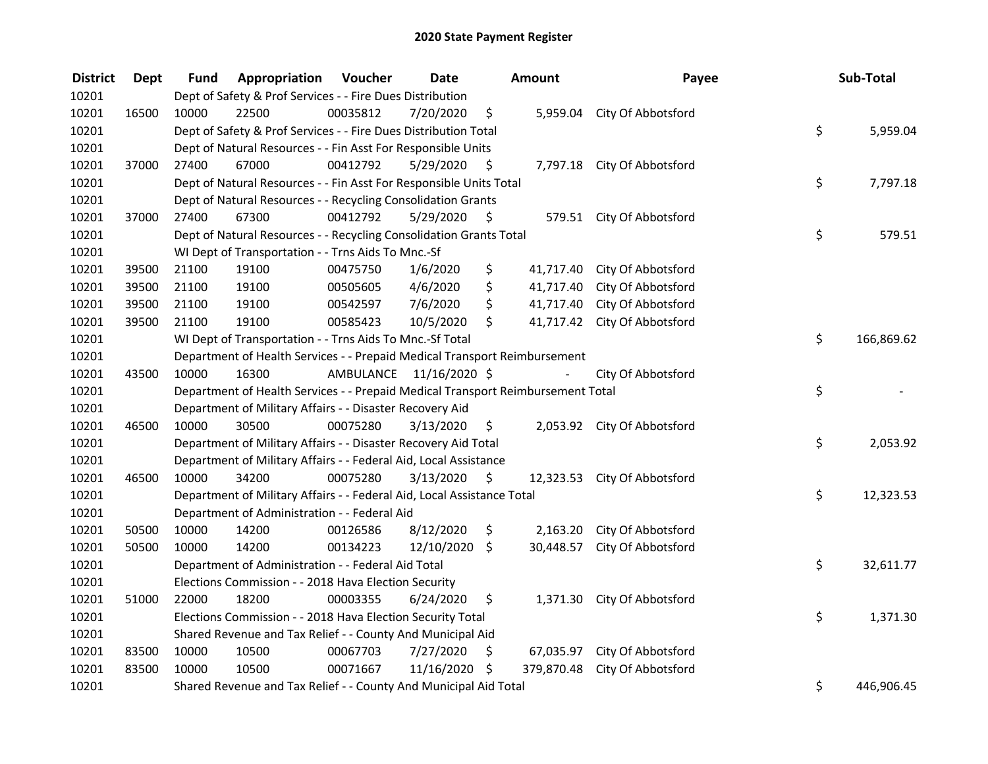| <b>District</b> | Dept  | Fund  | <b>Appropriation Voucher</b>                                                    |          | <b>Date</b>             |                     | Amount     | Payee                        | Sub-Total        |
|-----------------|-------|-------|---------------------------------------------------------------------------------|----------|-------------------------|---------------------|------------|------------------------------|------------------|
| 10201           |       |       | Dept of Safety & Prof Services - - Fire Dues Distribution                       |          |                         |                     |            |                              |                  |
| 10201           | 16500 | 10000 | 22500                                                                           | 00035812 | 7/20/2020               | \$                  |            | 5,959.04 City Of Abbotsford  |                  |
| 10201           |       |       | Dept of Safety & Prof Services - - Fire Dues Distribution Total                 |          |                         |                     |            |                              | \$<br>5,959.04   |
| 10201           |       |       | Dept of Natural Resources - - Fin Asst For Responsible Units                    |          |                         |                     |            |                              |                  |
| 10201           | 37000 | 27400 | 67000                                                                           | 00412792 | 5/29/2020               | \$                  |            | 7,797.18 City Of Abbotsford  |                  |
| 10201           |       |       | Dept of Natural Resources - - Fin Asst For Responsible Units Total              |          |                         |                     |            |                              | \$<br>7,797.18   |
| 10201           |       |       | Dept of Natural Resources - - Recycling Consolidation Grants                    |          |                         |                     |            |                              |                  |
| 10201           | 37000 | 27400 | 67300                                                                           | 00412792 | 5/29/2020               | - \$                |            | 579.51 City Of Abbotsford    |                  |
| 10201           |       |       | Dept of Natural Resources - - Recycling Consolidation Grants Total              |          |                         |                     |            |                              | \$<br>579.51     |
| 10201           |       |       | WI Dept of Transportation - - Trns Aids To Mnc.-Sf                              |          |                         |                     |            |                              |                  |
| 10201           | 39500 | 21100 | 19100                                                                           | 00475750 | 1/6/2020                | \$                  | 41,717.40  | City Of Abbotsford           |                  |
| 10201           | 39500 | 21100 | 19100                                                                           | 00505605 | 4/6/2020                | \$                  | 41,717.40  | City Of Abbotsford           |                  |
| 10201           | 39500 | 21100 | 19100                                                                           | 00542597 | 7/6/2020                | \$                  | 41,717.40  | City Of Abbotsford           |                  |
| 10201           | 39500 | 21100 | 19100                                                                           | 00585423 | 10/5/2020               | \$                  | 41,717.42  | City Of Abbotsford           |                  |
| 10201           |       |       | WI Dept of Transportation - - Trns Aids To Mnc.-Sf Total                        |          |                         |                     |            |                              | \$<br>166,869.62 |
| 10201           |       |       | Department of Health Services - - Prepaid Medical Transport Reimbursement       |          |                         |                     |            |                              |                  |
| 10201           | 43500 | 10000 | 16300                                                                           |          | AMBULANCE 11/16/2020 \$ |                     |            | City Of Abbotsford           |                  |
| 10201           |       |       | Department of Health Services - - Prepaid Medical Transport Reimbursement Total |          |                         |                     |            |                              | \$               |
| 10201           |       |       | Department of Military Affairs - - Disaster Recovery Aid                        |          |                         |                     |            |                              |                  |
| 10201           | 46500 | 10000 | 30500                                                                           | 00075280 | 3/13/2020               | \$                  |            | 2,053.92 City Of Abbotsford  |                  |
| 10201           |       |       | Department of Military Affairs - - Disaster Recovery Aid Total                  |          |                         |                     |            |                              | \$<br>2,053.92   |
| 10201           |       |       | Department of Military Affairs - - Federal Aid, Local Assistance                |          |                         |                     |            |                              |                  |
| 10201           | 46500 | 10000 | 34200                                                                           | 00075280 | 3/13/2020               | $\ddot{\mathsf{s}}$ |            | 12,323.53 City Of Abbotsford |                  |
| 10201           |       |       | Department of Military Affairs - - Federal Aid, Local Assistance Total          |          |                         |                     |            |                              | \$<br>12,323.53  |
| 10201           |       |       | Department of Administration - - Federal Aid                                    |          |                         |                     |            |                              |                  |
| 10201           | 50500 | 10000 | 14200                                                                           | 00126586 | 8/12/2020               | \$                  | 2,163.20   | City Of Abbotsford           |                  |
| 10201           | 50500 | 10000 | 14200                                                                           | 00134223 | 12/10/2020              | \$                  | 30,448.57  | City Of Abbotsford           |                  |
| 10201           |       |       | Department of Administration - - Federal Aid Total                              |          |                         |                     |            |                              | \$<br>32,611.77  |
| 10201           |       |       | Elections Commission - - 2018 Hava Election Security                            |          |                         |                     |            |                              |                  |
| 10201           | 51000 | 22000 | 18200                                                                           | 00003355 | 6/24/2020               | \$                  |            | 1,371.30 City Of Abbotsford  |                  |
| 10201           |       |       | Elections Commission - - 2018 Hava Election Security Total                      |          |                         |                     |            |                              | \$<br>1,371.30   |
| 10201           |       |       | Shared Revenue and Tax Relief - - County And Municipal Aid                      |          |                         |                     |            |                              |                  |
| 10201           | 83500 | 10000 | 10500                                                                           | 00067703 | 7/27/2020               | \$                  |            | 67,035.97 City Of Abbotsford |                  |
| 10201           | 83500 | 10000 | 10500                                                                           | 00071667 | 11/16/2020              | \$                  | 379,870.48 | City Of Abbotsford           |                  |
| 10201           |       |       | Shared Revenue and Tax Relief - - County And Municipal Aid Total                |          |                         |                     |            |                              | \$<br>446,906.45 |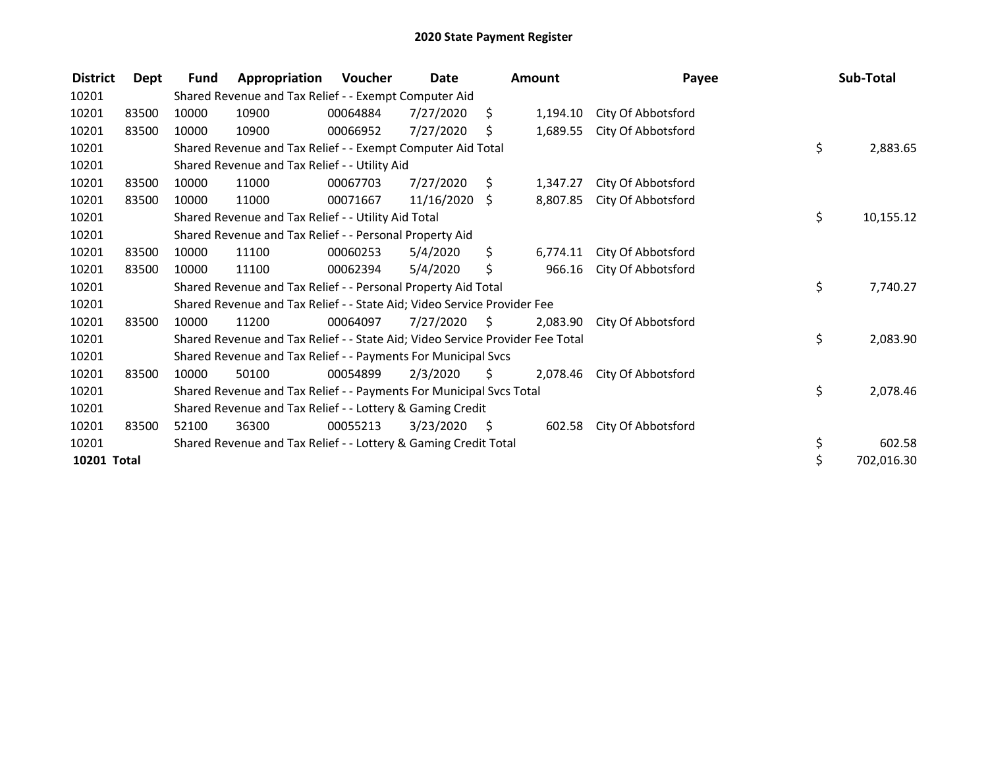| <b>District</b> | Dept  | <b>Fund</b> | Appropriation                                                                 | Voucher  | Date            |      | <b>Amount</b> | Payee              | Sub-Total        |
|-----------------|-------|-------------|-------------------------------------------------------------------------------|----------|-----------------|------|---------------|--------------------|------------------|
| 10201           |       |             | Shared Revenue and Tax Relief - - Exempt Computer Aid                         |          |                 |      |               |                    |                  |
| 10201           | 83500 | 10000       | 10900                                                                         | 00064884 | 7/27/2020       | Ŝ.   | 1,194.10      | City Of Abbotsford |                  |
| 10201           | 83500 | 10000       | 10900                                                                         | 00066952 | 7/27/2020       | S    | 1,689.55      | City Of Abbotsford |                  |
| 10201           |       |             | Shared Revenue and Tax Relief - - Exempt Computer Aid Total                   |          |                 |      |               |                    | \$<br>2,883.65   |
| 10201           |       |             | Shared Revenue and Tax Relief - - Utility Aid                                 |          |                 |      |               |                    |                  |
| 10201           | 83500 | 10000       | 11000                                                                         | 00067703 | 7/27/2020       | S.   | 1,347.27      | City Of Abbotsford |                  |
| 10201           | 83500 | 10000       | 11000                                                                         | 00071667 | $11/16/2020$ \$ |      | 8,807.85      | City Of Abbotsford |                  |
| 10201           |       |             | Shared Revenue and Tax Relief - - Utility Aid Total                           |          |                 |      |               |                    | \$<br>10,155.12  |
| 10201           |       |             | Shared Revenue and Tax Relief - - Personal Property Aid                       |          |                 |      |               |                    |                  |
| 10201           | 83500 | 10000       | 11100                                                                         | 00060253 | 5/4/2020        | \$   | 6,774.11      | City Of Abbotsford |                  |
| 10201           | 83500 | 10000       | 11100                                                                         | 00062394 | 5/4/2020        | \$   | 966.16        | City Of Abbotsford |                  |
| 10201           |       |             | Shared Revenue and Tax Relief - - Personal Property Aid Total                 |          |                 |      |               |                    | \$<br>7,740.27   |
| 10201           |       |             | Shared Revenue and Tax Relief - - State Aid; Video Service Provider Fee       |          |                 |      |               |                    |                  |
| 10201           | 83500 | 10000       | 11200                                                                         | 00064097 | 7/27/2020       | - \$ | 2,083.90      | City Of Abbotsford |                  |
| 10201           |       |             | Shared Revenue and Tax Relief - - State Aid; Video Service Provider Fee Total |          |                 |      |               |                    | \$<br>2,083.90   |
| 10201           |       |             | Shared Revenue and Tax Relief - - Payments For Municipal Svcs                 |          |                 |      |               |                    |                  |
| 10201           | 83500 | 10000       | 50100                                                                         | 00054899 | 2/3/2020        | S.   | 2,078.46      | City Of Abbotsford |                  |
| 10201           |       |             | Shared Revenue and Tax Relief - - Payments For Municipal Svcs Total           |          |                 |      |               |                    | \$<br>2,078.46   |
| 10201           |       |             | Shared Revenue and Tax Relief - - Lottery & Gaming Credit                     |          |                 |      |               |                    |                  |
| 10201           | 83500 | 52100       | 36300                                                                         | 00055213 | 3/23/2020       | - \$ | 602.58        | City Of Abbotsford |                  |
| 10201           |       |             | Shared Revenue and Tax Relief - - Lottery & Gaming Credit Total               |          |                 |      |               |                    | \$<br>602.58     |
| 10201 Total     |       |             |                                                                               |          |                 |      |               |                    | \$<br>702,016.30 |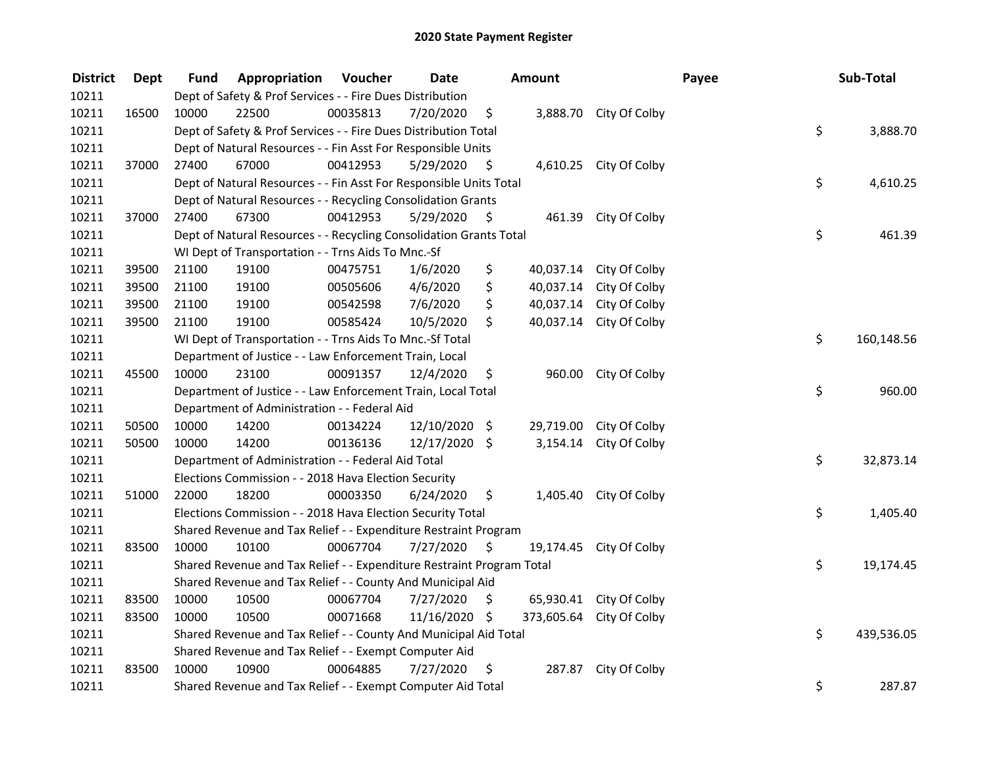| <b>District</b> | <b>Dept</b> | Fund  | Appropriation                                                         | Voucher  | <b>Date</b>   |      | <b>Amount</b> |                         | Payee | Sub-Total        |
|-----------------|-------------|-------|-----------------------------------------------------------------------|----------|---------------|------|---------------|-------------------------|-------|------------------|
| 10211           |             |       | Dept of Safety & Prof Services - - Fire Dues Distribution             |          |               |      |               |                         |       |                  |
| 10211           | 16500       | 10000 | 22500                                                                 | 00035813 | 7/20/2020     | \$   |               | 3,888.70 City Of Colby  |       |                  |
| 10211           |             |       | Dept of Safety & Prof Services - - Fire Dues Distribution Total       |          |               |      |               |                         |       | \$<br>3,888.70   |
| 10211           |             |       | Dept of Natural Resources - - Fin Asst For Responsible Units          |          |               |      |               |                         |       |                  |
| 10211           | 37000       | 27400 | 67000                                                                 | 00412953 | 5/29/2020     | \$   |               | 4,610.25 City Of Colby  |       |                  |
| 10211           |             |       | Dept of Natural Resources - - Fin Asst For Responsible Units Total    |          |               |      |               |                         |       | \$<br>4,610.25   |
| 10211           |             |       | Dept of Natural Resources - - Recycling Consolidation Grants          |          |               |      |               |                         |       |                  |
| 10211           | 37000       | 27400 | 67300                                                                 | 00412953 | 5/29/2020     | - \$ |               | 461.39 City Of Colby    |       |                  |
| 10211           |             |       | Dept of Natural Resources - - Recycling Consolidation Grants Total    |          |               |      |               |                         |       | \$<br>461.39     |
| 10211           |             |       | WI Dept of Transportation - - Trns Aids To Mnc.-Sf                    |          |               |      |               |                         |       |                  |
| 10211           | 39500       | 21100 | 19100                                                                 | 00475751 | 1/6/2020      | \$   | 40,037.14     | City Of Colby           |       |                  |
| 10211           | 39500       | 21100 | 19100                                                                 | 00505606 | 4/6/2020      | \$   | 40,037.14     | City Of Colby           |       |                  |
| 10211           | 39500       | 21100 | 19100                                                                 | 00542598 | 7/6/2020      | \$   | 40,037.14     | City Of Colby           |       |                  |
| 10211           | 39500       | 21100 | 19100                                                                 | 00585424 | 10/5/2020     | \$   | 40,037.14     | City Of Colby           |       |                  |
| 10211           |             |       | WI Dept of Transportation - - Trns Aids To Mnc.-Sf Total              |          |               |      |               |                         |       | \$<br>160,148.56 |
| 10211           |             |       | Department of Justice - - Law Enforcement Train, Local                |          |               |      |               |                         |       |                  |
| 10211           | 45500       | 10000 | 23100                                                                 | 00091357 | 12/4/2020     | \$   | 960.00        | City Of Colby           |       |                  |
| 10211           |             |       | Department of Justice - - Law Enforcement Train, Local Total          |          |               |      |               |                         |       | \$<br>960.00     |
| 10211           |             |       | Department of Administration - - Federal Aid                          |          |               |      |               |                         |       |                  |
| 10211           | 50500       | 10000 | 14200                                                                 | 00134224 | 12/10/2020 \$ |      |               | 29,719.00 City Of Colby |       |                  |
| 10211           | 50500       | 10000 | 14200                                                                 | 00136136 | 12/17/2020 \$ |      |               | 3,154.14 City Of Colby  |       |                  |
| 10211           |             |       | Department of Administration - - Federal Aid Total                    |          |               |      |               |                         |       | \$<br>32,873.14  |
| 10211           |             |       | Elections Commission - - 2018 Hava Election Security                  |          |               |      |               |                         |       |                  |
| 10211           | 51000       | 22000 | 18200                                                                 | 00003350 | 6/24/2020     | \$   | 1,405.40      | City Of Colby           |       |                  |
| 10211           |             |       | Elections Commission - - 2018 Hava Election Security Total            |          |               |      |               |                         |       | \$<br>1,405.40   |
| 10211           |             |       | Shared Revenue and Tax Relief - - Expenditure Restraint Program       |          |               |      |               |                         |       |                  |
| 10211           | 83500       | 10000 | 10100                                                                 | 00067704 | 7/27/2020     | \$   | 19,174.45     | City Of Colby           |       |                  |
| 10211           |             |       | Shared Revenue and Tax Relief - - Expenditure Restraint Program Total |          |               |      |               |                         |       | \$<br>19,174.45  |
| 10211           |             |       | Shared Revenue and Tax Relief - - County And Municipal Aid            |          |               |      |               |                         |       |                  |
| 10211           | 83500       | 10000 | 10500                                                                 | 00067704 | 7/27/2020     | \$   |               | 65,930.41 City Of Colby |       |                  |
| 10211           | 83500       | 10000 | 10500                                                                 | 00071668 | 11/16/2020 \$ |      | 373,605.64    | City Of Colby           |       |                  |
| 10211           |             |       | Shared Revenue and Tax Relief - - County And Municipal Aid Total      |          |               |      |               |                         |       | \$<br>439,536.05 |
| 10211           |             |       | Shared Revenue and Tax Relief - - Exempt Computer Aid                 |          |               |      |               |                         |       |                  |
| 10211           | 83500       | 10000 | 10900                                                                 | 00064885 | 7/27/2020     | \$   | 287.87        | City Of Colby           |       |                  |
| 10211           |             |       | Shared Revenue and Tax Relief - - Exempt Computer Aid Total           |          |               |      |               |                         |       | \$<br>287.87     |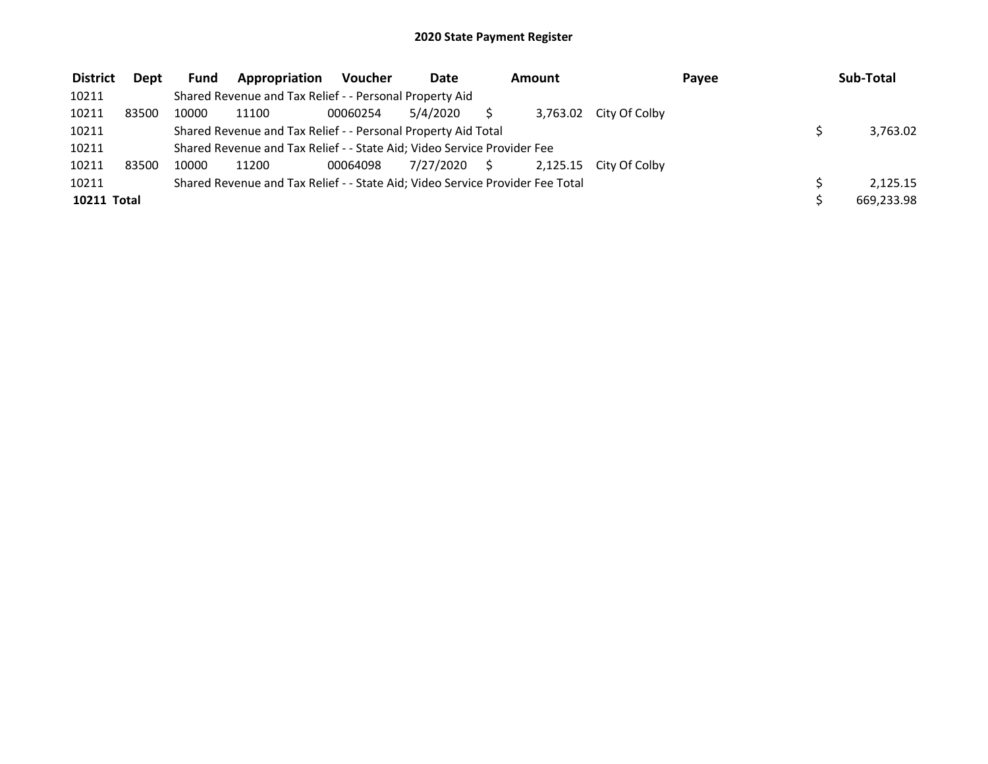| <b>District</b> | Dept  | <b>Fund</b> | Appropriation                                                                 | Voucher  | Date         | Amount |  |                        | Payee |  | Sub-Total  |  |
|-----------------|-------|-------------|-------------------------------------------------------------------------------|----------|--------------|--------|--|------------------------|-------|--|------------|--|
| 10211           |       |             | Shared Revenue and Tax Relief - - Personal Property Aid                       |          |              |        |  |                        |       |  |            |  |
| 10211           | 83500 | 10000       | 11100                                                                         | 00060254 | 5/4/2020     |        |  | 3,763.02 City Of Colby |       |  |            |  |
| 10211           |       |             | Shared Revenue and Tax Relief - - Personal Property Aid Total                 |          |              |        |  |                        |       |  | 3,763.02   |  |
| 10211           |       |             | Shared Revenue and Tax Relief - - State Aid; Video Service Provider Fee       |          |              |        |  |                        |       |  |            |  |
| 10211           | 83500 | 10000       | 11200                                                                         | 00064098 | 7/27/2020 \$ |        |  | 2,125.15 City Of Colby |       |  |            |  |
| 10211           |       |             | Shared Revenue and Tax Relief - - State Aid; Video Service Provider Fee Total |          |              |        |  |                        |       |  | 2.125.15   |  |
| 10211 Total     |       |             |                                                                               |          |              |        |  |                        |       |  | 669,233.98 |  |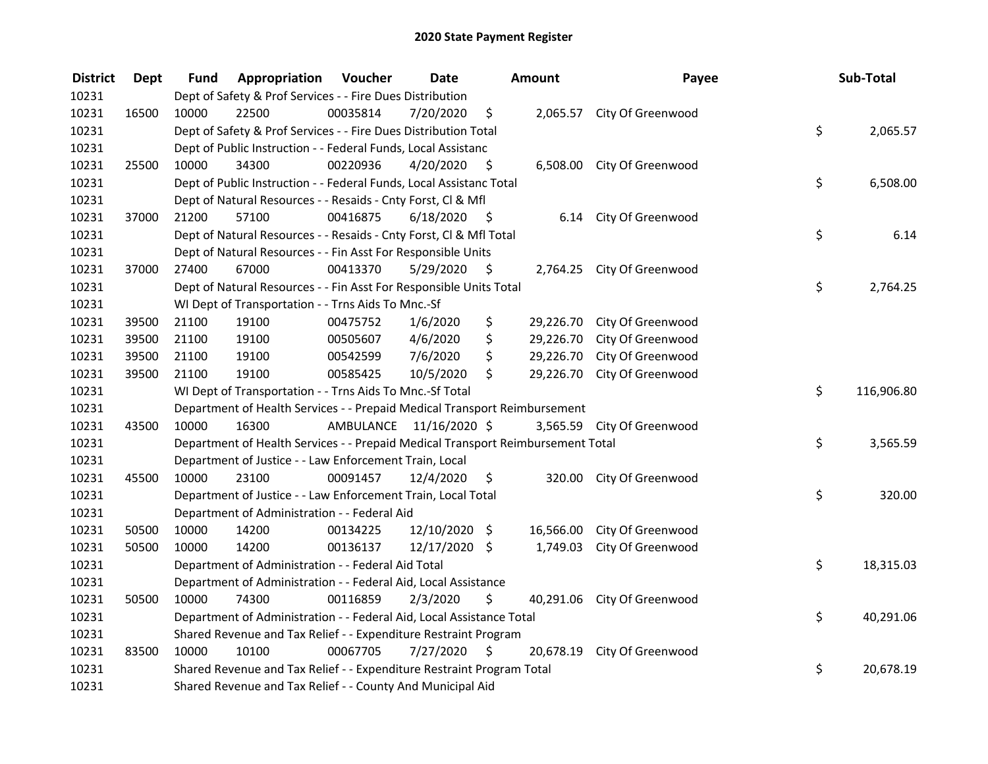| <b>District</b> | <b>Dept</b> | Fund  | <b>Appropriation Voucher</b>                                                    |          | <b>Date</b>             |      | Amount    | Payee                       | Sub-Total        |
|-----------------|-------------|-------|---------------------------------------------------------------------------------|----------|-------------------------|------|-----------|-----------------------------|------------------|
| 10231           |             |       | Dept of Safety & Prof Services - - Fire Dues Distribution                       |          |                         |      |           |                             |                  |
| 10231           | 16500       | 10000 | 22500                                                                           | 00035814 | 7/20/2020               | \$   |           | 2,065.57 City Of Greenwood  |                  |
| 10231           |             |       | Dept of Safety & Prof Services - - Fire Dues Distribution Total                 |          |                         |      |           |                             | \$<br>2,065.57   |
| 10231           |             |       | Dept of Public Instruction - - Federal Funds, Local Assistanc                   |          |                         |      |           |                             |                  |
| 10231           | 25500       | 10000 | 34300                                                                           | 00220936 | 4/20/2020               | \$   |           | 6,508.00 City Of Greenwood  |                  |
| 10231           |             |       | Dept of Public Instruction - - Federal Funds, Local Assistanc Total             |          |                         |      |           |                             | \$<br>6,508.00   |
| 10231           |             |       | Dept of Natural Resources - - Resaids - Cnty Forst, Cl & Mfl                    |          |                         |      |           |                             |                  |
| 10231           | 37000       | 21200 | 57100                                                                           | 00416875 | 6/18/2020               | - \$ |           | 6.14 City Of Greenwood      |                  |
| 10231           |             |       | Dept of Natural Resources - - Resaids - Cnty Forst, Cl & Mfl Total              |          |                         |      |           |                             | \$<br>6.14       |
| 10231           |             |       | Dept of Natural Resources - - Fin Asst For Responsible Units                    |          |                         |      |           |                             |                  |
| 10231           | 37000       | 27400 | 67000                                                                           | 00413370 | 5/29/2020               | - \$ |           | 2,764.25 City Of Greenwood  |                  |
| 10231           |             |       | Dept of Natural Resources - - Fin Asst For Responsible Units Total              |          |                         |      |           |                             | \$<br>2,764.25   |
| 10231           |             |       | WI Dept of Transportation - - Trns Aids To Mnc.-Sf                              |          |                         |      |           |                             |                  |
| 10231           | 39500       | 21100 | 19100                                                                           | 00475752 | 1/6/2020                | \$   | 29,226.70 | City Of Greenwood           |                  |
| 10231           | 39500       | 21100 | 19100                                                                           | 00505607 | 4/6/2020                | \$   | 29,226.70 | City Of Greenwood           |                  |
| 10231           | 39500       | 21100 | 19100                                                                           | 00542599 | 7/6/2020                | \$   | 29,226.70 | City Of Greenwood           |                  |
| 10231           | 39500       | 21100 | 19100                                                                           | 00585425 | 10/5/2020               | \$   | 29,226.70 | City Of Greenwood           |                  |
| 10231           |             |       | WI Dept of Transportation - - Trns Aids To Mnc.-Sf Total                        |          |                         |      |           |                             | \$<br>116,906.80 |
| 10231           |             |       | Department of Health Services - - Prepaid Medical Transport Reimbursement       |          |                         |      |           |                             |                  |
| 10231           | 43500       | 10000 | 16300                                                                           |          | AMBULANCE 11/16/2020 \$ |      |           | 3,565.59 City Of Greenwood  |                  |
| 10231           |             |       | Department of Health Services - - Prepaid Medical Transport Reimbursement Total |          |                         |      |           |                             | \$<br>3,565.59   |
| 10231           |             |       | Department of Justice - - Law Enforcement Train, Local                          |          |                         |      |           |                             |                  |
| 10231           | 45500       | 10000 | 23100                                                                           | 00091457 | 12/4/2020               | \$.  |           | 320.00 City Of Greenwood    |                  |
| 10231           |             |       | Department of Justice - - Law Enforcement Train, Local Total                    |          |                         |      |           |                             | \$<br>320.00     |
| 10231           |             |       | Department of Administration - - Federal Aid                                    |          |                         |      |           |                             |                  |
| 10231           | 50500       | 10000 | 14200                                                                           | 00134225 | 12/10/2020 \$           |      | 16,566.00 | City Of Greenwood           |                  |
| 10231           | 50500       | 10000 | 14200                                                                           | 00136137 | 12/17/2020 \$           |      | 1,749.03  | City Of Greenwood           |                  |
| 10231           |             |       | Department of Administration - - Federal Aid Total                              |          |                         |      |           |                             | \$<br>18,315.03  |
| 10231           |             |       | Department of Administration - - Federal Aid, Local Assistance                  |          |                         |      |           |                             |                  |
| 10231           | 50500       | 10000 | 74300                                                                           | 00116859 | 2/3/2020                | \$   |           | 40,291.06 City Of Greenwood |                  |
| 10231           |             |       | Department of Administration - - Federal Aid, Local Assistance Total            |          |                         |      |           |                             | \$<br>40,291.06  |
| 10231           |             |       | Shared Revenue and Tax Relief - - Expenditure Restraint Program                 |          |                         |      |           |                             |                  |
| 10231           | 83500       | 10000 | 10100                                                                           | 00067705 | 7/27/2020               | - \$ |           | 20,678.19 City Of Greenwood |                  |
| 10231           |             |       | Shared Revenue and Tax Relief - - Expenditure Restraint Program Total           |          |                         |      |           |                             | \$<br>20,678.19  |
| 10231           |             |       | Shared Revenue and Tax Relief - - County And Municipal Aid                      |          |                         |      |           |                             |                  |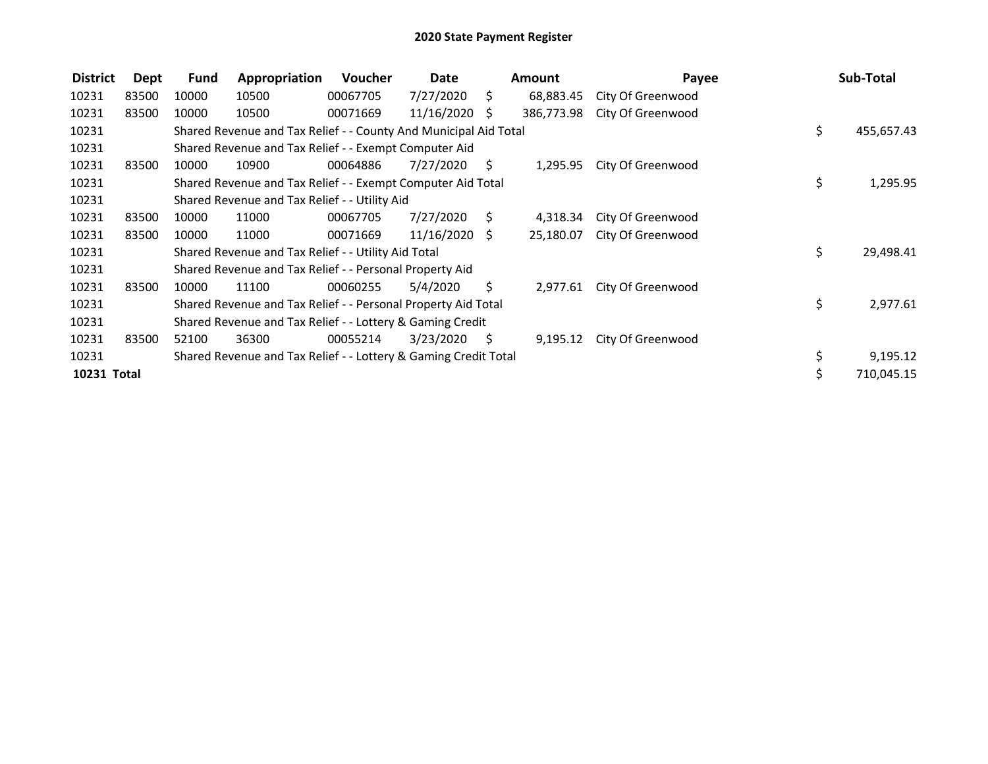| <b>District</b> | Dept  | <b>Fund</b> | Appropriation                                                    | Voucher  | Date            |      | <b>Amount</b> | Payee             | Sub-Total        |
|-----------------|-------|-------------|------------------------------------------------------------------|----------|-----------------|------|---------------|-------------------|------------------|
| 10231           | 83500 | 10000       | 10500                                                            | 00067705 | 7/27/2020       | \$   | 68,883.45     | City Of Greenwood |                  |
| 10231           | 83500 | 10000       | 10500                                                            | 00071669 | $11/16/2020$ \$ |      | 386,773.98    | City Of Greenwood |                  |
| 10231           |       |             | Shared Revenue and Tax Relief - - County And Municipal Aid Total |          |                 |      |               |                   | \$<br>455,657.43 |
| 10231           |       |             | Shared Revenue and Tax Relief - - Exempt Computer Aid            |          |                 |      |               |                   |                  |
| 10231           | 83500 | 10000       | 10900                                                            | 00064886 | 7/27/2020       | S.   | 1,295.95      | City Of Greenwood |                  |
| 10231           |       |             | Shared Revenue and Tax Relief - - Exempt Computer Aid Total      |          |                 |      |               |                   | \$<br>1,295.95   |
| 10231           |       |             | Shared Revenue and Tax Relief - - Utility Aid                    |          |                 |      |               |                   |                  |
| 10231           | 83500 | 10000       | 11000                                                            | 00067705 | 7/27/2020       | - \$ | 4,318.34      | City Of Greenwood |                  |
| 10231           | 83500 | 10000       | 11000                                                            | 00071669 | $11/16/2020$ \$ |      | 25,180.07     | City Of Greenwood |                  |
| 10231           |       |             | Shared Revenue and Tax Relief - - Utility Aid Total              |          |                 |      |               |                   | \$<br>29,498.41  |
| 10231           |       |             | Shared Revenue and Tax Relief - - Personal Property Aid          |          |                 |      |               |                   |                  |
| 10231           | 83500 | 10000       | 11100                                                            | 00060255 | 5/4/2020        | Ŝ.   | 2,977.61      | City Of Greenwood |                  |
| 10231           |       |             | Shared Revenue and Tax Relief - - Personal Property Aid Total    |          |                 |      |               |                   | \$<br>2,977.61   |
| 10231           |       |             | Shared Revenue and Tax Relief - - Lottery & Gaming Credit        |          |                 |      |               |                   |                  |
| 10231           | 83500 | 52100       | 36300                                                            | 00055214 | 3/23/2020       | - \$ | 9,195.12      | City Of Greenwood |                  |
| 10231           |       |             | Shared Revenue and Tax Relief - - Lottery & Gaming Credit Total  |          |                 |      |               |                   | \$<br>9,195.12   |
| 10231 Total     |       |             |                                                                  |          |                 |      |               |                   | 710,045.15       |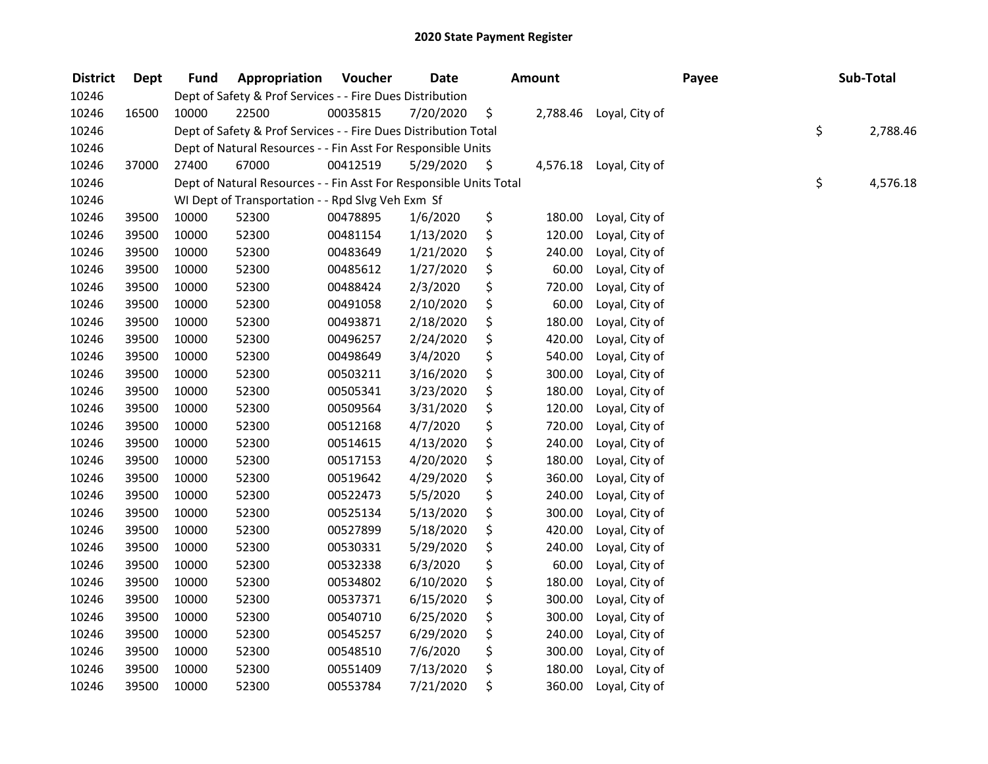| <b>District</b> | Dept  | <b>Fund</b> | Appropriation                                                      | Voucher  | <b>Date</b> | <b>Amount</b> |          | Payee          |  | Sub-Total      |  |
|-----------------|-------|-------------|--------------------------------------------------------------------|----------|-------------|---------------|----------|----------------|--|----------------|--|
| 10246           |       |             | Dept of Safety & Prof Services - - Fire Dues Distribution          |          |             |               |          |                |  |                |  |
| 10246           | 16500 | 10000       | 22500                                                              | 00035815 | 7/20/2020   | \$            | 2,788.46 | Loyal, City of |  |                |  |
| 10246           |       |             | Dept of Safety & Prof Services - - Fire Dues Distribution Total    |          |             |               |          |                |  | \$<br>2,788.46 |  |
| 10246           |       |             | Dept of Natural Resources - - Fin Asst For Responsible Units       |          |             |               |          |                |  |                |  |
| 10246           | 37000 | 27400       | 67000                                                              | 00412519 | 5/29/2020   | $\zeta$       | 4,576.18 | Loyal, City of |  |                |  |
| 10246           |       |             | Dept of Natural Resources - - Fin Asst For Responsible Units Total |          |             |               |          |                |  | \$<br>4,576.18 |  |
| 10246           |       |             | WI Dept of Transportation - - Rpd Slvg Veh Exm Sf                  |          |             |               |          |                |  |                |  |
| 10246           | 39500 | 10000       | 52300                                                              | 00478895 | 1/6/2020    | \$            | 180.00   | Loyal, City of |  |                |  |
| 10246           | 39500 | 10000       | 52300                                                              | 00481154 | 1/13/2020   | \$            | 120.00   | Loyal, City of |  |                |  |
| 10246           | 39500 | 10000       | 52300                                                              | 00483649 | 1/21/2020   | \$            | 240.00   | Loyal, City of |  |                |  |
| 10246           | 39500 | 10000       | 52300                                                              | 00485612 | 1/27/2020   | \$            | 60.00    | Loyal, City of |  |                |  |
| 10246           | 39500 | 10000       | 52300                                                              | 00488424 | 2/3/2020    | \$            | 720.00   | Loyal, City of |  |                |  |
| 10246           | 39500 | 10000       | 52300                                                              | 00491058 | 2/10/2020   | \$            | 60.00    | Loyal, City of |  |                |  |
| 10246           | 39500 | 10000       | 52300                                                              | 00493871 | 2/18/2020   | \$            | 180.00   | Loyal, City of |  |                |  |
| 10246           | 39500 | 10000       | 52300                                                              | 00496257 | 2/24/2020   | \$            | 420.00   | Loyal, City of |  |                |  |
| 10246           | 39500 | 10000       | 52300                                                              | 00498649 | 3/4/2020    | \$            | 540.00   | Loyal, City of |  |                |  |
| 10246           | 39500 | 10000       | 52300                                                              | 00503211 | 3/16/2020   | \$            | 300.00   | Loyal, City of |  |                |  |
| 10246           | 39500 | 10000       | 52300                                                              | 00505341 | 3/23/2020   | \$            | 180.00   | Loyal, City of |  |                |  |
| 10246           | 39500 | 10000       | 52300                                                              | 00509564 | 3/31/2020   | \$            | 120.00   | Loyal, City of |  |                |  |
| 10246           | 39500 | 10000       | 52300                                                              | 00512168 | 4/7/2020    | \$            | 720.00   | Loyal, City of |  |                |  |
| 10246           | 39500 | 10000       | 52300                                                              | 00514615 | 4/13/2020   | \$            | 240.00   | Loyal, City of |  |                |  |
| 10246           | 39500 | 10000       | 52300                                                              | 00517153 | 4/20/2020   | \$            | 180.00   | Loyal, City of |  |                |  |
| 10246           | 39500 | 10000       | 52300                                                              | 00519642 | 4/29/2020   | \$            | 360.00   | Loyal, City of |  |                |  |
| 10246           | 39500 | 10000       | 52300                                                              | 00522473 | 5/5/2020    | \$            | 240.00   | Loyal, City of |  |                |  |
| 10246           | 39500 | 10000       | 52300                                                              | 00525134 | 5/13/2020   | \$            | 300.00   | Loyal, City of |  |                |  |
| 10246           | 39500 | 10000       | 52300                                                              | 00527899 | 5/18/2020   | \$            | 420.00   | Loyal, City of |  |                |  |
| 10246           | 39500 | 10000       | 52300                                                              | 00530331 | 5/29/2020   | \$            | 240.00   | Loyal, City of |  |                |  |
| 10246           | 39500 | 10000       | 52300                                                              | 00532338 | 6/3/2020    | \$            | 60.00    | Loyal, City of |  |                |  |
| 10246           | 39500 | 10000       | 52300                                                              | 00534802 | 6/10/2020   | \$            | 180.00   | Loyal, City of |  |                |  |
| 10246           | 39500 | 10000       | 52300                                                              | 00537371 | 6/15/2020   | \$            | 300.00   | Loyal, City of |  |                |  |
| 10246           | 39500 | 10000       | 52300                                                              | 00540710 | 6/25/2020   | \$            | 300.00   | Loyal, City of |  |                |  |
| 10246           | 39500 | 10000       | 52300                                                              | 00545257 | 6/29/2020   | \$            | 240.00   | Loyal, City of |  |                |  |
| 10246           | 39500 | 10000       | 52300                                                              | 00548510 | 7/6/2020    | \$            | 300.00   | Loyal, City of |  |                |  |
| 10246           | 39500 | 10000       | 52300                                                              | 00551409 | 7/13/2020   | \$            | 180.00   | Loyal, City of |  |                |  |
| 10246           | 39500 | 10000       | 52300                                                              | 00553784 | 7/21/2020   | \$            | 360.00   | Loyal, City of |  |                |  |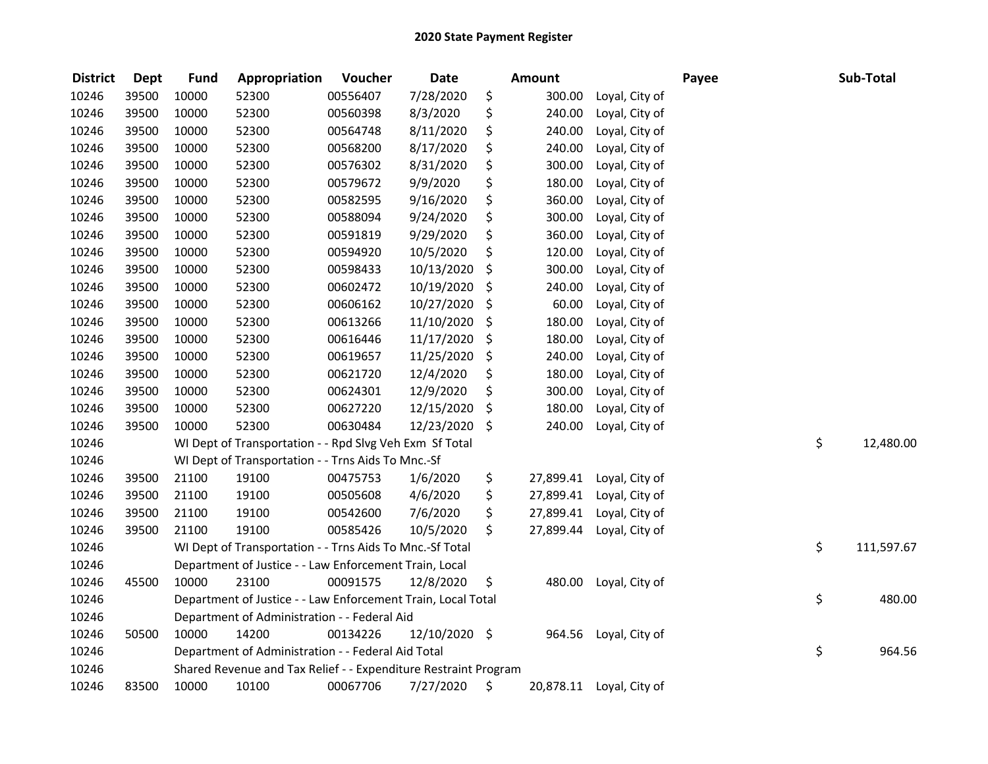| <b>District</b> | <b>Dept</b> | <b>Fund</b> | Appropriation                                                   | Voucher  | <b>Date</b>   |     | <b>Amount</b> |                | Payee | Sub-Total        |
|-----------------|-------------|-------------|-----------------------------------------------------------------|----------|---------------|-----|---------------|----------------|-------|------------------|
| 10246           | 39500       | 10000       | 52300                                                           | 00556407 | 7/28/2020     | \$  | 300.00        | Loyal, City of |       |                  |
| 10246           | 39500       | 10000       | 52300                                                           | 00560398 | 8/3/2020      | \$  | 240.00        | Loyal, City of |       |                  |
| 10246           | 39500       | 10000       | 52300                                                           | 00564748 | 8/11/2020     | \$  | 240.00        | Loyal, City of |       |                  |
| 10246           | 39500       | 10000       | 52300                                                           | 00568200 | 8/17/2020     | \$  | 240.00        | Loyal, City of |       |                  |
| 10246           | 39500       | 10000       | 52300                                                           | 00576302 | 8/31/2020     | \$  | 300.00        | Loyal, City of |       |                  |
| 10246           | 39500       | 10000       | 52300                                                           | 00579672 | 9/9/2020      | \$  | 180.00        | Loyal, City of |       |                  |
| 10246           | 39500       | 10000       | 52300                                                           | 00582595 | 9/16/2020     | \$  | 360.00        | Loyal, City of |       |                  |
| 10246           | 39500       | 10000       | 52300                                                           | 00588094 | 9/24/2020     | \$  | 300.00        | Loyal, City of |       |                  |
| 10246           | 39500       | 10000       | 52300                                                           | 00591819 | 9/29/2020     | \$  | 360.00        | Loyal, City of |       |                  |
| 10246           | 39500       | 10000       | 52300                                                           | 00594920 | 10/5/2020     | \$  | 120.00        | Loyal, City of |       |                  |
| 10246           | 39500       | 10000       | 52300                                                           | 00598433 | 10/13/2020    | \$  | 300.00        | Loyal, City of |       |                  |
| 10246           | 39500       | 10000       | 52300                                                           | 00602472 | 10/19/2020    | \$  | 240.00        | Loyal, City of |       |                  |
| 10246           | 39500       | 10000       | 52300                                                           | 00606162 | 10/27/2020    | \$  | 60.00         | Loyal, City of |       |                  |
| 10246           | 39500       | 10000       | 52300                                                           | 00613266 | 11/10/2020    | \$  | 180.00        | Loyal, City of |       |                  |
| 10246           | 39500       | 10000       | 52300                                                           | 00616446 | 11/17/2020    | \$. | 180.00        | Loyal, City of |       |                  |
| 10246           | 39500       | 10000       | 52300                                                           | 00619657 | 11/25/2020    | \$  | 240.00        | Loyal, City of |       |                  |
| 10246           | 39500       | 10000       | 52300                                                           | 00621720 | 12/4/2020     | \$  | 180.00        | Loyal, City of |       |                  |
| 10246           | 39500       | 10000       | 52300                                                           | 00624301 | 12/9/2020     | \$  | 300.00        | Loyal, City of |       |                  |
| 10246           | 39500       | 10000       | 52300                                                           | 00627220 | 12/15/2020    | \$  | 180.00        | Loyal, City of |       |                  |
| 10246           | 39500       | 10000       | 52300                                                           | 00630484 | 12/23/2020    | \$  | 240.00        | Loyal, City of |       |                  |
| 10246           |             |             | WI Dept of Transportation - - Rpd Slvg Veh Exm Sf Total         |          |               |     |               |                |       | \$<br>12,480.00  |
| 10246           |             |             | WI Dept of Transportation - - Trns Aids To Mnc.-Sf              |          |               |     |               |                |       |                  |
| 10246           | 39500       | 21100       | 19100                                                           | 00475753 | 1/6/2020      | \$  | 27,899.41     | Loyal, City of |       |                  |
| 10246           | 39500       | 21100       | 19100                                                           | 00505608 | 4/6/2020      | \$  | 27,899.41     | Loyal, City of |       |                  |
| 10246           | 39500       | 21100       | 19100                                                           | 00542600 | 7/6/2020      | \$  | 27,899.41     | Loyal, City of |       |                  |
| 10246           | 39500       | 21100       | 19100                                                           | 00585426 | 10/5/2020     | \$  | 27,899.44     | Loyal, City of |       |                  |
| 10246           |             |             | WI Dept of Transportation - - Trns Aids To Mnc.-Sf Total        |          |               |     |               |                |       | \$<br>111,597.67 |
| 10246           |             |             | Department of Justice - - Law Enforcement Train, Local          |          |               |     |               |                |       |                  |
| 10246           | 45500       | 10000       | 23100                                                           | 00091575 | 12/8/2020     | \$  | 480.00        | Loyal, City of |       |                  |
| 10246           |             |             | Department of Justice - - Law Enforcement Train, Local Total    |          |               |     |               |                |       | \$<br>480.00     |
| 10246           |             |             | Department of Administration - - Federal Aid                    |          |               |     |               |                |       |                  |
| 10246           | 50500       | 10000       | 14200                                                           | 00134226 | 12/10/2020 \$ |     | 964.56        | Loyal, City of |       |                  |
| 10246           |             |             | Department of Administration - - Federal Aid Total              |          |               |     |               |                |       | \$<br>964.56     |
| 10246           |             |             | Shared Revenue and Tax Relief - - Expenditure Restraint Program |          |               |     |               |                |       |                  |
| 10246           | 83500       | 10000       | 10100                                                           | 00067706 | 7/27/2020     | \$  | 20,878.11     | Loyal, City of |       |                  |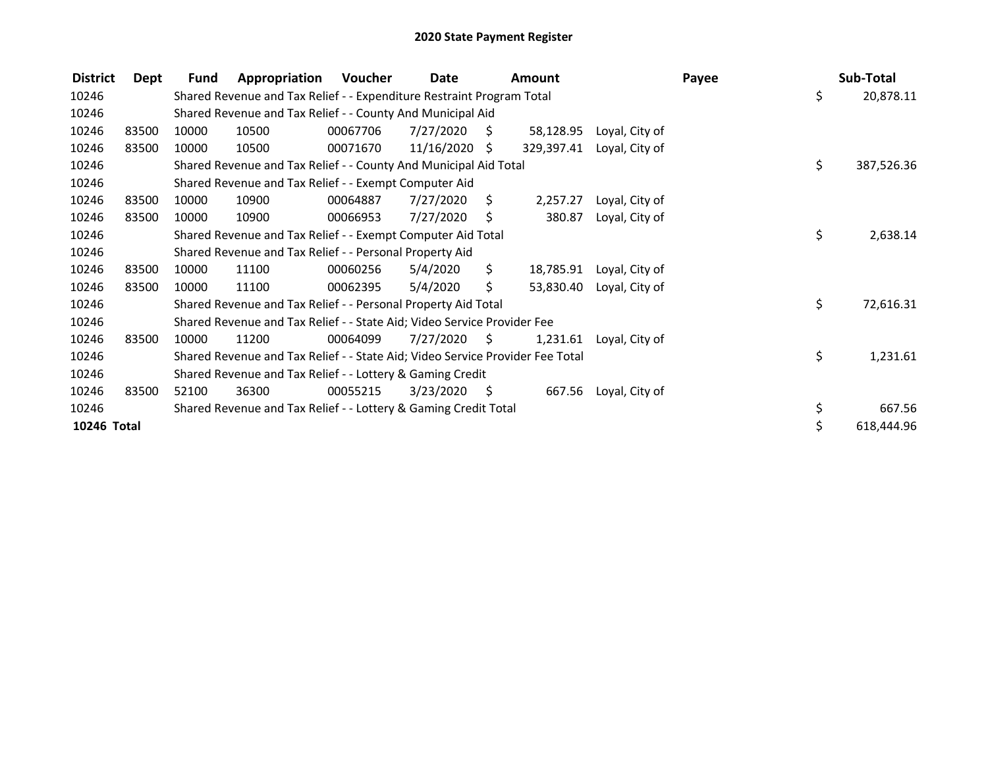| <b>District</b> | Dept  | Fund                                                      | Appropriation                                                                 | Voucher  | Date            |      | <b>Amount</b> |                | Payee | Sub-Total        |
|-----------------|-------|-----------------------------------------------------------|-------------------------------------------------------------------------------|----------|-----------------|------|---------------|----------------|-------|------------------|
| 10246           |       |                                                           | Shared Revenue and Tax Relief - - Expenditure Restraint Program Total         |          |                 |      |               |                |       | \$<br>20,878.11  |
| 10246           |       |                                                           | Shared Revenue and Tax Relief - - County And Municipal Aid                    |          |                 |      |               |                |       |                  |
| 10246           | 83500 | 10000                                                     | 10500                                                                         | 00067706 | 7/27/2020       | - \$ | 58,128.95     | Loyal, City of |       |                  |
| 10246           | 83500 | 10000                                                     | 10500                                                                         | 00071670 | $11/16/2020$ \$ |      | 329,397.41    | Loyal, City of |       |                  |
| 10246           |       |                                                           | Shared Revenue and Tax Relief - - County And Municipal Aid Total              |          |                 |      |               |                |       | \$<br>387,526.36 |
| 10246           |       |                                                           | Shared Revenue and Tax Relief - - Exempt Computer Aid                         |          |                 |      |               |                |       |                  |
| 10246           | 83500 | 10000                                                     | 10900                                                                         | 00064887 | 7/27/2020       | S.   | 2,257.27      | Loyal, City of |       |                  |
| 10246           | 83500 | 10000                                                     | 10900                                                                         | 00066953 | 7/27/2020       | \$   | 380.87        | Loyal, City of |       |                  |
| 10246           |       |                                                           | Shared Revenue and Tax Relief - - Exempt Computer Aid Total                   |          |                 |      |               |                |       | \$<br>2,638.14   |
| 10246           |       |                                                           | Shared Revenue and Tax Relief - - Personal Property Aid                       |          |                 |      |               |                |       |                  |
| 10246           | 83500 | 10000                                                     | 11100                                                                         | 00060256 | 5/4/2020        | \$.  | 18,785.91     | Loyal, City of |       |                  |
| 10246           | 83500 | 10000                                                     | 11100                                                                         | 00062395 | 5/4/2020        | Ś.   | 53,830.40     | Loyal, City of |       |                  |
| 10246           |       |                                                           | Shared Revenue and Tax Relief - - Personal Property Aid Total                 |          |                 |      |               |                |       | \$<br>72,616.31  |
| 10246           |       |                                                           | Shared Revenue and Tax Relief - - State Aid; Video Service Provider Fee       |          |                 |      |               |                |       |                  |
| 10246           | 83500 | 10000                                                     | 11200                                                                         | 00064099 | 7/27/2020       | S.   | 1,231.61      | Loyal, City of |       |                  |
| 10246           |       |                                                           | Shared Revenue and Tax Relief - - State Aid; Video Service Provider Fee Total |          |                 |      |               |                |       | \$<br>1,231.61   |
| 10246           |       | Shared Revenue and Tax Relief - - Lottery & Gaming Credit |                                                                               |          |                 |      |               |                |       |                  |
| 10246           | 83500 | 52100                                                     | 36300                                                                         | 00055215 | 3/23/2020       | - \$ | 667.56        | Loyal, City of |       |                  |
| 10246           |       |                                                           | Shared Revenue and Tax Relief - - Lottery & Gaming Credit Total               |          |                 |      |               |                |       | \$<br>667.56     |
| 10246 Total     |       |                                                           |                                                                               |          |                 |      |               |                |       | 618,444.96       |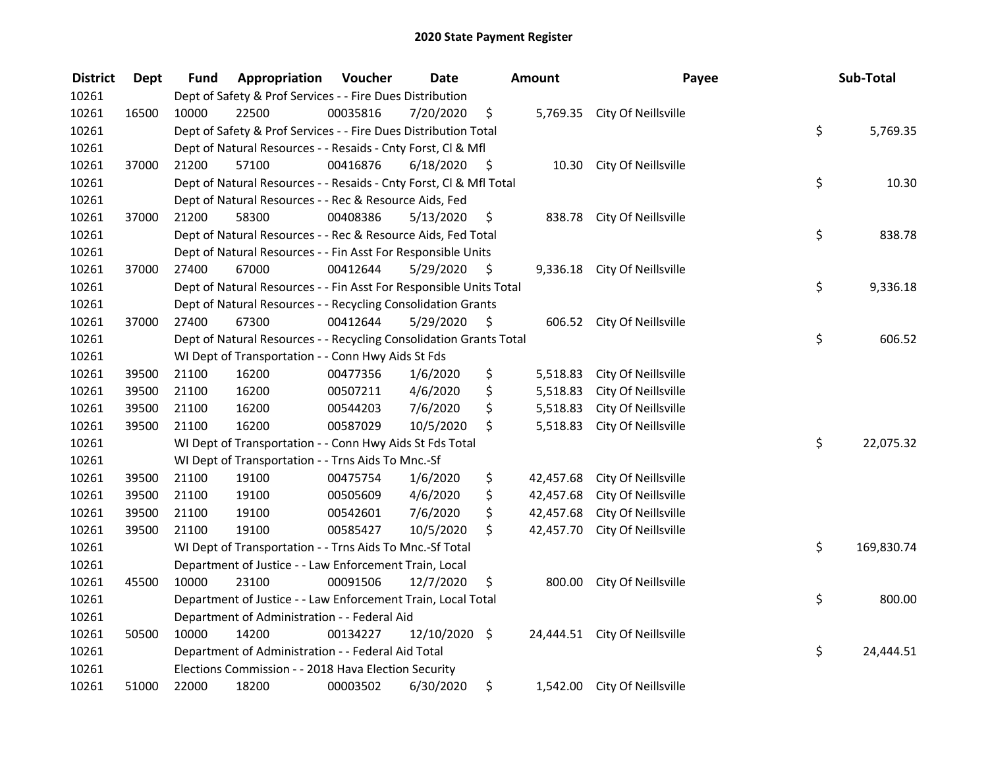| <b>District</b> | <b>Dept</b> | Fund  | Appropriation                                                      | Voucher  | <b>Date</b>   |      | Amount    | Payee                         | Sub-Total        |
|-----------------|-------------|-------|--------------------------------------------------------------------|----------|---------------|------|-----------|-------------------------------|------------------|
| 10261           |             |       | Dept of Safety & Prof Services - - Fire Dues Distribution          |          |               |      |           |                               |                  |
| 10261           | 16500       | 10000 | 22500                                                              | 00035816 | 7/20/2020     | \$   |           | 5,769.35 City Of Neillsville  |                  |
| 10261           |             |       | Dept of Safety & Prof Services - - Fire Dues Distribution Total    |          |               |      |           |                               | \$<br>5,769.35   |
| 10261           |             |       | Dept of Natural Resources - - Resaids - Cnty Forst, Cl & Mfl       |          |               |      |           |                               |                  |
| 10261           | 37000       | 21200 | 57100                                                              | 00416876 | 6/18/2020     | - \$ | 10.30     | City Of Neillsville           |                  |
| 10261           |             |       | Dept of Natural Resources - - Resaids - Cnty Forst, Cl & Mfl Total |          |               |      |           |                               | \$<br>10.30      |
| 10261           |             |       | Dept of Natural Resources - - Rec & Resource Aids, Fed             |          |               |      |           |                               |                  |
| 10261           | 37000       | 21200 | 58300                                                              | 00408386 | 5/13/2020     | \$   |           | 838.78 City Of Neillsville    |                  |
| 10261           |             |       | Dept of Natural Resources - - Rec & Resource Aids, Fed Total       |          |               |      |           |                               | \$<br>838.78     |
| 10261           |             |       | Dept of Natural Resources - - Fin Asst For Responsible Units       |          |               |      |           |                               |                  |
| 10261           | 37000       | 27400 | 67000                                                              | 00412644 | 5/29/2020     | \$   |           | 9,336.18 City Of Neillsville  |                  |
| 10261           |             |       | Dept of Natural Resources - - Fin Asst For Responsible Units Total |          |               |      |           |                               | \$<br>9,336.18   |
| 10261           |             |       | Dept of Natural Resources - - Recycling Consolidation Grants       |          |               |      |           |                               |                  |
| 10261           | 37000       | 27400 | 67300                                                              | 00412644 | 5/29/2020     | \$,  | 606.52    | City Of Neillsville           |                  |
| 10261           |             |       | Dept of Natural Resources - - Recycling Consolidation Grants Total |          |               |      |           |                               | \$<br>606.52     |
| 10261           |             |       | WI Dept of Transportation - - Conn Hwy Aids St Fds                 |          |               |      |           |                               |                  |
| 10261           | 39500       | 21100 | 16200                                                              | 00477356 | 1/6/2020      | \$   | 5,518.83  | City Of Neillsville           |                  |
| 10261           | 39500       | 21100 | 16200                                                              | 00507211 | 4/6/2020      | \$   | 5,518.83  | City Of Neillsville           |                  |
| 10261           | 39500       | 21100 | 16200                                                              | 00544203 | 7/6/2020      | \$   | 5,518.83  | City Of Neillsville           |                  |
| 10261           | 39500       | 21100 | 16200                                                              | 00587029 | 10/5/2020     | \$   | 5,518.83  | City Of Neillsville           |                  |
| 10261           |             |       | WI Dept of Transportation - - Conn Hwy Aids St Fds Total           |          |               |      |           |                               | \$<br>22,075.32  |
| 10261           |             |       | WI Dept of Transportation - - Trns Aids To Mnc.-Sf                 |          |               |      |           |                               |                  |
| 10261           | 39500       | 21100 | 19100                                                              | 00475754 | 1/6/2020      | \$   | 42,457.68 | City Of Neillsville           |                  |
| 10261           | 39500       | 21100 | 19100                                                              | 00505609 | 4/6/2020      | \$   | 42,457.68 | City Of Neillsville           |                  |
| 10261           | 39500       | 21100 | 19100                                                              | 00542601 | 7/6/2020      | \$   | 42,457.68 | City Of Neillsville           |                  |
| 10261           | 39500       | 21100 | 19100                                                              | 00585427 | 10/5/2020     | \$   | 42,457.70 | City Of Neillsville           |                  |
| 10261           |             |       | WI Dept of Transportation - - Trns Aids To Mnc.-Sf Total           |          |               |      |           |                               | \$<br>169,830.74 |
| 10261           |             |       | Department of Justice - - Law Enforcement Train, Local             |          |               |      |           |                               |                  |
| 10261           | 45500       | 10000 | 23100                                                              | 00091506 | 12/7/2020     | \$   | 800.00    | City Of Neillsville           |                  |
| 10261           |             |       | Department of Justice - - Law Enforcement Train, Local Total       |          |               |      |           |                               | \$<br>800.00     |
| 10261           |             |       | Department of Administration - - Federal Aid                       |          |               |      |           |                               |                  |
| 10261           | 50500       | 10000 | 14200                                                              | 00134227 | 12/10/2020 \$ |      |           | 24,444.51 City Of Neillsville |                  |
| 10261           |             |       | Department of Administration - - Federal Aid Total                 |          |               |      |           |                               | \$<br>24,444.51  |
| 10261           |             |       | Elections Commission - - 2018 Hava Election Security               |          |               |      |           |                               |                  |
| 10261           | 51000       | 22000 | 18200                                                              | 00003502 | 6/30/2020     | \$   | 1,542.00  | City Of Neillsville           |                  |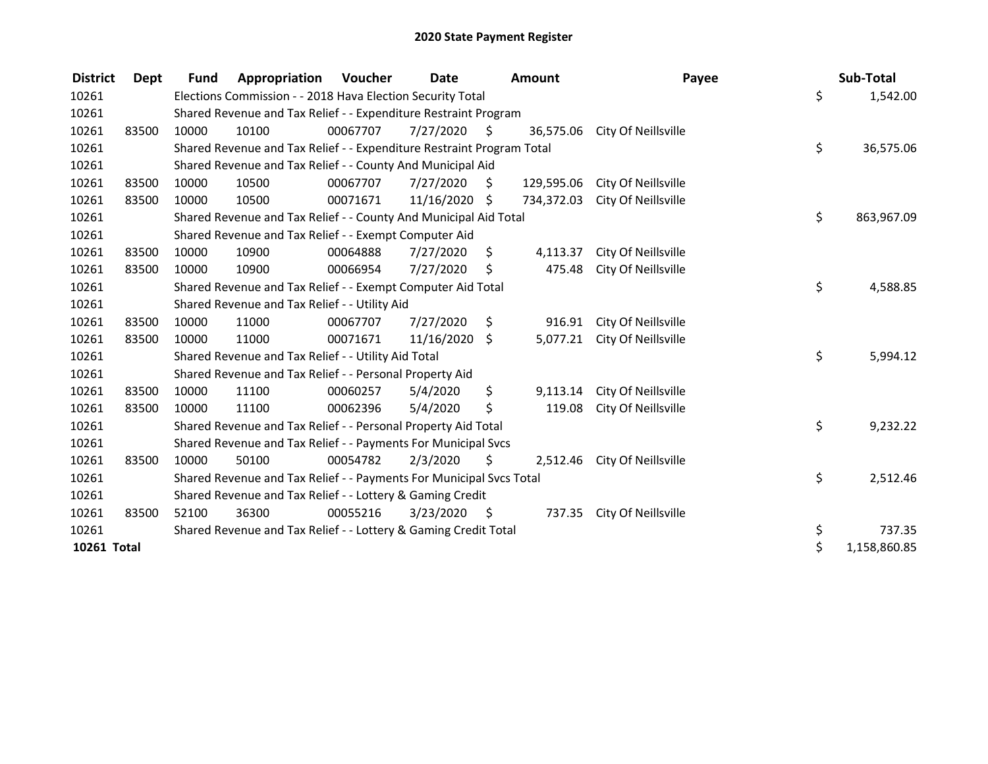| <b>District</b> | Dept  | <b>Fund</b> | Appropriation                                                         | <b>Voucher</b> | Date       |      | <b>Amount</b> |                     | Payee | Sub-Total    |
|-----------------|-------|-------------|-----------------------------------------------------------------------|----------------|------------|------|---------------|---------------------|-------|--------------|
| 10261           |       |             | Elections Commission - - 2018 Hava Election Security Total            |                |            |      |               |                     | \$    | 1,542.00     |
| 10261           |       |             | Shared Revenue and Tax Relief - - Expenditure Restraint Program       |                |            |      |               |                     |       |              |
| 10261           | 83500 | 10000       | 10100                                                                 | 00067707       | 7/27/2020  | S    | 36,575.06     | City Of Neillsville |       |              |
| 10261           |       |             | Shared Revenue and Tax Relief - - Expenditure Restraint Program Total |                |            |      |               |                     | \$    | 36,575.06    |
| 10261           |       |             | Shared Revenue and Tax Relief - - County And Municipal Aid            |                |            |      |               |                     |       |              |
| 10261           | 83500 | 10000       | 10500                                                                 | 00067707       | 7/27/2020  | \$.  | 129,595.06    | City Of Neillsville |       |              |
| 10261           | 83500 | 10000       | 10500                                                                 | 00071671       | 11/16/2020 | Ŝ.   | 734,372.03    | City Of Neillsville |       |              |
| 10261           |       |             | Shared Revenue and Tax Relief - - County And Municipal Aid Total      |                |            |      |               |                     | \$    | 863,967.09   |
| 10261           |       |             | Shared Revenue and Tax Relief - - Exempt Computer Aid                 |                |            |      |               |                     |       |              |
| 10261           | 83500 | 10000       | 10900                                                                 | 00064888       | 7/27/2020  | \$.  | 4,113.37      | City Of Neillsville |       |              |
| 10261           | 83500 | 10000       | 10900                                                                 | 00066954       | 7/27/2020  | Ŝ.   | 475.48        | City Of Neillsville |       |              |
| 10261           |       |             | Shared Revenue and Tax Relief - - Exempt Computer Aid Total           |                |            |      |               |                     | \$    | 4,588.85     |
| 10261           |       |             | Shared Revenue and Tax Relief - - Utility Aid                         |                |            |      |               |                     |       |              |
| 10261           | 83500 | 10000       | 11000                                                                 | 00067707       | 7/27/2020  | \$   | 916.91        | City Of Neillsville |       |              |
| 10261           | 83500 | 10000       | 11000                                                                 | 00071671       | 11/16/2020 | \$   | 5,077.21      | City Of Neillsville |       |              |
| 10261           |       |             | Shared Revenue and Tax Relief - - Utility Aid Total                   |                |            |      |               |                     | \$    | 5,994.12     |
| 10261           |       |             | Shared Revenue and Tax Relief - - Personal Property Aid               |                |            |      |               |                     |       |              |
| 10261           | 83500 | 10000       | 11100                                                                 | 00060257       | 5/4/2020   | \$   | 9,113.14      | City Of Neillsville |       |              |
| 10261           | 83500 | 10000       | 11100                                                                 | 00062396       | 5/4/2020   | \$   | 119.08        | City Of Neillsville |       |              |
| 10261           |       |             | Shared Revenue and Tax Relief - - Personal Property Aid Total         |                |            |      |               |                     | \$    | 9,232.22     |
| 10261           |       |             | Shared Revenue and Tax Relief - - Payments For Municipal Svcs         |                |            |      |               |                     |       |              |
| 10261           | 83500 | 10000       | 50100                                                                 | 00054782       | 2/3/2020   | \$   | 2,512.46      | City Of Neillsville |       |              |
| 10261           |       |             | Shared Revenue and Tax Relief - - Payments For Municipal Svcs Total   |                |            |      |               |                     | \$    | 2,512.46     |
| 10261           |       |             | Shared Revenue and Tax Relief - - Lottery & Gaming Credit             |                |            |      |               |                     |       |              |
| 10261           | 83500 | 52100       | 36300                                                                 | 00055216       | 3/23/2020  | - \$ | 737.35        | City Of Neillsville |       |              |
| 10261           |       |             | Shared Revenue and Tax Relief - - Lottery & Gaming Credit Total       | \$             | 737.35     |      |               |                     |       |              |
| 10261 Total     |       |             |                                                                       |                |            |      |               |                     | \$    | 1,158,860.85 |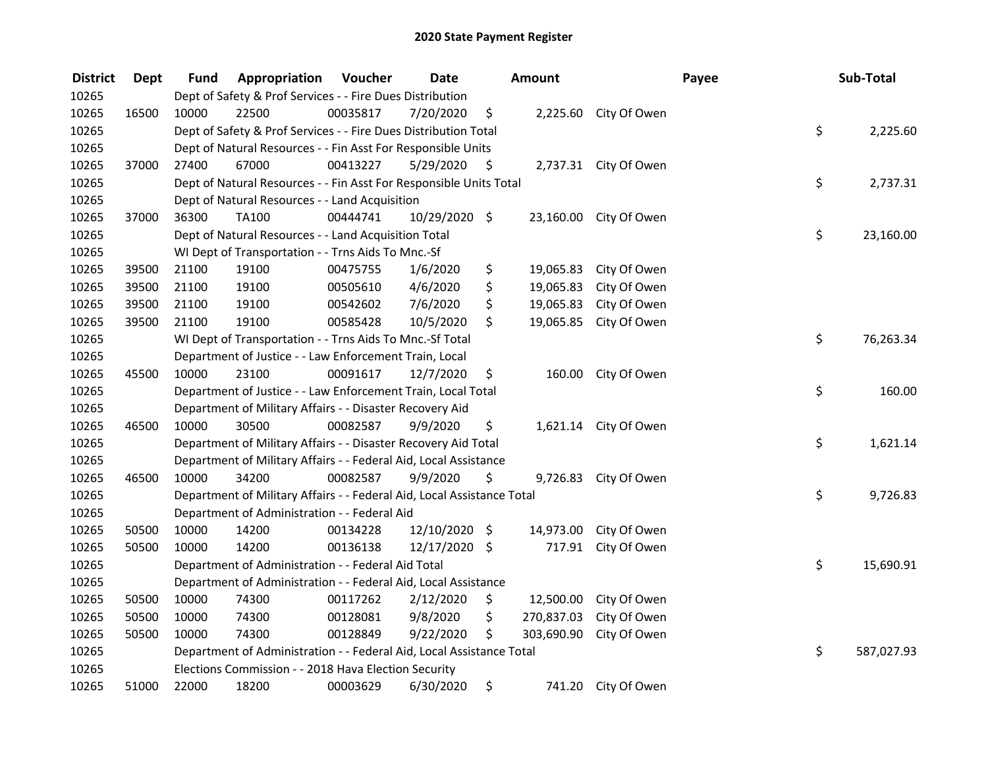| <b>District</b> | <b>Dept</b> | Fund  | Appropriation                                                          | Voucher  | <b>Date</b>   | Amount           |                        | Payee | Sub-Total  |
|-----------------|-------------|-------|------------------------------------------------------------------------|----------|---------------|------------------|------------------------|-------|------------|
| 10265           |             |       | Dept of Safety & Prof Services - - Fire Dues Distribution              |          |               |                  |                        |       |            |
| 10265           | 16500       | 10000 | 22500                                                                  | 00035817 | 7/20/2020     | \$               | 2,225.60 City Of Owen  |       |            |
| 10265           |             |       | Dept of Safety & Prof Services - - Fire Dues Distribution Total        |          |               |                  |                        | \$    | 2,225.60   |
| 10265           |             |       | Dept of Natural Resources - - Fin Asst For Responsible Units           |          |               |                  |                        |       |            |
| 10265           | 37000       | 27400 | 67000                                                                  | 00413227 | 5/29/2020     | \$               | 2,737.31 City Of Owen  |       |            |
| 10265           |             |       | Dept of Natural Resources - - Fin Asst For Responsible Units Total     |          |               |                  |                        | \$    | 2,737.31   |
| 10265           |             |       | Dept of Natural Resources - - Land Acquisition                         |          |               |                  |                        |       |            |
| 10265           | 37000       | 36300 | <b>TA100</b>                                                           | 00444741 | 10/29/2020 \$ |                  | 23,160.00 City Of Owen |       |            |
| 10265           |             |       | Dept of Natural Resources - - Land Acquisition Total                   |          |               |                  |                        | \$    | 23,160.00  |
| 10265           |             |       | WI Dept of Transportation - - Trns Aids To Mnc.-Sf                     |          |               |                  |                        |       |            |
| 10265           | 39500       | 21100 | 19100                                                                  | 00475755 | 1/6/2020      | \$<br>19,065.83  | City Of Owen           |       |            |
| 10265           | 39500       | 21100 | 19100                                                                  | 00505610 | 4/6/2020      | \$<br>19,065.83  | City Of Owen           |       |            |
| 10265           | 39500       | 21100 | 19100                                                                  | 00542602 | 7/6/2020      | \$<br>19,065.83  | City Of Owen           |       |            |
| 10265           | 39500       | 21100 | 19100                                                                  | 00585428 | 10/5/2020     | \$<br>19,065.85  | City Of Owen           |       |            |
| 10265           |             |       | WI Dept of Transportation - - Trns Aids To Mnc.-Sf Total               |          |               |                  |                        | \$    | 76,263.34  |
| 10265           |             |       | Department of Justice - - Law Enforcement Train, Local                 |          |               |                  |                        |       |            |
| 10265           | 45500       | 10000 | 23100                                                                  | 00091617 | 12/7/2020     | \$<br>160.00     | City Of Owen           |       |            |
| 10265           |             |       | Department of Justice - - Law Enforcement Train, Local Total           |          |               |                  |                        | \$    | 160.00     |
| 10265           |             |       | Department of Military Affairs - - Disaster Recovery Aid               |          |               |                  |                        |       |            |
| 10265           | 46500       | 10000 | 30500                                                                  | 00082587 | 9/9/2020      | \$               | 1,621.14 City Of Owen  |       |            |
| 10265           |             |       | Department of Military Affairs - - Disaster Recovery Aid Total         |          |               |                  |                        | \$    | 1,621.14   |
| 10265           |             |       | Department of Military Affairs - - Federal Aid, Local Assistance       |          |               |                  |                        |       |            |
| 10265           | 46500       | 10000 | 34200                                                                  | 00082587 | 9/9/2020      | \$               | 9,726.83 City Of Owen  |       |            |
| 10265           |             |       | Department of Military Affairs - - Federal Aid, Local Assistance Total |          |               |                  |                        | \$    | 9,726.83   |
| 10265           |             |       | Department of Administration - - Federal Aid                           |          |               |                  |                        |       |            |
| 10265           | 50500       | 10000 | 14200                                                                  | 00134228 | 12/10/2020 \$ | 14,973.00        | City Of Owen           |       |            |
| 10265           | 50500       | 10000 | 14200                                                                  | 00136138 | 12/17/2020 \$ | 717.91           | City Of Owen           |       |            |
| 10265           |             |       | Department of Administration - - Federal Aid Total                     |          |               |                  |                        | \$    | 15,690.91  |
| 10265           |             |       | Department of Administration - - Federal Aid, Local Assistance         |          |               |                  |                        |       |            |
| 10265           | 50500       | 10000 | 74300                                                                  | 00117262 | 2/12/2020     | \$<br>12,500.00  | City Of Owen           |       |            |
| 10265           | 50500       | 10000 | 74300                                                                  | 00128081 | 9/8/2020      | \$<br>270,837.03 | City Of Owen           |       |            |
| 10265           | 50500       | 10000 | 74300                                                                  | 00128849 | 9/22/2020     | \$<br>303,690.90 | City Of Owen           |       |            |
| 10265           |             |       | Department of Administration - - Federal Aid, Local Assistance Total   |          |               |                  |                        | \$    | 587,027.93 |
| 10265           |             |       | Elections Commission - - 2018 Hava Election Security                   |          |               |                  |                        |       |            |
| 10265           | 51000       | 22000 | 18200                                                                  | 00003629 | 6/30/2020     | \$<br>741.20     | City Of Owen           |       |            |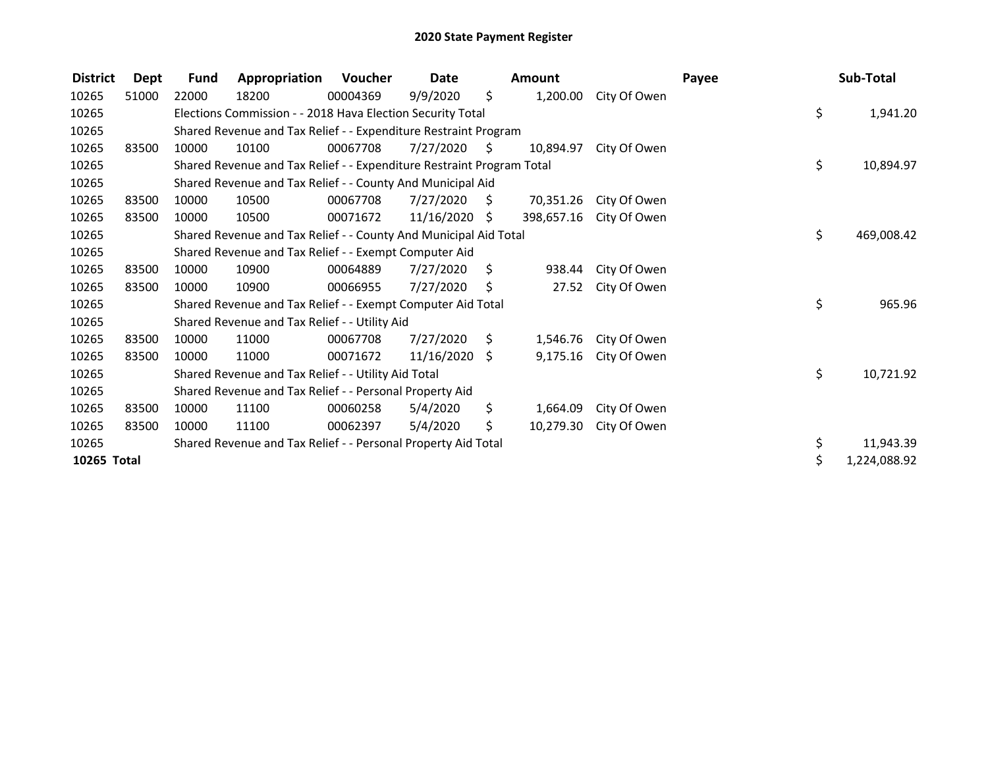| <b>District</b> | Dept  | <b>Fund</b> | Appropriation                                                         | Voucher  | Date            |                | <b>Amount</b> |              | Payee | Sub-Total          |
|-----------------|-------|-------------|-----------------------------------------------------------------------|----------|-----------------|----------------|---------------|--------------|-------|--------------------|
| 10265           | 51000 | 22000       | 18200                                                                 | 00004369 | 9/9/2020        | \$             | 1,200.00      | City Of Owen |       |                    |
| 10265           |       |             | Elections Commission - - 2018 Hava Election Security Total            |          |                 |                |               |              |       | \$<br>1,941.20     |
| 10265           |       |             | Shared Revenue and Tax Relief - - Expenditure Restraint Program       |          |                 |                |               |              |       |                    |
| 10265           | 83500 | 10000       | 10100                                                                 | 00067708 | 7/27/2020       | $\ddot{\zeta}$ | 10,894.97     | City Of Owen |       |                    |
| 10265           |       |             | Shared Revenue and Tax Relief - - Expenditure Restraint Program Total |          |                 |                |               |              |       | \$<br>10,894.97    |
| 10265           |       |             | Shared Revenue and Tax Relief - - County And Municipal Aid            |          |                 |                |               |              |       |                    |
| 10265           | 83500 | 10000       | 10500                                                                 | 00067708 | 7/27/2020       | S.             | 70,351.26     | City Of Owen |       |                    |
| 10265           | 83500 | 10000       | 10500                                                                 | 00071672 | $11/16/2020$ \$ |                | 398,657.16    | City Of Owen |       |                    |
| 10265           |       |             | Shared Revenue and Tax Relief - - County And Municipal Aid Total      |          |                 |                |               |              |       | \$<br>469,008.42   |
| 10265           |       |             | Shared Revenue and Tax Relief - - Exempt Computer Aid                 |          |                 |                |               |              |       |                    |
| 10265           | 83500 | 10000       | 10900                                                                 | 00064889 | 7/27/2020       | S              | 938.44        | City Of Owen |       |                    |
| 10265           | 83500 | 10000       | 10900                                                                 | 00066955 | 7/27/2020       | Ŝ.             | 27.52         | City Of Owen |       |                    |
| 10265           |       |             | Shared Revenue and Tax Relief - - Exempt Computer Aid Total           |          |                 |                |               |              |       | \$<br>965.96       |
| 10265           |       |             | Shared Revenue and Tax Relief - - Utility Aid                         |          |                 |                |               |              |       |                    |
| 10265           | 83500 | 10000       | 11000                                                                 | 00067708 | 7/27/2020       | S.             | 1,546.76      | City Of Owen |       |                    |
| 10265           | 83500 | 10000       | 11000                                                                 | 00071672 | $11/16/2020$ \$ |                | 9,175.16      | City Of Owen |       |                    |
| 10265           |       |             | Shared Revenue and Tax Relief - - Utility Aid Total                   |          |                 |                |               |              |       | \$<br>10,721.92    |
| 10265           |       |             | Shared Revenue and Tax Relief - - Personal Property Aid               |          |                 |                |               |              |       |                    |
| 10265           | 83500 | 10000       | 11100                                                                 | 00060258 | 5/4/2020        | \$.            | 1,664.09      | City Of Owen |       |                    |
| 10265           | 83500 | 10000       | 11100                                                                 | 00062397 | 5/4/2020        | \$             | 10,279.30     | City Of Owen |       |                    |
| 10265           |       |             | Shared Revenue and Tax Relief - - Personal Property Aid Total         |          |                 |                |               |              |       | \$<br>11,943.39    |
| 10265 Total     |       |             |                                                                       |          |                 |                |               |              |       | \$<br>1,224,088.92 |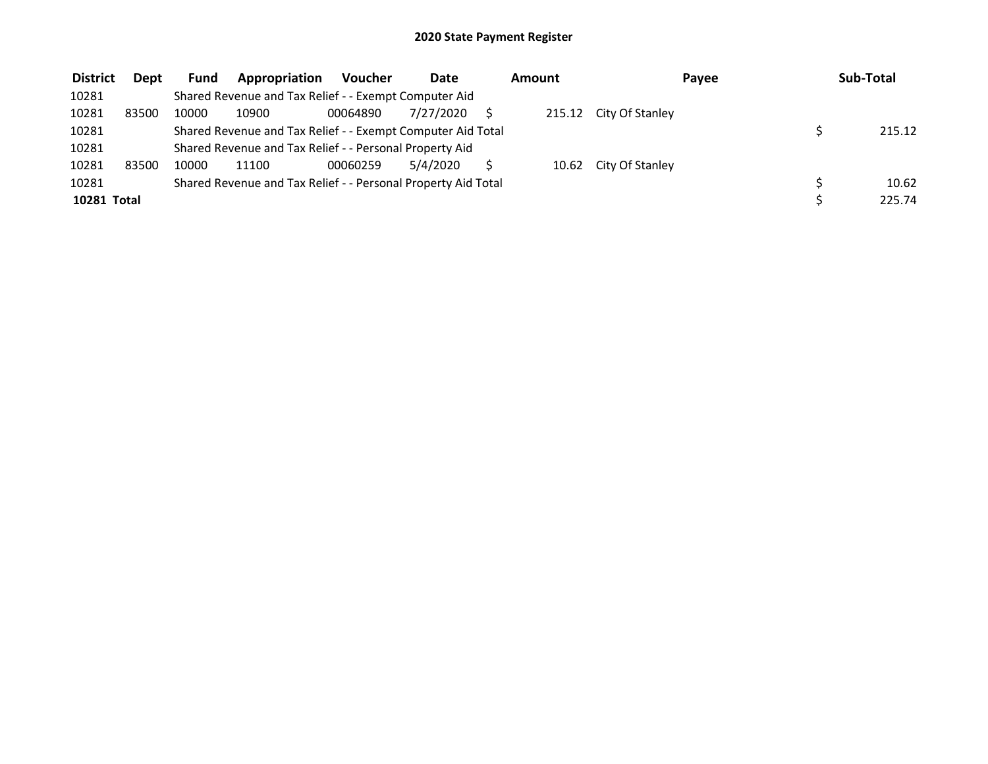| <b>District</b> | Dept  | <b>Fund</b> | Appropriation                                                 | Voucher  | Date      | Amount |  | Payee                  | Sub-Total |  |        |
|-----------------|-------|-------------|---------------------------------------------------------------|----------|-----------|--------|--|------------------------|-----------|--|--------|
| 10281           |       |             | Shared Revenue and Tax Relief - - Exempt Computer Aid         |          |           |        |  |                        |           |  |        |
| 10281           | 83500 | 10000       | 10900                                                         | 00064890 | 7/27/2020 |        |  | 215.12 City Of Stanley |           |  |        |
| 10281           |       |             | Shared Revenue and Tax Relief - - Exempt Computer Aid Total   |          |           |        |  |                        |           |  | 215.12 |
| 10281           |       |             | Shared Revenue and Tax Relief - - Personal Property Aid       |          |           |        |  |                        |           |  |        |
| 10281           | 83500 | 10000       | 11100                                                         | 00060259 | 5/4/2020  |        |  | 10.62 City Of Stanley  |           |  |        |
| 10281           |       |             | Shared Revenue and Tax Relief - - Personal Property Aid Total |          |           |        |  |                        |           |  | 10.62  |
| 10281 Total     |       |             |                                                               |          |           |        |  |                        |           |  | 225.74 |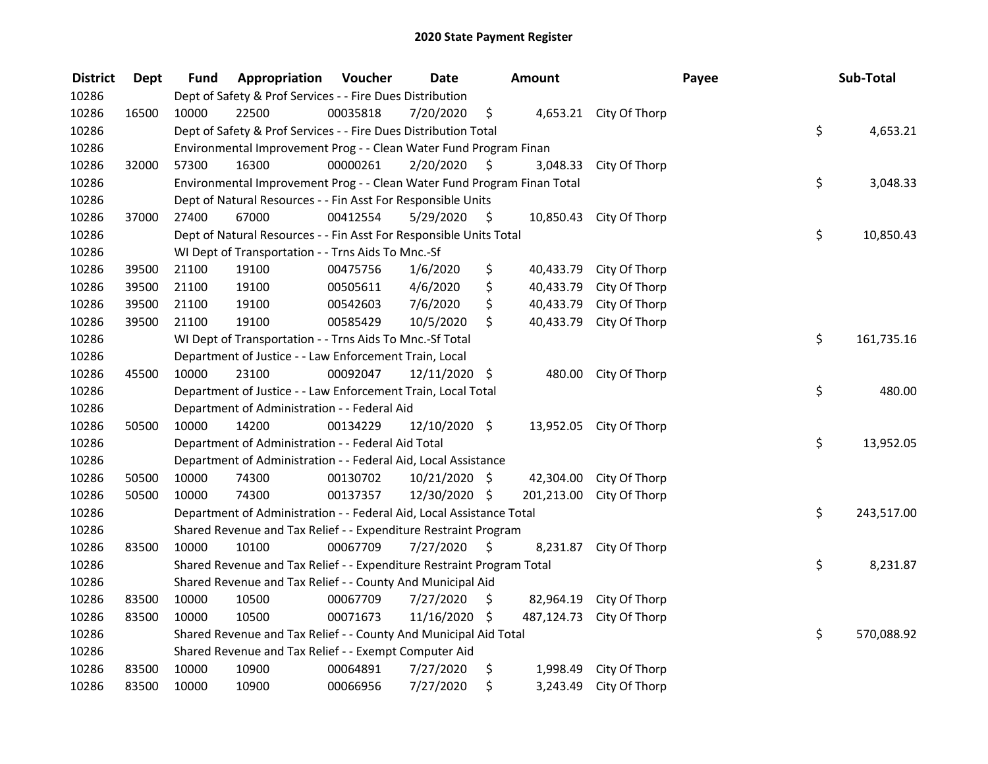| <b>District</b> | <b>Dept</b> | Fund                                                                          | Appropriation                                          | Voucher  | <b>Date</b>   |      | <b>Amount</b> |                         | Payee |            | Sub-Total  |
|-----------------|-------------|-------------------------------------------------------------------------------|--------------------------------------------------------|----------|---------------|------|---------------|-------------------------|-------|------------|------------|
| 10286           |             | Dept of Safety & Prof Services - - Fire Dues Distribution                     |                                                        |          |               |      |               |                         |       |            |            |
| 10286           | 16500       | 10000                                                                         | 22500                                                  | 00035818 | 7/20/2020     | \$   |               | 4,653.21 City Of Thorp  |       |            |            |
| 10286           |             | \$<br>Dept of Safety & Prof Services - - Fire Dues Distribution Total         |                                                        |          |               |      |               |                         |       | 4,653.21   |            |
| 10286           |             | Environmental Improvement Prog - - Clean Water Fund Program Finan             |                                                        |          |               |      |               |                         |       |            |            |
| 10286           | 32000       | 57300                                                                         | 16300                                                  | 00000261 | 2/20/2020     | \$   | 3,048.33      | City Of Thorp           |       |            |            |
| 10286           |             | \$<br>Environmental Improvement Prog - - Clean Water Fund Program Finan Total |                                                        |          |               |      |               |                         |       | 3,048.33   |            |
| 10286           |             | Dept of Natural Resources - - Fin Asst For Responsible Units                  |                                                        |          |               |      |               |                         |       |            |            |
| 10286           | 37000       | 27400                                                                         | 67000                                                  | 00412554 | 5/29/2020     | - \$ |               | 10,850.43 City Of Thorp |       |            |            |
| 10286           |             | Dept of Natural Resources - - Fin Asst For Responsible Units Total            |                                                        |          |               |      |               |                         |       | \$         | 10,850.43  |
| 10286           |             | WI Dept of Transportation - - Trns Aids To Mnc.-Sf                            |                                                        |          |               |      |               |                         |       |            |            |
| 10286           | 39500       | 21100                                                                         | 19100                                                  | 00475756 | 1/6/2020      | \$   | 40,433.79     | City Of Thorp           |       |            |            |
| 10286           | 39500       | 21100                                                                         | 19100                                                  | 00505611 | 4/6/2020      | \$   | 40,433.79     | City Of Thorp           |       |            |            |
| 10286           | 39500       | 21100                                                                         | 19100                                                  | 00542603 | 7/6/2020      | \$   | 40,433.79     | City Of Thorp           |       |            |            |
| 10286           | 39500       | 21100                                                                         | 19100                                                  | 00585429 | 10/5/2020     | \$   | 40,433.79     | City Of Thorp           |       |            |            |
| 10286           |             | WI Dept of Transportation - - Trns Aids To Mnc.-Sf Total                      |                                                        |          |               |      |               |                         |       | \$         | 161,735.16 |
| 10286           |             |                                                                               | Department of Justice - - Law Enforcement Train, Local |          |               |      |               |                         |       |            |            |
| 10286           | 45500       | 10000                                                                         | 23100                                                  | 00092047 | 12/11/2020 \$ |      | 480.00        | City Of Thorp           |       |            |            |
| 10286           |             | Department of Justice - - Law Enforcement Train, Local Total                  |                                                        |          |               |      |               |                         |       | \$         | 480.00     |
| 10286           |             |                                                                               | Department of Administration - - Federal Aid           |          |               |      |               |                         |       |            |            |
| 10286           | 50500       | 10000                                                                         | 14200                                                  | 00134229 | 12/10/2020 \$ |      |               | 13,952.05 City Of Thorp |       |            |            |
| 10286           |             | \$<br>Department of Administration - - Federal Aid Total                      |                                                        |          |               |      |               |                         |       |            | 13,952.05  |
| 10286           |             | Department of Administration - - Federal Aid, Local Assistance                |                                                        |          |               |      |               |                         |       |            |            |
| 10286           | 50500       | 10000                                                                         | 74300                                                  | 00130702 | 10/21/2020 \$ |      |               | 42,304.00 City Of Thorp |       |            |            |
| 10286           | 50500       | 10000                                                                         | 74300                                                  | 00137357 | 12/30/2020 \$ |      | 201,213.00    | City Of Thorp           |       |            |            |
| 10286           |             | \$<br>Department of Administration - - Federal Aid, Local Assistance Total    |                                                        |          |               |      |               |                         |       |            | 243,517.00 |
| 10286           |             | Shared Revenue and Tax Relief - - Expenditure Restraint Program               |                                                        |          |               |      |               |                         |       |            |            |
| 10286           | 83500       | 10000                                                                         | 10100                                                  | 00067709 | 7/27/2020     | - \$ | 8,231.87      | City Of Thorp           |       |            |            |
| 10286           |             | \$<br>Shared Revenue and Tax Relief - - Expenditure Restraint Program Total   |                                                        |          |               |      |               |                         |       | 8,231.87   |            |
| 10286           |             | Shared Revenue and Tax Relief - - County And Municipal Aid                    |                                                        |          |               |      |               |                         |       |            |            |
| 10286           | 83500       | 10000                                                                         | 10500                                                  | 00067709 | 7/27/2020     | \$   | 82,964.19     | City Of Thorp           |       |            |            |
| 10286           | 83500       | 10000                                                                         | 10500                                                  | 00071673 | 11/16/2020 \$ |      | 487,124.73    | City Of Thorp           |       |            |            |
| 10286           |             | \$<br>Shared Revenue and Tax Relief - - County And Municipal Aid Total        |                                                        |          |               |      |               |                         |       | 570,088.92 |            |
| 10286           |             | Shared Revenue and Tax Relief - - Exempt Computer Aid                         |                                                        |          |               |      |               |                         |       |            |            |
| 10286           | 83500       | 10000                                                                         | 10900                                                  | 00064891 | 7/27/2020     | \$   | 1,998.49      | City Of Thorp           |       |            |            |
| 10286           | 83500       | 10000                                                                         | 10900                                                  | 00066956 | 7/27/2020     | \$   | 3,243.49      | City Of Thorp           |       |            |            |